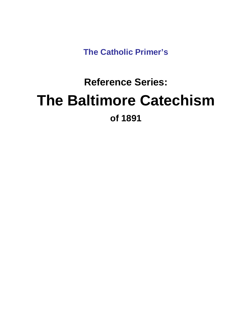**The Catholic Primer's** 

# **Reference Series: The Baltimore Catechism of 1891**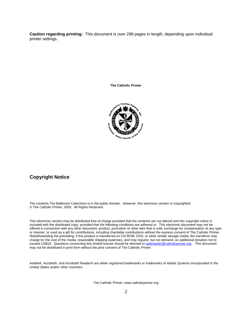**Caution regarding printing:** This document is over 298 pages in length, depending upon individual printer settings.

**The Catholic Primer** 



#### **Copyright Notice**

The contents The Baltimore Catechism is in the public domain. However, this electronic version is copyrighted. © The Catholic Primer, 2005. All Rights Reserved.

This electronic version may be distributed free of charge provided that the contents are not altered and this copyright notice is included with the distributed copy, provided that the following conditions are adhered to. This electronic document may not be e offered in connection with any other document, product, promotion or other item that is sold, exchange for compensation of any typ Notwithstanding the preceding, if this product is transferred on CD-ROM, DVD, or other similar storage media, the transferor may charge for the cost of the media, reasonable shipping expenses, and may request, but not demand, an additional donation not to exceed US\$15. Questions concerning this limited license should be directed to webmaster@catholicprimer.org. This document or manner, or used as a gift for contributions, including charitable contributions without the express consent of The Catholic Primer. may not be distributed in print form without the prior consent of The Catholic Primer.

Adobe®, Acrobat®, and Acrobat® Reader® *are either registered t marks or trademarks of Adobe Systems Incorporated in the rade United States and/or other countries.*

The Catholic Primer: www.catholicprimer.org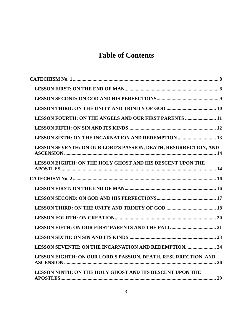### **[Table of Contents](#page-7-0)**

| LESSON FOURTH: ON THE ANGELS AND OUR FIRST PARENTS  11          |
|-----------------------------------------------------------------|
|                                                                 |
| LESSON SIXTH: ON THE INCARNATION AND REDEMPTION  13             |
| LESSON SEVENTH: ON OUR LORD'S PASSION, DEATH, RESURRECTION, AND |
| LESSON EIGHTH: ON THE HOLY GHOST AND HIS DESCENT UPON THE       |
|                                                                 |
|                                                                 |
|                                                                 |
|                                                                 |
|                                                                 |
|                                                                 |
|                                                                 |
| LESSON SEVENTH: ON THE INCARNATION AND REDEMPTION 24            |
| LESSON EIGHTH: ON OUR LORD'S PASSION, DEATH, RESURRECTION, AND  |
| LESSON NINTH: ON THE HOLY GHOST AND HIS DESCENT UPON THE        |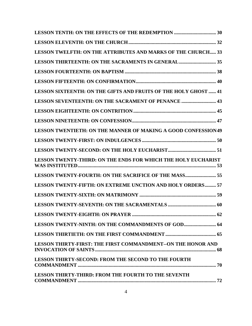| LESSON TWELFTH: ON THE ATTRIBUTES AND MARKS OF THE CHURCH 33          |
|-----------------------------------------------------------------------|
|                                                                       |
|                                                                       |
|                                                                       |
| LESSON SIXTEENTH: ON THE GIFTS AND FRUITS OF THE HOLY GHOST  41       |
| LESSON SEVENTEENTH: ON THE SACRAMENT OF PENANCE  43                   |
|                                                                       |
|                                                                       |
| <b>LESSON TWENTIETH: ON THE MANNER OF MAKING A GOOD CONFESSION 49</b> |
|                                                                       |
|                                                                       |
| LESSON TWENTY-THIRD: ON THE ENDS FOR WHICH THE HOLY EUCHARIST         |
| LESSON TWENTY-FOURTH: ON THE SACRIFICE OF THE MASS 55                 |
| LESSON TWENTY-FIFTH: ON EXTREME UNCTION AND HOLY ORDERS 57            |
|                                                                       |
|                                                                       |
|                                                                       |
|                                                                       |
|                                                                       |
| <b>LESSON THIRTY-FIRST: THE FIRST COMMANDMENT--ON THE HONOR AND</b>   |
| <b>LESSON THIRTY-SECOND: FROM THE SECOND TO THE FOURTH</b>            |
| <b>LESSON THIRTY-THIRD: FROM THE FOURTH TO THE SEVENTH</b>            |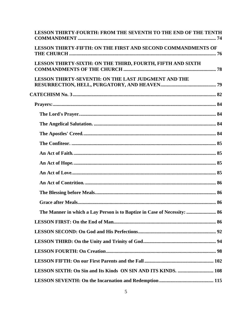| LESSON THIRTY-FOURTH: FROM THE SEVENTH TO THE END OF THE TENTH           |
|--------------------------------------------------------------------------|
| <b>LESSON THIRTY-FIFTH: ON THE FIRST AND SECOND COMMANDMENTS OF</b>      |
| LESSON THIRTY-SIXTH: ON THE THIRD, FOURTH, FIFTH AND SIXTH               |
| <b>LESSON THIRTY-SEVENTH: ON THE LAST JUDGMENT AND THE</b>               |
|                                                                          |
|                                                                          |
|                                                                          |
|                                                                          |
|                                                                          |
|                                                                          |
|                                                                          |
|                                                                          |
|                                                                          |
|                                                                          |
|                                                                          |
|                                                                          |
| The Manner in which a Lay Person is to Baptize in Case of Necessity:  86 |
|                                                                          |
|                                                                          |
|                                                                          |
|                                                                          |
|                                                                          |
| LESSON SIXTH: On Sin and Its Kinds ON SIN AND ITS KINDS.  108            |
|                                                                          |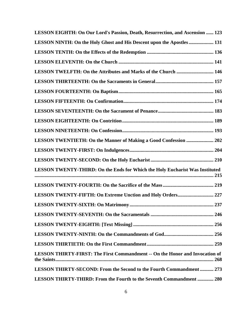| LESSON EIGHTH: On Our Lord's Passion, Death, Resurrection, and Ascension  123       |
|-------------------------------------------------------------------------------------|
| LESSON NINTH: On the Holy Ghost and His Descent upon the Apostles  131              |
|                                                                                     |
|                                                                                     |
| LESSON TWELFTH: On the Attributes and Marks of the Church  146                      |
|                                                                                     |
|                                                                                     |
|                                                                                     |
|                                                                                     |
|                                                                                     |
|                                                                                     |
| LESSON TWENTIETH: On the Manner of Making a Good Confession  202                    |
|                                                                                     |
|                                                                                     |
| LESSON TWENTY-THIRD: On the Ends for Which the Holy Eucharist Was Instituted        |
|                                                                                     |
|                                                                                     |
|                                                                                     |
|                                                                                     |
|                                                                                     |
|                                                                                     |
|                                                                                     |
| <b>LESSON THIRTY-FIRST: The First Commandment -- On the Honor and Invocation of</b> |
| <b>LESSON THIRTY-SECOND: From the Second to the Fourth Commandment  273</b>         |
| <b>LESSON THIRTY-THIRD: From the Fourth to the Seventh Commandment  280</b>         |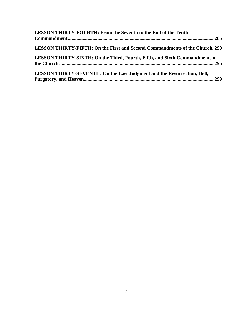| LESSON THIRTY-FOURTH: From the Seventh to the End of the Tenth                 |
|--------------------------------------------------------------------------------|
|                                                                                |
| LESSON THIRTY-FIFTH: On the First and Second Commandments of the Church. 290   |
| LESSON THIRTY-SIXTH: On the Third, Fourth, Fifth, and Sixth Commandments of    |
| <b>LESSON THIRTY-SEVENTH: On the Last Judgment and the Resurrection, Hell,</b> |
|                                                                                |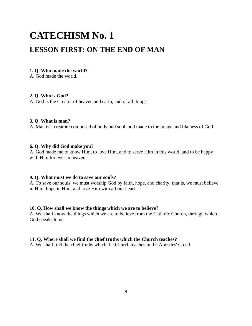## <span id="page-7-0"></span>**CATECHISM No. 1 LESSON FIRST: ON THE END OF MAN**

#### **1. Q. Who made the world?**

A. God made the world.

#### **2. Q. Who is God?**

A. God is the Creator of heaven and earth, and of all things.

#### **3. Q. What is man?**

A. Man is a creature composed of body and soul, and made to the image and likeness of God.

#### **6. Q. Why did God make you?**

A. God made me to know Him, to love Him, and to serve Him in this world, and to be happy with Him for ever in heaven.

#### **9. Q. What must we do to save our souls?**

A. To save our souls, we must worship God by faith, hope, and charity; that is, we must believe in Him, hope in Him, and love Him with all our heart.

#### **10. Q. How shall we know the things which we are to believe?**

A. We shall know the things which we are to believe from the Catholic Church, through which God speaks to us.

#### **11. Q. Where shall we find the chief truths which the Church teaches?**

A. We shall find the chief truths which the Church teaches in the Apostles' Creed.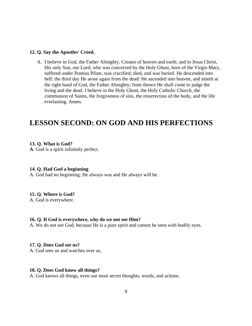#### **12. Q. Say the Apostles' Creed.**

A. I believe in God, the Father Almighty, Creator of heaven and earth; and in Jesus Christ, His only Son, our Lord; who was conceived by the Holy Ghost, born of the Virgin Mary, suffered under Pontius Pilate, was crucified; died, and was buried. He descended into hell: the third day He arose again from the dead: He ascended into heaven, and sitteth at the right hand of God, the Father Almighty; from thence He shall come to judge the living and the dead. I believe in the Holy Ghost, the Holy Catholic Church, the communion of Saints, the forgiveness of sins, the resurrection of the body, and the life everlasting. Amen.

### **LESSON SECOND: ON GOD AND HIS PERFECTIONS**

#### **13. Q. What is God?**

**A**. God is a spirit infinitely perfect.

#### **14. Q. Had God a beginning**

A. God had no beginning; He always was and He always will be.

#### **15. Q. Where is God?**

A. God is everywhere.

#### **16. Q. If God is everywhere, why do we not see Him?**

A. We do not see God, because He is a pure spirit and cannot be seen with bodily eyes.

#### **17. Q. Does God see us?**

A. God sees us and watches over us.

#### **18. Q. Does God know all things?**

A. God knows all things, even our most secret thoughts, words, and actions.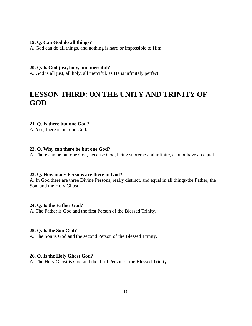#### **19. Q. Can God do all things?**

A. God can do all things, and nothing is hard or impossible to Him.

#### **20. Q. Is God just, holy, and merciful?**

A. God is all just, all holy, all merciful, as He is infinitely perfect.

### **LESSON THIRD: ON THE UNITY AND TRINITY OF GOD**

#### **21. Q. Is there but one God?**

A. Yes; there is but one God.

#### **22. Q. Why can there be but one God?**

A. There can be but one God, because God, being supreme and infinite, cannot have an equal.

#### **23. Q. How many Persons are there in God?**

A. In God there are three Divine Persons, really distinct, and equal in all things-the Father, the Son, and the Holy Ghost.

#### **24. Q. Is the Father God?**

A. The Father is God and the first Person of the Blessed Trinity.

#### **25. Q. Is the Son God?**

A. The Son is God and the second Person of the Blessed Trinity.

#### **26. Q. Is the Holy Ghost God?**

A. The Holy Ghost is God and the third Person of the Blessed Trinity.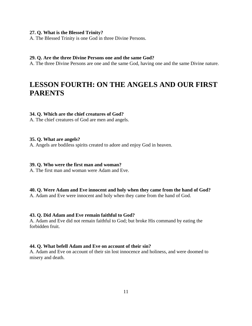#### **27. Q. What is the Blessed Trinity?**

A. The Blessed Trinity is one God in three Divine Persons.

#### **29. Q. Are the three Divine Persons one and the same God?**

A. The three Divine Persons are one and the same God, having one and the same Divine nature.

### **LESSON FOURTH: ON THE ANGELS AND OUR FIRST PARENTS**

#### **34. Q. Which are the chief creatures of God?**

A. The chief creatures of God are men and angels.

#### **35. Q. What are angels?**

A. Angels are bodiless spirits created to adore and enjoy God in heaven.

#### **39. Q. Who were the first man and woman?**

A. The first man and woman were Adam and Eve.

#### **40. Q. Were Adam and Eve innocent and holy when they came from the hand of God?**

A. Adam and Eve were innocent and holy when they came from the hand of God.

#### **43. Q. Did Adam and Eve remain faithful to God?**

A. Adam and Eve did not remain faithful to God; but broke His command by eating the forbidden fruit.

#### **44. Q. What befell Adam and Eve on account of their sin?**

A. Adam and Eve on account of their sin lost innocence and holiness, and were doomed to misery and death.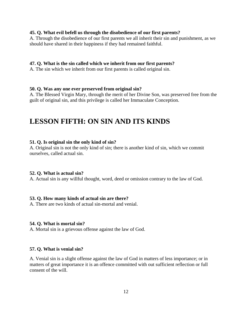#### **45. Q. What evil befell us through the disobedience of our first parents?**

A. Through the disobedience of our first parents we all inherit their sin and punishment, as we should have shared in their happiness if they had remained faithful.

#### **47. Q. What is the sin called which we inherit from our first parents?**

A. The sin which we inherit from our first parents is called original sin.

#### **50. Q. Was any one ever preserved from original sin?**

A. The Blessed Virgin Mary, through the merit of her Divine Son, was preserved free from the guilt of original sin, and this privilege is called her Immaculate Conception.

### **LESSON FIFTH: ON SIN AND ITS KINDS**

#### **51. Q. Is original sin the only kind of sin?**

A. Original sin is not the only kind of sin; there is another kind of sin, which we commit ourselves, called actual sin.

#### **52. Q. What is actual sin?**

A. Actual sin is any willful thought, word, deed or omission contrary to the law of God.

#### **53. Q. How many kinds of actual sin are there?**

A. There are two kinds of actual sin-mortal and venial.

#### **54. Q. What is mortal sin?**

A. Mortal sin is a grievous offense against the law of God.

#### **57. Q. What is venial sin?**

A. Venial sin is a slight offense against the law of God in matters of less importance; or in matters of great importance it is an offence committed with out sufficient reflection or full consent of the will.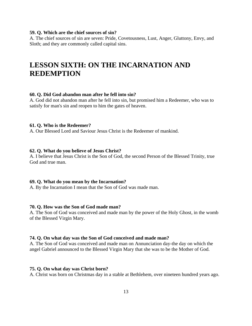#### **59. Q. Which are the chief sources of sin?**

A. The chief sources of sin are seven: Pride, Covetousness, Lust, Anger, Gluttony, Envy, and Sloth; and they are commonly called capital sins.

### **LESSON SIXTH: ON THE INCARNATION AND REDEMPTION**

#### **60. Q. Did God abandon man after he fell into sin?**

A. God did not abandon man after he fell into sin, but promised him a Redeemer, who was to satisfy for man's sin and reopen to him the gates of heaven.

#### **61. Q. Who is the Redeemer?**

A. Our Blessed Lord and Saviour Jesus Christ is the Redeemer of mankind.

#### **62. Q. What do you believe of Jesus Christ?**

A. I believe that Jesus Christ is the Son of God, the second Person of the Blessed Trinity, true God and true man.

#### **69. Q. What do you mean by the Incarnation?**

A. By the Incarnation I mean that the Son of God was made man.

#### **70. Q. How was the Son of God made man?**

A. The Son of God was conceived and made man by the power of the Holy Ghost, in the womb of the Blessed Virgin Mary.

#### **74. Q. On what day was the Son of God conceived and made man?**

A. The Son of God was conceived and made man on Annunciation day-the day on which the angel Gabriel announced to the Blessed Virgin Mary that she was to be the Mother of God.

#### **75. Q. On what day was Christ born?**

A. Christ was born on Christmas day in a stable at Bethlehem, over nineteen hundred years ago.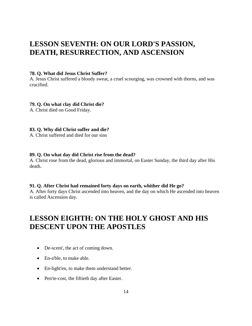### <span id="page-13-0"></span>**LESSON SEVENTH: ON OUR LORD'S PASSION, DEATH, RESURRECTION, AND ASCENSION**

#### **78. Q. What did Jesus Christ Suffer?**

A. Jesus Christ suffered a bloody sweat, a cruel scourging, was crowned with thorns, and was crucified.

#### **79. Q. On what clay did Christ die?**

A. Christ died on Good Friday.

#### **83. Q. Why did Christ suffer and die?**

A. Christ suffered and died for our sins

#### **89. Q. On what day did Christ rise from the dead?**

A. Christ rose from the dead, glorious and immortal, on Easter Sunday, the third day after His death.

#### **91. Q. After Christ had remained forty days on earth, whither did He go?**

A. After forty days Christ ascended into heaven, and the day on which He ascended into heaven is called Ascension day.

### **LESSON EIGHTH: ON THE HOLY GHOST AND HIS DESCENT UPON THE APOSTLES**

- De-scent', the act of coming down.
- En-a'ble, to make able.
- En-light'en, to make them understand better.
- Pen'te-cost, the fiftieth day after Easter.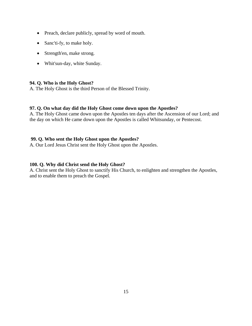- Preach, declare publicly, spread by word of mouth.
- Sanc'ti-fy, to make holy.
- Strength'en, make strong.
- Whit'sun-day, white Sunday.

#### **94. Q. Who is the Holy Ghost?**

A. The Holy Ghost is the third Person of the Blessed Trinity.

#### **97. Q. On what day did the Holy Ghost come down upon the Apostles?**

A. The Holy Ghost came down upon the Apostles ten days after the Ascension of our Lord; and the day on which He came down upon the Apostles is called Whitsunday, or Pentecost.

#### **99. Q. Who sent the Holy Ghost upon the Apostles?**

A. Our Lord Jesus Christ sent the Holy Ghost upon the Apostles.

#### **100. Q. Why did Christ send the Holy Ghost?**

A. Christ sent the Holy Ghost to sanctify His Church, to enlighten and strengthen the Apostles, and to enable them to preach the Gospel.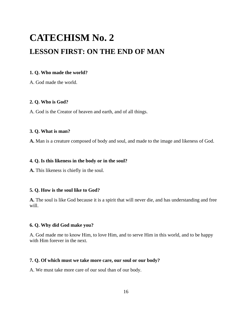## <span id="page-15-0"></span>**CATECHISM No. 2 LESSON FIRST: ON THE END OF MAN**

#### **1. Q. Who made the world?**

A. God made the world.

#### **2. Q. Who is God?**

A. God is the Creator of heaven and earth, and of all things.

#### **3. Q. What is man?**

**A.** Man is a creature composed of body and soul, and made to the image and likeness of God.

#### **4. Q. Is this likeness in the body or in the soul?**

**A.** This likeness is chiefly in the soul.

#### **5. Q. How is the soul like to God?**

**A.** The soul is like God because it is a spirit that will never die, and has understanding and free will.

#### **6. Q. Why did God make you?**

A. God made me to know Him, to love Him, and to serve Him in this world, and to be happy with Him forever in the next.

#### **7. Q. Of which must we take more care, our soul or our body?**

A. We must take more care of our soul than of our body.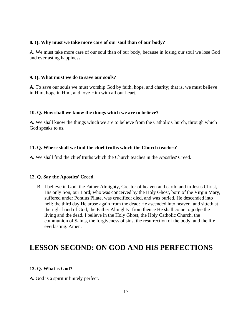#### <span id="page-16-0"></span>**8. Q. Why must we take more care of our soul than of our body?**

A. We must take more care of our soul than of our body, because in losing our soul we lose God and everlasting happiness.

#### **9. Q. What must we do to save our souls?**

**A.** To save our souls we must worship God by faith, hope, and charity; that is, we must believe in Him, hope in Him, and love Him with all our heart.

#### **10. Q. How shall we know the things which we are to believe?**

**A.** We shall know the things which we are to believe from the Catholic Church, through which God speaks to us.

#### **11. Q. Where shall we find the chief truths which the Church teaches?**

**A.** We shall find the chief truths which the Church teaches in the Apostles' Creed.

#### **12. Q. Say the Apostles' Creed.**

B. I believe in God, the Father Almighty, Creator of heaven and earth; and in Jesus Christ, His only Son, our Lord; who was conceived by the Holy Ghost, born of the Virgin Mary, suffered under Pontius Pilate, was crucified; died, and was buried. He descended into hell: the third day He arose again from the dead: He ascended into heaven, and sitteth at the right hand of God, the Father Almighty; from thence He shall come to judge the living and the dead. I believe in the Holy Ghost, the Holy Catholic Church, the communion of Saints, the forgiveness of sins, the resurrection of the body, and the life everlasting. Amen.

### **LESSON SECOND: ON GOD AND HIS PERFECTIONS**

#### **13. Q. What is God?**

**A.** God is a spirit infinitely perfect.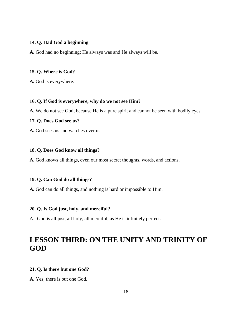#### **14. Q. Had God a beginning**

**A.** God had no beginning; He always was and He always will be.

#### **15. Q. Where is God?**

**A.** God is everywhere.

#### **16. Q. If God is everywhere, why do we not see Him?**

**A.** We do not see God, because He is a pure spirit and cannot be seen with bodily eyes.

#### **17. Q. Does God see us?**

**A.** God sees us and watches over us.

#### **18. Q. Does God know all things?**

**A.** God knows all things, even our most secret thoughts, words, and actions.

#### **19. Q. Can God do all things?**

**A.** God can do all things, and nothing is hard or impossible to Him.

#### **20. Q. Is God just, holy, and merciful?**

A. God is all just, all holy, all merciful, as He is infinitely perfect.

### **LESSON THIRD: ON THE UNITY AND TRINITY OF GOD**

#### **21. Q. Is there but one God?**

**A.** Yes; there is but one God.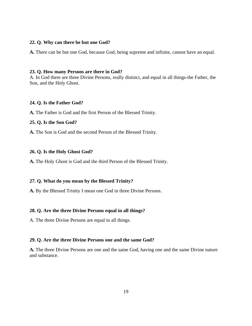#### **22. Q. Why can there be but one God?**

**A.** There can be but one God, because God, being supreme and infinite, cannot have an equal.

#### **23. Q. How many Persons are there in God?**

A. In God there are three Divine Persons, really distinct, and equal in all things-the Father, the Son, and the Holy Ghost.

#### **24. Q. Is the Father God?**

**A.** The Father is God and the first Person of the Blessed Trinity.

#### **25. Q. Is the Son God?**

**A.** The Son is God and the second Person of the Blessed Trinity.

#### **26. Q. Is the Holy Ghost God?**

**A.** The Holy Ghost is God and the third Person of the Blessed Trinity.

#### **27. Q. What do you mean by the Blessed Trinity?**

**A.** By the Blessed Trinity I mean one God in three Divine Persons.

#### **28. Q. Are the three Divine Persons equal in all things?**

A. The three Divine Persons are equal in all things.

#### **29. Q. Are the three Divine Persons one and the same God?**

**A.** The three Divine Persons are one and the same God, having one and the same Divine nature and substance.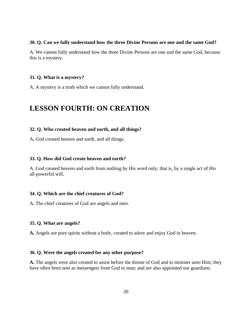#### **30. Q. Can we fully understand how the three Divine Persons are one and the same God?**

A. We cannot fully understand how the three Divine Persons are one and the same God, because this is a mystery.

#### **31. Q. What is a mystery?**

A. A mystery is a truth which we cannot fully understand.

### **LESSON FOURTH: ON CREATION**

#### **32. Q. Who created heaven and earth, and all things?**

A**.** God created heaven and earth, and all things.

#### **33. Q. How did God create heaven and earth?**

A. God created heaven and earth from nothing by His word only; that is, by a single act of His all-powerful will.

#### **34. Q. Which are the chief creatures of God?**

A**.** The chief creatures of God are angels and men.

#### **35. Q. What are angels?**

**A.** Angels are pure spirits without a body, created to adore and enjoy God in heaven.

#### **36. Q. Were the angels created for any other purpose?**

**A.** The angels were also created to assist before the throne of God and to minister unto Him; they have often been sent as messengers from God to man; and are also appointed our guardians.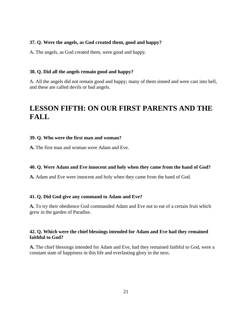#### **37. Q. Were the angels, as God created them, good and happy?**

A**.** The angels, as God created them, were good and happy.

#### **38. Q. Did all the angels remain good and happy?**

A. All the angels did not remain good and happy; many of them sinned and were cast into hell, and these are called devils or bad angels.

### **LESSON FIFTH: ON OUR FIRST PARENTS AND THE FALL**

#### **39. Q. Who were the first man and woman?**

**A.** The first man and woman were Adam and Eve.

#### **40. Q. Were Adam and Eve innocent and holy when they came from the hand of God?**

**A.** Adam and Eve were innocent and holy when they came from the hand of God.

#### **41. Q. Did God give any command to Adam and Eve?**

**A.** To try their obedience God commanded Adam and Eve not to eat of a certain fruit which grew in the garden of Paradise.

#### **42. Q. Which were the chief blessings intended for Adam and Eve had they remained faithful to God?**

**A.** The chief blessings intended for Adam and Eve, had they remained faithful to God, were a constant state of happiness in this life and everlasting glory in the next.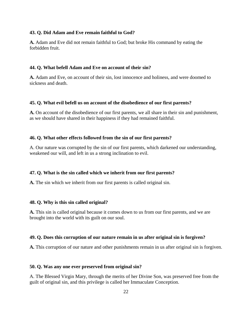#### **43. Q. Did Adam and Eve remain faithful to God?**

**A.** Adam and Eve did not remain faithful to God; but broke His command by eating the forbidden fruit.

#### **44. Q. What befell Adam and Eve on account of their sin?**

**A.** Adam and Eve, on account of their sin, lost innocence and holiness, and were doomed to sickness and death.

#### **45. Q. What evil befell us on account of the disobedience of our first parents?**

**A.** On account of the disobedience of our first parents, we all share in their sin and punishment, as we should have shared in their happiness if they had remained faithful.

#### **46. Q. What other effects followed from the sin of our first parents?**

A. Our nature was corrupted by the sin of our first parents, which darkened our understanding, weakened our will, and left in us a strong inclination to evil.

#### **47. Q. What is the sin called which we inherit from our first parents?**

**A.** The sin which we inherit from our first parents is called original sin.

#### **48. Q. Why is this sin called original?**

**A.** This sin is called original because it comes down to us from our first parents, and we are brought into the world with its guilt on our soul.

#### **49. Q. Does this corruption of our nature remain in us after original sin is forgiven?**

**A.** This corruption of our nature and other punishments remain in us after original sin is forgiven.

#### **50. Q. Was any one ever preserved from original sin?**

A. The Blessed Virgin Mary, through the merits of her Divine Son, was preserved free from the guilt of original sin, and this privilege is called her Immaculate Conception.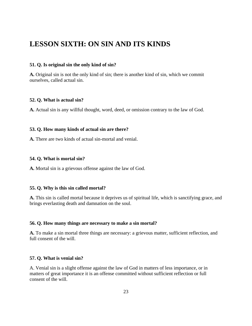### <span id="page-22-0"></span>**LESSON SIXTH: ON SIN AND ITS KINDS**

#### **51. Q. Is original sin the only kind of sin?**

**A.** Original sin is not the only kind of sin; there is another kind of sin, which we commit ourselves, called actual sin.

#### **52. Q. What is actual sin?**

**A.** Actual sin is any willful thought, word, deed, or omission contrary to the law of God.

#### **53. Q. How many kinds of actual sin are there?**

**A.** There are two kinds of actual sin-mortal and venial.

#### **54. Q. What is mortal sin?**

**A.** Mortal sin is a grievous offense against the law of God.

#### **55. Q. Why is this sin called mortal?**

**A.** This sin is called mortal because it deprives us of spiritual life, which is sanctifying grace, and brings everlasting death and damnation on the soul.

#### **56. Q. How many things are necessary to make a sin mortal?**

**A.** To make a sin mortal three things are necessary: a grievous matter, sufficient reflection, and full consent of the will.

#### **57. Q. What is venial sin?**

A. Venial sin is a slight offense against the law of God in matters of less importance, or in matters of great importance it is an offense committed without sufficient reflection or full consent of the will.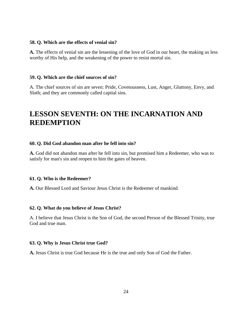#### **58. Q. Which are the effects of venial sin?**

**A.** The effects of venial sin are the lessening of the love of God in our heart, the making us less worthy of His help, and the weakening of the power to resist mortal sin.

#### **59. Q. Which are the chief sources of sin?**

A. The chief sources of sin are seven: Pride, Covetousness, Lust, Anger, Gluttony, Envy, and Sloth; and they are commonly called capital sins.

### **LESSON SEVENTH: ON THE INCARNATION AND REDEMPTION**

#### **60. Q. Did God abandon man after he fell into sin?**

**A.** God did not abandon man after he fell into sin, but promised him a Redeemer, who was to satisfy for man's sin and reopen to him the gates of heaven.

#### **61. Q. Who is the Redeemer?**

**A.** Our Blessed Lord and Saviour Jesus Christ is the Redeemer of mankind.

#### **62. Q. What do you believe of Jesus Christ?**

A. I believe that Jesus Christ is the Son of God, the second Person of the Blessed Trinity, true God and true man.

#### **63. Q. Why is Jesus Christ true God?**

**A.** Jesus Christ is true God because He is the true and only Son of God the Father.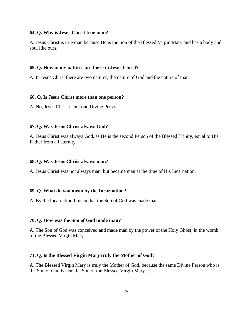#### **64. Q. Why is Jesus Christ true man?**

A. Jesus Christ is true man because He is the Son of the Blessed Virgin Mary and has a body and soul like ours.

#### **65. Q. How many natures are there in Jesus Christ?**

A. In Jesus Christ there are two natures, the nature of God and the nature of man.

#### **66. Q. Is Jesus Christ more than one person?**

A. No, Jesus Christ is but one Divine Person.

#### **67. Q. Was Jesus Christ always God?**

A. Jesus Christ was always God, as He is the second Person of the Blessed Trinity, equal to His Father from all eternity.

#### **68. Q. Was Jesus Christ always man?**

A. Jesus Christ was not always man, but became man at the time of His Incarnation.

#### **69. Q. What do you mean by the Incarnation?**

A. By the Incarnation I mean that the Son of God was made man.

#### **70. Q. How was the Son of God made man?**

A. The Son of God was conceived and made man by the power of the Holy Ghost, in the womb of the Blessed Virgin Mary.

#### **71. Q. Is the Blessed Virgin Mary truly the Mother of God?**

A. The Blessed Virgin Mary is truly the Mother of God, because the same Divine Person who is the Son of God is also the Son of the Blessed Virgin Mary.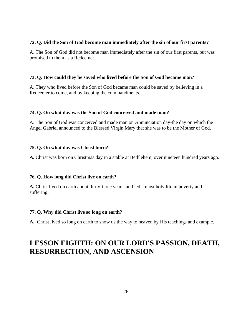#### <span id="page-25-0"></span>**72. Q. Did the Son of God become man immediately after the sin of our first parents?**

A. The Son of God did not become man immediately after the sin of our first parents, but was promised to them as a Redeemer.

#### **73. Q. How could they be saved who lived before the Son of God became man?**

A. They who lived before the Son of God became man could be saved by believing in a Redeemer to come, and by keeping the commandments.

#### **74. Q. On what day was the Son of God conceived and made man?**

A. The Son of God was conceived and made man on Annunciation day-the day on which the Angel Gabriel announced to the Blessed Virgin Mary that she was to be the Mother of God.

#### **75. Q. On what day was Christ born?**

**A.** Christ was born on Christmas day in a stable at Bethlehem, over nineteen hundred years ago.

#### **76. Q. How long did Christ live on earth?**

**A.** Christ lived on earth about thirty-three years, and led a most holy life in poverty and suffering.

#### **77. Q. Why did Christ live so long on earth?**

**A.** Christ lived so long on earth to show us the way to heaven by His teachings and example.

### **LESSON EIGHTH: ON OUR LORD'S PASSION, DEATH, RESURRECTION, AND ASCENSION**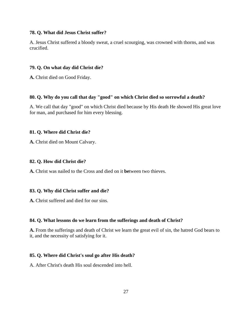#### **78. Q. What did Jesus Christ suffer?**

A. Jesus Christ suffered a bloody sweat, a cruel scourging, was crowned with thorns, and was crucified.

#### **79. Q. On what day did Christ die?**

**A.** Christ died on Good Friday.

#### **80. Q. Why do you call that day "good" on which Christ died so sorrowful a death?**

A. We call that day "good" on which Christ died because by His death He showed His great love for man, and purchased for him every blessing.

#### **81. Q. Where did Christ die?**

**A.** Christ died on Mount Calvary.

#### **82. Q. How did Christ die?**

**A.** Christ was nailed to the Cross and died on it **be**tween two thieves.

#### **83. Q. Why did Christ suffer and die?**

**A.** Christ suffered and died for our sins.

#### **84. Q. What lessons do we learn from the sufferings and death of Christ?**

**A.** From the sufferings and death of Christ we learn the great evil of sin, the hatred God bears to it, and the necessity of satisfying for it.

#### **85. Q. Where did Christ's soul go after His death?**

A. After Christ's death His soul descended into hell.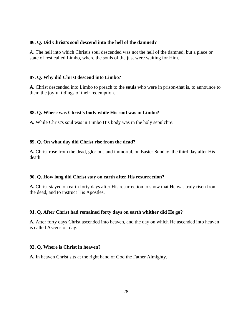#### **86. Q. Did Christ's soul descend into the hell of the damned?**

A. The hell into which Christ's soul descended was not the hell of the damned, but a place or state of rest called Limbo, where the souls of the just were waiting for Him.

#### **87. Q. Why did Christ descend into Limbo?**

**A.** Christ descended into Limbo to preach to the **souls** who were in prison-that is, to announce to them the joyful tidings of their redemption.

#### **88. Q. Where was Christ's body while His soul was in Limbo?**

**A.** While Christ's soul was in Limbo His body was in the holy sepulchre.

#### **89. Q. On what day did Christ rise from the dead?**

**A.** Christ rose from the dead, glorious and immortal, on Easter Sunday, the third day after His death.

#### **90. Q. How long did Christ stay on earth after His resurrection?**

**A.** Christ stayed on earth forty days after His resurrection to show that He was truly risen from the dead, and to instruct His Apostles.

#### **91. Q. After Christ had remained forty days on earth whither did He go?**

**A.** After forty days Christ ascended into heaven, and the day on which He ascended into heaven is called Ascension day.

#### **92. Q. Where is Christ in heaven?**

**A.** In heaven Christ sits at the right hand of God the Father Almighty.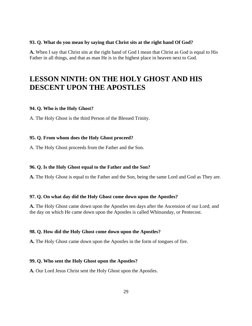#### <span id="page-28-0"></span>**93. Q. What do you mean by saying that Christ sits at the right hand Of God?**

**A.** When I say that Christ sits at the right hand of God I mean that Christ as God is equal to His Father in all things, and that as man He is in the highest place in heaven next to God.

### **LESSON NINTH: ON THE HOLY GHOST AND HIS DESCENT UPON THE APOSTLES**

#### **94. Q. Who is the Holy Ghost?**

A. The Holy Ghost is the third Person of the Blessed Trinity.

#### **95. Q. From whom does the Holy Ghost proceed?**

A. The Holy Ghost proceeds from the Father and the Son.

#### **96. Q. Is the Holy Ghost equal to the Father and the Son?**

**A.** The Holy Ghost is equal to the Father and the Son, being the same Lord and God as They are.

#### **97. Q. On what day did the Holy Ghost come down upon the Apostles?**

**A.** The Holy Ghost came down upon the Apostles ten days after the Ascension of our Lord; and the day on which He came down upon the Apostles is called Whitsunday, or Pentecost.

#### **98. Q. How did the Holy Ghost come down upon the Apostles?**

**A.** The Holy Ghost came down upon the Apostles in the form of tongues of fire.

#### **99. Q. Who sent the Holy Ghost upon the Apostles?**

**A.** Our Lord Jesus Christ sent the Holy Ghost upon the Apostles.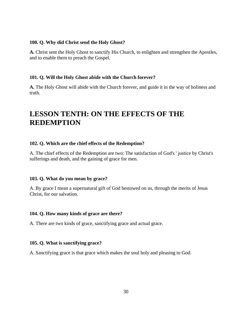#### <span id="page-29-0"></span>**100. Q. Why did Christ send the Holy Ghost?**

**A.** Christ sent the Holy Ghost to sanctify His Church, to enlighten and strengthen the Apostles, and to enable them to preach the Gospel.

#### **101. Q. Will the Holy Ghost abide with the Church forever?**

**A.** The Holy Ghost will abide with the Church forever, and guide it in the way of holiness and truth.

### **LESSON TENTH: ON THE EFFECTS OF THE REDEMPTION**

#### **102. Q. Which are the chief effects of the Redemption?**

A. The chief effects of the Redemption are two: The satisfaction of God's ' justice by Christ's sufferings and death, and the gaining of grace for men.

#### **103. Q. What do you mean by grace?**

A. By grace I mean a supernatural gift of God bestowed on us, through the merits of Jesus Christ, for our salvation.

#### **104. Q. How many kinds of grace are there?**

A. There are two kinds of grace, sanctifying grace and actual grace.

#### **105. Q. What is sanctifying grace?**

A. Sanctifying grace is that grace which makes the soul holy and pleasing to God.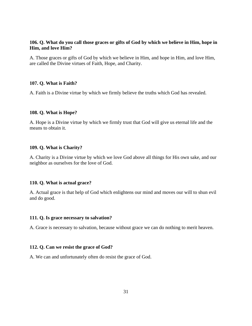#### **106. Q. What do you call those graces or gifts of God by which we believe in Him, hope in Him, and love Him?**

A. Those graces or gifts of God by which we believe in Him, and hope in Him, and love Him, are called the Divine virtues of Faith, Hope, and Charity.

#### **107. Q. What is Faith?**

A. Faith is a Divine virtue by which we firmly believe the truths which God has revealed.

#### **108. Q. What is Hope?**

A. Hope is a Divine virtue by which we firmly trust that God will give us eternal life and the means to obtain it.

#### **109. Q. What is Charity?**

A. Charity is a Divine virtue by which we love God above all things for His own sake, and our neighbor as ourselves for the love of God.

#### **110. Q. What is actual grace?**

A. Actual grace is that help of God which enlightens our mind and moves our will to shun evil and do good.

#### **111. Q. Is grace necessary to salvation?**

A. Grace is necessary to salvation, because without grace we can do nothing to merit heaven.

#### **112. Q. Can we resist the grace of God?**

A. We can and unfortunately often do resist the grace of God.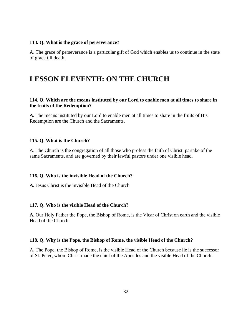#### <span id="page-31-0"></span>**113. Q. What is the grace of perseverance?**

A. The grace of perseverance is a particular gift of God which enables us to continue in the state of grace till death.

### **LESSON ELEVENTH: ON THE CHURCH**

#### **114. Q. Which are the means instituted by our Lord to enable men at all times to share in the fruits of the Redemption?**

**A.** The means instituted by our Lord to enable men at all times to share in the fruits of His Redemption are the Church and the Sacraments.

#### **115. Q. What is the Church?**

A. The Church is the congregation of all those who profess the faith of Christ, partake of the same Sacraments, and are governed by their lawful pastors under one visible head.

#### **116. Q. Who is the invisible Head of the Church?**

**A.** Jesus Christ is the invisible Head of the Church.

#### **117. Q. Who is the visible Head of the Church?**

**A.** Our Holy Father the Pope, the Bishop of Rome, is the Vicar of Christ on earth and the visible Head of the Church.

#### **118. Q. Why is the Pope, the Bishop of Rome, the visible Head of the Church?**

A. The Pope, the Bishop of Rome, is the visible Head of the Church because lie is the successor of St. Peter, whom Christ made the chief of the Apostles and the visible Head of the Church.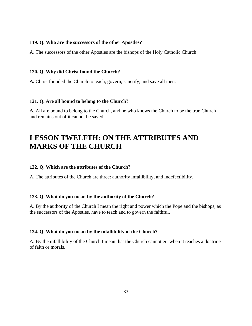#### <span id="page-32-0"></span>**119. Q. Who are the successors of the other Apostles?**

A. The successors of the other Apostles are the bishops of the Holy Catholic Church.

#### **120. Q. Why did Christ found the Church?**

**A.** Christ founded the Church to teach, govern, sanctify, and save all men.

#### **121. Q. Are all bound to belong to the Church?**

**A.** All are bound to belong to the Church, and he who knows the Church to be the true Church and remains out of it cannot be saved.

### **LESSON TWELFTH: ON THE ATTRIBUTES AND MARKS OF THE CHURCH**

#### **122. Q. Which are the attributes of the Church?**

A. The attributes of the Church are three: authority infallibility, and indefectibility.

#### **123. Q. What do you mean by the authority of the Church?**

A. By the authority of the Church I mean the right and power which the Pope and the bishops, as the successors of the Apostles, have to teach and to govern the faithful.

#### **124. Q. What do you mean by the infallibility of the Church?**

A. By the infallibility of the Church I mean that the Church cannot err when it teaches a doctrine of faith or morals.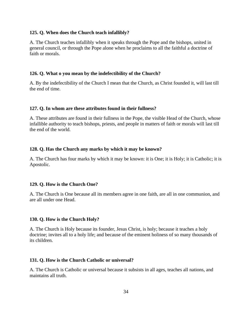#### **125. Q. When does the Church teach infallibly?**

A. The Church teaches infallibly when it speaks through the Pope and the bishops, united in general council, or through the Pope alone when he proclaims to all the faithful a doctrine of faith or morals.

#### **126. Q. What o you mean by the indefectibility of the Church?**

A. By the indefectibility of the Church I mean that the Church, as Christ founded it, will last till the end of time.

#### **127. Q. In whom are these attributes found in their fullness?**

A. These attributes are found in their fullness in the Pope, the visible Head of the Church, whose infallible authority to teach bishops, priests, and people in matters of faith or morals will last till the end of the world.

#### **128. Q. Has the Church any marks by which it may be known?**

A. The Church has four marks by which it may be known: it is One; it is Holy; it is Catholic; it is Apostolic.

#### **129. Q. How is the Church One?**

A. The Church is One because all its members agree in one faith, are all in one communion, and are all under one Head.

#### **130. Q. How is the Church Holy?**

A. The Church is Holy because its founder, Jesus Christ, is holy; because it teaches a holy doctrine; invites all to a holy life; and because of the eminent holiness of so many thousands of its children.

#### **131. Q. How is the Church Catholic or universal?**

A. The Church is Catholic or universal because it subsists in all ages, teaches all nations, and maintains all truth.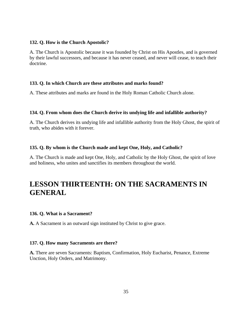#### **132. Q. How is the Church Apostolic?**

A. The Church is Apostolic because it was founded by Christ on His Apostles, and is governed by their lawful successors, and because it has never ceased, and never will cease, to teach their doctrine.

#### **133. Q. In which Church are these attributes and marks found?**

A. These attributes and marks are found in the Holy Roman Catholic Church alone.

#### **134. Q. From whom does the Church derive its undying life and infallible authority?**

A. The Church derives its undying life and infallible authority from the Holy Ghost, the spirit of truth, who abides with it forever.

#### **135. Q. By whom is the Church made and kept One, Holy, and Catholic?**

A. The Church is made and kept One, Holy, and Catholic by the Holy Ghost, the spirit of love and holiness, who unites and sanctifies its members throughout the world.

### **LESSON THIRTEENTH: ON THE SACRAMENTS IN GENERAL**

#### **136. Q. What is a Sacrament?**

**A.** A Sacrament is an outward sign instituted by Christ to give grace.

#### **137. Q. How many Sacraments are there?**

**A.** There are seven Sacraments: Baptism, Confirmation, Holy Eucharist, Penance, Extreme Unction, Holy Orders, and Matrimony.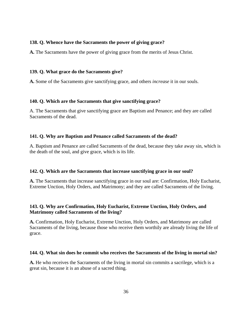#### **138. Q. Whence have the Sacraments the power of giving grace?**

**A.** The Sacraments have the power of giving grace from the merits of Jesus Christ.

#### **139. Q. What grace do the Sacraments give?**

**A.** Some of the Sacraments give sanctifying grace, and others *increase* it in our souls.

#### **140. Q. Which are the Sacraments that give sanctifying grace?**

A. The Sacraments that give sanctifying grace are Baptism and Penance; and they are called Sacraments of the dead.

#### **141. Q. Why are Baptism and Penance called Sacraments of the dead?**

A. Baptism and Penance are called Sacraments of the dead, because they take away sin, which is the death of the soul, and give grace, which is its life.

#### **142. Q. Which are the Sacraments that increase sanctifying grace in our soul?**

**A.** The Sacraments that increase sanctifying grace in our soul are: Confirmation, Holy Eucharist, Extreme Unction, Holy Orders, and Matrimony; and they are called Sacraments of the living.

#### **143. Q. Why are Confirmation, Holy Eucharist, Extreme Unction, Holy Orders, and Matrimony called Sacraments of the living?**

**A.** Confirmation, Holy Eucharist, Extreme Unction, Holy Orders, and Matrimony are called Sacraments of the living, because those who receive them worthily are already living the life of grace.

#### **144. Q. What sin does he commit who receives the Sacraments of the living in mortal sin?**

**A.** He who receives the Sacraments of the living in mortal sin commits a sacrilege, which is a great sin, because it is an abuse of a sacred thing.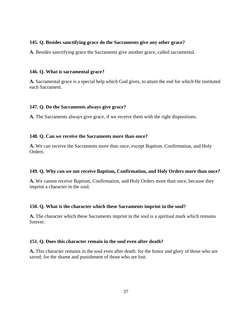### **145. Q. Besides sanctifying grace do the Sacraments give any other grace?**

**A.** Besides sanctifying grace the Sacraments give another grace, called sacramental.

### **146. Q. What is sacramental grace?**

**A.** Sacramental grace is a special help which God gives, to attain the end for which He instituted each Sacrament.

## **147. Q. Do the Sacraments always give grace?**

**A.** The Sacraments always give grace, if we receive them with the right dispositions.

## **148. Q. Can we receive the Sacraments more than once?**

**A.** We can receive the Sacraments more than once, except Baptism. Confirmation, and Holy Orders.

## **149. Q. Why can we not receive Baptism, Confirmation, and Holy Orders more than once?**

**A.** We cannot receive Baptism, Confirmation, and Holy Orders more than once, because they imprint a character in the soul.

## **150. Q. What is the character which these Sacraments imprint in the soul?**

**A.** The character which these Sacraments imprint in the soul is a spiritual mark which remains forever.

## **151. Q. Does this character remain in the soul even after death?**

**A.** This character remains in the soul even after death: for the honor and glory of those who are saved; for the shame and punishment of those who are lost.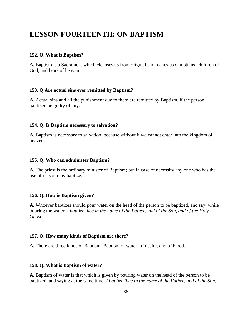## **LESSON FOURTEENTH: ON BAPTISM**

#### **152. Q. What is Baptism?**

**A.** Baptism is a Sacrament which cleanses us from original sin, makes us Christians, children of God, and heirs of heaven.

#### **153. Q Are actual sins ever remitted by Baptism?**

**A.** Actual sins and all the punishment due to them are remitted by Baptism, if the person baptized be guilty of any.

#### **154. Q. Is Baptism necessary to salvation?**

**A.** Baptism is necessary to salvation, because without it we cannot enter into the kingdom of heaven.

#### **155. Q. Who can administer Baptism?**

**A.** The priest is the ordinary minister of Baptism; but in case of necessity any one who has the use of reason may baptize.

## **156. Q. How is Baptism given?**

**A.** Whoever baptizes should pour water on the head of the person to be baptized, and say, while pouring the water: *I baptize thee in the name of the Father, and of the Son, and of the Holy Ghost.*

#### **157. Q. How many kinds of Baptism are there?**

**A.** There are three kinds of Baptism: Baptism of water, of desire, and of blood.

#### **158. Q. What is Baptism of water?**

**A.** Baptism of water is that which is given by pouring water on the head of the person to be baptized, and saying at the same time: *I baptize thee in the name of the Father, and of the Son,*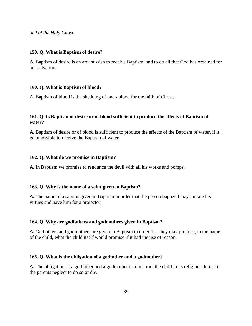*and of the Holy Ghost.*

#### **159. Q. What is Baptism of desire?**

**A.** Baptism of desire is an ardent wish to receive Baptism, and to do all that God has ordained for our salvation.

#### **160. Q. What is Baptism of blood?**

A. Baptism of blood is the shedding of one's blood for the faith of Christ.

## **161. Q. Is Baptism of desire or of blood sufficient to produce the effects of Baptism of water?**

**A.** Baptism of desire or of blood is sufficient to produce the effects of the Baptism of water, if it is impossible to receive the Baptism of water.

#### **162. Q. What do we promise in Baptism?**

**A.** In Baptism we promise to renounce the devil with all his works and pomps.

#### **163. Q. Why is the name of a saint given in Baptism?**

**A.** The name of a saint is given in Baptism in order that the person baptized may imitate his virtues and have him for a protector.

#### **164. Q. Why are godfathers and godmothers given in Baptism?**

**A.** Godfathers and godmothers are given in Baptism in order that they may promise, in the name of the child, what the child itself would promise if it had the use of reason.

#### **165. Q. What is the obligation of a godfather and a godmother?**

**A.** The obligation of a godfather and a godmother is to instruct the child in its religious duties, if the parents neglect to do so or die.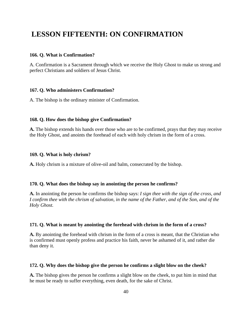## **LESSON FIFTEENTH: ON CONFIRMATION**

### **166. Q. What is Confirmation?**

A. Confirmation is a Sacrament through which we receive the Holy Ghost to make us strong and perfect Christians and soldiers of Jesus Christ.

## **167. Q. Who administers Confirmation?**

A. The bishop is the ordinary minister of Confirmation.

## **168. Q. How does the bishop give Confirmation?**

**A.** The bishop extends his hands over those who are to be confirmed, prays that they may receive the Holy Ghost, and anoints the forehead of each with holy chrism in the form of a cross.

## **169. Q. What is holy chrism?**

**A.** Holy chrism is a mixture of olive-oil and balm, consecrated by the bishop.

#### **170. Q. What does the bishop say in anointing the person he confirms?**

**A.** In anointing the person he confirms the bishop says: *I sign thee with the sign of the cross, and I confirm thee with the chrism of salvation, in the name of the Father, and of the Son, and of the Holy Ghost.*

## **171. Q. What is meant by anointing the forehead with chrism in the form of a cross?**

**A.** By anointing the forehead with chrism in the form of a cross is meant, that the Christian who is confirmed must openly profess and practice his faith, never be ashamed of it, and rather die than deny it.

#### **172. Q. Why does the bishop give the person he confirms a slight blow on the cheek?**

**A.** The bishop gives the person he confirms a slight blow on the cheek, to put him in mind that he must be ready to suffer everything, even death, for the sake of Christ.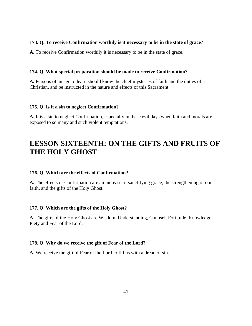## **173. Q. To receive Confirmation worthily is it necessary to be in the state of grace?**

**A.** To receive Confirmation worthily it is necessary to be in the state of grace.

### **174. Q. What special preparation should be made to receive Confirmation?**

**A.** Persons of an age to learn should know the chief mysteries of faith and the duties of a Christian, and be instructed in the nature and effects of this Sacrament.

## **175. Q. Is it a sin to neglect Confirmation?**

**A.** It is a sin to neglect Confirmation, especially in these evil days when faith and morals are exposed to so many and such violent temptations.

# **LESSON SIXTEENTH: ON THE GIFTS AND FRUITS OF THE HOLY GHOST**

## **176. Q. Which are the effects of Confirmation?**

**A.** The effects of Confirmation are an increase of sanctifying grace, the strengthening of our faith, and the gifts of the Holy Ghost.

#### **177. Q. Which are the gifts of the Holy Ghost?**

**A.** The gifts of the Holy Ghost are Wisdom, Understanding, Counsel, Fortitude, Knowledge, Piety and Fear of the Lord.

#### **178. Q. Why do we receive the gift of Fear of the Lord?**

**A.** We receive the gift of Fear of the Lord to fill us with a dread of sin.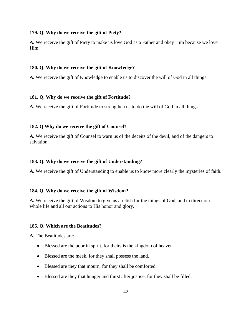#### **179. Q. Why do we receive the gift of Piety?**

**A.** We receive the gift of Piety to make us love God as a Father and obey Him because we love Him.

## **180. Q. Why do we receive the gift of KnowIedge?**

**A.** We receive the gift of Knowledge to enable us to discover the will of God in all things.

#### **181. Q. Why do we receive the gift of Fortitude?**

**A.** We receive the gift of Fortitude to strengthen us to do the will of God in all things.

#### **182. Q Why do we receive the gift of Counsel?**

**A.** We receive the gift of Counsel to warn us of the deceits of the devil, and of the dangers to salvation.

## **183. Q. Why do we receive the gift of Understanding?**

**A.** We receive the gift of Understanding to enable us to know more clearly the mysteries of faith.

#### **184. Q. Why do we receive the gift of Wisdom?**

**A.** We receive the gift of Wisdom to give us a relish for the things of God, and to direct our whole life and all our actions to His honor and glory.

#### **185. Q. Which are the Beatitudes?**

**A.** The Beatitudes are:

- Blessed are the poor in spirit, for theirs is the kingdom of heaven.
- Blessed are the meek, for they shall possess the land.
- Blessed are they that mourn, for they shall be comforted.
- Blessed are they that hunger and thirst after justice, for they shall be filled.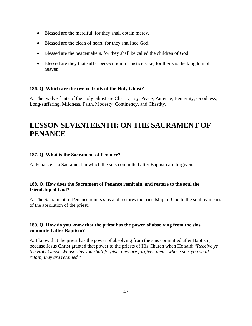- Blessed are the merciful, for they shall obtain mercy.
- Blessed are the clean of heart, for they shall see God.
- Blessed are the peacemakers, for they shall be called the children of God.
- Blessed are they that suffer persecution for justice sake, for theirs is the kingdom of heaven.

## **186. Q. Which are the twelve fruits of the Holy Ghost?**

A. The twelve fruits of the Holy Ghost are Charity, Joy, Peace, Patience, Benignity, Goodness, Long-suffering, Mildness, Faith, Modesty, Continency, and Chastity.

## **LESSON SEVENTEENTH: ON THE SACRAMENT OF PENANCE**

#### **187. Q. What is the Sacrament of Penance?**

A. Penance is a Sacrament in which the sins committed after Baptism are forgiven.

## **188. Q. How does the Sacrament of Penance remit sin, and restore to the soul the friendship of God?**

A. The Sacrament of Penance remits sins and restores the friendship of God to the soul by means of the absolution of the priest.

## **189. Q. How do you know that the priest has the power of absolving from the sins committed after Baptism?**

A. I know that the priest has the power of absolving from the sins committed after Baptism, because Jesus Christ granted that power to the priests of His Church when He said: *"Receive ye the Holy Ghost. Whose sins you shall forgive, they are forgiven them; whose sins you shall retain, they are retained."*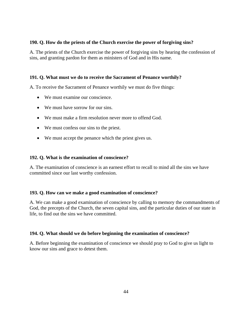## **190. Q. How do the priests of the Church exercise the power of forgiving sins?**

A. The priests of the Church exercise the power of forgiving sins by hearing the confession of sins, and granting pardon for them as ministers of God and in His name.

## **191. Q. What must we do to receive the Sacrament of Penance worthily?**

A. To receive the Sacrament of Penance worthily we must do five things:

- We must examine our conscience.
- We must have sorrow for our sins.
- We must make a firm resolution never more to offend God.
- We must confess our sins to the priest.
- We must accept the penance which the priest gives us.

#### **192. Q. What is the examination of conscience?**

A. The examination of conscience is an earnest effort to recall to mind all the sins we have committed since our last worthy confession.

#### **193. Q. How can we make a good examination of conscience?**

A. We can make a good examination of conscience by calling to memory the commandments of God, the precepts of the Church, the seven capital sins, and the particular duties of our state in life, to find out the sins we have committed.

#### **194. Q. What should we do before beginning the examination of conscience?**

A. Before beginning the examination of conscience we should pray to God to give us light to know our sins and grace to detest them.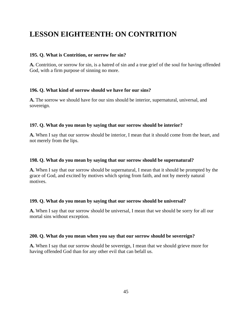# **LESSON EIGHTEENTH: ON CONTRITION**

## **195. Q. What is Contrition, or sorrow for sin?**

**A.** Contrition, or sorrow for sin, is a hatred of sin and a true grief of the soul for having offended God, with a firm purpose of sinning no more.

## **196. Q. What kind of sorrow should we have for our sins?**

**A.** The sorrow we should have for our sins should be interior, supernatural, universal, and sovereign.

## **197. Q. What do you mean by saying that our sorrow should be interior?**

**A.** When I say that our sorrow should be interior, I mean that it should come from the heart, and not merely from the lips.

## **198. Q. What do you mean by saying that our sorrow should be supernatural?**

**A.** When I say that our sorrow should be supernatural, I mean that it should be prompted by the grace of God, and excited by motives which spring from faith, and not by merely natural motives.

## **199. Q. What do you mean by saying that our sorrow should be universal?**

**A.** When I say that our sorrow should be universal, I mean that we should be sorry for all our mortal sins without exception.

#### **200. Q. What do you mean when you say that our sorrow should be sovereign?**

**A.** When I say that our sorrow should be sovereign, I mean that we should grieve more for having offended God than for any other evil that can befall us.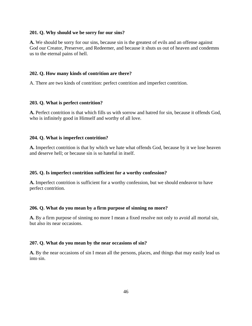#### **201. Q. Why should we be sorry for our sins?**

**A.** We should be sorry for our sins, because sin is the greatest of evils and an offense against God our Creator, Preserver, and Redeemer, and because it shuts us out of heaven and condemns us to the eternal pains of hell.

#### **202. Q. How many kinds of contrition are there?**

A. There are two kinds of contrition: perfect contrition and imperfect contrition.

#### **203. Q. What is perfect contrition?**

**A.** Perfect contrition is that which fills us with sorrow and hatred for sin, because it offends God, who is infinitely good in Himself and worthy of all love.

#### **204. Q. What is imperfect contrition?**

**A.** Imperfect contrition is that by which we hate what offends God, because by it we lose heaven and deserve hell; or because sin is so hateful in itself.

#### **205. Q. Is imperfect contrition sufficient for a worthy confession?**

**A.** Imperfect contrition is sufficient for a worthy confession, but we should endeavor to have perfect contrition.

#### **206. Q. What do you mean by a firm purpose of sinning no more?**

**A.** By a firm purpose of sinning no more I mean a fixed resolve not only to avoid all mortal sin, but also its near occasions.

#### **207. Q. What do you mean by the near occasions of sin?**

**A.** By the near occasions of sin I mean all the persons, places, and things that may easily lead us into sin.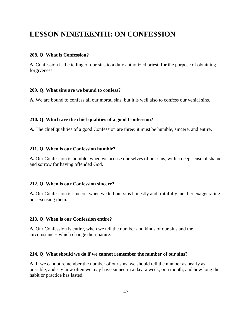## **LESSON NINETEENTH: ON CONFESSION**

#### **208. Q. What is Confession?**

**A.** Confession is the telling of our sins to a duly authorized priest, for the purpose of obtaining forgiveness.

#### **209. Q. What sins are we bound to confess?**

**A.** We are bound to confess all our mortal sins. but it is well also to confess our venial sins.

#### **210. Q. Which are the chief qualities of a good Confession?**

**A.** The chief qualities of a good Confession are three: it must be humble, sincere, and entire.

#### **211. Q. When is our Confession humble?**

**A.** Our Confession is humble, when we accuse our selves of our sins, with a deep sense of shame and sorrow for having offended God.

#### **212. Q. When is our Confession sincere?**

**A.** Our Confession is sincere, when we tell our sins honestly and truthfully, neither exaggerating nor excusing them.

#### **213. Q. When is our Confession entire?**

**A.** Our Confession is entire, when we tell the number and kinds of our sins and the circumstances which change their nature.

#### **214. Q. What should we do if we cannot remember the number of our sins?**

**A.** If we cannot remember the number of our sins, we should tell the number as nearly as possible, and say how often we may have sinned in a day, a week, or a month, and how long the habit or practice has lasted.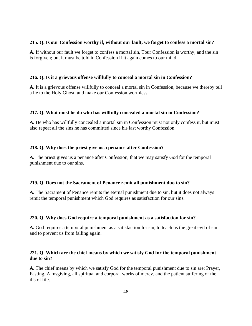#### **215. Q. Is our Confession worthy if, without our fault, we forget to confess a mortal sin?**

**A.** If without our fault we forget to confess a mortal sin, Tour Confession is worthy, and the sin is forgiven; but it must be told in Confession if it again comes to our mind.

## **216. Q. Is it a grievous offense willfully to conceal a mortal sin in Confession?**

**A.** It is a grievous offense willfully to conceal a mortal sin in Confession, because we thereby tell a lie to the Holy Ghost, and make our Confession worthless.

## **217. Q. What must he do who has willfully concealed a mortal sin in Confession?**

**A.** He who has willfully concealed a mortal sin in Confession must not only confess it, but must also repeat all the sins he has committed since his last worthy Confession.

## **218. Q. Why does the priest give us a penance after Confession?**

**A.** The priest gives us a penance after Confession, that we may satisfy God for the temporal punishment due to our sins.

#### **219. Q. Does not the Sacrament of Penance remit all punishment duo to sin?**

**A.** The Sacrament of Penance remits the eternal punishment due to sin, but it does not always remit the temporal punishment which God requires as satisfaction for our sins.

## **220. Q. Why does God require a temporal punishment as a satisfaction for sin?**

**A.** God requires a temporal punishment as a satisfaction for sin, to teach us the great evil of sin and to prevent us from falling again.

## **221. Q. Which are the chief means by which we satisfy God for the temporal punishment due to sin?**

**A.** The chief means by which we satisfy God for the temporal punishment due to sin are: Prayer, Fasting, Almsgiving, all spiritual and corporal works of mercy, and the patient suffering of the ills of life.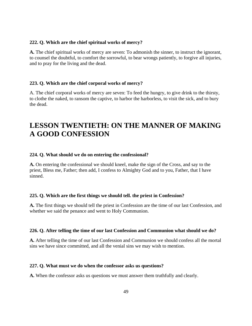#### **222. Q. Which are the chief spiritual works of mercy?**

**A.** The chief spiritual works of mercy are seven: To admonish the sinner, to instruct the ignorant, to counsel the doubtful, to comfort the sorrowful, to bear wrongs patiently, to forgive all injuries, and to pray for the living and the dead.

#### **223. Q. Which are the chief corporal works of mercy?**

A. The chief corporal works of mercy are seven: To feed the hungry, to give drink to the thirsty, to clothe the naked, to ransom the captive, to harbor the harborless, to visit the sick, and to bury the dead.

## **LESSON TWENTIETH: ON THE MANNER OF MAKING A GOOD CONFESSION**

#### **224. Q. What should we do on entering the confessional?**

**A.** On entering the confessional we should kneel, make the sign of the Cross, and say to the priest, Bless me, Father; then add, I confess to Almighty God and to you, Father, that I have sinned.

## **225. Q. Which are the first things we should tell. the priest in Confession?**

**A.** The first things we should tell the priest in Confession are the time of our last Confession, and whether we said the penance and went to Holy Communion.

#### **226. Q. After telling the time of our last Confession and Communion what should we do?**

**A.** After telling the time of our last Confession and Communion we should confess all the mortal sins we have since committed, and all the venial sins we may wish to mention.

#### **227. Q. What must we do when the confessor asks us questions?**

**A.** When the confessor asks us questions we must answer them truthfully and clearly.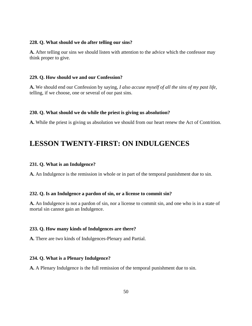#### **228. Q. What should we do after telling our sins?**

**A.** After telling our sins we should listen with attention to the advice which the confessor may think proper to give.

#### **229. Q. How should we and our Confession?**

**A.** We should end our Confession by saying, *I also accuse myself of all the sins of my past life,*  telling, if we choose, one or several of our past sins.

#### **230. Q. What should we do while the priest is giving us absolution?**

**A.** While the priest is giving us absolution we should from our heart renew the Act of Contrition.

## **LESSON TWENTY-FIRST: ON INDULGENCES**

#### **231. Q. What is an Indulgence?**

**A.** An Indulgence is the remission in whole or in part of the temporal punishment due to sin.

#### **232. Q. Is an Indulgence a pardon of sin, or a license to commit sin?**

**A.** An Indulgence is not a pardon of sin, nor a license to commit sin, and one who is in a state of mortal sin cannot gain an Indulgence.

## **233. Q. How many kinds of Indulgences are there?**

**A.** There are two kinds of Indulgences-Plenary and Partial.

## **234. Q. What is a Plenary Indulgence?**

**A.** A Plenary Indulgence is the full remission of the temporal punishment due to sin.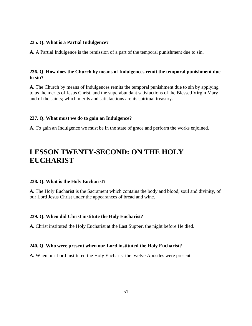#### **235. Q. What is a Partial Indulgence?**

**A.** A Partial Indulgence is the remission of a part of the temporal punishment due to sin.

## **236. Q. How does the Church by means of Indulgences remit the temporal punishment due to sin?**

**A.** The Church by means of Indulgences remits the temporal punishment due to sin by applying to us the merits of Jesus Christ, and the superabundant satisfactions of the Blessed Virgin Mary and of the saints; which merits and satisfactions are its spiritual treasury.

#### **237. Q. What must we do to gain an Indulgence?**

**A.** To gain an Indulgence we must be in the state of grace and perform the works enjoined.

## **LESSON TWENTY-SECOND: ON THE HOLY EUCHARIST**

#### **238. Q. What is the Holy Eucharist?**

**A.** The Holy Eucharist is the Sacrament which contains the body and blood, soul and divinity, of our Lord Jesus Christ under the appearances of bread and wine.

#### **239. Q. When did Christ institute the Holy Eucharist?**

**A.** Christ instituted the Holy Eucharist at the Last Supper, the night before He died.

#### **240. Q. Who were present when our Lord instituted the Holy Eucharist?**

**A.** When our Lord instituted the Holy Eucharist the twelve Apostles were present.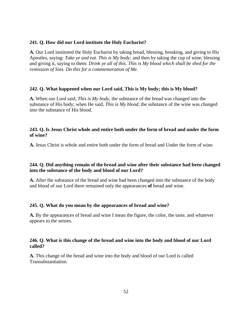#### **241. Q. How did our Lord institute the Holy Eucharist?**

**A.** Our Lord instituted the Holy Eucharist by taking bread, blessing, breaking, and giving to His Apostles, saying: *Take ye and eat. This is My body;* and then by taking the cup of wine, blessing and giving it, saying to them: *Drink ye all of this. This is My blood which shall be shed for the remission of Sins. Do this for a commemoration of Me.*

#### **242. Q. What happened when our Lord said, This is My body; this is My blood?**

**A.** When our Lord said, *This is My body,* the substance of the bread was changed into the substance of His body; when He said, *This* is *My blood,* the substance of the wine was changed into the substance of His blood.

## **243. Q. Is Jesus Christ whole and entire both under the form of bread and under the form of wine?**

**A.** Jesus Christ is whole and entire both under the form of bread and Under the form of wine.

## **244. Q. Did anything remain of the bread and wine after their substance had been changed into the substance of the body and blood of our Lord?**

**A.** After the substance of the bread and wine had been changed into the substance of the body and blood of our Lord there remained only the appearances **of** bread and wine.

#### **245. Q. What do you mean by the appearances of bread and wine?**

**A.** By the appearances of bread and wine I mean the figure, the color, the taste, and whatever appears to the senses.

## **246. Q. What is this change of the bread and wine into the body and blood of our Lord called?**

**A.** This change of the bread and wine into the body and blood of our Lord is called Transubstantiation.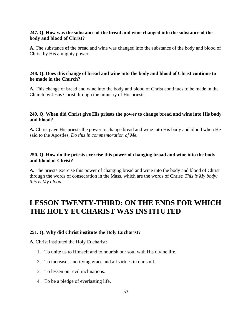## **247. Q. How was the substance of the bread and wine changed into the substance of the body and blood of Christ?**

**A.** The substance **of** the bread and wine was changed into the substance of the body and blood of Christ by His almighty power.

## **248. Q. Does this change of bread and wine into the body and blood of Christ continue to be made in the Church?**

**A.** This change of bread and wine into the body and blood of Christ continues to be made in the Church by Jesus Christ through the ministry of His priests.

## **249. Q. When did Christ give His priests the power to change bread and wine into His body and blood?**

**A.** Christ gave His priests the power to change bread and wine into His body and blood when He said to the Apostles, *Do this in commemoration of Me.*

## **250. Q. How do the priests exercise this power of changing broad and wine into the body and blood of Christ?**

**A.** The priests exercise this power of changing bread and wine into the body and blood of Christ through the words of consecration in the Mass, which are the words of Christ: *This is My body; this is My blood.*

## **LESSON TWENTY-THIRD: ON THE ENDS FOR WHICH THE HOLY EUCHARIST WAS INSTITUTED**

## **251. Q. Why did Christ institute the Holy Eucharist?**

**A.** Christ instituted the Holy Eucharist:

- 1. To unite us to Himself and to nourish our soul with His divine life.
- 2. To increase sanctifying grace and all virtues in our soul.
- 3. To lessen our evil inclinations.
- 4. To be a pledge of everlasting life.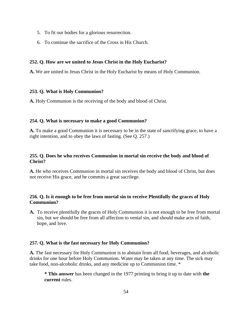- 5. To fit our bodies for a glorious resurrection.
- 6. To continue the sacrifice of the Cross in His Church.

## **252. Q. How are we united to Jesus Christ in the Holy Eucharist?**

**A.** We are united to Jesus Christ in the Holy Eucharist by means of Holy Communion.

## **253. Q. What is Holy Communion?**

**A.** Holy Communion is the receiving of the body and blood of Christ.

## **254. Q. What is necessary to make a good Communion?**

**A.** To make a good Communion it is necessary to be in the state of sanctifying grace, to have a right intention, and to obey the laws of fasting. (See Q. 257.)

## **255. Q. Does he who receives Communion in mortal sin receive the body and blood of Christ?**

**A.** He who receives Communion in mortal sin receives the body and blood of Christ, but does not receive His grace, and he commits a great sacrilege.

## **256. Q. Is it enough to be free from mortal sin to receive Plentifully the graces of Holy Communion?**

**A.** To receive plentifully the graces of Holy Communion it is not enough to be free from mortal sin, but we should be free from all affection to venial sin, and should make acts of faith, hope, and love.

## **257. Q. What is the fast necessary for Holy Communion?**

**A.** The fast necessary for Holy Communion is to abstain from all food, beverages, and alcoholic drinks for one hour before Holy Communion. Water may be taken at any time. The sick may take food, non-alcoholic drinks, and any medicine up to Communion time. \*

**\* This answer** has been changed in the 1977 printing to bring it up to date with **the current** rules.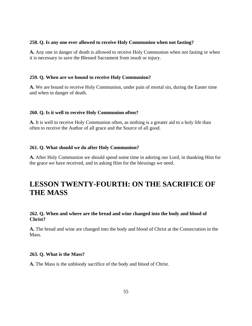#### **258. Q. Is any one ever allowed to receive Holy Communion when not fasting?**

**A.** Any one in danger of death is allowed to receive Holy Communion when not fasting or when it is necessary to save the Blessed Sacrament from insult or injury.

#### **259. Q. When are we bound to receive Holy Communion?**

**A.** We are bound to receive Holy Communion, under pain of mortal sin, during the Easter time and when in danger of death.

#### **260. Q. Is it well to receive Holy Communion often?**

**A.** It is well to receive Holy Communion often, as nothing is a greater aid to a holy life than often to receive the Author of all grace and the Source of all good.

#### **261. Q. What should we do after Holy Communion?**

**A.** After Holy Communion we should spend some time in adoring our Lord, in thanking Him for the grace we have received, and in asking Him for the blessings we need.

## **LESSON TWENTY-FOURTH: ON THE SACRIFICE OF THE MASS**

## **262. Q. When and where are the bread and wine changed into the body and blood of Christ?**

**A.** The bread and wine are changed into the body and blood of Christ at the Consecration in the Mass.

#### **263. Q. What is the Mass?**

**A.** The Mass is the unbloody sacrifice of the body and blood of Christ.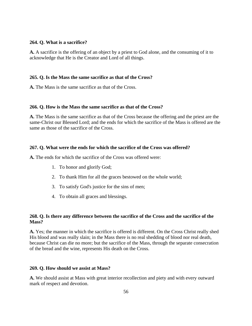#### **264. Q. What is a sacrifice?**

**A.** A sacrifice is the offering of an object by a priest to God alone, and the consuming of it to acknowledge that He is the Creator and Lord of all things.

#### **265. Q. Is the Mass the same sacrifice as that of the Cross?**

**A.** The Mass is the same sacrifice as that of the Cross.

#### **266. Q. How is the Mass the same sacrifice as that of the Cross?**

**A.** The Mass is the same sacrifice as that of the Cross because the offering and the priest are the same-Christ our Blessed Lord; and the ends for which the sacrifice of the Mass is offered are the same as those of the sacrifice of the Cross.

#### **267. Q. What were the ends for which the sacrifice of the Cross was offered?**

**A.** The ends for which the sacrifice of the Cross was offered were:

- 1. To honor and glorify God;
- 2. To thank Him for all the graces bestowed on the whole world;
- 3. To satisfy God's justice for the sins of men;
- 4. To obtain all graces and blessings.

### **268. Q. Is there any difference between the sacrifice of the Cross and the sacrifice of the Mass?**

**A.** Yes; the manner in which the sacrifice is offered is different. On the Cross Christ really shed His blood and was really slain; in the Mass there is no real shedding of blood nor real death, because Christ can die no more; but the sacrifice of the Mass, through the separate consecration of the bread and the wine, represents His death on the Cross.

#### **269. Q. How should we assist at Mass?**

**A.** We should assist at Mass with great interior recollection and piety and with every outward mark of respect and devotion.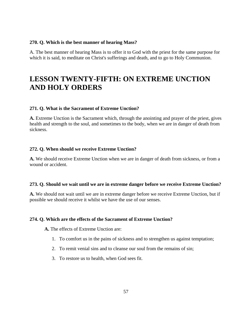#### **270. Q. Which is the best manner of hearing Mass?**

A. The best manner of hearing Mass is to offer it to God with the priest for the same purpose for which it is said, to meditate on Christ's sufferings and death, and to go to Holy Communion.

## **LESSON TWENTY-FIFTH: ON EXTREME UNCTION AND HOLY ORDERS**

## **271. Q. What is the Sacrament of Extreme Unction?**

**A.** Extreme Unction is the Sacrament which, through the anointing and prayer of the priest, gives health and strength to the soul, and sometimes to the body, when we are in danger of death from sickness.

#### **272. Q. When should we receive Extreme Unction?**

**A.** We should receive Extreme Unction when we are in danger of death from sickness, or from a wound or accident.

#### **273. Q. Should we wait until we are in extreme danger before we receive Extreme Unction?**

**A.** We should not wait until we are in extreme danger before we receive Extreme Unction, but if possible we should receive it whilst we have the use of our senses.

## **274. Q. Which are the effects of the Sacrament of Extreme Unction?**

**A.** The effects of Extreme Unction are:

- 1. To comfort us in the pains of sickness and to strengthen us against temptation;
- 2. To remit venial sins and to cleanse our soul from the remains of sin;
- 3. To restore us to health, when God sees fit.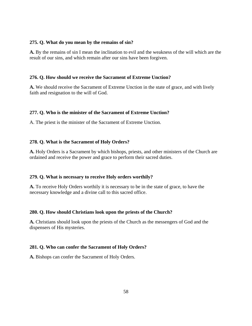### **275. Q. What do you mean by the remains of sin?**

**A.** By the remains of sin I mean the inclination to evil and the weakness of the will which are the result of our sins, and which remain after our sins have been forgiven.

## **276. Q. How should we receive the Sacrament of Extreme Unction?**

**A.** We should receive the Sacrament of Extreme Unction in the state of grace, and with lively faith and resignation to the will of God.

## **277. Q. Who is the minister of the Sacrament of Extreme Unction?**

A. The priest is the minister of the Sacrament of Extreme Unction.

## **278. Q. What is the Sacrament of Holy Orders?**

**A.** Holy Orders is a Sacrament by which bishops, priests, and other ministers of the Church are ordained and receive the power and grace to perform their sacred duties.

## **279. Q. What is necessary to receive Holy orders worthily?**

**A.** To receive Holy Orders worthily it is necessary to be in the state of grace, to have the necessary knowledge and a divine call to this sacred office.

## **280. Q. How should Christians look upon the priests of the Church?**

**A.** Christians should look upon the priests of the Church as the messengers of God and the dispensers of His mysteries.

## **281. Q. Who can confer the Sacrament of Holy Orders?**

**A.** Bishops can confer the Sacrament of Holy Orders.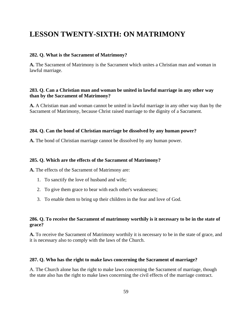## **LESSON TWENTY-SIXTH: ON MATRIMONY**

#### **282. Q. What is the Sacrament of Matrimony?**

**A.** The Sacrament of Matrimony is the Sacrament which unites a Christian man and woman in lawful marriage.

## **283. Q. Can a Christian man and woman be united in lawful marriage in any other way than by the Sacrament of Matrimony?**

**A.** A Christian man and woman cannot be united in lawful marriage in any other way than by the Sacrament of Matrimony, because Christ raised marriage to the dignity of a Sacrament.

#### **284. Q. Can the bond of Christian marriage be dissolved by any human power?**

**A.** The bond of Christian marriage cannot be dissolved by any human power.

#### **285. Q. Which are the effects of the Sacrament of Matrimony?**

**A.** The effects of the Sacrament of Matrimony are:

- 1. To sanctify the love of husband and wife;
- 2. To give them grace to bear with each other's weaknesses;
- 3. To enable them to bring up their children in the fear and love of God.

## **286. Q. To receive the Sacrament of matrimony worthily is it necessary to be in the state of grace?**

**A.** To receive the Sacrament of Matrimony worthily it is necessary to be in the state of grace, and it is necessary also to comply with the laws of the Church.

#### **287. Q. Who has the right to make laws concerning the Sacrament of marriage?**

A. The Church alone has the right to make laws concerning the Sacrament of marriage, though the state also has the right to make laws concerning the civil effects of the marriage contract.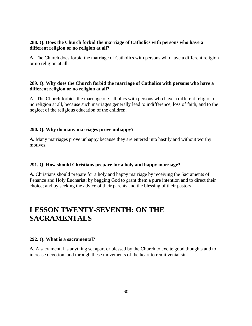## **288. Q. Does the Church forbid the marriage of Catholics with persons who have a different religion or no religion at all?**

**A.** The Church does forbid the marriage of Catholics with persons who have a different religion or no religion at all.

## **289. Q. Why does the Church forbid the marriage of Catholics with persons who have a different religion or no religion at all?**

A. The Church forbids the marriage of Catholics with persons who have a different religion or no religion at all, because such marriages generally lead to indifference, loss of faith, and to the neglect of the religious education of the children.

## **290. Q. Why do many marriages prove unhappy?**

**A.** Many marriages prove unhappy because they are entered into hastily and without worthy motives.

## **291. Q. How should Christians prepare for a holy and happy marriage?**

**A.** Christians should prepare for a holy and happy marriage by receiving the Sacraments of Penance and Holy Eucharist; by begging God to grant them a pure intention and to direct their choice; and by seeking the advice of their parents and the blessing of their pastors.

# **LESSON TWENTY-SEVENTH: ON THE SACRAMENTALS**

#### **292. Q. What is a sacramental?**

**A.** A sacramental is anything set apart or blessed by the Church to excite good thoughts and to increase devotion, and through these movements of the heart to remit venial sin.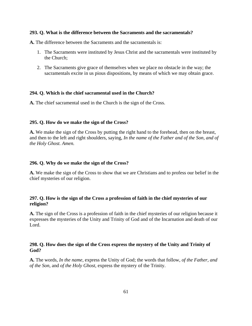#### **293. Q. What is the difference between the Sacraments and the sacramentals?**

**A.** The difference between the Sacraments and the sacramentals is:

- 1. The Sacraments were instituted by Jesus Christ and the sacramentals were instituted by the Church;
- 2. The Sacraments give grace of themselves when we place no obstacle in the way; the sacramentals excite in us pious dispositions, by means of which we may obtain grace.

## **294. Q. Which is the chief sacramental used in the Church?**

**A.** The chief sacramental used in the Church is the sign of the Cross.

#### **295. Q. How do we make the sign of the Cross?**

**A.** We make the sign of the Cross by putting the right hand to the forehead, then on the breast, and then to the left and right shoulders, saying, *In the name of the Father and of the Son, and of the Holy Ghost. Amen.*

#### **296. Q. Why do we make the sign of the Cross?**

**A.** We make the sign of the Cross to show that we are Christians and to profess our belief in the chief mysteries of our religion.

## **297. Q. How is the sign of the Cross a profession of faith in the chief mysteries of our religion?**

**A.** The sign of the Cross is a profession of faith in the chief mysteries of our religion because it expresses the mysteries of the Unity and Trinity of God and of the Incarnation and death of our Lord.

## **298. Q. How does the sign of the Cross express the mystery of the Unity and Trinity of God?**

**A.** The words, *In the name*, express the Unity of God; the words that follow, *of the Father*, *and of the Son*, and *of the Holy Ghost*, express the mystery of the Trinity.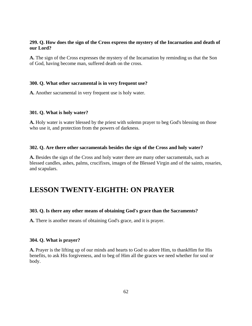## **299. Q. How does the sign of the Cross express the mystery of the Incarnation and death of our Lord?**

**A.** The sign of the Cross expresses the mystery of the Incarnation by reminding us that the Son of God, having become man, suffered death on the cross.

## **300. Q. What other sacramental is in very frequent use?**

**A.** Another sacramental in very frequent use is holy water.

#### **301. Q. What is holy water?**

**A.** Holy water is water blessed by the priest with solemn prayer to beg God's blessing on those who use it, and protection from the powers of darkness.

#### **302. Q. Are there other sacramentals besides the sign of the Cross and holy water?**

**A.** Besides the sign of the Cross and holy water there are many other sacramentals, such as blessed candles, ashes, palms, crucifixes, images of the Blessed Virgin and of the saints, rosaries, and scapulars.

## **LESSON TWENTY-EIGHTH: ON PRAYER**

#### **303. Q. Is there any other means of obtaining God's grace than the Sacraments?**

**A.** There is another means of obtaining God's grace, and it is prayer.

#### **304. Q. What is prayer?**

**A.** Prayer is the lifting up of our minds and hearts to God to adore Him, to thankHim for His benefits, to ask His forgiveness, and to beg of Him all the graces we need whether for soul or body.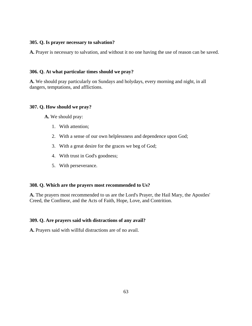### **305. Q. Is prayer necessary to salvation?**

**A.** Prayer is necessary to salvation, and without it no one having the use of reason can be saved.

## **306. Q. At what particular times should we pray?**

**A.** We should pray particularly on Sundays and holydays, every morning and night, in all dangers, temptations, and afflictions.

## **307. Q. How should we pray?**

**A.** We should pray:

- 1. With attention;
- 2. With a sense of our own helplessness and dependence upon God;
- 3. With a great desire for the graces we beg of God;
- 4. With trust in God's goodness;
- 5. With perseverance.

#### **308. Q. Which are the prayers most recommended to Us?**

**A.** The prayers most recommended to us are the Lord's Prayer, the Hail Mary, the Apostles' Creed, the Confiteor, and the Acts of Faith, Hope, Love, and Contrition.

#### **309. Q. Are prayers said with distractions of any avail?**

**A.** Prayers said with willful distractions are of no avail.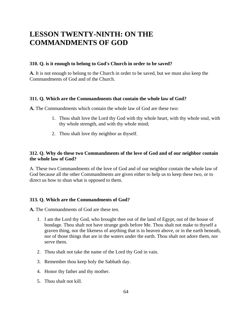## **LESSON TWENTY-NINTH: ON THE COMMANDMENTS OF GOD**

## **310. Q. is it enough to belong to God's Church in order to be saved?**

**A.** It is not enough to belong to the Church in order to be saved, but we must also keep the Commandments of God and of the Church.

## **311. Q. Which are the Commandments that contain the whole law of God?**

**A.** The Commandments which contain the whole law of God are these two:

- 1. Thou shalt love the Lord thy God with thy whole heart, with thy whole soul, with thy whole strength, and with thy whole mind;
- 2. Thou shalt love thy neighbor as thyself.

## **312. Q. Why do these two Commandments of the love of God and of our neighbor contain the whole law of God?**

A. These two Commandments of the love of God and of our neighbor contain the whole law of God because all the other Commandments are given either to help us to keep these two, or to direct us how to shun what is opposed to them.

## **313. Q. Which are the Commandments of God?**

**A.** The Commandments of God are these ten.

- 1. I am the Lord thy God, who brought thee out of the land of Egypt, out of the house of bondage. Thou shalt not have strange gods before Me. Thou shalt not make to thyself a graven thing, nor the likeness of anything that is in heaven above, or in the earth beneath, nor of those things that are in the waters under the earth. Thou shalt not adore them, nor serve them.
- 2. Thou shalt not take the name of the Lord thy God in vain.
- 3. Remember thou keep holy the Sabbath day.
- 4. Honor thy father and thy mother.
- 5. Thou shalt not kill.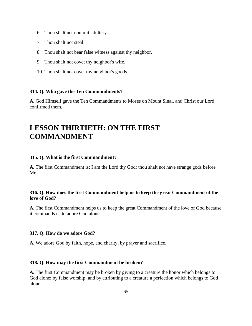- 6. Thou shalt not commit adultery.
- 7. Thou shalt not steal.
- 8. Thou shalt not bear false witness against thy neighbor.
- 9. Thou shalt not covet thy neighbor's wife.
- 10. Thou shalt not covet thy neighbor's goods.

#### **314. Q. Who gave the Ten Commandments?**

**A.** God Himself gave the Ten Commandments to Moses on Mount Sinai. and Christ our Lord confirmed them.

## **LESSON THIRTIETH: ON THE FIRST COMMANDMENT**

#### **315. Q. What is the first Commandment?**

**A.** The first Commandment is: I am the Lord thy God: thou shalt not have strange gods before Me.

## **316. Q. How does the first Commandment help us to keep the great Commandment of the love of God?**

**A.** The first Commandment helps us to keep the great Commandment of the love of God because it commands us to adore God alone.

#### **317. Q. How do we adore God?**

**A.** We adore God by faith, hope, and charity, by prayer and sacrifice.

#### **318. Q. How may the first Commandment be broken?**

**A.** The first Commandment may be broken by giving to a creature the honor which belongs to God alone; by false worship; and by attributing to a creature a perfection which belongs to God alone.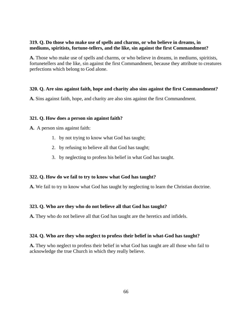## **319. Q. Do those who make use of spells and charms, or who believe in dreams, in mediums, spiritists, fortune-tellers, and the like, sin against the first Commandment?**

**A.** Those who make use of spells and charms, or who believe in dreams, in mediums, spiritists, fortunetellers and the like, sin against the first Commandment, because they attribute to creatures perfections which belong to God alone.

## **320. Q. Are sins against faith, hope and charity also sins against the first Commandment?**

**A.** Sins against faith, hope, and charity are also sins against the first Commandment.

#### **321. Q. How does a person sin against faith?**

**A.** A person sins against faith:

- 1. by not trying to know what God has taught;
- 2. by refusing to believe all that God has taught;
- 3. by neglecting to profess his belief in what God has taught.

#### **322. Q. How do we fail to try to know what God has taught?**

**A.** We fail to try to know what God has taught by neglecting to learn the Christian doctrine.

#### **323. Q. Who are they who do not believe all that God has taught?**

**A.** They who do not believe all that God has taught are the heretics and infidels.

#### **324. Q. Who are they who neglect to profess their belief in what-God has taught?**

**A.** They who neglect to profess their belief in what God has taught are all those who fail to acknowledge the true Church in which they really believe.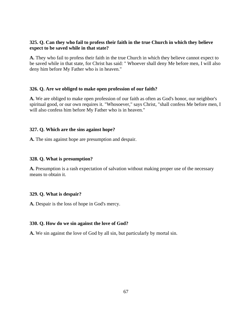## **325. Q. Can they who fail to profess their faith in the true Church in which they believe expect to be saved while in that state?**

**A.** They who fail to profess their faith in the true Church in which they believe cannot expect to be saved while in that state, for Christ has said: " Whoever shall deny Me before men, I will also deny him before My Father who is in heaven."

## **326. Q. Are we obliged to make open profession of our faith?**

**A.** We are obliged to make open profession of our faith as often as God's honor, our neighbor's spiritual good, or our own requires it. "Whosoever," says Christ, "shall confess Me before men, I will also confess him before My Father who is in heaven."

## **327. Q. Which are the sins against hope?**

**A.** The sins against hope are presumption and despair.

## **328. Q. What is presumption?**

**A.** Presumption is a rash expectation of salvation without making proper use of the necessary means to obtain it.

## **329. Q. What is despair?**

**A.** Despair is the loss of hope in God's mercy.

## **330. Q. How do we sin against the love of God?**

**A.** We sin against the love of God by all sin, but particularly by mortal sin.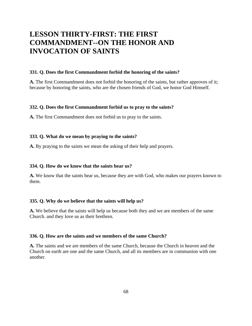# **LESSON THIRTY-FIRST: THE FIRST COMMANDMENT--ON THE HONOR AND INVOCATION OF SAINTS**

#### **331. Q. Does the first Commandment forbid the honoring of the saints?**

**A.** The first Commandment does not forbid the honoring of the saints, but rather approves of it; because by honoring the saints, who are the chosen friends of God, we honor God Himself.

#### **332. Q. Does the first Commandment forbid us to pray to the saints?**

**A.** The first Commandment does not forbid us to pray to the saints.

#### **333. Q. What do we mean by praying to the saints?**

**A.** By praying to the saints we mean the asking of their help and prayers.

#### **334. Q. How do we know that the saints hear us?**

**A.** We know that the saints hear us, because they are with God, who makes our prayers known to them.

#### **335. Q. Why do we believe that the saints will help us?**

**A.** We believe that the saints will help us because both they and we are members of the same Church. and they love us as their brethren.

#### **336. Q. How are the saints and we members of the same Church?**

**A.** The saints and we are members of the same Church, because the Church in heaven and the Church on earth are one and the same Church, and all its members are in communion with one another.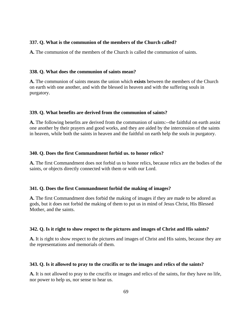### **337. Q. What is the communion of the members of the Church called?**

**A.** The communion of the members of the Church is called the communion of saints.

## **338. Q. What does the communion of saints mean?**

**A.** The communion of saints means the union which **exists** between the members of the Church on earth with one another, and with the blessed in heaven and with the suffering souls in purgatory.

## **339. Q. What benefits are derived from the communion of saints?**

**A.** The following benefits are derived from the communion of saints:--the faithful on earth assist one another by their prayers and good works, and they are aided by the intercession of the saints in heaven, while both the saints in heaven and the faithful on earth help the souls in purgatory.

#### **340. Q. Does the first Commandment forbid us. to honor relics?**

**A.** The first Commandment does not forbid us to honor relics, because relics are the bodies of the saints, or objects directly connected with them or with our Lord.

## **341. Q. Does the first Commandment forbid the making of images?**

**A.** The first Commandment does forbid the making of images if they are made to be adored as gods, but it does not forbid the making of them to put us in mind of Jesus Christ, His Blessed Mother, and the saints.

## **342. Q. Is it right to show respect to the pictures and images of Christ and His saints?**

**A.** It is right to show respect to the pictures and images of Christ and His saints, because they are the representations and memorials of them.

#### **343. Q. Is it allowed to pray to the crucifix or to the images and relics of the saints?**

**A.** It is not allowed to pray to the crucifix or images and relics of the saints, for they have no life, nor power to help us, nor sense to hear us.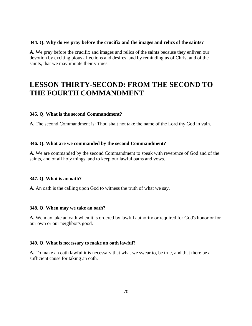#### **344. Q. Why do we pray before the crucifix and the images and relics of the saints?**

**A.** We pray before the crucifix and images and relics of the saints because they enliven our devotion by exciting pious affections and desires, and by reminding us of Christ and of the saints, that we may imitate their virtues.

## **LESSON THIRTY-SECOND: FROM THE SECOND TO THE FOURTH COMMANDMENT**

#### **345. Q. What is the second Commandment?**

**A.** The second Commandment is: Thou shalt not take the name of the Lord thy God in vain.

### **346. Q. What are we commanded by the second Commandment?**

**A.** We are commanded by the second Commandment to speak with reverence of God and of the saints, and of all holy things, and to keep our lawful oaths and vows.

#### **347. Q. What is an oath?**

**A.** An oath is the calling upon God to witness the truth of what we say.

#### **348. Q. When may we take an oath?**

**A.** We may take an oath when it is ordered by lawful authority or required for God's honor or for our own or our neighbor's good.

### **349. Q. What is necessary to make an oath lawful?**

**A.** To make an oath lawful it is necessary that what we swear to, be true, and that there be a sufficient cause for taking an oath.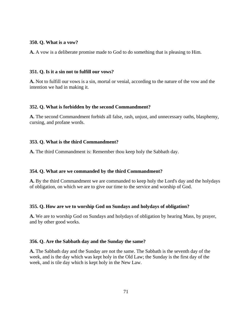#### **350. Q. What is a vow?**

**A.** A vow is a deliberate promise made to God to do something that is pleasing to Him.

#### **351. Q. Is it a sin not to fulfill our vows?**

**A.** Not to fulfill our vows is a sin, mortal or venial, according to the nature of the vow and the intention we had in making it.

## **352. Q. What is forbidden by the second Commandment?**

**A.** The second Commandment forbids all false, rash, unjust, and unnecessary oaths, blasphemy, cursing, and profane words.

## **353. Q. What is the third Commandment?**

**A.** The third Commandment is: Remember thou keep holy the Sabbath day.

## **354. Q. What are we commanded by the third Commandment?**

**A.** By the third Commandment we are commanded to keep holy the Lord's day and the holydays of obligation, on which we are to give our time to the service and worship of God.

## **355. Q. How are we to worship God on Sundays and holydays of obligation?**

**A.** We are to worship God on Sundays and holydays of obligation by hearing Mass, by prayer, and by other good works.

#### **356. Q. Are the Sabbath day and the Sunday the same?**

**A.** The Sabbath day and the Sunday are not the same. The Sabbath is the seventh day of the week, and is the day which was kept holy in the Old Law; the Sunday is the first day of the week, and is tile day which is kept holy in the New Law.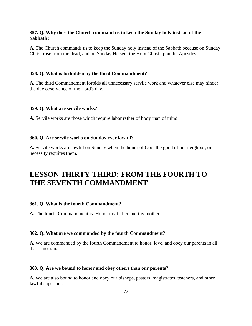## **357. Q. Why does the Church command us to keep the Sunday holy instead of the Sabbath?**

**A.** The Church commands us to keep the Sunday holy instead of the Sabbath because on Sunday Christ rose from the dead, and on Sunday He sent the Holy Ghost upon the Apostles.

#### **358. Q. What is forbidden by the third Commandment?**

**A.** The third Commandment forbids all unnecessary servile work and whatever else may hinder the due observance of the Lord's day.

#### **359. Q. What are servile works?**

**A.** Servile works are those which require labor rather of body than of mind.

#### **360. Q. Are servile works on Sunday ever lawful?**

**A.** Servile works are lawful on Sunday when the honor of God, the good of our neighbor, or necessity requires them.

## **LESSON THIRTY-THIRD: FROM THE FOURTH TO THE SEVENTH COMMANDMENT**

#### **361. Q. What is the fourth Commandment?**

**A.** The fourth Commandment is: Honor thy father and thy mother.

#### **362. Q. What are we commanded by the fourth Commandment?**

**A.** We are commanded by the fourth Commandment to honor, love, and obey our parents in all that is not sin.

#### **363. Q. Are we bound to honor and obey others than our parents?**

**A.** We are also bound to honor and obey our bishops, pastors, magistrates, teachers, and other lawful superiors.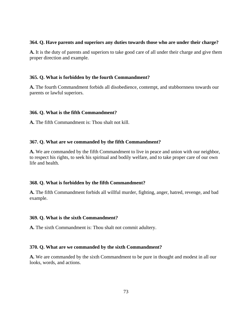### **364. Q. Have parents and superiors any duties towards those who are under their charge?**

**A.** It is the duty of parents and superiors to take good care of all under their charge and give them proper direction and example.

# **365. Q. What is forbidden by the fourth Commandment?**

**A.** The fourth Commandment forbids all disobedience, contempt, and stubbornness towards our parents or lawful superiors.

# **366. Q. What is the fifth Commandment?**

**A.** The fifth Commandment is: Thou shalt not kill.

# **367. Q. What are we commanded by the fifth Commandment?**

**A.** We are commanded by the fifth Commandment to live in peace and union with our neighbor, to respect his rights, to seek his spiritual and bodily welfare, and to take proper care of our own life and health.

# **368. Q. What is forbidden by the fifth Commandment?**

**A.** The fifth Commandment forbids all willful murder, fighting, anger, hatred, revenge, and bad example.

#### **369. Q. What is the sixth Commandment?**

**A.** The sixth Commandment is: Thou shalt not commit adultery.

#### **370. Q. What are we commanded by the sixth Commandment?**

**A.** We are commanded by the sixth Commandment to be pure in thought and modest in all our looks, words, and actions.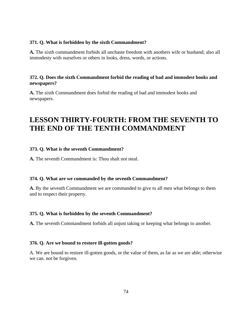#### **371. Q. What is forbidden by the sixth Commandment?**

**A.** The sixth commandment forbids all unchaste freedom with anothers wife or husband; also all immodesty with ourselves or others in looks, dress, words, or actions.

# **372. Q. Does the sixth Commandment forbid the reading of bad and immodest books and newspapers?**

**A.** The sixth Commandment does forbid the reading of bad and immodest books and newspapers.

# **LESSON THIRTY-FOURTH: FROM THE SEVENTH TO THE END OF THE TENTH COMMANDMENT**

# **373. Q. What is the seventh Commandment?**

**A.** The seventh Commandment is: Thou shalt not steal.

#### **374. Q. What are we commanded by the seventh Commandment?**

**A.** By the seventh Commandment we are commanded to give to all men what belongs to them and to respect their property.

#### **375. Q. What is forbidden by the seventh Commandment?**

**A.** The seventh Commandment forbids all unjust taking or keeping what belongs to another.

#### **376. Q. Are we bound to restore ill-gotten goods?**

A. We are bound to restore ill-gotten goods, or the value of them, as far as we are able; otherwise we can. not be forgiven.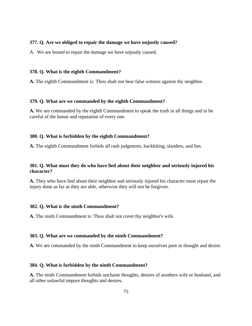#### **377. Q. Are we obliged to repair the damage we have unjustly caused?**

A. We are bound to repair the damage we have unjustly caused.

#### **378. Q. What is the eighth Commandment?**

**A.** The eighth Commandment is: Thou shalt not bear false witness against thy neighbor.

#### **379. Q. What are we commanded by the eighth Commandment?**

**A.** We are commanded by the eighth Commandment to speak the truth in all things and to be careful of the honor and reputation of every one.

#### **380. Q. What is forbidden by the eighth Commandment?**

**A.** The eighth Commandment forbids all rash judgments, backbiting, slanders, and lies.

# **381. Q. What must they do who have lied about their neighbor and seriously injured his character?**

**A.** They who have lied about their neighbor and seriously injured his character must repair the injury done as far as they are able, otherwise they will not be forgiven.

#### **382. Q. What is the ninth Commandment?**

**A.** The ninth Commandment is: Thou shalt not covet thy neighbor's wife.

#### **383. Q. What are we commanded by the ninth Commandment?**

**A.** We are commanded by the ninth Commandment to keep ourselves pure in thought and desire.

#### **384. Q. What is forbidden by the ninth Commandment?**

**A.** The ninth Commandment forbids unchaste thoughts, desires of anothers wife or husband, and all other unlawful impure thoughts and desires.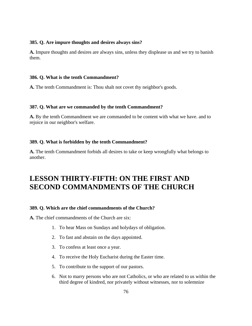#### **385. Q. Are impure thoughts and desires always sins?**

**A.** Impure thoughts and desires are always sins, unless they displease us and we try to banish them.

#### **386. Q. What is the tenth Commandment?**

**A.** The tenth Commandment is: Thou shalt not covet thy neighbor's goods.

#### **387. Q. What are we commanded by the tenth Commandment?**

**A.** By the tenth Commandment we are commanded to be content with what we have. and to rejoice in our neighbor's welfare.

#### **389. Q. What is forbidden by the tenth Commandment?**

**A.** The tenth Commandment forbids all desires to take or keep wrongfully what belongs to another.

# **LESSON THIRTY-FIFTH: ON THE FIRST AND SECOND COMMANDMENTS OF THE CHURCH**

#### **389. Q. Which are the chief commandments of the Church?**

**A.** The chief commandments of the Church are six:

- 1. To hear Mass on Sundays and holydays of obligation.
- 2. To fast and abstain on the days appointed.
- 3. To confess at least once a year.
- 4. To receive the Holy Eucharist during the Easter time.
- 5. To contribute to the support of our pastors.
- 6. Not to marry persons who are not Catholics, or who are related to us within the third degree of kindred, nor privately without witnesses, nor to solemnize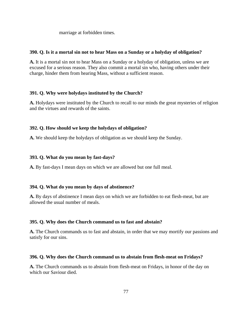marriage at forbidden times.

#### **390. Q. Is it a mortal sin not to hear Mass on a Sunday or a holyday of obligation?**

**A.** It is a mortal sin not to hear Mass on a Sunday or a holyday of obligation, unless we are excused for a serious reason. They also commit a mortal sin who, having others under their charge, hinder them from hearing Mass, without a sufficient reason.

#### **391. Q. Why were holydays instituted by the Church?**

**A.** Holydays were instituted by the Church to recall to our minds the great mysteries of religion and the virtues and rewards of the saints.

#### **392. Q. How should we keep the holydays of obligation?**

**A.** We should keep the holydays of obligation as we should keep the Sunday.

#### **393. Q. What do you mean by fast-days?**

**A.** By fast-days I mean days on which we are allowed but one full meal.

#### **394. Q. What do you mean by days of abstinence?**

**A.** By days of abstinence I mean days on which we are forbidden to eat flesh-meat, but are allowed the usual number of meals.

#### **395. Q. Why does the Church command us to fast and abstain?**

**A.** The Church commands us to fast and abstain, in order that we may mortify our passions and satisfy for our sins.

#### **396. Q. Why does the Church command us to abstain from flesh-meat on Fridays?**

**A.** The Church commands us to abstain from flesh-meat on Fridays, in honor of the day on which our Saviour died.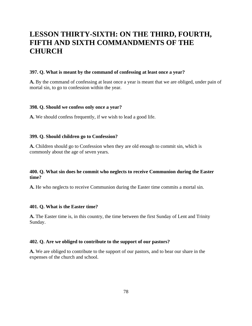# **LESSON THIRTY-SIXTH: ON THE THIRD, FOURTH, FIFTH AND SIXTH COMMANDMENTS OF THE CHURCH**

#### **397. Q. What is meant by the command of confessing at least once a year?**

**A.** By the command of confessing at least once a year is meant that we are obliged, under pain of mortal sin, to go to confession within the year.

#### **398. Q. Should we confess only once a year?**

**A.** We should confess frequently, if we wish to lead a good life.

#### **399. Q. Should children go to Confession?**

**A.** Children should go to Confession when they are old enough to commit sin, which is commonly about the age of seven years.

# **400. Q. What sin does he commit who neglects to receive Communion during the Easter time?**

**A.** He who neglects to receive Communion during the Easter time commits a mortal sin.

#### **401. Q. What is the Easter time?**

**A.** The Easter time is, in this country, the time between the first Sunday of Lent and Trinity Sunday.

#### **402. Q. Are we obliged to contribute to the support of our pastors?**

**A.** We are obliged to contribute to the support of our pastors, and to bear our share in the expenses of the church and school.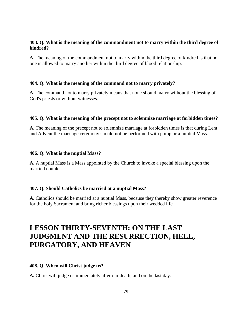# **403. Q. What is the meaning of the commandment not to marry within the third degree of kindred?**

**A.** The meaning of the commandment not to marry within the third degree of kindred is that no one is allowed to marry another within the third degree of blood relationship.

# **404. Q. What is the meaning of the command not to marry privately?**

**A.** The command not to marry privately means that none should marry without the blessing of God's priests or without witnesses.

# **405. Q. What is the meaning of the precept not to solemnize marriage at forbidden times?**

**A.** The meaning of the precept not to solemnize marriage at forbidden times is that during Lent and Advent the marriage ceremony should not be performed with pomp or a nuptial Mass.

#### **406. Q. What is the nuptial Mass?**

**A.** A nuptial Mass is a Mass appointed by the Church to invoke a special blessing upon the married couple.

# **407. Q. Should Catholics be married at a nuptial Mass?**

**A.** Catholics should be married at a nuptial Mass, because they thereby show greater reverence for the holy Sacrament and bring richer blessings upon their wedded life.

# **LESSON THIRTY-SEVENTH: ON THE LAST JUDGMENT AND THE RESURRECTION, HELL, PURGATORY, AND HEAVEN**

# **408. Q. When will Christ judge us?**

**A.** Christ will judge us immediately after our death, and on the last day.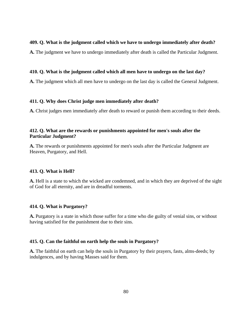# **409. Q. What is the judgment called which we have to undergo immediately after death?**

**A.** The judgment we have to undergo immediately after death is called the Particular Judgment.

# **410. Q. What is the judgment called which all men have to undergo on the last day?**

**A.** The judgment which all men have to undergo on the last day is called the General Judgment.

# **411. Q. Why does Christ judge men immediately after death?**

**A.** Christ judges men immediately after death to reward or punish them according to their deeds.

# **412. Q. What are the rewards or punishments appointed for men's souls after the Particular Judgment?**

**A.** The rewards or punishments appointed for men's souls after the Particular Judgment are Heaven, Purgatory, and Hell.

# **413. Q. What is Hell?**

**A.** Hell is a state to which the wicked are condemned, and in which they are deprived of the sight of God for all eternity, and are in dreadful torments.

#### **414. Q. What is Purgatory?**

**A.** Purgatory is a state in which those suffer for a time who die guilty of venial sins, or without having satisfied for the punishment due to their sins.

# **415. Q. Can the faithful on earth help the souls in Purgatory?**

**A.** The faithful on earth can help the souls in Purgatory by their prayers, fasts, alms-deeds; by indulgences, and by having Masses said for them.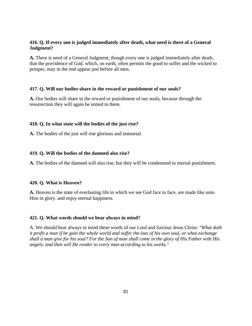# **416. Q. If every one is judged immediately after death, what need is there of a General Judgment?**

**A.** There is need of a General Judgment, though every one is judged immediately after death, that the providence of God, which, on earth, often permits the good to suffer and the wicked to prosper, may in the end appear just before all men.

# **417. Q. Will our bodies share in the reward or punishment of our souls?**

**A.** Our bodies will share in the reward or punishment of our souls, because through the resurrection they will again be united to them.

# **418. Q. In what state will the bodies of the just rise?**

**A.** The bodies of the just will rise glorious and immortal.

# **419. Q. Will the bodies of the damned also rise?**

**A.** The bodies of the damned will also rise, but they will be condemned to eternal punishment.

#### **420. Q. What is Heaven?**

**A.** Heaven is the state of everlasting life in which we see God face to face, are made like unto Him in glory. and enjoy eternal happiness.

#### **421. Q. What words should we bear always in mind?**

A. We should bear always in mind these words of our Lord and Saviour Jesus Christ: *"What doth it profit a man if he gain the whole world and suffer the loss of his own soul, or what exchange shall a man give for his soul? For the Son of man shall come in the glory of His Father with His angels; and then will He render to every man according to his works."*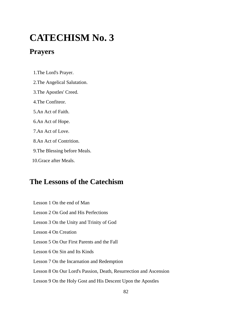# **CATECHISM No. 3**

# **Prayers**

1.The Lord's Prayer.

- 2.The Angelical Salutation.
- 3.The Apostles' Creed.
- 4.The Confiteor.
- 5.An Act of Faith.
- 6.An Act of Hope.
- 7.An Act of Love.
- 8.An Act of Contrition.
- 9.The Blessing before Meals.
- 10.Grace after Meals.

# **The Lessons of the Catechism**

 Lesson 1 On the end of Man Lesson 2 On God and His Perfections Lesson 3 On the Unity and Trinity of God Lesson 4 On Creation Lesson 5 On Our First Parents and the Fall Lesson 6 On Sin and Its Kinds Lesson 7 On the Incarnation and Redemption Lesson 8 On Our Lord's Passion, Death, Resurrection and Ascension Lesson 9 On the Holy Gost and His Descent Upon the Apostles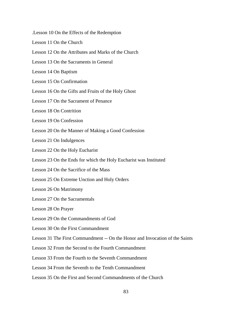- .Lesson 10 On the Effects of the Redemption
- Lesson 11 On the Church
- Lesson 12 On the Attributes and Marks of the Church
- Lesson 13 On the Sacraments in General
- Lesson 14 On Baptism
- Lesson 15 On Confirmation
- Lesson 16 On the Gifts and Fruits of the Holy Ghost
- Lesson 17 On the Sacrament of Penance
- Lesson 18 On Contrition
- Lesson 19 On Confession
- Lesson 20 On the Manner of Making a Good Confession
- Lesson 21 On Indulgences
- Lesson 22 On the Holy Eucharist
- Lesson 23 On the Ends for which the Holy Eucharist was Instituted
- Lesson 24 On the Sacrifice of the Mass
- Lesson 25 On Extreme Unction and Holy Orders
- Lesson 26 On Matrimony
- Lesson 27 On the Sacramentals
- Lesson 28 On Prayer
- Lesson 29 On the Commandments of God
- Lesson 30 On the First Commandment
- Lesson 31 The First Commandment -- On the Honor and Invocation of the Saints
- Lesson 32 From the Second to the Fourth Commandment
- Lesson 33 From the Fourth to the Seventh Commandment
- Lesson 34 From the Seventh to the Tenth Commandment
- Lesson 35 On the First and Second Commandments of the Church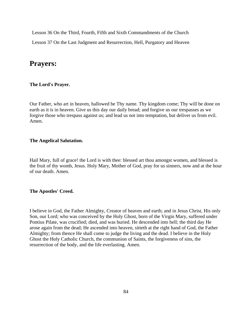Lesson 36 On the Third, Fourth, Fifth and Sixth Commandments of the Church

Lesson 37 On the Last Judgment and Resurrection, Hell, Purgatory and Heaven

# **Prayers:**

# **The Lord's Prayer.**

Our Father, who art in heaven, hallowed be Thy name. Thy kingdom come; Thy will be done on earth as it is in heaven. Give us this day our daily bread; and forgive us our trespasses as we forgive those who trespass against us; and lead us not into temptation, but deliver us from evil. Amen.

# **The Angelical Salutation.**

Hail Mary, full of grace! the Lord is with thee: blessed art thou amongst women, and blessed is the fruit of thy womb, Jesus. Holy Mary, Mother of God, pray for us sinners, now and at the hour of our death. Amen.

#### **The Apostles' Creed.**

I believe in God, the Father Almighty, Creator of heaven and earth; and in Jesus Christ, His only Son, our Lord; who was conceived by the Holy Ghost, born of the Virgin Mary, suffered under Pontius Pilate, was crucified; died, and was buried. He descended into hell; the third day He arose again from the dead; He ascended into heaven, sitteth at the right hand of God, the Father Almighty; from thence He shall come to judge the living and the dead. I believe in the Holy Ghost the Holy Catholic Church, the communion of Saints, the forgiveness of sins, the resurrection of the body, and the life everlasting. Amen.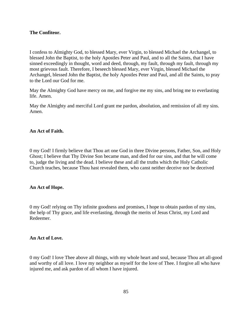#### **The Confiteor.**

I confess to Almighty God, to blessed Mary, ever Virgin, to blessed Michael the Archangel, to blessed John the Baptist, to the holy Apostles Peter and Paul, and to all the Saints, that I have sinned exceedingly in thought, word and deed, through, my fault, through my fault, through my most grievous fault. Therefore, I beseech blessed Mary, ever Virgin, blessed Michael the Archangel, blessed John the Baptist, the holy Apostles Peter and Paul, and all the Saints, to pray to the Lord our God for me.

May the Almighty God have mercy on me, and forgive me my sins, and bring me to everlasting life. Amen.

May the Almighty and merciful Lord grant me pardon, absolution, and remission of all my sins. Amen.

#### **An Act of Faith.**

0 my God! I firmly believe that Thou art one God in three Divine persons, Father, Son, and Holy Ghost; I believe that Thy Divine Son became man, and died for our sins, and that he will come to, judge the living and the dead. I believe these and all the truths which the Holy Catholic Church teaches, because Thou hast revealed them, who canst neither deceive nor be deceived

#### **An Act of Hope.**

0 my God! relying on Thy infinite goodness and promises, I hope to obtain pardon of my sins, the help of Thy grace, and life everlasting, through the merits of Jesus Christ, my Lord and Redeemer.

# **An Act of Love.**

0 my God! I love Thee above all things, with my whole heart and soul, because Thou art all-good and worthy of all love. I love my neighbor as myself for the love of Thee. I forgive all who have injured me, and ask pardon of all whom I have injured.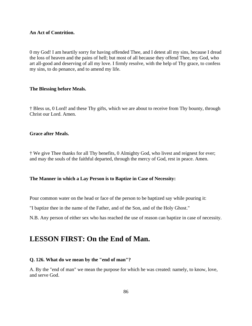#### **An Act of Contrition.**

0 my God! I am heartily sorry for having offended Thee, and I detest all my sins, because I dread the loss of heaven and the pains of hell; but most of all because they offend Thee, my God, who art all-good and deserving of all my love. I firmly resolve, with the help of Thy grace, to confess my sins, to do penance, and to amend my life.

#### **The Blessing before Meals.**

† Bless us, 0 Lord! and these Thy gifts, which we are about to receive from Thy bounty, through Christ our Lord. Amen.

# **Grace after Meals.**

† We give Thee thanks for all Thy benefits, 0 Almighty God, who livest and reignest for ever; and may the souls of the faithful departed, through the mercy of God, rest in peace. Amen.

#### **The Manner in which a Lay Person is to Baptize in Case of Necessity:**

Pour common water on the head or face of the person to be baptized say while pouring it:

"I baptize thee in the name of the Father, and of the Son, and of the Holy Ghost."

N.B. Any person of either sex who has reached the use of reason can baptize in case of necessity.

# **LESSON FIRST: On the End of Man.**

#### **Q. 126. What do we mean by the "end of man"?**

A. By the "end of man" we mean the purpose for which he was created: namely, to know, love, and serve God.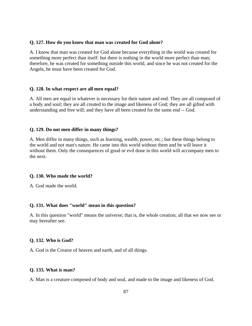#### **Q. 127. How do you know that man was created for God alone?**

A. I know that man was created for God alone because everything in the world was created for something more perfect than itself: but there is nothing in the world more perfect than man; therefore, he was created for something outside this world, and since he was not created for the Angels, he must have been created for God.

#### **Q. 128. In what respect are all men equal?**

A. All men are equal in whatever is necessary for their nature and end. They are all composed of a body and soul; they are all created to the image and likeness of God; they are all gifted with understanding and free will; and they have all been created for the same end -- God.

#### **Q. 129. Do not men differ in many things?**

A. Men differ in many things, such as learning, wealth, power, etc.; but these things belong to the world and not man's nature. He came into this world without them and he will leave it without them. Only the consequences of good or evil done in this world will accompany men to the next.

#### **Q. 130. Who made the world?**

A. God made the world.

#### **Q. 131. What does "world" mean in this question?**

A. In this question "world" means the universe; that is, the whole creation; all that we now see or may hereafter see.

#### **Q. 132. Who is God?**

A. God is the Creator of heaven and earth, and of all things.

#### **Q. 133. What is man?**

A. Man is a creature composed of body and soul, and made to the image and likeness of God.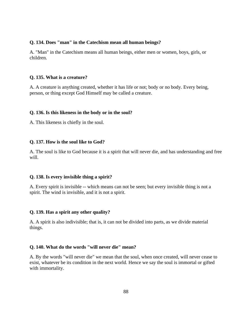#### **Q. 134. Does "man" in the Catechism mean all human beings?**

A. "Man" in the Catechism means all human beings, either men or women, boys, girls, or children.

#### **Q. 135. What is a creature?**

A. A creature is anything created, whether it has life or not; body or no body. Every being, person, or thing except God Himself may be called a creature.

#### **Q. 136. Is this likeness in the body or in the soul?**

A. This likeness is chiefly in the soul.

#### **Q. 137. How is the soul like to God?**

A. The soul is like to God because it is a spirit that will never die, and has understanding and free will.

#### **Q. 138. Is every invisible thing a spirit?**

A. Every spirit is invisible -- which means can not be seen; but every invisible thing is not a spirit. The wind is invisible, and it is not a spirit.

#### **Q. 139. Has a spirit any other quality?**

A. A spirit is also indivisible; that is, it can not be divided into parts, as we divide material things.

# **Q. 140. What do the words "will never die" mean?**

A. By the words "will never die" we mean that the soul, when once created, will never cease to exist, whatever be its condition in the next world. Hence we say the soul is immortal or gifted with immortality.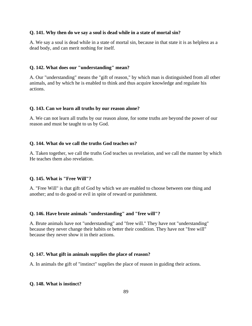#### **Q. 141. Why then do we say a soul is dead while in a state of mortal sin?**

A. We say a soul is dead while in a state of mortal sin, because in that state it is as helpless as a dead body, and can merit nothing for itself.

#### **Q. 142. What does our "understanding" mean?**

A. Our "understanding" means the "gift of reason," by which man is distinguished from all other animals, and by which he is enabled to think and thus acquire knowledge and regulate his actions.

#### **Q. 143. Can we learn all truths by our reason alone?**

A. We can not learn all truths by our reason alone, for some truths are beyond the power of our reason and must be taught to us by God.

#### **Q. 144. What do we call the truths God teaches us?**

A. Taken together, we call the truths God teaches us revelation, and we call the manner by which He teaches them also revelation.

#### **Q. 145. What is "Free Will"?**

A. "Free Will" is that gift of God by which we are enabled to choose between one thing and another; and to do good or evil in spite of reward or punishment.

#### **Q. 146. Have brute animals "understanding" and "free will"?**

A. Brute animals have not "understanding" and "free will." They have not "understanding" because they never change their habits or better their condition. They have not "free will" because they never show it in their actions.

#### **Q. 147. What gift in animals supplies the place of reason?**

A. In animals the gift of "instinct" supplies the place of reason in guiding their actions.

#### **Q. 148. What is instinct?**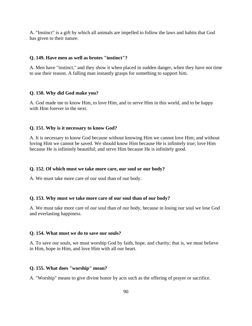A. "Instinct" is a gift by which all animals are impelled to follow the laws and habits that God has given to their nature.

#### **Q. 149. Have men as well as brutes "instinct"?**

A. Men have "instinct," and they show it when placed in sudden danger, when they have not time to use their reason. A falling man instantly grasps for something to support him.

#### **Q. 150. Why did God make you?**

A. God made me to know Him, to love Him, and to serve Him in this world, and to be happy with Him forever in the next.

#### **Q. 151. Why is it necessary to know God?**

A. It is necessary to know God because without knowing Him we cannot love Him; and without loving Him we cannot be saved. We should know Him because He is infinitely true; love Him because He is infinitely beautiful; and serve Him because He is infinitely good.

#### **Q. 152. Of which must we take more care, our soul or our body?**

A. We must take more care of our soul than of our body.

#### **Q. 153. Why must we take more care of our soul than of our body?**

A. We must take more care of our soul than of our body, because in losing our soul we lose God and everlasting happiness.

#### **Q. 154. What must we do to save our souls?**

A. To save our souls, we must worship God by faith, hope, and charity; that is, we must believe in Him, hope in Him, and love Him with all our heart.

#### **Q. 155. What does "worship" mean?**

A. "Worship" means to give divine honor by acts such as the offering of prayer or sacrifice.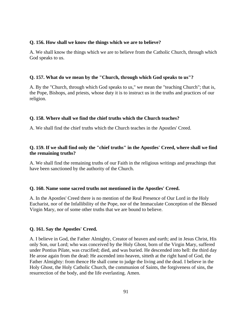# **Q. 156. How shall we know the things which we are to believe?**

A. We shall know the things which we are to believe from the Catholic Church, through which God speaks to us.

# **Q. 157. What do we mean by the "Church, through which God speaks to us"?**

A. By the "Church, through which God speaks to us," we mean the "teaching Church"; that is, the Pope, Bishops, and priests, whose duty it is to instruct us in the truths and practices of our religion.

# **Q. 158. Where shall we find the chief truths which the Church teaches?**

A. We shall find the chief truths which the Church teaches in the Apostles' Creed.

# **Q. 159. If we shall find only the "chief truths" in the Apostles' Creed, where shall we find the remaining truths?**

A. We shall find the remaining truths of our Faith in the religious writings and preachings that have been sanctioned by the authority of the Church.

# **Q. 160. Name some sacred truths not mentioned in the Apostles' Creed.**

A. In the Apostles' Creed there is no mention of the Real Presence of Our Lord in the Holy Eucharist, nor of the Infallibility of the Pope, nor of the Immaculate Conception of the Blessed Virgin Mary, nor of some other truths that we are bound to believe.

# **Q. 161. Say the Apostles' Creed.**

A. I believe in God, the Father Almighty, Creator of heaven and earth; and in Jesus Christ, His only Son, our Lord; who was conceived by the Holy Ghost, born of the Virgin Mary, suffered under Pontius Pilate, was crucified; died, and was buried. He descended into hell: the third day He arose again from the dead: He ascended into heaven, sitteth at the right hand of God, the Father Almighty: from thence He shall come to judge the living and the dead. I believe in the Holy Ghost, the Holy Catholic Church, the communion of Saints, the forgiveness of sins, the resurrection of the body, and the life everlasting. Amen.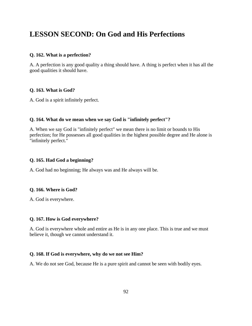# **LESSON SECOND: On God and His Perfections**

### **Q. 162. What is a perfection?**

A. A perfection is any good quality a thing should have. A thing is perfect when it has all the good qualities it should have.

# **Q. 163. What is God?**

A. God is a spirit infinitely perfect.

# **Q. 164. What do we mean when we say God is "infinitely perfect"?**

A. When we say God is "infinitely perfect" we mean there is no limit or bounds to His perfection; for He possesses all good qualities in the highest possible degree and He alone is "infinitely perfect."

#### **Q. 165. Had God a beginning?**

A. God had no beginning; He always was and He always will be.

#### **Q. 166. Where is God?**

A. God is everywhere.

#### **Q. 167. How is God everywhere?**

A. God is everywhere whole and entire as He is in any one place. This is true and we must believe it, though we cannot understand it.

#### **Q. 168. If God is everywhere, why do we not see Him?**

A. We do not see God, because He is a pure spirit and cannot be seen with bodily eyes.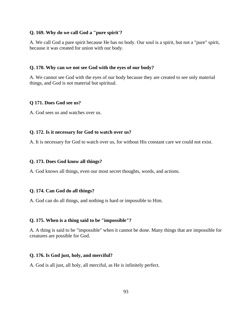#### **Q. 169. Why do we call God a "pure spirit'?**

A. We call God a pure spirit because He has no body. Our soul is a spirit, but not a "pure" spirit, because it was created for union with our body.

# **Q. 170. Why can we not see God with the eyes of our body?**

A. We cannot see God with the eyes of our body because they are created to see only material things, and God is not material but spiritual.

#### **Q 171. Does God see us?**

A. God sees us and watches over us.

#### **Q. 172. Is it necessary for God to watch over us?**

A. It is necessary for God to watch over us, for without His constant care we could not exist.

#### **Q. 173. Does God know all things?**

A. God knows all things, even our most secret thoughts, words, and actions.

#### **Q. 174. Can God do all things?**

A. God can do all things, and nothing is hard or impossible to Him.

# **Q. 175. When is a thing said to be "impossible"?**

A. A thing is said to be "impossible" when it cannot be done. Many things that are impossible for creatures are possible for God.

#### **Q. 176. Is God just, holy, and merciful?**

A. God is all just, all holy, all merciful, as He is infinitely perfect.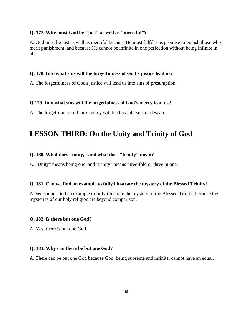#### **Q. 177. Why must God be "just" as well as "merciful"?**

A. God must be just as well as merciful because He must fulfill His promise to punish those who merit punishment, and because He cannot be infinite in one perfection without being infinite in all.

#### **Q. 178. Into what sins will the forgetfulness of God's justice lead us?**

A. The forgetfulness of God's justice will lead us into sins of presumption.

#### **Q 179. Into what sins will the forgetfulness of God's mercy lead us?**

A. The forgetfulness of God's mercy will lead us into sins of despair.

# **LESSON THIRD: On the Unity and Trinity of God**

#### **Q. 180. What does "unity," and what does "trinity" mean?**

A. "Unity" means being one, and "trinity" means three-fold or three in one.

#### **Q. 181. Can we find an example to fully illustrate the mystery of the Blessed Trinity?**

A. We cannot find an example to fully illustrate the mystery of the Blessed Trinity, because the mysteries of our holy religion are beyond comparison.

#### **Q. 182. Is there but one God?**

A. Yes; there is but one God.

#### **Q. 183. Why can there be but one God?**

A. There can be but one God because God, being supreme and infinite, cannot have an equal.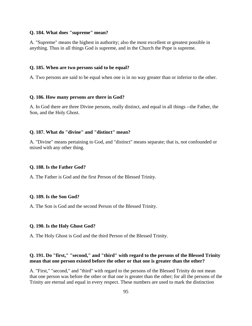#### **Q. 184. What does "supreme" mean?**

A. "Supreme" means the highest in authority; also the most excellent or greatest possible in anything. Thus in all things God is supreme, and in the Church the Pope is supreme.

#### **Q. 185. When are two persons said to be equal?**

A. Two persons are said to be equal when one is in no way greater than or inferior to the other.

#### **Q. 186. How many persons are there in God?**

A. In God there are three Divine persons, really distinct, and equal in all things --the Father, the Son, and the Holy Ghost.

# **Q. 187. What do "divine" and "distinct" mean?**

A. "Divine" means pertaining to God, and "distinct" means separate; that is, not confounded or mixed with any other thing.

#### **Q. 188. Is the Father God?**

A. The Father is God and the first Person of the Blessed Trinity.

#### **Q. 189. Is the Son God?**

A. The Son is God and the second Person of the Blessed Trinity.

#### **Q. 190. Is the Holy Ghost God?**

A. The Holy Ghost is God and the third Person of the Blessed Trinity.

# **Q. 191. Do "first," "second," and "third" with regard to the persons of the Blessed Trinity mean that one person existed before the other or that one is greater than the other?**

A. "First," "second," and "third" with regard to the persons of the Blessed Trinity do not mean that one person was before the other or that one is greater than the other; for all the persons of the Trinity are eternal and equal in every respect. These numbers are used to mark the distinction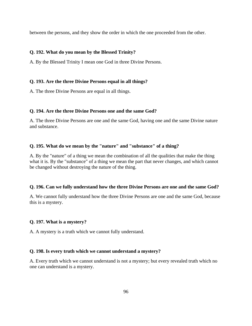between the persons, and they show the order in which the one proceeded from the other.

# **Q. 192. What do you mean by the Blessed Trinity?**

A. By the Blessed Trinity I mean one God in three Divine Persons.

# **Q. 193. Are the three Divine Persons equal in all things?**

A. The three Divine Persons are equal in all things.

# **Q. 194. Are the three Divine Persons one and the same God?**

A. The three Divine Persons are one and the same God, having one and the same Divine nature and substance.

# **Q. 195. What do we mean by the "nature" and "substance" of a thing?**

A. By the "nature" of a thing we mean the combination of all the qualities that make the thing what it is. By the "substance" of a thing we mean the part that never changes, and which cannot be changed without destroying the nature of the thing.

# **Q. 196. Can we fully understand how the three Divine Persons are one and the same God?**

A. We cannot fully understand how the three Divine Persons are one and the same God, because this is a mystery.

#### **Q. 197. What is a mystery?**

A. A mystery is a truth which we cannot fully understand.

#### **Q. 198. Is every truth which we cannot understand a mystery?**

A. Every truth which we cannot understand is not a mystery; but every revealed truth which no one can understand is a mystery.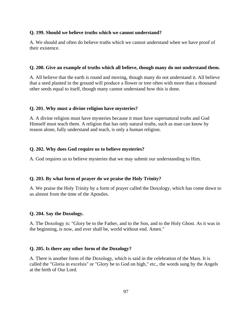#### **Q. 199. Should we believe truths which we cannot understand?**

A. We should and often do believe truths which we cannot understand when we have proof of their existence.

#### **Q. 200. Give an example of truths which all believe, though many do not understand them.**

A. All believe that the earth is round and moving, though many do not understand it. All believe that a seed planted in the ground will produce a flower or tree often with more than a thousand other seeds equal to itself, though many cannot understand how this is done.

#### **Q. 201. Why must a divine religion have mysteries?**

A. A divine religion must have mysteries because it must have supernatural truths and God Himself must teach them. A religion that has only natural truths, such as man can know by reason alone, fully understand and teach, is only a human religion.

#### **Q. 202. Why does God require us to believe mysteries?**

A. God requires us to believe mysteries that we may submit our understanding to Him.

#### **Q. 203. By what form of prayer do we praise the Holy Trinity?**

A. We praise the Holy Trinity by a form of prayer called the Doxology, which has come down to us almost from the time of the Apostles.

#### **Q. 204. Say the Doxology.**

A. The Doxology is: "Glory be to the Father, and to the Son, and to the Holy Ghost. As it was in the beginning, is now, and ever shall be, world without end. Amen."

#### **Q. 205. Is there any other form of the Doxology?**

A. There is another form of the Doxology, which is said in the celebration of the Mass. It is called the "Gloria in excelsis" or "Glory be to God on high," etc., the words sung by the Angels at the birth of Our Lord.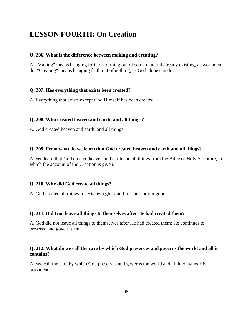# **LESSON FOURTH: On Creation**

#### **Q. 206. What is the difference between making and creating?**

A. "Making" means bringing forth or forming out of some material already existing, as workmen do. "Creating" means bringing forth out of nothing, as God alone can do.

#### **Q. 207. Has everything that exists been created?**

A. Everything that exists except God Himself has been created.

#### **Q. 208. Who created heaven and earth, and all things?**

A. God created heaven and earth, and all things.

#### **Q. 209. From what do we learn that God created heaven and earth and all things?**

A. We learn that God created heaven and earth and all things from the Bible or Holy Scripture, in which the account of the Creation is given.

#### **Q. 210. Why did God create all things?**

A. God created all things for His own glory and for their or our good.

#### **Q. 211. Did God leave all things to themselves after He had created them?**

A. God did not leave all things to themselves after He had created them; He continues to preserve and govern them.

#### **Q. 212. What do we call the care by which God preserves and governs the world and all it contains?**

A. We call the care by which God preserves and governs the world and all it contains His providence.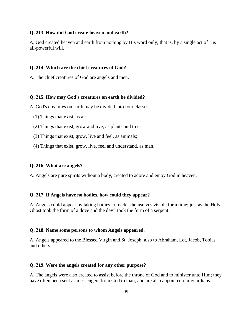#### **Q. 213. How did God create heaven and earth?**

A. God created heaven and earth from nothing by His word only; that is, by a single act of His all-powerful will.

# **Q. 214. Which are the chief creatures of God?**

A. The chief creatures of God are angels and men.

#### **Q. 215. How may God's creatures on earth be divided?**

A. God's creatures on earth may be divided into four classes:

- (1) Things that exist, as air;
- (2) Things that exist, grow and live, as plants and trees;
- (3) Things that exist, grow, live and feel, as animals;
- (4) Things that exist, grow, live, feel and understand, as man.

#### **Q. 216. What are angels?**

A. Angels are pure spirits without a body, created to adore and enjoy God in heaven.

#### **Q. 217. If Angels have no bodies, how could they appear?**

A. Angels could appear by taking bodies to render themselves visible for a time; just as the Holy Ghost took the form of a dove and the devil took the form of a serpent.

#### **Q. 218. Name some persons to whom Angels appeared.**

A. Angels appeared to the Blessed Virgin and St. Joseph; also to Abraham, Lot, Jacob, Tobias and others.

#### **Q. 219. Were the angels created for any other purpose?**

A. The angels were also created to assist before the throne of God and to minister unto Him; they have often been sent as messengers from God to man; and are also appointed our guardians.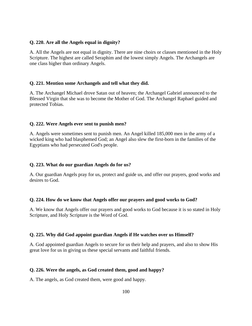# **Q. 220. Are all the Angels equal in dignity?**

A. All the Angels are not equal in dignity. There are nine choirs or classes mentioned in the Holy Scripture. The highest are called Seraphim and the lowest simply Angels. The Archangels are one class higher than ordinary Angels.

# **Q. 221. Mention some Archangels and tell what they did.**

A. The Archangel Michael drove Satan out of heaven; the Archangel Gabriel announced to the Blessed Virgin that she was to become the Mother of God. The Archangel Raphael guided and protected Tobias.

# **Q. 222. Were Angels ever sent to punish men?**

A. Angels were sometimes sent to punish men. An Angel killed 185,000 men in the army of a wicked king who had blasphemed God; an Angel also slew the first-born in the families of the Egyptians who had persecuted God's people.

# **Q. 223. What do our guardian Angels do for us?**

A. Our guardian Angels pray for us, protect and guide us, and offer our prayers, good works and desires to God.

#### **Q. 224. How do we know that Angels offer our prayers and good works to God?**

A. We know that Angels offer our prayers and good works to God because it is so stated in Holy Scripture, and Holy Scripture is the Word of God.

#### **Q. 225. Why did God appoint guardian Angels if He watches over us Himself?**

A. God appointed guardian Angels to secure for us their help and prayers, and also to show His great love for us in giving us these special servants and faithful friends.

# **Q. 226. Were the angels, as God created them, good and happy?**

A. The angels, as God created them, were good and happy.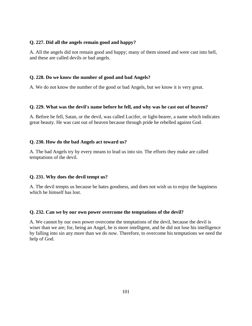# **Q. 227. Did all the angels remain good and happy?**

A. All the angels did not remain good and happy; many of them sinned and were cast into hell, and these are called devils or bad angels.

# **Q. 228. Do we know the number of good and bad Angels?**

A. We do not know the number of the good or bad Angels, but we know it is very great.

# **Q. 229. What was the devil's name before he fell, and why was he cast out of heaven?**

A. Before he fell, Satan, or the devil, was called Lucifer, or light-bearer, a name which indicates great beauty. He was cast out of heaven because through pride he rebelled against God.

# **Q. 230. How do the bad Angels act toward us?**

A. The bad Angels try by every means to lead us into sin. The efforts they make are called temptations of the devil.

# **Q. 231. Why does the devil tempt us?**

A. The devil tempts us because he hates goodness, and does not wish us to enjoy the happiness which he himself has lost.

# **Q. 232. Can we by our own power overcome the temptations of the devil?**

A. We cannot by our own power overcome the temptations of the devil, because the devil is wiser than we are; for, being an Angel, he is more intelligent, and he did not lose his intelligence by falling into sin any more than we do now. Therefore, to overcome his temptations we need the help of God.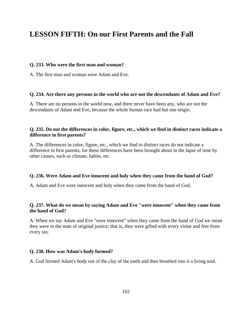# **LESSON FIFTH: On our First Parents and the Fall**

# **Q. 233. Who were the first man and woman?**

A. The first man and woman were Adam and Eve.

# **Q. 234. Are there any persons in the world who are not the descendants of Adam and Eve?**

A. There are no persons in the world now, and there never have been any, who are not the descendants of Adam and Eve, because the whole human race had but one origin.

# **Q. 235. Do not the differences in color, figure, etc., which we find in distinct races indicate a difference in first parents?**

A. The differences in color, figure, etc., which we find in distinct races do not indicate a difference in first parents, for these differences have been brought about in the lapse of time by other causes, such as climate, habits, etc.

#### **Q. 236. Were Adam and Eve innocent and holy when they came from the hand of God?**

A. Adam and Eve were innocent and holy when they came from the hand of God.

# **Q. 237. What do we mean by saying Adam and Eve "were innocent" when they came from the hand of God?**

A. When we say Adam and Eve "were innocent" when they came from the hand of God we mean they were in the state of original justice; that is, they were gifted with every virtue and free from every sin.

# **Q. 238. How was Adam's body formed?**

A. God formed Adam's body out of the clay of the earth and then breathed into it a living soul.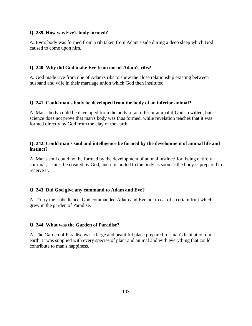# **Q. 239. How was Eve's body formed?**

A. Eve's body was formed from a rib taken from Adam's side during a deep sleep which God caused to come upon him.

# **Q. 240. Why did God make Eve from one of Adam's ribs?**

A. God made Eve from one of Adam's ribs to show the close relationship existing between husband and wife in their marriage union which God then instituted.

# **Q. 241. Could man's body be developed from the body of an inferior animal?**

A. Man's body could be developed from the body of an inferior animal if God so willed; but science does not prove that man's body was thus formed, while revelation teaches that it was formed directly by God from the clay of the earth.

# **Q. 242. Could man's soul and intelligence be formed by the development of animal life and instinct?**

A. Man's soul could not be formed by the development of animal instinct; for, being entirely spiritual, it must be created by God, and it is united to the body as soon as the body is prepared to receive it.

# **Q. 243. Did God give any command to Adam and Eve?**

A. To try their obedience, God commanded Adam and Eve not to eat of a certain fruit which grew in the garden of Paradise.

# **Q. 244. What was the Garden of Paradise?**

A. The Garden of Paradise was a large and beautiful place prepared for man's habitation upon earth. It was supplied with every species of plant and animal and with everything that could contribute to man's happiness.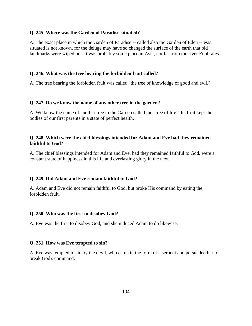#### **Q. 245. Where was the Garden of Paradise situated?**

A. The exact place in which the Garden of Paradise -- called also the Garden of Eden -- was situated is not known, for the deluge may have so changed the surface of the earth that old landmarks were wiped out. It was probably some place in Asia, not far from the river Euphrates.

# **Q. 246. What was the tree bearing the forbidden fruit called?**

A. The tree bearing the forbidden fruit was called "the tree of knowledge of good and evil."

# **Q. 247. Do we know the name of any other tree in the garden?**

A. We know the name of another tree in the Garden called the "tree of life." Its fruit kept the bodies of our first parents in a state of perfect health.

# **Q. 248. Which were the chief blessings intended for Adam and Eve had they remained faithful to God?**

A. The chief blessings intended for Adam and Eve, had they remained faithful to God, were a constant state of happiness in this life and everlasting glory in the next.

# **Q. 249. Did Adam and Eve remain faithful to God?**

A. Adam and Eve did not remain faithful to God, but broke His command by eating the forbidden fruit.

# **Q. 250. Who was the first to disobey God?**

A. Eve was the first to disobey God, and she induced Adam to do likewise.

# **Q. 251. How was Eve tempted to sin?**

A. Eve was tempted to sin by the devil, who came in the form of a serpent and persuaded her to break God's command.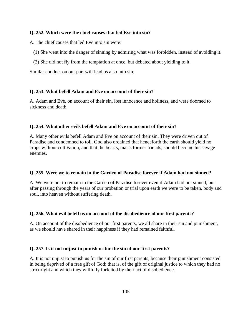# **Q. 252. Which were the chief causes that led Eve into sin?**

A. The chief causes that led Eve into sin were:

- (1) She went into the danger of sinning by admiring what was forbidden, instead of avoiding it.
- (2) She did not fly from the temptation at once, but debated about yielding to it.

Similar conduct on our part will lead us also into sin.

#### **Q. 253. What befell Adam and Eve on account of their sin?**

A. Adam and Eve, on account of their sin, lost innocence and holiness, and were doomed to sickness and death.

#### **Q. 254. What other evils befell Adam and Eve on account of their sin?**

A. Many other evils befell Adam and Eve on account of their sin. They were driven out of Paradise and condemned to toil. God also ordained that henceforth the earth should yield no crops without cultivation, and that the beasts, man's former friends, should become his savage enemies.

#### **Q. 255. Were we to remain in the Garden of Paradise forever if Adam had not sinned?**

A. We were not to remain in the Garden of Paradise forever even if Adam had not sinned, but after passing through the years of our probation or trial upon earth we were to be taken, body and soul, into heaven without suffering death.

#### **Q. 256. What evil befell us on account of the disobedience of our first parents?**

A. On account of the disobedience of our first parents, we all share in their sin and punishment, as we should have shared in their happiness if they had remained faithful.

#### **Q. 257. Is it not unjust to punish us for the sin of our first parents?**

A. It is not unjust to punish us for the sin of our first parents, because their punishment consisted in being deprived of a free gift of God; that is, of the gift of original justice to which they had no strict right and which they willfully forfeited by their act of disobedience.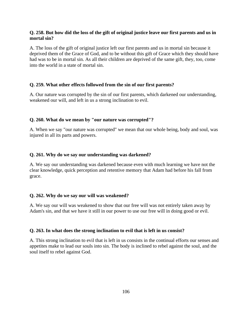# **Q. 258. But how did the loss of the gift of original justice leave our first parents and us in mortal sin?**

A. The loss of the gift of original justice left our first parents and us in mortal sin because it deprived them of the Grace of God, and to be without this gift of Grace which they should have had was to be in mortal sin. As all their children are deprived of the same gift, they, too, come into the world in a state of mortal sin.

#### **Q. 259. What other effects followed from the sin of our first parents?**

A. Our nature was corrupted by the sin of our first parents, which darkened our understanding, weakened our will, and left in us a strong inclination to evil.

#### **Q. 260. What do we mean by "our nature was corrupted"?**

A. When we say "our nature was corrupted" we mean that our whole being, body and soul, was injured in all its parts and powers.

#### **Q. 261. Why do we say our understanding was darkened?**

A. We say our understanding was darkened because even with much learning we have not the clear knowledge, quick perception and retentive memory that Adam had before his fall from grace.

#### **Q. 262. Why do we say our will was weakened?**

A. We say our will was weakened to show that our free will was not entirely taken away by Adam's sin, and that we have it still in our power to use our free will in doing good or evil.

#### **Q. 263. In what does the strong inclination to evil that is left in us consist?**

A. This strong inclination to evil that is left in us consists in the continual efforts our senses and appetites make to lead our souls into sin. The body is inclined to rebel against the soul, and the soul itself to rebel against God.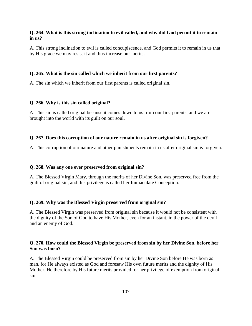# **Q. 264. What is this strong inclination to evil called, and why did God permit it to remain in us?**

A. This strong inclination to evil is called concupiscence, and God permits it to remain in us that by His grace we may resist it and thus increase our merits.

#### **Q. 265. What is the sin called which we inherit from our first parents?**

A. The sin which we inherit from our first parents is called original sin.

#### **Q. 266. Why is this sin called original?**

A. This sin is called original because it comes down to us from our first parents, and we are brought into the world with its guilt on our soul.

#### **Q. 267. Does this corruption of our nature remain in us after original sin is forgiven?**

A. This corruption of our nature and other punishments remain in us after original sin is forgiven.

#### **Q. 268. Was any one ever preserved from original sin?**

A. The Blessed Virgin Mary, through the merits of her Divine Son, was preserved free from the guilt of original sin, and this privilege is called her Immaculate Conception.

#### **Q. 269. Why was the Blessed Virgin preserved from original sin?**

A. The Blessed Virgin was preserved from original sin because it would not be consistent with the dignity of the Son of God to have His Mother, even for an instant, in the power of the devil and an enemy of God.

# **Q. 270. How could the Blessed Virgin be preserved from sin by her Divine Son, before her Son was born?**

A. The Blessed Virgin could be preserved from sin by her Divine Son before He was born as man, for He always existed as God and foresaw His own future merits and the dignity of His Mother. He therefore by His future merits provided for her privilege of exemption from original sin.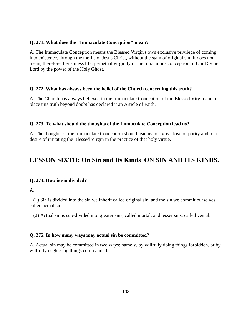### **Q. 271. What does the "Immaculate Conception" mean?**

A. The Immaculate Conception means the Blessed Virgin's own exclusive privilege of coming into existence, through the merits of Jesus Christ, without the stain of original sin. It does not mean, therefore, her sinless life, perpetual virginity or the miraculous conception of Our Divine Lord by the power of the Holy Ghost.

# **Q. 272. What has always been the belief of the Church concerning this truth?**

A. The Church has always believed in the Immaculate Conception of the Blessed Virgin and to place this truth beyond doubt has declared it an Article of Faith.

# **Q. 273. To what should the thoughts of the Immaculate Conception lead us?**

A. The thoughts of the Immaculate Conception should lead us to a great love of purity and to a desire of imitating the Blessed Virgin in the practice of that holy virtue.

# **LESSON SIXTH: On Sin and Its Kinds ON SIN AND ITS KINDS.**

#### **Q. 274. How is sin divided?**

A.

 (1) Sin is divided into the sin we inherit called original sin, and the sin we commit ourselves, called actual sin.

(2) Actual sin is sub-divided into greater sins, called mortal, and lesser sins, called venial.

# **Q. 275. In how many ways may actual sin be committed?**

A. Actual sin may be committed in two ways: namely, by willfully doing things forbidden, or by willfully neglecting things commanded.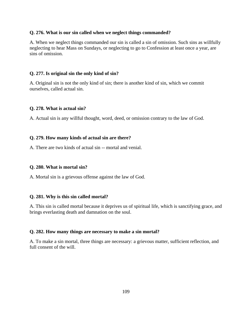## **Q. 276. What is our sin called when we neglect things commanded?**

A. When we neglect things commanded our sin is called a sin of omission. Such sins as willfully neglecting to hear Mass on Sundays, or neglecting to go to Confession at least once a year, are sins of omission.

## **Q. 277. Is original sin the only kind of sin?**

A. Original sin is not the only kind of sin; there is another kind of sin, which we commit ourselves, called actual sin.

## **Q. 278. What is actual sin?**

A. Actual sin is any willful thought, word, deed, or omission contrary to the law of God.

## **Q. 279. How many kinds of actual sin are there?**

A. There are two kinds of actual sin -- mortal and venial.

## **Q. 280. What is mortal sin?**

A. Mortal sin is a grievous offense against the law of God.

# **Q. 281. Why is this sin called mortal?**

A. This sin is called mortal because it deprives us of spiritual life, which is sanctifying grace, and brings everlasting death and damnation on the soul.

## **Q. 282. How many things are necessary to make a sin mortal?**

A. To make a sin mortal, three things are necessary: a grievous matter, sufficient reflection, and full consent of the will.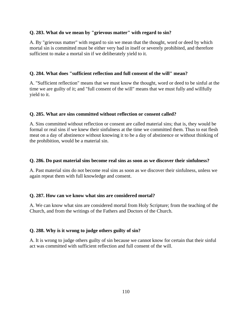# **Q. 283. What do we mean by "grievous matter" with regard to sin?**

A. By "grievous matter" with regard to sin we mean that the thought, word or deed by which mortal sin is committed must be either very bad in itself or severely prohibited, and therefore sufficient to make a mortal sin if we deliberately yield to it.

# **Q. 284. What does "sufficient reflection and full consent of the will" mean?**

A. "Sufficient reflection" means that we must know the thought, word or deed to be sinful at the time we are guilty of it; and "full consent of the will" means that we must fully and willfully yield to it.

## **Q. 285. What are sins committed without reflection or consent called?**

A. Sins committed without reflection or consent are called material sins; that is, they would be formal or real sins if we knew their sinfulness at the time we committed them. Thus to eat flesh meat on a day of abstinence without knowing it to be a day of abstinence or without thinking of the prohibition, would be a material sin.

## **Q. 286. Do past material sins become real sins as soon as we discover their sinfulness?**

A. Past material sins do not become real sins as soon as we discover their sinfulness, unless we again repeat them with full knowledge and consent.

# **Q. 287. How can we know what sins are considered mortal?**

A. We can know what sins are considered mortal from Holy Scripture; from the teaching of the Church, and from the writings of the Fathers and Doctors of the Church.

# **Q. 288. Why is it wrong to judge others guilty of sin?**

A. It is wrong to judge others guilty of sin because we cannot know for certain that their sinful act was committed with sufficient reflection and full consent of the will.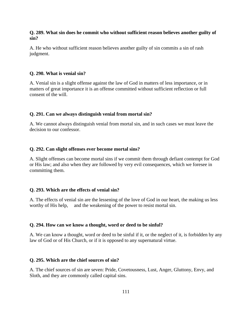## **Q. 289. What sin does he commit who without sufficient reason believes another guilty of sin?**

A. He who without sufficient reason believes another guilty of sin commits a sin of rash judgment.

## **Q. 290. What is venial sin?**

A. Venial sin is a slight offense against the law of God in matters of less importance, or in matters of great importance it is an offense committed without sufficient reflection or full consent of the will.

#### **Q. 291. Can we always distinguish venial from mortal sin?**

A. We cannot always distinguish venial from mortal sin, and in such cases we must leave the decision to our confessor.

## **Q. 292. Can slight offenses ever become mortal sins?**

A. Slight offenses can become mortal sins if we commit them through defiant contempt for God or His law; and also when they are followed by very evil consequences, which we foresee in committing them.

## **Q. 293. Which are the effects of venial sin?**

A. The effects of venial sin are the lessening of the love of God in our heart, the making us less worthy of His help, and the weakening of the power to resist mortal sin.

#### **Q. 294. How can we know a thought, word or deed to be sinful?**

A. We can know a thought, word or deed to be sinful if it, or the neglect of it, is forbidden by any law of God or of His Church, or if it is opposed to any supernatural virtue.

#### **Q. 295. Which are the chief sources of sin?**

A. The chief sources of sin are seven: Pride, Covetousness, Lust, Anger, Gluttony, Envy, and Sloth, and they are commonly called capital sins.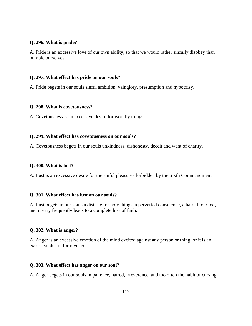# **Q. 296. What is pride?**

A. Pride is an excessive love of our own ability; so that we would rather sinfully disobey than humble ourselves.

## **Q. 297. What effect has pride on our souls?**

A. Pride begets in our souls sinful ambition, vainglory, presumption and hypocrisy.

## **Q. 298. What is covetousness?**

A. Covetousness is an excessive desire for worldly things.

## **Q. 299. What effect has covetousness on our souls?**

A. Covetousness begets in our souls unkindness, dishonesty, deceit and want of charity.

# **Q. 300. What is lust?**

A. Lust is an excessive desire for the sinful pleasures forbidden by the Sixth Commandment.

# **Q. 301. What effect has lust on our souls?**

A. Lust begets in our souls a distaste for holy things, a perverted conscience, a hatred for God, and it very frequently leads to a complete loss of faith.

# **Q. 302. What is anger?**

A. Anger is an excessive emotion of the mind excited against any person or thing, or it is an excessive desire for revenge.

## **Q. 303. What effect has anger on our soul?**

A. Anger begets in our souls impatience, hatred, irreverence, and too often the habit of cursing.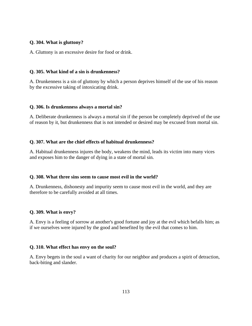# **Q. 304. What is gluttony?**

A. Gluttony is an excessive desire for food or drink.

## **Q. 305. What kind of a sin is drunkenness?**

A. Drunkenness is a sin of gluttony by which a person deprives himself of the use of his reason by the excessive taking of intoxicating drink.

## **Q. 306. Is drunkenness always a mortal sin?**

A. Deliberate drunkenness is always a mortal sin if the person be completely deprived of the use of reason by it, but drunkenness that is not intended or desired may be excused from mortal sin.

# **Q. 307. What are the chief effects of habitual drunkenness?**

A. Habitual drunkenness injures the body, weakens the mind, leads its victim into many vices and exposes him to the danger of dying in a state of mortal sin.

## **Q. 308. What three sins seem to cause most evil in the world?**

A. Drunkenness, dishonesty and impurity seem to cause most evil in the world, and they are therefore to be carefully avoided at all times.

# **Q. 309. What is envy?**

A. Envy is a feeling of sorrow at another's good fortune and joy at the evil which befalls him; as if we ourselves were injured by the good and benefited by the evil that comes to him.

## **Q. 310. What effect has envy on the soul?**

A. Envy begets in the soul a want of charity for our neighbor and produces a spirit of detraction, back-biting and slander.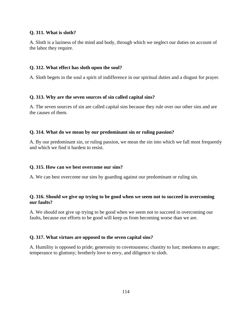## **Q. 311. What is sloth?**

A. Sloth is a laziness of the mind and body, through which we neglect our duties on account of the labor they require.

## **Q. 312. What effect has sloth upon the soul?**

A. Sloth begets in the soul a spirit of indifference in our spiritual duties and a disgust for prayer.

## **Q. 313. Why are the seven sources of sin called capital sins?**

A. The seven sources of sin are called capital sins because they rule over our other sins and are the causes of them.

## **Q. 314. What do we mean by our predominant sin or ruling passion?**

A. By our predominant sin, or ruling passion, we mean the sin into which we fall most frequently and which we find it hardest to resist.

## **Q. 315. How can we best overcome our sins?**

A. We can best overcome our sins by guarding against our predominant or ruling sin.

## **Q. 316. Should we give up trying to be good when we seem not to succeed in overcoming our faults?**

A. We should not give up trying to be good when we seem not to succeed in overcoming our faults, because our efforts to be good will keep us from becoming worse than we are.

## **Q. 317. What virtues are opposed to the seven capital sins?**

A. Humility is opposed to pride; generosity to covetousness; chastity to lust; meekness to anger; temperance to gluttony; brotherly love to envy, and diligence to sloth.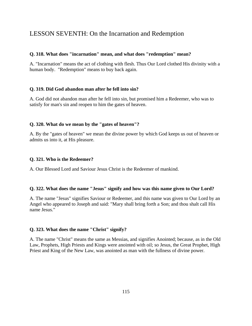# LESSON SEVENTH: On the Incarnation and Redemption

## **Q. 318. What does "incarnation" mean, and what does "redemption" mean?**

A. "Incarnation" means the act of clothing with flesh. Thus Our Lord clothed His divinity with a human body. "Redemption" means to buy back again.

#### **Q. 319. Did God abandon man after he fell into sin?**

A. God did not abandon man after he fell into sin, but promised him a Redeemer, who was to satisfy for man's sin and reopen to him the gates of heaven.

#### **Q. 320. What do we mean by the "gates of heaven"?**

A. By the "gates of heaven" we mean the divine power by which God keeps us out of heaven or admits us into it, at His pleasure.

#### **Q. 321. Who is the Redeemer?**

A. Our Blessed Lord and Saviour Jesus Christ is the Redeemer of mankind.

#### **Q. 322. What does the name "Jesus" signify and how was this name given to Our Lord?**

A. The name "Jesus" signifies Saviour or Redeemer, and this name was given to Our Lord by an Angel who appeared to Joseph and said: "Mary shall bring forth a Son; and thou shalt call His name Jesus."

#### **Q. 323. What does the name "Christ" signify?**

A. The name "Christ" means the same as Messias, and signifies Anointed; because, as in the Old Law, Prophets, High Priests and Kings were anointed with oil; so Jesus, the Great Prophet, High Priest and King of the New Law, was anointed as man with the fullness of divine power.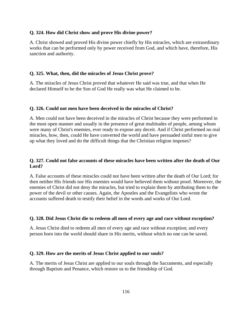## **Q. 324. How did Christ show and prove His divine power?**

A. Christ showed and proved His divine power chiefly by His miracles, which are extraordinary works that can be performed only by power received from God, and which have, therefore, His sanction and authority.

## **Q. 325. What, then, did the miracles of Jesus Christ prove?**

A. The miracles of Jesus Christ proved that whatever He said was true, and that when He declared Himself to be the Son of God He really was what He claimed to be.

## **Q. 326. Could not men have been deceived in the miracles of Christ?**

A. Men could not have been deceived in the miracles of Christ because they were performed in the most open manner and usually in the presence of great multitudes of people, among whom were many of Christ's enemies, ever ready to expose any deceit. And if Christ performed no real miracles, how, then, could He have converted the world and have persuaded sinful men to give up what they loved and do the difficult things that the Christian religion imposes?

# **Q. 327. Could not false accounts of these miracles have been written after the death of Our Lord?**

A. False accounts of these miracles could not have been written after the death of Our Lord; for then neither His friends nor His enemies would have believed them without proof. Moreover, the enemies of Christ did not deny the miracles, but tried to explain them by attributing them to the power of the devil or other causes. Again, the Apostles and the Evangelists who wrote the accounts suffered death to testify their belief in the words and works of Our Lord.

# **Q. 328. Did Jesus Christ die to redeem all men of every age and race without exception?**

A. Jesus Christ died to redeem all men of every age and race without exception; and every person born into the world should share in His merits, without which no one can be saved.

# **Q. 329. How are the merits of Jesus Christ applied to our souls?**

A. The merits of Jesus Christ are applied to our souls through the Sacraments, and especially through Baptism and Penance, which restore us to the friendship of God.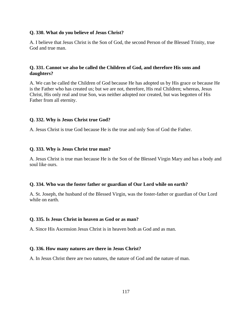## **Q. 330. What do you believe of Jesus Christ?**

A. I believe that Jesus Christ is the Son of God, the second Person of the Blessed Trinity, true God and true man.

# **Q. 331. Cannot we also be called the Children of God, and therefore His sons and daughters?**

A. We can be called the Children of God because He has adopted us by His grace or because He is the Father who has created us; but we are not, therefore, His real Children; whereas, Jesus Christ, His only real and true Son, was neither adopted nor created, but was begotten of His Father from all eternity.

# **Q. 332. Why is Jesus Christ true God?**

A. Jesus Christ is true God because He is the true and only Son of God the Father.

# **Q. 333. Why is Jesus Christ true man?**

A. Jesus Christ is true man because He is the Son of the Blessed Virgin Mary and has a body and soul like ours.

# **Q. 334. Who was the foster father or guardian of Our Lord while on earth?**

A. St. Joseph, the husband of the Blessed Virgin, was the foster-father or guardian of Our Lord while on earth.

# **Q. 335. Is Jesus Christ in heaven as God or as man?**

A. Since His Ascension Jesus Christ is in heaven both as God and as man.

# **Q. 336. How many natures are there in Jesus Christ?**

A. In Jesus Christ there are two natures, the nature of God and the nature of man.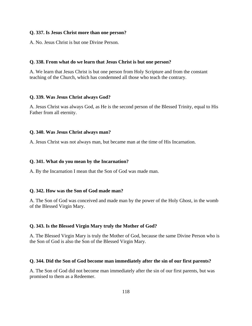## **Q. 337. Is Jesus Christ more than one person?**

A. No. Jesus Christ is but one Divine Person.

#### **Q. 338. From what do we learn that Jesus Christ is but one person?**

A. We learn that Jesus Christ is but one person from Holy Scripture and from the constant teaching of the Church, which has condemned all those who teach the contrary.

#### **Q. 339. Was Jesus Christ always God?**

A. Jesus Christ was always God, as He is the second person of the Blessed Trinity, equal to His Father from all eternity.

#### **Q. 340. Was Jesus Christ always man?**

A. Jesus Christ was not always man, but became man at the time of His Incarnation.

#### **Q. 341. What do you mean by the Incarnation?**

A. By the Incarnation I mean that the Son of God was made man.

#### **Q. 342. How was the Son of God made man?**

A. The Son of God was conceived and made man by the power of the Holy Ghost, in the womb of the Blessed Virgin Mary.

## **Q. 343. Is the Blessed Virgin Mary truly the Mother of God?**

A. The Blessed Virgin Mary is truly the Mother of God, because the same Divine Person who is the Son of God is also the Son of the Blessed Virgin Mary.

#### **Q. 344. Did the Son of God become man immediately after the sin of our first parents?**

A. The Son of God did not become man immediately after the sin of our first parents, but was promised to them as a Redeemer.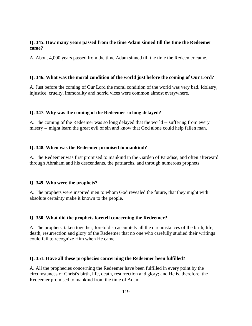## **Q. 345. How many years passed from the time Adam sinned till the time the Redeemer came?**

A. About 4,000 years passed from the time Adam sinned till the time the Redeemer came.

## **Q. 346. What was the moral condition of the world just before the coming of Our Lord?**

A. Just before the coming of Our Lord the moral condition of the world was very bad. Idolatry, injustice, cruelty, immorality and horrid vices were common almost everywhere.

## **Q. 347. Why was the coming of the Redeemer so long delayed?**

A. The coming of the Redeemer was so long delayed that the world -- suffering from every misery -- might learn the great evil of sin and know that God alone could help fallen man.

## **Q. 348. When was the Redeemer promised to mankind?**

A. The Redeemer was first promised to mankind in the Garden of Paradise, and often afterward through Abraham and his descendants, the patriarchs, and through numerous prophets.

# **Q. 349. Who were the prophets?**

A. The prophets were inspired men to whom God revealed the future, that they might with absolute certainty make it known to the people.

# **Q. 350. What did the prophets foretell concerning the Redeemer?**

A. The prophets, taken together, foretold so accurately all the circumstances of the birth, life, death, resurrection and glory of the Redeemer that no one who carefully studied their writings could fail to recognize Him when He came.

## **Q. 351. Have all these prophecies concerning the Redeemer been fulfilled?**

A. All the prophecies concerning the Redeemer have been fulfilled in every point by the circumstances of Christ's birth, life, death, resurrection and glory; and He is, therefore, the Redeemer promised to mankind from the time of Adam.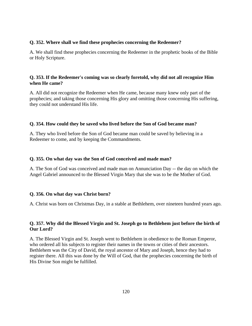# **Q. 352. Where shall we find these prophecies concerning the Redeemer?**

A. We shall find these prophecies concerning the Redeemer in the prophetic books of the Bible or Holy Scripture.

# **Q. 353. If the Redeemer's coming was so clearly foretold, why did not all recognize Him when He came?**

A. All did not recognize the Redeemer when He came, because many knew only part of the prophecies; and taking those concerning His glory and omitting those concerning His suffering, they could not understand His life.

# **Q. 354. How could they be saved who lived before the Son of God became man?**

A. They who lived before the Son of God became man could be saved by believing in a Redeemer to come, and by keeping the Commandments.

## **Q. 355. On what day was the Son of God conceived and made man?**

A. The Son of God was conceived and made man on Annunciation Day -- the day on which the Angel Gabriel announced to the Blessed Virgin Mary that she was to be the Mother of God.

# **Q. 356. On what day was Christ born?**

A. Christ was born on Christmas Day, in a stable at Bethlehem, over nineteen hundred years ago.

# **Q. 357. Why did the Blessed Virgin and St. Joseph go to Bethlehem just before the birth of Our Lord?**

A. The Blessed Virgin and St. Joseph went to Bethlehem in obedience to the Roman Emperor, who ordered all his subjects to register their names in the towns or cities of their ancestors. Bethlehem was the City of David, the royal ancestor of Mary and Joseph, hence they had to register there. All this was done by the Will of God, that the prophecies concerning the birth of His Divine Son might be fulfilled.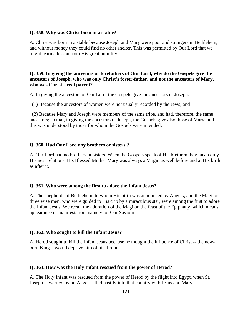#### **Q. 358. Why was Christ born in a stable?**

A. Christ was born in a stable because Joseph and Mary were poor and strangers in Bethlehem, and without money they could find no other shelter. This was permitted by Our Lord that we might learn a lesson from His great humility.

# **Q. 359. In giving the ancestors or forefathers of Our Lord, why do the Gospels give the ancestors of Joseph, who was only Christ's foster-father, and not the ancestors of Mary, who was Christ's real parent?**

A. In giving the ancestors of Our Lord, the Gospels give the ancestors of Joseph:

(1) Because the ancestors of women were not usually recorded by the Jews; and

 (2) Because Mary and Joseph were members of the same tribe, and had, therefore, the same ancestors; so that, in giving the ancestors of Joseph, the Gospels give also those of Mary; and this was understood by those for whom the Gospels were intended.

## **Q. 360. Had Our Lord any brothers or sisters ?**

A. Our Lord had no brothers or sisters. When the Gospels speak of His brethren they mean only His near relations. His Blessed Mother Mary was always a Virgin as well before and at His birth as after it.

## **Q. 361. Who were among the first to adore the Infant Jesus?**

A. The shepherds of Bethlehem, to whom His birth was announced by Angels; and the Magi or three wise men, who were guided to His crib by a miraculous star, were among the first to adore the Infant Jesus. We recall the adoration of the Magi on the feast of the Epiphany, which means appearance or manifestation, namely, of Our Saviour.

#### **Q. 362. Who sought to kill the Infant Jesus?**

A. Herod sought to kill the Infant Jesus because he thought the influence of Christ -- the newborn King – would deprive him of his throne.

#### **Q. 363. How was the Holy Infant rescued from the power of Herod?**

A. The Holy Infant was rescued from the power of Herod by the flight into Egypt, when St. Joseph -- warned by an Angel -- fled hastily into that country with Jesus and Mary.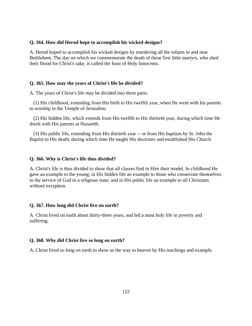## **Q. 364. How did Herod hope to accomplish his wicked designs?**

A. Herod hoped to accomplish his wicked designs by murdering all the infants in and near Bethlehem. The day on which we commemorate the death of these first little martyrs, who shed their blood for Christ's sake, is called the feast of Holy Innocents.

## **Q. 365. How may the years of Christ's life be divided?**

A. The years of Christ's life may be divided into three parts:

 (1) His childhood, extending from His birth to His twelfth year, when He went with his parents to worship in the Temple of Jerusalem.

 (2) His hidden life, which extends from His twelfth to His thirtieth year, during which time He dwelt with His parents at Nazareth.

 (3) His public life, extending from His thirtieth year -- or from His baptism by St. John the Baptist to His death; during which time He taught His doctrines and established His Church.

#### **Q. 366. Why is Christ's life thus divided?**

A. Christ's life is thus divided to show that all classes find in Him their model. In childhood He gave an example to the young; in His hidden life an example to those who consecrate themselves to the service of God in a religious state; and in His public life an example to all Christians without exception.

## **Q. 367. How long did Christ live on earth?**

A. Christ lived on earth about thirty-three years, and led a most holy life in poverty and suffering.

#### **Q. 368. Why did Christ live so long on earth?**

A. Christ lived so long on earth to show us the way to heaven by His teachings and example.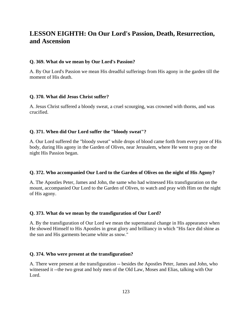# **LESSON EIGHTH: On Our Lord's Passion, Death, Resurrection, and Ascension**

## **Q. 369. What do we mean by Our Lord's Passion?**

A. By Our Lord's Passion we mean His dreadful sufferings from His agony in the garden till the moment of His death.

## **Q. 370. What did Jesus Christ suffer?**

A. Jesus Christ suffered a bloody sweat, a cruel scourging, was crowned with thorns, and was crucified.

# **Q. 371. When did Our Lord suffer the "bloody sweat"?**

A. Our Lord suffered the "bloody sweat" while drops of blood came forth from every pore of His body, during His agony in the Garden of Olives, near Jerusalem, where He went to pray on the night His Passion began.

# **Q. 372. Who accompanied Our Lord to the Garden of Olives on the night of His Agony?**

A. The Apostles Peter, James and John, the same who had witnessed His transfiguration on the mount, accompanied Our Lord to the Garden of Olives, to watch and pray with Him on the night of His agony.

# **Q. 373. What do we mean by the transfiguration of Our Lord?**

A. By the transfiguration of Our Lord we mean the supernatural change in His appearance when He showed Himself to His Apostles in great glory and brilliancy in which "His face did shine as the sun and His garments became white as snow."

## **Q. 374. Who were present at the transfiguration?**

A. There were present at the transfiguration -- besides the Apostles Peter, James and John, who witnessed it --the two great and holy men of the Old Law, Moses and Elias, talking with Our Lord.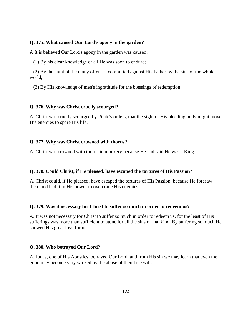## **Q. 375. What caused Our Lord's agony in the garden?**

A It is believed Our Lord's agony in the garden was caused:

(1) By his clear knowledge of all He was soon to endure;

 (2) By the sight of the many offenses committed against His Father by the sins of the whole world;

(3) By His knowledge of men's ingratitude for the blessings of redemption.

## **Q. 376. Why was Christ cruelly scourged?**

A. Christ was cruelly scourged by Pilate's orders, that the sight of His bleeding body might move His enemies to spare His life.

## **Q. 377. Why was Christ crowned with thorns?**

A. Christ was crowned with thorns in mockery because He had said He was a King.

## **Q. 378. Could Christ, if He pleased, have escaped the tortures of His Passion?**

A. Christ could, if He pleased, have escaped the tortures of His Passion, because He foresaw them and had it in His power to overcome His enemies.

#### **Q. 379. Was it necessary for Christ to suffer so much in order to redeem us?**

A. It was not necessary for Christ to suffer so much in order to redeem us, for the least of His sufferings was more than sufficient to atone for all the sins of mankind. By suffering so much He showed His great love for us.

#### **Q. 380. Who betrayed Our Lord?**

A. Judas, one of His Apostles, betrayed Our Lord, and from His sin we may learn that even the good may become very wicked by the abuse of their free will.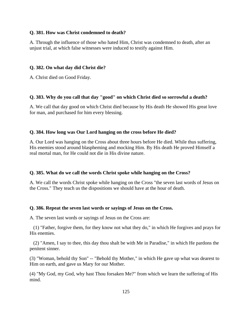## **Q. 381. How was Christ condemned to death?**

A. Through the influence of those who hated Him, Christ was condemned to death, after an unjust trial, at which false witnesses were induced to testify against Him.

#### **Q. 382. On what day did Christ die?**

A. Christ died on Good Friday.

#### **Q. 383. Why do you call that day "good" on which Christ died so sorrowful a death?**

A. We call that day good on which Christ died because by His death He showed His great love for man, and purchased for him every blessing.

#### **Q. 384. How long was Our Lord hanging on the cross before He died?**

A. Our Lord was hanging on the Cross about three hours before He died. While thus suffering, His enemies stood around blaspheming and mocking Him. By His death He proved Himself a real mortal man, for He could not die in His divine nature.

#### **Q. 385. What do we call the words Christ spoke while hanging on the Cross?**

A. We call the words Christ spoke while hanging on the Cross "the seven last words of Jesus on the Cross." They teach us the dispositions we should have at the hour of death.

#### **Q. 386. Repeat the seven last words or sayings of Jesus on the Cross.**

A. The seven last words or sayings of Jesus on the Cross are:

 (1) "Father, forgive them, for they know not what they do," in which He forgives and prays for His enemies.

 (2) "Amen, I say to thee, this day thou shalt be with Me in Paradise," in which He pardons the penitent sinner.

(3) "Woman, behold thy Son" -- "Behold thy Mother," in which He gave up what was dearest to Him on earth, and gave us Mary for our Mother.

(4) "My God, my God, why hast Thou forsaken Me?" from which we learn the suffering of His mind.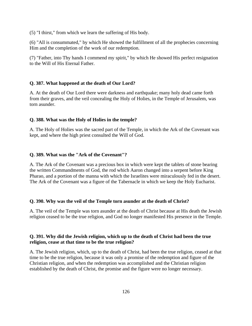(5) "I thirst," from which we learn the suffering of His body.

(6) "All is consummated," by which He showed the fulfillment of all the prophecies concerning Him and the completion of the work of our redemption.

(7) "Father, into Thy hands I commend my spirit," by which He showed His perfect resignation to the Will of His Eternal Father.

## **Q. 387. What happened at the death of Our Lord?**

A. At the death of Our Lord there were darkness and earthquake; many holy dead came forth from their graves, and the veil concealing the Holy of Holies, in the Temple of Jerusalem, was torn asunder.

## **Q. 388. What was the Holy of Holies in the temple?**

A. The Holy of Holies was the sacred part of the Temple, in which the Ark of the Covenant was kept, and where the high priest consulted the Will of God.

## **Q. 389. What was the "Ark of the Covenant"?**

A. The Ark of the Covenant was a precious box in which were kept the tablets of stone bearing the written Commandments of God, the rod which Aaron changed into a serpent before King Pharao, and a portion of the manna with which the Israelites were miraculously fed in the desert. The Ark of the Covenant was a figure of the Tabernacle in which we keep the Holy Eucharist.

## **Q. 390. Why was the veil of the Temple torn asunder at the death of Christ?**

A. The veil of the Temple was torn asunder at the death of Christ because at His death the Jewish religion ceased to be the true religion, and God no longer manifested His presence in the Temple.

# **Q. 391. Why did the Jewish religion, which up to the death of Christ had been the true religion, cease at that time to be the true religion?**

A. The Jewish religion, which, up to the death of Christ, had been the true religion, ceased at that time to be the true religion, because it was only a promise of the redemption and figure of the Christian religion, and when the redemption was accomplished and the Christian religion established by the death of Christ, the promise and the figure were no longer necessary.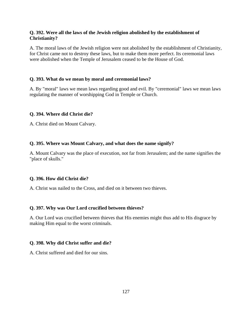# **Q. 392. Were all the laws of the Jewish religion abolished by the establishment of Christianity?**

A. The moral laws of the Jewish religion were not abolished by the establishment of Christianity, for Christ came not to destroy these laws, but to make them more perfect. Its ceremonial laws were abolished when the Temple of Jerusalem ceased to be the House of God.

# **Q. 393. What do we mean by moral and ceremonial laws?**

A. By "moral" laws we mean laws regarding good and evil. By "ceremonial" laws we mean laws regulating the manner of worshipping God in Temple or Church.

# **Q. 394. Where did Christ die?**

A. Christ died on Mount Calvary.

# **Q. 395. Where was Mount Calvary, and what does the name signify?**

A. Mount Calvary was the place of execution, not far from Jerusalem; and the name signifies the "place of skulls."

# **Q. 396. How did Christ die?**

A. Christ was nailed to the Cross, and died on it between two thieves.

# **Q. 397. Why was Our Lord crucified between thieves?**

A. Our Lord was crucified between thieves that His enemies might thus add to His disgrace by making Him equal to the worst criminals.

# **Q. 398. Why did Christ suffer and die?**

A. Christ suffered and died for our sins.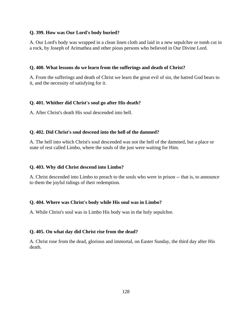## **Q. 399. How was Our Lord's body buried?**

A. Our Lord's body was wrapped in a clean linen cloth and laid in a new sepulchre or tomb cut in a rock, by Joseph of Arimathea and other pious persons who believed in Our Divine Lord.

# **Q. 400. What lessons do we learn from the sufferings and death of Christ?**

A. From the sufferings and death of Christ we learn the great evil of sin, the hatred God bears to it, and the necessity of satisfying for it.

# **Q. 401. Whither did Christ's soul go after His death?**

A. After Christ's death His soul descended into hell.

## **Q. 402. Did Christ's soul descend into the hell of the damned?**

A. The hell into which Christ's soul descended was not the hell of the dammed, but a place or state of rest called Limbo, where the souls of the just were waiting for Him.

## **Q. 403. Why did Christ descend into Limbo?**

A. Christ descended into Limbo to preach to the souls who were in prison -- that is, to announce to them the joyful tidings of their redemption.

## **Q. 404. Where was Christ's body while His soul was in Limbo?**

A. While Christ's soul was in Limbo His body was in the holy sepulchre.

## **Q. 405. On what day did Christ rise from the dead?**

A. Christ rose from the dead, glorious and immortal, on Easter Sunday, the third day after His death.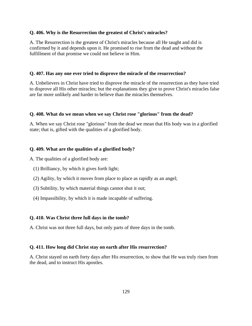## **Q. 406. Why is the Resurrection the greatest of Christ's miracles?**

A. The Resurrection is the greatest of Christ's miracles because all He taught and did is confirmed by it and depends upon it. He promised to rise from the dead and without the fulfillment of that promise we could not believe in Him.

## **Q. 407. Has any one ever tried to disprove the miracle of the resurrection?**

A. Unbelievers in Christ have tried to disprove the miracle of the resurrection as they have tried to disprove all His other miracles; but the explanations they give to prove Christ's miracles false are far more unlikely and harder to believe than the miracles themselves.

## **Q. 408. What do we mean when we say Christ rose "glorious" from the dead?**

A. When we say Christ rose "glorious" from the dead we mean that His body was in a glorified state; that is, gifted with the qualities of a glorified body.

# **Q. 409. What are the qualities of a glorified body?**

A. The qualities of a glorified body are:

- (1) Brilliancy, by which it gives forth light;
- (2) Agility, by which it moves from place to place as rapidly as an angel;
- (3) Subtility, by which material things cannot shut it out;
- (4) Impassibility, by which it is made incapable of suffering.

## **Q. 410. Was Christ three full days in the tomb?**

A. Christ was not three full days, but only parts of three days in the tomb.

## **Q. 411. How long did Christ stay on earth after His resurrection?**

A. Christ stayed on earth forty days after His resurrection, to show that He was truly risen from the dead, and to instruct His apostles.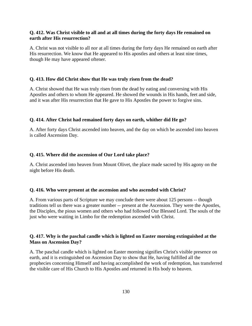# **Q. 412. Was Christ visible to all and at all times during the forty days He remained on earth after His resurrection?**

A. Christ was not visible to all nor at all times during the forty days He remained on earth after His resurrection. We know that He appeared to His apostles and others at least nine times, though He may have appeared oftener.

## **Q. 413. How did Christ show that He was truly risen from the dead?**

A. Christ showed that He was truly risen from the dead by eating and conversing with His Apostles and others to whom He appeared. He showed the wounds in His hands, feet and side, and it was after His resurrection that He gave to His Apostles the power to forgive sins.

## **Q. 414. After Christ had remained forty days on earth, whither did He go?**

A. After forty days Christ ascended into heaven, and the day on which be ascended into heaven is called Ascension Day.

## **Q. 415. Where did the ascension of Our Lord take place?**

A. Christ ascended into heaven from Mount Olivet, the place made sacred by His agony on the night before His death.

## **Q. 416. Who were present at the ascension and who ascended with Christ?**

A. From various parts of Scripture we may conclude there were about 125 persons -- though traditions tell us there was a greater number -- present at the Ascension. They were the Apostles, the Disciples, the pious women and others who had followed Our Blessed Lord. The souls of the just who were waiting in Limbo for the redemption ascended with Christ.

# **Q. 417. Why is the paschal candle which is lighted on Easter morning extinguished at the Mass on Ascension Day?**

A. The paschal candle which is lighted on Easter morning signifies Christ's visible presence on earth, and it is extinguished on Ascension Day to show that He, having fulfilled all the prophecies concerning Himself and having accomplished the work of redemption, has transferred the visible care of His Church to His Apostles and returned in His body to heaven.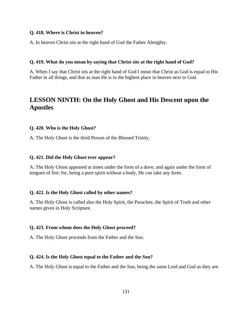## **Q. 418. Where is Christ in heaven?**

A. In heaven Christ sits at the right hand of God the Father Almighty.

#### **Q. 419. What do you mean by saying that Christ sits at the right hand of God?**

A. When I say that Christ sits at the right hand of God I mean that Christ as God is equal to His Father in all things, and that as man He is in the highest place in heaven next to God.

# **LESSON NINTH: On the Holy Ghost and His Descent upon the Apostles**

#### **Q. 420. Who is the Holy Ghost?**

A. The Holy Ghost is the third Person of the Blessed Trinity.

## **Q. 421. Did the Holy Ghost ever appear?**

A. The Holy Ghost appeared at times under the form of a dove, and again under the form of tongues of fire; for, being a pure spirit without a body, He can take any form.

#### **Q. 422. Is the Holy Ghost called by other names?**

A. The Holy Ghost is called also the Holy Spirit, the Paraclete, the Spirit of Truth and other names given in Holy Scripture.

#### **Q. 423. From whom does the Holy Ghost proceed?**

A. The Holy Ghost proceeds from the Father and the Son.

#### **Q. 424. Is the Holy Ghost equal to the Father and the Son?**

A. The Holy Ghost is equal to the Father and the Son, being the same Lord and God as they are.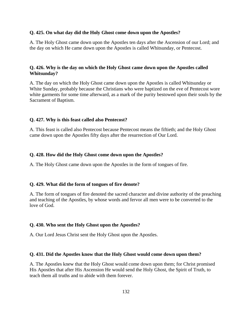#### **Q. 425. On what day did the Holy Ghost come down upon the Apostles?**

A. The Holy Ghost came down upon the Apostles ten days after the Ascension of our Lord; and the day on which He came down upon the Apostles is called Whitsunday, or Pentecost.

## **Q. 426. Why is the day on which the Holy Ghost came down upon the Apostles called Whitsunday?**

A. The day on which the Holy Ghost came down upon the Apostles is called Whitsunday or White Sunday, probably because the Christians who were baptized on the eve of Pentecost wore white garments for some time afterward, as a mark of the purity bestowed upon their souls by the Sacrament of Baptism.

#### **Q. 427. Why is this feast called also Pentecost?**

A. This feast is called also Pentecost because Pentecost means the fiftieth; and the Holy Ghost came down upon the Apostles fifty days after the resurrection of Our Lord.

#### **Q. 428. How did the Holy Ghost come down upon the Apostles?**

A. The Holy Ghost came down upon the Apostles in the form of tongues of fire.

## **Q. 429. What did the form of tongues of fire denote?**

A. The form of tongues of fire denoted the sacred character and divine authority of the preaching and teaching of the Apostles, by whose words and fervor all men were to be converted to the love of God.

#### **Q. 430. Who sent the Holy Ghost upon the Apostles?**

A. Our Lord Jesus Christ sent the Holy Ghost upon the Apostles.

#### **Q. 431. Did the Apostles know that the Holy Ghost would come down upon them?**

A. The Apostles knew that the Holy Ghost would come down upon them; for Christ promised His Apostles that after His Ascension He would send the Holy Ghost, the Spirit of Truth, to teach them all truths and to abide with them forever.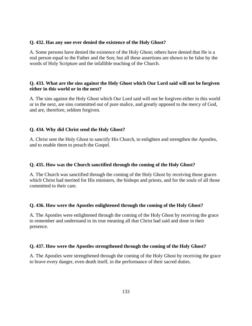## **Q. 432. Has any one ever denied the existence of the Holy Ghost?**

A. Some persons have denied the existence of the Holy Ghost; others have denied that He is a real person equal to the Father and the Son; but all these assertions are shown to be false by the words of Holy Scripture and the infallible teaching of the Church.

# **Q. 433. What are the sins against the Holy Ghost which Our Lord said will not be forgiven either in this world or in the next?**

A. The sins against the Holy Ghost which Our Lord said will not be forgiven either in this world or in the next, are sins committed out of pure malice, and greatly opposed to the mercy of God, and are, therefore, seldom forgiven.

# **Q. 434. Why did Christ send the Holy Ghost?**

A. Christ sent the Holy Ghost to sanctify His Church, to enlighten and strengthen the Apostles, and to enable them to preach the Gospel.

# **Q. 435. How was the Church sanctified through the coming of the Holy Ghost?**

A. The Church was sanctified through the coming of the Holy Ghost by receiving those graces which Christ had merited for His ministers, the bishops and priests, and for the souls of all those committed to their care.

# **Q. 436. How were the Apostles enlightened through the coming of the Holy Ghost?**

A. The Apostles were enlightened through the coming of the Holy Ghost by receiving the grace to remember and understand in its true meaning all that Christ had said and done in their presence.

# **Q. 437. How were the Apostles strengthened through the coming of the Holy Ghost?**

A. The Apostles were strengthened through the coming of the Holy Ghost by receiving the grace to brave every danger, even death itself, in the performance of their sacred duties.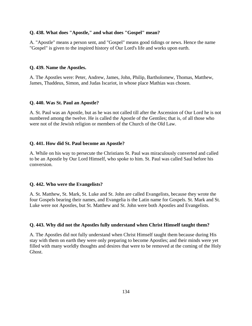## **Q. 438. What does "Apostle," and what does "Gospel" mean?**

A. "Apostle" means a person sent, and "Gospel" means good tidings or news. Hence the name "Gospel" is given to the inspired history of Our Lord's life and works upon earth.

#### **Q. 439. Name the Apostles.**

A. The Apostles were: Peter, Andrew, James, John, Philip, Bartholomew, Thomas, Matthew, James, Thaddeus, Simon, and Judas Iscariot, in whose place Mathias was chosen.

## **Q. 440. Was St. Paul an Apostle?**

A. St. Paul was an Apostle, but as he was not called till after the Ascension of Our Lord he is not numbered among the twelve. He is called the Apostle of the Gentiles; that is, of all those who were not of the Jewish religion or members of the Church of the Old Law.

#### **Q. 441. How did St. Paul become an Apostle?**

A. While on his way to persecute the Christians St. Paul was miraculously converted and called to be an Apostle by Our Lord Himself, who spoke to him. St. Paul was called Saul before his conversion.

#### **Q. 442. Who were the Evangelists?**

A. St. Matthew, St. Mark, St. Luke and St. John are called Evangelists, because they wrote the four Gospels bearing their names, and Evangelia is the Latin name for Gospels. St. Mark and St. Luke were not Apostles, but St. Matthew and St. John were both Apostles and Evangelists.

#### **Q. 443. Why did not the Apostles fully understand when Christ Himself taught them?**

A. The Apostles did not fully understand when Christ Himself taught them because during His stay with them on earth they were only preparing to become Apostles; and their minds were yet filled with many worldly thoughts and desires that were to be removed at the coming of the Holy Ghost.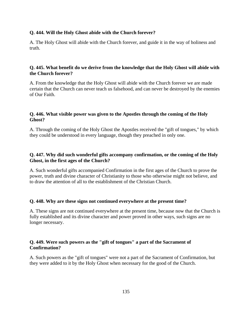## **Q. 444. Will the Holy Ghost abide with the Church forever?**

A. The Holy Ghost will abide with the Church forever, and guide it in the way of holiness and truth.

# **Q. 445. What benefit do we derive from the knowledge that the Holy Ghost will abide with the Church forever?**

A. From the knowledge that the Holy Ghost will abide with the Church forever we are made certain that the Church can never teach us falsehood, and can never be destroyed by the enemies of Our Faith.

# **Q. 446. What visible power was given to the Apostles through the coming of the Holy Ghost?**

A. Through the coming of the Holy Ghost the Apostles received the "gift of tongues," by which they could be understood in every language, though they preached in only one.

# **Q. 447. Why did such wonderful gifts accompany confirmation, or the coming of the Holy Ghost, in the first ages of the Church?**

A. Such wonderful gifts accompanied Confirmation in the first ages of the Church to prove the power, truth and divine character of Christianity to those who otherwise might not believe, and to draw the attention of all to the establishment of the Christian Church.

# **Q. 448. Why are these signs not continued everywhere at the present time?**

A. These signs are not continued everywhere at the present time, because now that the Church is fully established and its divine character and power proved in other ways, such signs are no longer necessary.

# **Q. 449. Were such powers as the "gift of tongues" a part of the Sacrament of Confirmation?**

A. Such powers as the "gift of tongues" were not a part of the Sacrament of Confirmation, but they were added to it by the Holy Ghost when necessary for the good of the Church.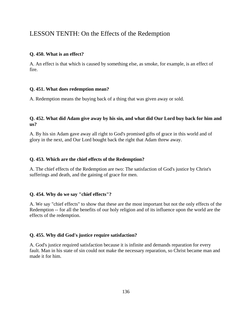# LESSON TENTH: On the Effects of the Redemption

# **Q. 450. What is an effect?**

A. An effect is that which is caused by something else, as smoke, for example, is an effect of fire.

# **Q. 451. What does redemption mean?**

A. Redemption means the buying back of a thing that was given away or sold.

# **Q. 452. What did Adam give away by his sin, and what did Our Lord buy back for him and us?**

A. By his sin Adam gave away all right to God's promised gifts of grace in this world and of glory in the next, and Our Lord bought back the right that Adam threw away.

# **Q. 453. Which are the chief effects of the Redemption?**

A. The chief effects of the Redemption are two: The satisfaction of God's justice by Christ's sufferings and death, and the gaining of grace for men.

# **Q. 454. Why do we say "chief effects"?**

A. We say "chief effects" to show that these are the most important but not the only effects of the Redemption -- for all the benefits of our holy religion and of its influence upon the world are the effects of the redemption.

# **Q. 455. Why did God's justice require satisfaction?**

A. God's justice required satisfaction because it is infinite and demands reparation for every fault. Man in his state of sin could not make the necessary reparation, so Christ became man and made it for him.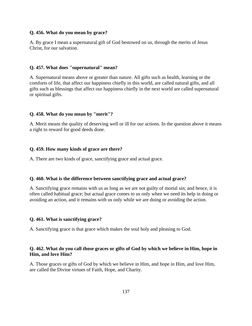## **Q. 456. What do you mean by grace?**

A. By grace I mean a supernatural gift of God bestowed on us, through the merits of Jesus Christ, for our salvation.

## **Q. 457. What does "supernatural" mean?**

A. Supernatural means above or greater than nature. All gifts such as health, learning or the comforts of life, that affect our happiness chiefly in this world, are called natural gifts, and all gifts such as blessings that affect our happiness chiefly in the next world are called supernatural or spiritual gifts.

#### **Q. 458. What do you mean by "merit"?**

A. Merit means the quality of deserving well or ill for our actions. In the question above it means a right to reward for good deeds done.

## **Q. 459. How many kinds of grace are there?**

A. There are two kinds of grace, sanctifying grace and actual grace.

#### **Q. 460. What is the difference between sanctifying grace and actual grace?**

A. Sanctifying grace remains with us as long as we are not guilty of mortal sin; and hence, it is often called habitual grace; but actual grace comes to us only when we need its help in doing or avoiding an action, and it remains with us only while we are doing or avoiding the action.

#### **Q. 461. What is sanctifying grace?**

A. Sanctifying grace is that grace which makes the soul holy and pleasing to God.

## **Q. 462. What do you call those graces or gifts of God by which we believe in Him, hope in Him, and love Him?**

A. Those graces or gifts of God by which we believe in Him, and hope in Him, and love Him, are called the Divine virtues of Faith, Hope, and Charity.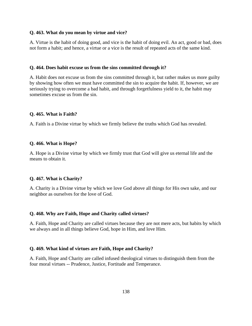## **Q. 463. What do you mean by virtue and vice?**

A. Virtue is the habit of doing good, and vice is the habit of doing evil. An act, good or bad, does not form a habit; and hence, a virtue or a vice is the result of repeated acts of the same kind.

#### **Q. 464. Does habit excuse us from the sins committed through it?**

A. Habit does not excuse us from the sins committed through it, but rather makes us more guilty by showing how often we must have committed the sin to acquire the habit. If, however, we are seriously trying to overcome a bad habit, and through forgetfulness yield to it, the habit may sometimes excuse us from the sin.

#### **Q. 465. What is Faith?**

A. Faith is a Divine virtue by which we firmly believe the truths which God has revealed.

## **Q. 466. What is Hope?**

A. Hope is a Divine virtue by which we firmly trust that God will give us eternal life and the means to obtain it.

#### **Q. 467. What is Charity?**

A. Charity is a Divine virtue by which we love God above all things for His own sake, and our neighbor as ourselves for the love of God.

#### **Q. 468. Why are Faith, Hope and Charity called virtues?**

A. Faith, Hope and Charity are called virtues because they are not mere acts, but habits by which we always and in all things believe God, hope in Him, and love Him.

#### **Q. 469. What kind of virtues are Faith, Hope and Charity?**

A. Faith, Hope and Charity are called infused theological virtues to distinguish them from the four moral virtues -- Prudence, Justice, Fortitude and Temperance.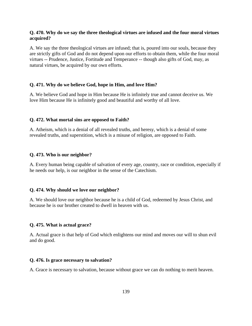# **Q. 470. Why do we say the three theological virtues are infused and the four moral virtues acquired?**

A. We say the three theological virtues are infused; that is, poured into our souls, because they are strictly gifts of God and do not depend upon our efforts to obtain them, while the four moral virtues -- Prudence, Justice, Fortitude and Temperance -- though also gifts of God, may, as natural virtues, be acquired by our own efforts.

## **Q. 471. Why do we believe God, hope in Him, and love Him?**

A. We believe God and hope in Him because He is infinitely true and cannot deceive us. We love Him because He is infinitely good and beautiful and worthy of all love.

#### **Q. 472. What mortal sins are opposed to Faith?**

A. Atheism, which is a denial of all revealed truths, and heresy, which is a denial of some revealed truths, and superstition, which is a misuse of religion, are opposed to Faith.

#### **Q. 473. Who is our neighbor?**

A. Every human being capable of salvation of every age, country, race or condition, especially if he needs our help, is our neighbor in the sense of the Catechism.

## **Q. 474. Why should we love our neighbor?**

A. We should love our neighbor because he is a child of God, redeemed by Jesus Christ, and because he is our brother created to dwell in heaven with us.

#### **Q. 475. What is actual grace?**

A. Actual grace is that help of God which enlightens our mind and moves our will to shun evil and do good.

#### **Q. 476. Is grace necessary to salvation?**

A. Grace is necessary to salvation, because without grace we can do nothing to merit heaven.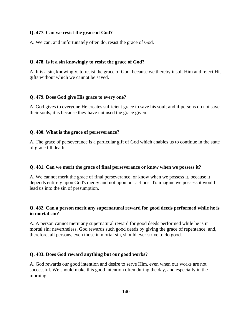## **Q. 477. Can we resist the grace of God?**

A. We can, and unfortunately often do, resist the grace of God.

## **Q. 478. Is it a sin knowingly to resist the grace of God?**

A. It is a sin, knowingly, to resist the grace of God, because we thereby insult Him and reject His gifts without which we cannot be saved.

## **Q. 479. Does God give His grace to every one?**

A. God gives to everyone He creates sufficient grace to save his soul; and if persons do not save their souls, it is because they have not used the grace given.

## **Q. 480. What is the grace of perseverance?**

A. The grace of perseverance is a particular gift of God which enables us to continue in the state of grace till death.

## **Q. 481. Can we merit the grace of final perseverance or know when we possess it?**

A. We cannot merit the grace of final perseverance, or know when we possess it, because it depends entirely upon God's mercy and not upon our actions. To imagine we possess it would lead us into the sin of presumption.

# **Q. 482. Can a person merit any supernatural reward for good deeds performed while he is in mortal sin?**

A. A person cannot merit any supernatural reward for good deeds performed while he is in mortal sin; nevertheless, God rewards such good deeds by giving the grace of repentance; and, therefore, all persons, even those in mortal sin, should ever strive to do good.

# **Q. 483. Does God reward anything but our good works?**

A. God rewards our good intention and desire to serve Him, even when our works are not successful. We should make this good intention often during the day, and especially in the morning.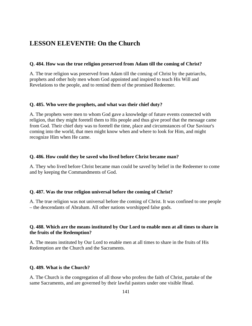# **LESSON ELEVENTH: On the Church**

# **Q. 484. How was the true religion preserved from Adam till the coming of Christ?**

A. The true religion was preserved from Adam till the coming of Christ by the patriarchs, prophets and other holy men whom God appointed and inspired to teach His Will and Revelations to the people, and to remind them of the promised Redeemer.

## **Q. 485. Who were the prophets, and what was their chief duty?**

A. The prophets were men to whom God gave a knowledge of future events connected with religion, that they might foretell them to His people and thus give proof that the message came from God. Their chief duty was to foretell the time, place and circumstances of Our Saviour's coming into the world, that men might know when and where to look for Him, and might recognize Him when He came.

#### **Q. 486. How could they be saved who lived before Christ became man?**

A. They who lived before Christ became man could be saved by belief in the Redeemer to come and by keeping the Commandments of God.

## **Q. 487. Was the true religion universal before the coming of Christ?**

A. The true religion was not universal before the coming of Christ. It was confined to one people – the descendants of Abraham. All other nations worshipped false gods.

# **Q. 488. Which are the means instituted by Our Lord to enable men at all times to share in the fruits of the Redemption?**

A. The means instituted by Our Lord to enable men at all times to share in the fruits of His Redemption are the Church and the Sacraments.

#### **Q. 489. What is the Church?**

A. The Church is the congregation of all those who profess the faith of Christ, partake of the same Sacraments, and are governed by their lawful pastors under one visible Head.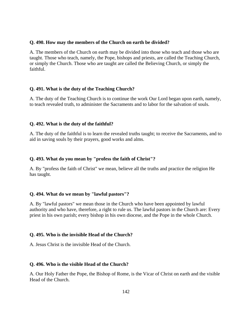## **Q. 490. How may the members of the Church on earth be divided?**

A. The members of the Church on earth may be divided into those who teach and those who are taught. Those who teach, namely, the Pope, bishops and priests, are called the Teaching Church, or simply the Church. Those who are taught are called the Believing Church, or simply the faithful.

## **Q. 491. What is the duty of the Teaching Church?**

A. The duty of the Teaching Church is to continue the work Our Lord began upon earth, namely, to teach revealed truth, to administer the Sacraments and to labor for the salvation of souls.

## **Q. 492. What is the duty of the faithful?**

A. The duty of the faithful is to learn the revealed truths taught; to receive the Sacraments, and to aid in saving souls by their prayers, good works and alms.

## **Q. 493. What do you mean by "profess the faith of Christ"?**

A. By "profess the faith of Christ" we mean, believe all the truths and practice the religion He has taught.

## **Q. 494. What do we mean by "lawful pastors"?**

A. By "lawful pastors" we mean those in the Church who have been appointed by lawful authority and who have, therefore, a right to rule us. The lawful pastors in the Church are: Every priest in his own parish; every bishop in his own diocese, and the Pope in the whole Church.

## **Q. 495. Who is the invisible Head of the Church?**

A. Jesus Christ is the invisible Head of the Church.

## **Q. 496. Who is the visible Head of the Church?**

A. Our Holy Father the Pope, the Bishop of Rome, is the Vicar of Christ on earth and the visible Head of the Church.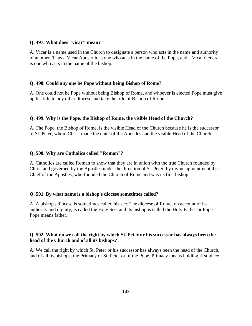## **Q. 497. What does "vicar" mean?**

A. Vicar is a name used in the Church to designate a person who acts in the name and authority of another. Thus a Vicar Apostolic is one who acts in the name of the Pope, and a Vicar General is one who acts in the name of the bishop.

## **Q. 498. Could any one be Pope without being Bishop of Rome?**

A. One could not be Pope without being Bishop of Rome, and whoever is elected Pope must give up his title to any other diocese and take the title of Bishop of Rome.

# **Q. 499. Why is the Pope, the Bishop of Rome, the visible Head of the Church?**

A. The Pope, the Bishop of Rome, is the visible Head of the Church because he is the successor of St. Peter, whom Christ made the chief of the Apostles and the visible Head of the Church.

## **Q. 500. Why are Catholics called "Roman"?**

A. Catholics are called Roman to show that they are in union with the true Church founded by Christ and governed by the Apostles under the direction of St. Peter, by divine appointment the Chief of the Apostles, who founded the Church of Rome and was its first bishop.

## **Q. 501. By what name is a bishop's diocese sometimes called?**

A. A bishop's diocese is sometimes called his see. The diocese of Rome, on account of its authority and dignity, is called the Holy See, and its bishop is called the Holy Father or Pope. Pope means father.

# **Q. 502. What do we call the right by which St. Peter or his successor has always been the head of the Church and of all its bishops?**

A. We call the right by which St. Peter or his successor has always been the head of the Church, and of all its bishops, the Primacy of St. Peter or of the Pope. Primacy means holding first place.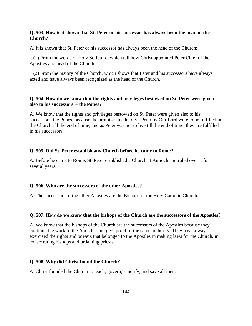## **Q. 503. How is it shown that St. Peter or his successor has always been the head of the Church?**

A. It is shown that St. Peter or his successor has always been the head of the Church:

 (1) From the words of Holy Scripture, which tell how Christ appointed Peter Chief of the Apostles and head of the Church.

 (2) From the history of the Church, which shows that Peter and his successors have always acted and have always been recognized as the head of the Church.

## **Q. 504. How do we know that the rights and privileges bestowed on St. Peter were given also to his successors -- the Popes?**

A. We know that the rights and privileges bestowed on St. Peter were given also to his successors, the Popes, because the promises made to St. Peter by Our Lord were to be fulfilled in the Church till the end of time, and as Peter was not to live till the end of time, they are fulfilled in his successors.

#### **Q. 505. Did St. Peter establish any Church before he came to Rome?**

A. Before he came to Rome, St. Peter established a Church at Antioch and ruled over it for several years.

#### **Q. 506. Who are the successors of the other Apostles?**

A. The successors of the other Apostles are the Bishops of the Holy Catholic Church.

#### **Q. 507. How do we know that the bishops of the Church are the successors of the Apostles?**

A. We know that the bishops of the Church are the successors of the Apostles because they continue the work of the Apostles and give proof of the same authority. They have always exercised the rights and powers that belonged to the Apostles in making laws for the Church, in consecrating bishops and ordaining priests.

#### **Q. 508. Why did Christ found the Church?**

A. Christ founded the Church to teach, govern, sanctify, and save all men.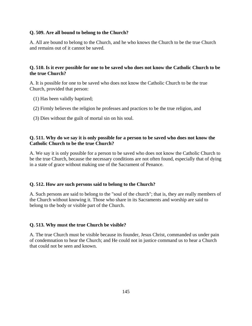## **Q. 509. Are all bound to belong to the Church?**

A. All are bound to belong to the Church, and he who knows the Church to be the true Church and remains out of it cannot be saved.

# **Q. 510. Is it ever possible for one to be saved who does not know the Catholic Church to be the true Church?**

A. It is possible for one to be saved who does not know the Catholic Church to be the true Church, provided that person:

- (1) Has been validly baptized;
- (2) Firmly believes the religion he professes and practices to be the true religion, and
- (3) Dies without the guilt of mortal sin on his soul.

## **Q. 511. Why do we say it is only possible for a person to be saved who does not know the Catholic Church to be the true Church?**

A. We say it is only possible for a person to be saved who does not know the Catholic Church to be the true Church, because the necessary conditions are not often found, especially that of dying in a state of grace without making use of the Sacrament of Penance.

## **Q. 512. How are such persons said to belong to the Church?**

A. Such persons are said to belong to the "soul of the church"; that is, they are really members of the Church without knowing it. Those who share in its Sacraments and worship are said to belong to the body or visible part of the Church.

## **Q. 513. Why must the true Church be visible?**

A. The true Church must be visible because its founder, Jesus Christ, commanded us under pain of condemnation to hear the Church; and He could not in justice command us to hear a Church that could not be seen and known.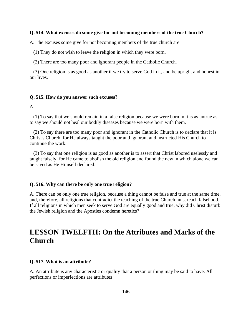#### **Q. 514. What excuses do some give for not becoming members of the true Church?**

A. The excuses some give for not becoming members of the true church are:

(1) They do not wish to leave the religion in which they were born.

(2) There are too many poor and ignorant people in the Catholic Church.

 (3) One religion is as good as another if we try to serve God in it, and be upright and honest in our lives.

#### **Q. 515. How do you answer such excuses?**

A.

 (1) To say that we should remain in a false religion because we were born in it is as untrue as to say we should not heal our bodily diseases because we were born with them.

 (2) To say there are too many poor and ignorant in the Catholic Church is to declare that it is Christ's Church; for He always taught the poor and ignorant and instructed His Church to continue the work.

 (3) To say that one religion is as good as another is to assert that Christ labored uselessly and taught falsely; for He came to abolish the old religion and found the new in which alone we can be saved as He Himself declared.

#### **Q. 516. Why can there be only one true religion?**

A. There can be only one true religion, because a thing cannot be false and true at the same time, and, therefore, all religions that contradict the teaching of the true Church must teach falsehood. If all religions in which men seek to serve God are equally good and true, why did Christ disturb the Jewish religion and the Apostles condemn heretics?

# **LESSON TWELFTH: On the Attributes and Marks of the Church**

#### **Q. 517. What is an attribute?**

A. An attribute is any characteristic or quality that a person or thing may be said to have. All perfections or imperfections are attributes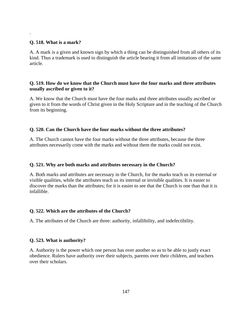# **Q. 518. What is a mark?**

.

A. A mark is a given and known sign by which a thing can be distinguished from all others of its kind. Thus a trademark is used to distinguish the article bearing it from all imitations of the same article.

# **Q. 519. How do we know that the Church must have the four marks and three attributes usually ascribed or given to it?**

A. We know that the Church must have the four marks and three attributes usually ascribed or given to it from the words of Christ given in the Holy Scripture and in the teaching of the Church from its beginning.

# **Q. 520. Can the Church have the four marks without the three attributes?**

A. The Church cannot have the four marks without the three attributes, because the three attributes necessarily come with the marks and without them the marks could not exist.

# **Q. 521. Why are both marks and attributes necessary in the Church?**

A. Both marks and attributes are necessary in the Church, for the marks teach us its external or visible qualities, while the attributes teach us its internal or invisible qualities. It is easier to discover the marks than the attributes; for it is easier to see that the Church is one than that it is infallible.

# **Q. 522. Which are the attributes of the Church?**

A. The attributes of the Church are three: authority, infallibility, and indefectibility.

# **Q. 523. What is authority?**

A. Authority is the power which one person has over another so as to be able to justly exact obedience. Rulers have authority over their subjects, parents over their children, and teachers over their scholars.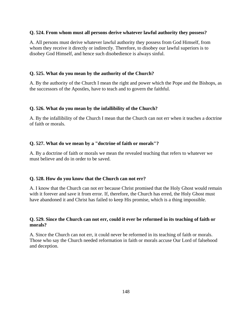#### **Q. 524. From whom must all persons derive whatever lawful authority they possess?**

A. All persons must derive whatever lawful authority they possess from God Himself, from whom they receive it directly or indirectly. Therefore, to disobey our lawful superiors is to disobey God Himself, and hence such disobedience is always sinful.

# **Q. 525. What do you mean by the authority of the Church?**

A. By the authority of the Church I mean the right and power which the Pope and the Bishops, as the successors of the Apostles, have to teach and to govern the faithful.

# **Q. 526. What do you mean by the infallibility of the Church?**

A. By the infallibility of the Church I mean that the Church can not err when it teaches a doctrine of faith or morals.

# **Q. 527. What do we mean by a "doctrine of faith or morals"?**

A. By a doctrine of faith or morals we mean the revealed teaching that refers to whatever we must believe and do in order to be saved.

# **Q. 528. How do you know that the Church can not err?**

A. I know that the Church can not err because Christ promised that the Holy Ghost would remain with it forever and save it from error. If, therefore, the Church has erred, the Holy Ghost must have abandoned it and Christ has failed to keep His promise, which is a thing impossible.

# **Q. 529. Since the Church can not err, could it ever be reformed in its teaching of faith or morals?**

A. Since the Church can not err, it could never be reformed in its teaching of faith or morals. Those who say the Church needed reformation in faith or morals accuse Our Lord of falsehood and deception.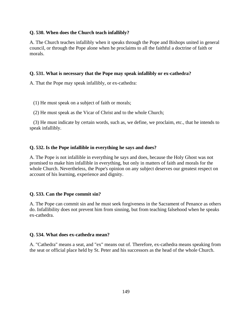#### **Q. 530. When does the Church teach infallibly?**

A. The Church teaches infallibly when it speaks through the Pope and Bishops united in general council, or through the Pope alone when he proclaims to all the faithful a doctrine of faith or morals.

#### **Q. 531. What is necessary that the Pope may speak infallibly or ex-cathedra?**

A. That the Pope may speak infallibly, or ex-cathedra:

- (1) He must speak on a subject of faith or morals;
- (2) He must speak as the Vicar of Christ and to the whole Church;

 (3) He must indicate by certain words, such as, we define, we proclaim, etc., that he intends to speak infallibly.

## **Q. 532. Is the Pope infallible in everything he says and does?**

A. The Pope is not infallible in everything he says and does, because the Holy Ghost was not promised to make him infallible in everything, but only in matters of faith and morals for the whole Church. Nevertheless, the Pope's opinion on any subject deserves our greatest respect on account of his learning, experience and dignity.

#### **Q. 533. Can the Pope commit sin?**

A. The Pope can commit sin and he must seek forgiveness in the Sacrament of Penance as others do. Infallibility does not prevent him from sinning, but from teaching falsehood when he speaks ex-cathedra.

#### **Q. 534. What does ex-cathedra mean?**

A. "Cathedra" means a seat, and "ex" means out of. Therefore, ex-cathedra means speaking from the seat or official place held by St. Peter and his successors as the head of the whole Church.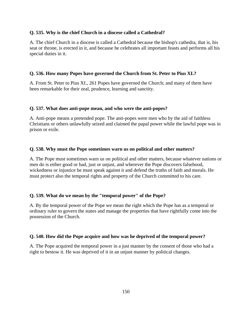#### **Q. 535. Why is the chief Church in a diocese called a Cathedral?**

A. The chief Church in a diocese is called a Cathedral because the bishop's cathedra, that is, his seat or throne, is erected in it, and because he celebrates all important feasts and performs all his special duties in it.

## **Q. 536. How many Popes have governed the Church from St. Peter to Pius XI.?**

A. From St. Peter to Pius XI., 261 Popes have governed the Church; and many of them have been remarkable for their zeal, prudence, learning and sanctity.

#### **Q. 537. What does anti-pope mean, and who were the anti-popes?**

A. Anti-pope means a pretended pope. The anti-popes were men who by the aid of faithless Christians or others unlawfully seized and claimed the papal power while the lawful pope was in prison or exile.

#### **Q. 538. Why must the Pope sometimes warn us on political and other matters?**

A. The Pope must sometimes warn us on political and other matters, because whatever nations or men do is either good or bad, just or unjust, and wherever the Pope discovers falsehood, wickedness or injustice he must speak against it and defend the truths of faith and morals. He must protect also the temporal rights and property of the Church committed to his care.

## **Q. 539. What do we mean by the "temporal power" of the Pope?**

A. By the temporal power of the Pope we mean the right which the Pope has as a temporal or ordinary ruler to govern the states and manage the properties that have rightfully come into the possession of the Church.

#### **Q. 540. How did the Pope acquire and how was he deprived of the temporal power?**

A. The Pope acquired the temporal power in a just manner by the consent of those who had a right to bestow it. He was deprived of it in an unjust manner by political changes.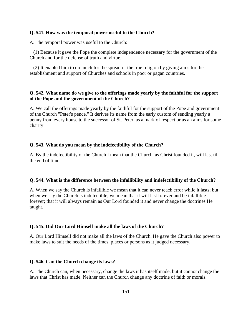#### **Q. 541. How was the temporal power useful to the Church?**

A. The temporal power was useful to the Church:

 (1) Because it gave the Pope the complete independence necessary for the government of the Church and for the defense of truth and virtue.

 (2) It enabled him to do much for the spread of the true religion by giving alms for the establishment and support of Churches and schools in poor or pagan countries.

## **Q. 542. What name do we give to the offerings made yearly by the faithful for the support of the Pope and the government of the Church?**

A. We call the offerings made yearly by the faithful for the support of the Pope and government of the Church "Peter's pence." It derives its name from the early custom of sending yearly a penny from every house to the successor of St. Peter, as a mark of respect or as an alms for some charity.

#### **Q. 543. What do you mean by the indefectibility of the Church?**

A. By the indefectibility of the Church I mean that the Church, as Christ founded it, will last till the end of time.

#### **Q. 544. What is the difference between the infallibility and indefectibility of the Church?**

A. When we say the Church is infallible we mean that it can never teach error while it lasts; but when we say the Church is indefectible, we mean that it will last forever and be infallible forever; that it will always remain as Our Lord founded it and never change the doctrines He taught.

#### **Q. 545. Did Our Lord Himself make all the laws of the Church?**

A. Our Lord Himself did not make all the laws of the Church. He gave the Church also power to make laws to suit the needs of the times, places or persons as it judged necessary.

#### **Q. 546. Can the Church change its laws?**

A. The Church can, when necessary, change the laws it has itself made, but it cannot change the laws that Christ has made. Neither can the Church change any doctrine of faith or morals.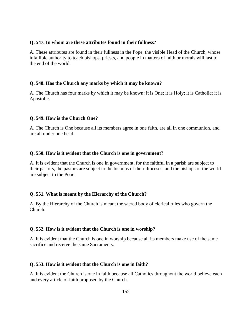#### **Q. 547. In whom are these attributes found in their fullness?**

A. These attributes are found in their fullness in the Pope, the visible Head of the Church, whose infallible authority to teach bishops, priests, and people in matters of faith or morals will last to the end of the world.

## **Q. 548. Has the Church any marks by which it may be known?**

A. The Church has four marks by which it may be known: it is One; it is Holy; it is Catholic; it is Apostolic.

#### **Q. 549. How is the Church One?**

A. The Church is One because all its members agree in one faith, are all in one communion, and are all under one head.

#### **Q. 550. How is it evident that the Church is one in government?**

A. It is evident that the Church is one in government, for the faithful in a parish are subject to their pastors, the pastors are subject to the bishops of their dioceses, and the bishops of the world are subject to the Pope.

## **Q. 551. What is meant by the Hierarchy of the Church?**

A. By the Hierarchy of the Church is meant the sacred body of clerical rules who govern the Church.

## **Q. 552. How is it evident that the Church is one in worship?**

A. It is evident that the Church is one in worship because all its members make use of the same sacrifice and receive the same Sacraments.

#### **Q. 553. How is it evident that the Church is one in faith?**

A. It is evident the Church is one in faith because all Catholics throughout the world believe each and every article of faith proposed by the Church.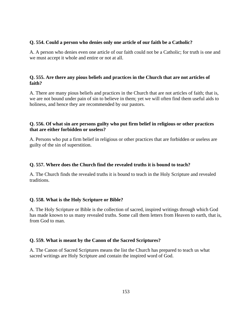## **Q. 554. Could a person who denies only one article of our faith be a Catholic?**

A. A person who denies even one article of our faith could not be a Catholic; for truth is one and we must accept it whole and entire or not at all.

# **Q. 555. Are there any pious beliefs and practices in the Church that are not articles of faith?**

A. There are many pious beliefs and practices in the Church that are not articles of faith; that is, we are not bound under pain of sin to believe in them; yet we will often find them useful aids to holiness, and hence they are recommended by our pastors.

# **Q. 556. Of what sin are persons guilty who put firm belief in religious or other practices that are either forbidden or useless?**

A. Persons who put a firm belief in religious or other practices that are forbidden or useless are guilty of the sin of superstition.

# **Q. 557. Where does the Church find the revealed truths it is bound to teach?**

A. The Church finds the revealed truths it is bound to teach in the Holy Scripture and revealed traditions.

## **Q. 558. What is the Holy Scripture or Bible?**

A. The Holy Scripture or Bible is the collection of sacred, inspired writings through which God has made known to us many revealed truths. Some call them letters from Heaven to earth, that is, from God to man.

# **Q. 559. What is meant by the Canon of the Sacred Scriptures?**

A. The Canon of Sacred Scriptures means the list the Church has prepared to teach us what sacred writings are Holy Scripture and contain the inspired word of God.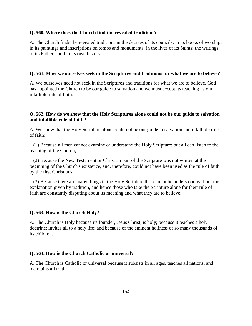#### **Q. 560. Where does the Church find the revealed traditions?**

A. The Church finds the revealed traditions in the decrees of its councils; in its books of worship; in its paintings and inscriptions on tombs and monuments; in the lives of its Saints; the writings of its Fathers, and in its own history.

#### **Q. 561. Must we ourselves seek in the Scriptures and traditions for what we are to believe?**

A. We ourselves need not seek in the Scriptures and traditions for what we are to believe. God has appointed the Church to be our guide to salvation and we must accept its teaching us our infallible rule of faith.

#### **Q. 562. How do we show that the Holy Scriptures alone could not be our guide to salvation and infallible rule of faith?**

A. We show that the Holy Scripture alone could not be our guide to salvation and infallible rule of faith:

 (1) Because all men cannot examine or understand the Holy Scripture; but all can listen to the teaching of the Church;

 (2) Because the New Testament or Christian part of the Scripture was not written at the beginning of the Church's existence, and, therefore, could not have been used as the rule of faith by the first Christians;

 (3) Because there are many things in the Holy Scripture that cannot be understood without the explanation given by tradition, and hence those who take the Scripture alone for their rule of faith are constantly disputing about its meaning and what they are to believe.

#### **Q. 563. How is the Church Holy?**

A. The Church is Holy because its founder, Jesus Christ, is holy; because it teaches a holy doctrine; invites all to a holy life; and because of the eminent holiness of so many thousands of its children.

#### **Q. 564. How is the Church Catholic or universal?**

A. The Church is Catholic or universal because it subsists in all ages, teaches all nations, and maintains all truth.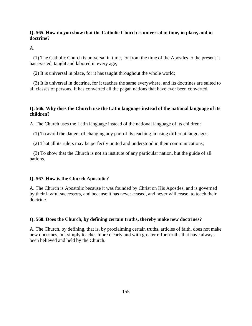# **Q. 565. How do you show that the Catholic Church is universal in time, in place, and in doctrine?**

A.

 (1) The Catholic Church is universal in time, for from the time of the Apostles to the present it has existed, taught and labored in every age;

(2) It is universal in place, for it has taught throughout the whole world;

 (3) It is universal in doctrine, for it teaches the same everywhere, and its doctrines are suited to all classes of persons. It has converted all the pagan nations that have ever been converted.

# **Q. 566. Why does the Church use the Latin language instead of the national language of its children?**

A. The Church uses the Latin language instead of the national language of its children:

(1) To avoid the danger of changing any part of its teaching in using different languages;

(2) That all its rulers may be perfectly united and understood in their communications;

 (3) To show that the Church is not an institute of any particular nation, but the guide of all nations.

# **Q. 567. How is the Church Apostolic?**

A. The Church is Apostolic because it was founded by Christ on His Apostles, and is governed by their lawful successors, and because it has never ceased, and never will cease, to teach their doctrine.

# **Q. 568. Does the Church, by defining certain truths, thereby make new doctrines?**

A. The Church, by defining, that is, by proclaiming certain truths, articles of faith, does not make new doctrines, but simply teaches more clearly and with greater effort truths that have always been believed and held by the Church.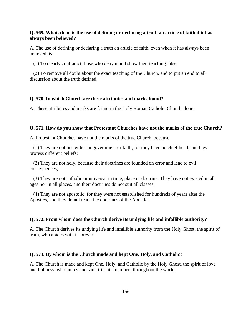#### **Q. 569. What, then, is the use of defining or declaring a truth an article of faith if it has always been believed?**

A. The use of defining or declaring a truth an article of faith, even when it has always been believed, is:

(1) To clearly contradict those who deny it and show their teaching false;

 (2) To remove all doubt about the exact teaching of the Church, and to put an end to all discussion about the truth defined.

#### **Q. 570. In which Church are these attributes and marks found?**

A. These attributes and marks are found in the Holy Roman Catholic Church alone.

#### **Q. 571. How do you show that Protestant Churches have not the marks of the true Church?**

A. Protestant Churches have not the marks of the true Church, because:

 (1) They are not one either in government or faith; for they have no chief head, and they profess different beliefs;

 (2) They are not holy, because their doctrines are founded on error and lead to evil consequences;

 (3) They are not catholic or universal in time, place or doctrine. They have not existed in all ages nor in all places, and their doctrines do not suit all classes;

 (4) They are not apostolic, for they were not established for hundreds of years after the Apostles, and they do not teach the doctrines of the Apostles.

#### **Q. 572. From whom does the Church derive its undying life and infallible authority?**

A. The Church derives its undying life and infallible authority from the Holy Ghost, the spirit of truth, who abides with it forever.

#### **Q. 573. By whom is the Church made and kept One, Holy, and Catholic?**

A. The Church is made and kept One, Holy, and Catholic by the Holy Ghost, the spirit of love and holiness, who unites and sanctifies its members throughout the world.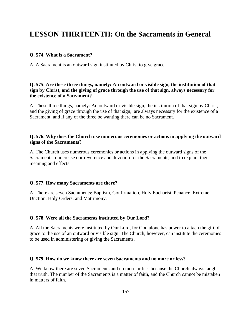# **LESSON THIRTEENTH: On the Sacraments in General**

#### **Q. 574. What is a Sacrament?**

A. A Sacrament is an outward sign instituted by Christ to give grace.

# **Q. 575. Are these three things, namely: An outward or visible sign, the institution of that sign by Christ, and the giving of grace through the use of that sign, always necessary for the existence of a Sacrament?**

A. These three things, namely: An outward or visible sign, the institution of that sign by Christ, and the giving of grace through the use of that sign, are always necessary for the existence of a Sacrament, and if any of the three be wanting there can be no Sacrament.

#### **Q. 576. Why does the Church use numerous ceremonies or actions in applying the outward signs of the Sacraments?**

A. The Church uses numerous ceremonies or actions in applying the outward signs of the Sacraments to increase our reverence and devotion for the Sacraments, and to explain their meaning and effects.

#### **Q. 577. How many Sacraments are there?**

A. There are seven Sacraments: Baptism, Confirmation, Holy Eucharist, Penance, Extreme Unction, Holy Orders, and Matrimony.

## **Q. 578. Were all the Sacraments instituted by Our Lord?**

A. All the Sacraments were instituted by Our Lord, for God alone has power to attach the gift of grace to the use of an outward or visible sign. The Church, however, can institute the ceremonies to be used in administering or giving the Sacraments.

#### **Q. 579. How do we know there are seven Sacraments and no more or less?**

A. We know there are seven Sacraments and no more or less because the Church always taught that truth. The number of the Sacraments is a matter of faith, and the Church cannot be mistaken in matters of faith.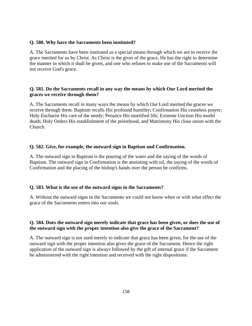#### **Q. 580. Why have the Sacraments been instituted?**

A. The Sacraments have been instituted as a special means through which we are to receive the grace merited for us by Christ. As Christ is the giver of the grace, He has the right to determine the manner in which it shall be given, and one who refuses to make use of the Sacraments will not receive God's grace.

# **Q. 581. Do the Sacraments recall in any way the means by which Our Lord merited the graces we receive through them?**

A. The Sacraments recall in many ways the means by which Our Lord merited the graces we receive through them. Baptism recalls His profound humility; Confirmation His ceaseless prayer; Holy Eucharist His care of the needy; Penance His mortified life; Extreme Unction His model death; Holy Orders His establishment of the priesthood, and Matrimony His close union with the Church.

## **Q. 582. Give, for example, the outward sign in Baptism and Confirmation.**

A. The outward sign in Baptism is the pouring of the water and the saying of the words of Baptism. The outward sign in Confirmation is the anointing with oil, the saying of the words of Confirmation and the placing of the bishop's hands over the person he confirms.

## **Q. 583. What is the use of the outward signs in the Sacraments?**

A. Without the outward signs in the Sacraments we could not know when or with what effect the grace of the Sacraments enters into our souls.

## **Q. 584. Does the outward sign merely indicate that grace has been given, or does the use of the outward sign with the proper intention also give the grace of the Sacrament?**

A. The outward sign is not used merely to indicate that grace has been given, for the use of the outward sign with the proper intention also gives the grace of the Sacrament. Hence the right application of the outward sign is always followed by the gift of internal grace if the Sacrament be administered with the right intention and received with the right dispositions.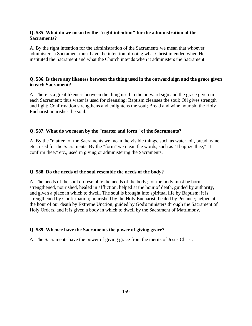# **Q. 585. What do we mean by the "right intention" for the administration of the Sacraments?**

A. By the right intention for the administration of the Sacraments we mean that whoever administers a Sacrament must have the intention of doing what Christ intended when He instituted the Sacrament and what the Church intends when it administers the Sacrament.

# **Q. 586. Is there any likeness between the thing used in the outward sign and the grace given in each Sacrament?**

A. There is a great likeness between the thing used in the outward sign and the grace given in each Sacrament; thus water is used for cleansing; Baptism cleanses the soul; Oil gives strength and light; Confirmation strengthens and enlightens the soul; Bread and wine nourish; the Holy Eucharist nourishes the soul.

# **Q. 587. What do we mean by the "matter and form" of the Sacraments?**

A. By the "matter" of the Sacraments we mean the visible things, such as water, oil, bread, wine, etc., used for the Sacraments. By the "form" we mean the words, such as "I baptize thee," "I confirm thee," etc., used in giving or administering the Sacraments.

## **Q. 588. Do the needs of the soul resemble the needs of the body?**

A. The needs of the soul do resemble the needs of the body; for the body must be born, strengthened, nourished, healed in affliction, helped at the hour of death, guided by authority, and given a place in which to dwell. The soul is brought into spiritual life by Baptism; it is strengthened by Confirmation; nourished by the Holy Eucharist; healed by Penance; helped at the hour of our death by Extreme Unction; guided by God's ministers through the Sacrament of Holy Orders, and it is given a body in which to dwell by the Sacrament of Matrimony.

## **Q. 589. Whence have the Sacraments the power of giving grace?**

A. The Sacraments have the power of giving grace from the merits of Jesus Christ.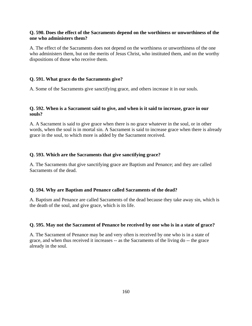## **Q. 590. Does the effect of the Sacraments depend on the worthiness or unworthiness of the one who administers them?**

A. The effect of the Sacraments does not depend on the worthiness or unworthiness of the one who administers them, but on the merits of Jesus Christ, who instituted them, and on the worthy dispositions of those who receive them.

#### **Q. 591. What grace do the Sacraments give?**

A. Some of the Sacraments give sanctifying grace, and others increase it in our souls.

### **Q. 592. When is a Sacrament said to give, and when is it said to increase, grace in our souls?**

A. A Sacrament is said to give grace when there is no grace whatever in the soul, or in other words, when the soul is in mortal sin. A Sacrament is said to increase grace when there is already grace in the soul, to which more is added by the Sacrament received.

#### **Q. 593. Which are the Sacraments that give sanctifying grace?**

A. The Sacraments that give sanctifying grace are Baptism and Penance; and they are called Sacraments of the dead.

#### **Q. 594. Why are Baptism and Penance called Sacraments of the dead?**

A. Baptism and Penance are called Sacraments of the dead because they take away sin, which is the death of the soul, and give grace, which is its life.

#### **Q. 595. May not the Sacrament of Penance be received by one who is in a state of grace?**

A. The Sacrament of Penance may be and very often is received by one who is in a state of grace, and when thus received it increases -- as the Sacraments of the living do -- the grace already in the soul.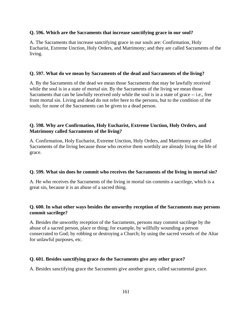#### **Q. 596. Which are the Sacraments that increase sanctifying grace in our soul?**

A. The Sacraments that increase sanctifying grace in our souls are: Confirmation, Holy Eucharist, Extreme Unction, Holy Orders, and Matrimony; and they are called Sacraments of the living.

#### **Q. 597. What do we mean by Sacraments of the dead and Sacraments of the living?**

A. By the Sacraments of the dead we mean those Sacraments that may be lawfully received while the soul is in a state of mortal sin. By the Sacraments of the living we mean those Sacraments that can be lawfully received only while the soul is in a state of grace -- i.e., free from mortal sin. Living and dead do not refer here to the persons, but to the condition of the souls; for none of the Sacraments can be given to a dead person.

# **Q. 598. Why are Confirmation, Holy Eucharist, Extreme Unction, Holy Orders, and Matrimony called Sacraments of the living?**

A. Confirmation, Holy Eucharist, Extreme Unction, Holy Orders, and Matrimony are called Sacraments of the living because those who receive them worthily are already living the life of grace.

## **Q. 599. What sin does he commit who receives the Sacraments of the living in mortal sin?**

A. He who receives the Sacraments of the living in mortal sin commits a sacrilege, which is a great sin, because it is an abuse of a sacred thing.

## **Q. 600. In what other ways besides the unworthy reception of the Sacraments may persons commit sacrilege?**

A. Besides the unworthy reception of the Sacraments, persons may commit sacrilege by the abuse of a sacred person, place or thing; for example, by willfully wounding a person consecrated to God; by robbing or destroying a Church; by using the sacred vessels of the Altar for unlawful purposes, etc.

## **Q. 601. Besides sanctifying grace do the Sacraments give any other grace?**

A. Besides sanctifying grace the Sacraments give another grace, called sacramental grace.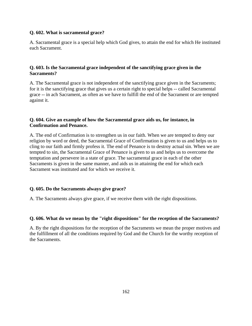## **Q. 602. What is sacramental grace?**

A. Sacramental grace is a special help which God gives, to attain the end for which He instituted each Sacrament.

# **Q. 603. Is the Sacramental grace independent of the sanctifying grace given in the Sacraments?**

A. The Sacramental grace is not independent of the sanctifying grace given in the Sacraments; for it is the sanctifying grace that gives us a certain right to special helps -- called Sacramental grace -- in ach Sacrament, as often as we have to fulfill the end of the Sacrament or are tempted against it.

# **Q. 604. Give an example of how the Sacramental grace aids us, for instance, in Confirmation and Penance.**

A. The end of Confirmation is to strengthen us in our faith. When we are tempted to deny our religion by word or deed, the Sacramental Grace of Confirmation is given to us and helps us to cling to our faith and firmly profess it. The end of Penance is to destroy actual sin. When we are tempted to sin, the Sacramental Grace of Penance is given to us and helps us to overcome the temptation and persevere in a state of grace. The sacramental grace in each of the other Sacraments is given in the same manner, and aids us in attaining the end for which each Sacrament was instituted and for which we receive it.

## **Q. 605. Do the Sacraments always give grace?**

A. The Sacraments always give grace, if we receive them with the right dispositions.

## **Q. 606. What do we mean by the "right dispositions" for the reception of the Sacraments?**

A. By the right dispositions for the reception of the Sacraments we mean the proper motives and the fulfillment of all the conditions required by God and the Church for the worthy reception of the Sacraments.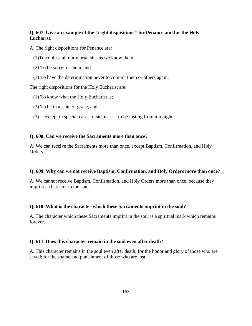# **Q. 607. Give an example of the "right dispositions" for Penance and for the Holy Eucharist.**

- A. The right dispositions for Penance are:
	- (1)To confess all our mortal sins as we know them;
	- (2) To be sorry for them, and
	- (3) To have the determination never to commit them or others again.

The right dispositions for the Holy Eucharist are:

- (1) To know what the Holy Eucharist is;
- (2) To be in a state of grace, and
- (3) -- except in special cases of sickness -- to be fasting from midnight.

#### **Q. 608. Can we receive the Sacraments more than once?**

A. We can receive the Sacraments more than once, except Baptism, Confirmation, and Holy Orders.

## **Q. 609. Why can we not receive Baptism, Confirmation, and Holy Orders more than once?**

A. We cannot receive Baptism, Confirmation, and Holy Orders more than once, because they imprint a character in the soul.

## **Q. 610. What is the character which these Sacraments imprint in the soul?**

A. The character which these Sacraments imprint in the soul is a spiritual mark which remains forever.

## **Q. 611. Does this character remain in the soul even after death?**

A. This character remains in the soul even after death; for the honor and glory of those who are saved; for the shame and punishment of those who are lost.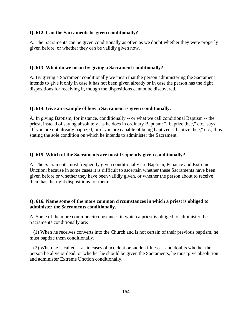#### **Q. 612. Can the Sacraments be given conditionally?**

A. The Sacraments can be given conditionally as often as we doubt whether they were properly given before, or whether they can be validly given now.

#### **Q. 613. What do we mean by giving a Sacrament conditionally?**

A. By giving a Sacrament conditionally we mean that the person administering the Sacrament intends to give it only in case it has not been given already or in case the person has the right dispositions for receiving it, though the dispositions cannot be discovered.

#### **Q. 614. Give an example of how a Sacrament is given conditionally.**

A. In giving Baptism, for instance, conditionally -- or what we call conditional Baptism -- the priest, instead of saying absolutely, as he does in ordinary Baptism: "I baptize thee," etc., says: "If you are not already baptized, or if you are capable of being baptized, I baptize thee," etc., thus stating the sole condition on which he intends to administer the Sacrament.

#### **Q. 615. Which of the Sacraments are most frequently given conditionally?**

A. The Sacraments most frequently given conditionally are Baptism, Penance and Extreme Unction; because in some cases it is difficult to ascertain whether these Sacraments have been given before or whether they have been validly given, or whether the person about to receive them has the right dispositions for them.

## **Q. 616. Name some of the more common circumstances in which a priest is obliged to administer the Sacraments conditionally.**

A. Some of the more common circumstances in which a priest is obliged to administer the Sacraments conditionally are:

 (1) When he receives converts into the Church and is not certain of their previous baptism, he must baptize them conditionally.

 (2) When he is called -- as in cases of accident or sudden illness -- and doubts whether the person be alive or dead, or whether he should be given the Sacraments, he must give absolution and administer Extreme Unction conditionally.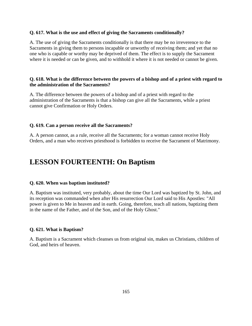#### **Q. 617. What is the use and effect of giving the Sacraments conditionally?**

A. The use of giving the Sacraments conditionally is that there may be no irreverence to the Sacraments in giving them to persons incapable or unworthy of receiving them; and yet that no one who is capable or worthy may be deprived of them. The effect is to supply the Sacrament where it is needed or can be given, and to withhold it where it is not needed or cannot be given.

#### **Q. 618. What is the difference between the powers of a bishop and of a priest with regard to the administration of the Sacraments?**

A. The difference between the powers of a bishop and of a priest with regard to the administration of the Sacraments is that a bishop can give all the Sacraments, while a priest cannot give Confirmation or Holy Orders.

#### **Q. 619. Can a person receive all the Sacraments?**

A. A person cannot, as a rule, receive all the Sacraments; for a woman cannot receive Holy Orders, and a man who receives priesthood is forbidden to receive the Sacrament of Matrimony.

# **LESSON FOURTEENTH: On Baptism**

#### **Q. 620. When was baptism instituted?**

A. Baptism was instituted, very probably, about the time Our Lord was baptized by St. John, and its reception was commanded when after His resurrection Our Lord said to His Apostles: "All power is given to Me in heaven and in earth. Going, therefore, teach all nations, baptizing them in the name of the Father, and of the Son, and of the Holy Ghost."

#### **Q. 621. What is Baptism?**

A. Baptism is a Sacrament which cleanses us from original sin, makes us Christians, children of God, and heirs of heaven.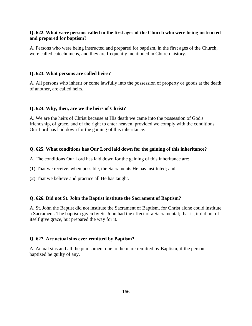# **Q. 622. What were persons called in the first ages of the Church who were being instructed and prepared for baptism?**

A. Persons who were being instructed and prepared for baptism, in the first ages of the Church, were called catechumens, and they are frequently mentioned in Church history.

## **Q. 623. What persons are called heirs?**

A. All persons who inherit or come lawfully into the possession of property or goods at the death of another, are called heirs.

# **Q. 624. Why, then, are we the heirs of Christ?**

A. We are the heirs of Christ because at His death we came into the possession of God's friendship, of grace, and of the right to enter heaven, provided we comply with the conditions Our Lord has laid down for the gaining of this inheritance.

# **Q. 625. What conditions has Our Lord laid down for the gaining of this inheritance?**

A. The conditions Our Lord has laid down for the gaining of this inheritance are:

(1) That we receive, when possible, the Sacraments He has instituted; and

(2) That we believe and practice all He has taught.

## **Q. 626. Did not St. John the Baptist institute the Sacrament of Baptism?**

A. St. John the Baptist did not institute the Sacrament of Baptism, for Christ alone could institute a Sacrament. The baptism given by St. John had the effect of a Sacramental; that is, it did not of itself give grace, but prepared the way for it.

# **Q. 627. Are actual sins ever remitted by Baptism?**

A. Actual sins and all the punishment due to them are remitted by Baptism, if the person baptized be guilty of any.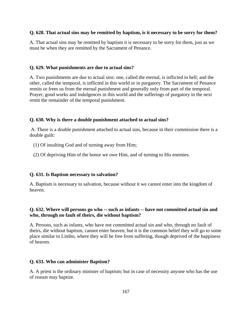## **Q. 628. That actual sins may be remitted by baptism, is it necessary to be sorry for them?**

A. That actual sins may be remitted by baptism it is necessary to be sorry for them, just as we must be when they are remitted by the Sacrament of Penance.

#### **Q. 629. What punishments are due to actual sins?**

A. Two punishments are due to actual sins: one, called the eternal, is inflicted in hell; and the other, called the temporal, is inflicted in this world or in purgatory. The Sacrament of Penance remits or frees us from the eternal punishment and generally only from part of the temporal. Prayer, good works and indulgences in this world and the sufferings of purgatory in the next remit the remainder of the temporal punishment.

#### **Q. 630. Why is there a double punishment attached to actual sins?**

 A. There is a double punishment attached to actual sins, because in their commission there is a double guilt:

- (1) Of insulting God and of turning away from Him;
- (2) Of depriving Him of the honor we owe Him, and of turning to His enemies.

## **Q. 631. Is Baptism necessary to salvation?**

A. Baptism is necessary to salvation, because without it we cannot enter into the kingdom of heaven.

# **Q. 632. Where will persons go who -- such as infants -- have not committed actual sin and who, through no fault of theirs, die without baptism?**

A. Persons, such as infants, who have not committed actual sin and who, through no fault of theirs, die without baptism, cannot enter heaven; but it is the common belief they will go to some place similar to Limbo, where they will be free from suffering, though deprived of the happiness of heaven.

#### **Q. 633. Who can administer Baptism?**

A. A priest is the ordinary minister of baptism; but in case of necessity anyone who has the use of reason may baptize.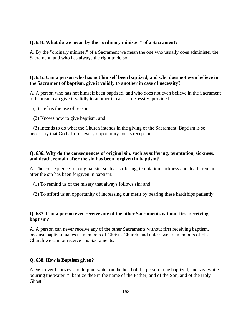#### **Q. 634. What do we mean by the "ordinary minister" of a Sacrament?**

A. By the "ordinary minister" of a Sacrament we mean the one who usually does administer the Sacrament, and who has always the right to do so.

## **Q. 635. Can a person who has not himself been baptized, and who does not even believe in the Sacrament of baptism, give it validly to another in case of necessity?**

A. A person who has not himself been baptized, and who does not even believe in the Sacrament of baptism, can give it validly to another in case of necessity, provided:

(1) He has the use of reason;

(2) Knows how to give baptism, and

 (3) Intends to do what the Church intends in the giving of the Sacrament. Baptism is so necessary that God affords every opportunity for its reception.

# **Q. 636. Why do the consequences of original sin, such as suffering, temptation, sickness, and death, remain after the sin has been forgiven in baptism?**

A. The consequences of original sin, such as suffering, temptation, sickness and death, remain after the sin has been forgiven in baptism:

- (1) To remind us of the misery that always follows sin; and
- (2) To afford us an opportunity of increasing our merit by bearing these hardships patiently.

## **Q. 637. Can a person ever receive any of the other Sacraments without first receiving baptism?**

A. A person can never receive any of the other Sacraments without first receiving baptism, because baptism makes us members of Christ's Church, and unless we are members of His Church we cannot receive His Sacraments.

## **Q. 638. How is Baptism given?**

A. Whoever baptizes should pour water on the head of the person to be baptized, and say, while pouring the water: "I baptize thee in the name of the Father, and of the Son, and of the Holy Ghost."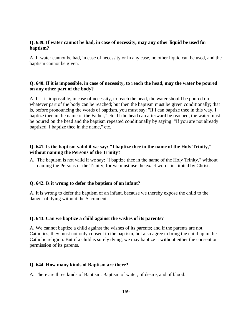### **Q. 639. If water cannot be had, in case of necessity, may any other liquid be used for baptism?**

A. If water cannot be had, in case of necessity or in any case, no other liquid can be used, and the baptism cannot be given.

# **Q. 640. If it is impossible, in case of necessity, to reach the head, may the water be poured on any other part of the body?**

A. If it is impossible, in case of necessity, to reach the head, the water should be poured on whatever part of the body can be reached; but then the baptism must be given conditionally; that is, before pronouncing the words of baptism, you must say: "If I can baptize thee in this way, I baptize thee in the name of the Father," etc. If the head can afterward be reached, the water must be poured on the head and the baptism repeated conditionally by saying: "If you are not already baptized, I baptize thee in the name," etc.

# **Q. 641. Is the baptism valid if we say: "I baptize thee in the name of the Holy Trinity," without naming the Persons of the Trinity?**

A. The baptism is not valid if we say: "I baptize thee in the name of the Holy Trinity," without naming the Persons of the Trinity; for we must use the exact words instituted by Christ.

## **Q. 642. Is it wrong to defer the baptism of an infant?**

A. It is wrong to defer the baptism of an infant, because we thereby expose the child to the danger of dying without the Sacrament.

#### **Q. 643. Can we baptize a child against the wishes of its parents?**

A. We cannot baptize a child against the wishes of its parents; and if the parents are not Catholics, they must not only consent to the baptism, but also agree to bring the child up in the Catholic religion. But if a child is surely dying, we may baptize it without either the consent or permission of its parents.

#### **Q. 644. How many kinds of Baptism are there?**

A. There are three kinds of Baptism: Baptism of water, of desire, and of blood.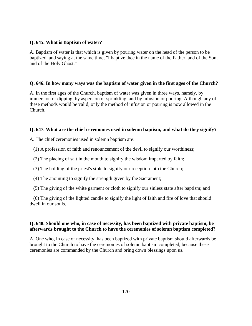# **Q. 645. What is Baptism of water?**

A. Baptism of water is that which is given by pouring water on the head of the person to be baptized, and saying at the same time, "I baptize thee in the name of the Father, and of the Son, and of the Holy Ghost."

# **Q. 646. In how many ways was the baptism of water given in the first ages of the Church?**

A. In the first ages of the Church, baptism of water was given in three ways, namely, by immersion or dipping, by aspersion or sprinkling, and by infusion or pouring. Although any of these methods would be valid, only the method of infusion or pouring is now allowed in the Church.

# **Q. 647. What are the chief ceremonies used in solemn baptism, and what do they signify?**

A. The chief ceremonies used in solemn baptism are:

(1) A profession of faith and renouncement of the devil to signify our worthiness;

- (2) The placing of salt in the mouth to signify the wisdom imparted by faith;
- (3) The holding of the priest's stole to signify our reception into the Church;
- (4) The anointing to signify the strength given by the Sacrament;
- (5) The giving of the white garment or cloth to signify our sinless state after baptism; and

 (6) The giving of the lighted candle to signify the light of faith and fire of love that should dwell in our souls.

# **Q. 648. Should one who, in case of necessity, has been baptized with private baptism, be afterwards brought to the Church to have the ceremonies of solemn baptism completed?**

A. One who, in case of necessity, has been baptized with private baptism should afterwards be brought to the Church to have the ceremonies of solemn baptism completed, because these ceremonies are commanded by the Church and bring down blessings upon us.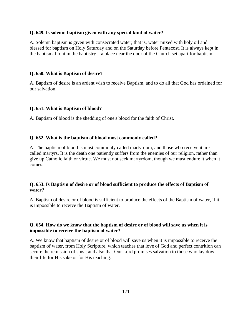#### **Q. 649. Is solemn baptism given with any special kind of water?**

A. Solemn baptism is given with consecrated water; that is, water mixed with holy oil and blessed for baptism on Holy Saturday and on the Saturday before Pentecost. It is always kept in the baptismal font in the baptistry – a place near the door of the Church set apart for baptism.

#### **Q. 650. What is Baptism of desire?**

A. Baptism of desire is an ardent wish to receive Baptism, and to do all that God has ordained for our salvation.

#### **Q. 651. What is Baptism of blood?**

A. Baptism of blood is the shedding of one's blood for the faith of Christ.

#### **Q. 652. What is the baptism of blood most commonly called?**

A. The baptism of blood is most commonly called martyrdom, and those who receive it are called martyrs. It is the death one patiently suffers from the enemies of our religion, rather than give up Catholic faith or virtue. We must not seek martyrdom, though we must endure it when it comes.

#### **Q. 653. Is Baptism of desire or of blood sufficient to produce the effects of Baptism of water?**

A. Baptism of desire or of blood is sufficient to produce the effects of the Baptism of water, if it is impossible to receive the Baptism of water.

## **Q. 654. How do we know that the baptism of desire or of blood will save us when it is impossible to receive the baptism of water?**

A. We know that baptism of desire or of blood will save us when it is impossible to receive the baptism of water, from Holy Scripture, which teaches that love of God and perfect contrition can secure the remission of sins ; and also that Our Lord promises salvation to those who lay down their life for His sake or for His teaching.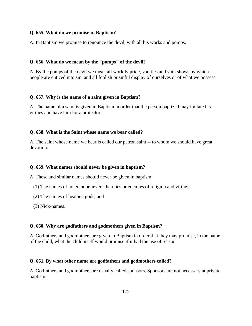### **Q. 655. What do we promise in Baptism?**

A. In Baptism we promise to renounce the devil, with all his works and pomps.

#### **Q. 656. What do we mean by the "pomps" of the devil?**

A. By the pomps of the devil we mean all worldly pride, vanities and vain shows by which people are enticed into sin, and all foolish or sinful display of ourselves or of what we possess.

#### **Q. 657. Why is the name of a saint given in Baptism?**

A. The name of a saint is given in Baptism in order that the person baptized may imitate his virtues and have him for a protector.

#### **Q. 658. What is the Saint whose name we bear called?**

A. The saint whose name we bear is called our patron saint -- to whom we should have great devotion.

#### **Q. 659. What names should never be given in baptism?**

A. These and similar names should never be given in baptism:

- (1) The names of noted unbelievers, heretics or enemies of religion and virtue;
- (2) The names of heathen gods, and
- (3) Nick-names.

#### **Q. 660. Why are godfathers and godmothers given in Baptism?**

A. Godfathers and godmothers are given in Baptism in order that they may promise, in the name of the child, what the child itself would promise if it had the use of reason.

#### **Q. 661. By what other name are godfathers and godmothers called?**

A. Godfathers and godmothers are usually called sponsors. Sponsors are not necessary at private baptism.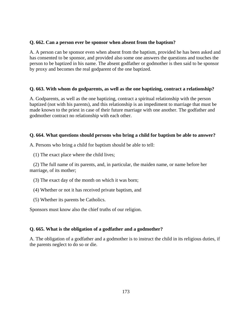# **Q. 662. Can a person ever be sponsor when absent from the baptism?**

A. A person can be sponsor even when absent from the baptism, provided he has been asked and has consented to be sponsor, and provided also some one answers the questions and touches the person to be baptized in his name. The absent godfather or godmother is then said to be sponsor by proxy and becomes the real godparent of the one baptized.

# **Q. 663. With whom do godparents, as well as the one baptizing, contract a relationship?**

A. Godparents, as well as the one baptizing, contract a spiritual relationship with the person baptized (not with his parents), and this relationship is an impediment to marriage that must be made known to the priest in case of their future marriage with one another. The godfather and godmother contract no relationship with each other.

# **Q. 664. What questions should persons who bring a child for baptism be able to answer?**

A. Persons who bring a child for baptism should be able to tell:

(1) The exact place where the child lives;

 (2) The full name of its parents, and, in particular, the maiden name, or name before her marriage, of its mother;

- (3) The exact day of the month on which it was born;
- (4) Whether or not it has received private baptism, and
- (5) Whether its parents be Catholics.

Sponsors must know also the chief truths of our religion.

# **Q. 665. What is the obligation of a godfather and a godmother?**

A. The obligation of a godfather and a godmother is to instruct the child in its religious duties, if the parents neglect to do so or die.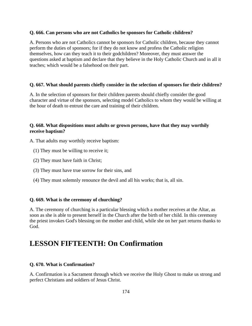#### **Q. 666. Can persons who are not Catholics be sponsors for Catholic children?**

A. Persons who are not Catholics cannot be sponsors for Catholic children, because they cannot perform the duties of sponsors; for if they do not know and profess the Catholic religion themselves, how can they teach it to their godchildren? Moreover, they must answer the questions asked at baptism and declare that they believe in the Holy Catholic Church and in all it teaches; which would be a falsehood on their part.

## **Q. 667. What should parents chiefly consider in the selection of sponsors for their children?**

A. In the selection of sponsors for their children parents should chiefly consider the good character and virtue of the sponsors, selecting model Catholics to whom they would be willing at the hour of death to entrust the care and training of their children.

# **Q. 668. What dispositions must adults or grown persons, have that they may worthily receive baptism?**

A. That adults may worthily receive baptism:

- (1) They must be willing to receive it;
- (2) They must have faith in Christ;
- (3) They must have true sorrow for their sins, and
- (4) They must solemnly renounce the devil and all his works; that is, all sin.

#### **Q. 669. What is the ceremony of churching?**

A. The ceremony of churching is a particular blessing which a mother receives at the Altar, as soon as she is able to present herself in the Church after the birth of her child. In this ceremony the priest invokes God's blessing on the mother and child, while she on her part returns thanks to God.

# **LESSON FIFTEENTH: On Confirmation**

## **Q. 670. What is Confirmation?**

A. Confirmation is a Sacrament through which we receive the Holy Ghost to make us strong and perfect Christians and soldiers of Jesus Christ.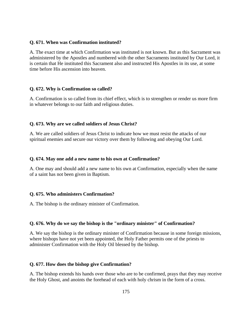#### **Q. 671. When was Confirmation instituted?**

A. The exact time at which Confirmation was instituted is not known. But as this Sacrament was administered by the Apostles and numbered with the other Sacraments instituted by Our Lord, it is certain that He instituted this Sacrament also and instructed His Apostles in its use, at some time before His ascension into heaven.

#### **Q. 672. Why is Confirmation so called?**

A. Confirmation is so called from its chief effect, which is to strengthen or render us more firm in whatever belongs to our faith and religious duties.

## **Q. 673. Why are we called soldiers of Jesus Christ?**

A. We are called soldiers of Jesus Christ to indicate how we must resist the attacks of our spiritual enemies and secure our victory over them by following and obeying Our Lord.

#### **Q. 674. May one add a new name to his own at Confirmation?**

A. One may and should add a new name to his own at Confirmation, especially when the name of a saint has not been given in Baptism.

## **Q. 675. Who administers Confirmation?**

A. The bishop is the ordinary minister of Confirmation.

## **Q. 676. Why do we say the bishop is the "ordinary minister" of Confirmation?**

A. We say the bishop is the ordinary minister of Confirmation because in some foreign missions, where bishops have not yet been appointed, the Holy Father permits one of the priests to administer Confirmation with the Holy Oil blessed by the bishop.

#### **Q. 677. How does the bishop give Confirmation?**

A. The bishop extends his hands over those who are to be confirmed, prays that they may receive the Holy Ghost, and anoints the forehead of each with holy chrism in the form of a cross.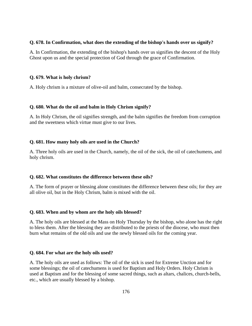#### **Q. 678. In Confirmation, what does the extending of the bishop's hands over us signify?**

A. In Confirmation, the extending of the bishop's hands over us signifies the descent of the Holy Ghost upon us and the special protection of God through the grace of Confirmation.

## **Q. 679. What is holy chrism?**

A. Holy chrism is a mixture of olive-oil and balm, consecrated by the bishop.

#### **Q. 680. What do the oil and balm in Holy Chrism signify?**

A. In Holy Chrism, the oil signifies strength, and the balm signifies the freedom from corruption and the sweetness which virtue must give to our lives.

## **Q. 681. How many holy oils are used in the Church?**

A. Three holy oils are used in the Church, namely, the oil of the sick, the oil of catechumens, and holy chrism.

## **Q. 682. What constitutes the difference between these oils?**

A. The form of prayer or blessing alone constitutes the difference between these oils; for they are all olive oil, but in the Holy Chrism, balm is mixed with the oil.

## **Q. 683. When and by whom are the holy oils blessed?**

A. The holy oils are blessed at the Mass on Holy Thursday by the bishop, who alone has the right to bless them. After the blessing they are distributed to the priests of the diocese, who must then burn what remains of the old oils and use the newly blessed oils for the coming year.

#### **Q. 684. For what are the holy oils used?**

A. The holy oils are used as follows: The oil of the sick is used for Extreme Unction and for some blessings; the oil of catechumens is used for Baptism and Holy Orders. Holy Chrism is used at Baptism and for the blessing of some sacred things, such as altars, chalices, church-bells, etc., which are usually blessed by a bishop.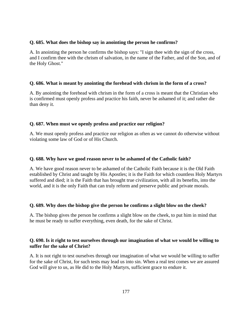### **Q. 685. What does the bishop say in anointing the person he confirms?**

A. In anointing the person he confirms the bishop says: "I sign thee with the sign of the cross, and I confirm thee with the chrism of salvation, in the name of the Father, and of the Son, and of the Holy Ghost."

#### **Q. 686. What is meant by anointing the forehead with chrism in the form of a cross?**

A. By anointing the forehead with chrism in the form of a cross is meant that the Christian who is confirmed must openly profess and practice his faith, never be ashamed of it; and rather die than deny it.

## **Q. 687. When must we openly profess and practice our religion?**

A. We must openly profess and practice our religion as often as we cannot do otherwise without violating some law of God or of His Church.

## **Q. 688. Why have we good reason never to be ashamed of the Catholic faith?**

A. We have good reason never to be ashamed of the Catholic Faith because it is the Old Faith established by Christ and taught by His Apostles; it is the Faith for which countless Holy Martyrs suffered and died; it is the Faith that has brought true civilization, with all its benefits, into the world, and it is the only Faith that can truly reform and preserve public and private morals.

## **Q. 689. Why does the bishop give the person he confirms a slight blow on the cheek?**

A. The bishop gives the person he confirms a slight blow on the cheek, to put him in mind that he must be ready to suffer everything, even death, for the sake of Christ.

## **Q. 690. Is it right to test ourselves through our imagination of what we would be willing to suffer for the sake of Christ?**

A. It is not right to test ourselves through our imagination of what we would be willing to suffer for the sake of Christ, for such tests may lead us into sin. When a real test comes we are assured God will give to us, as He did to the Holy Martyrs, sufficient grace to endure it.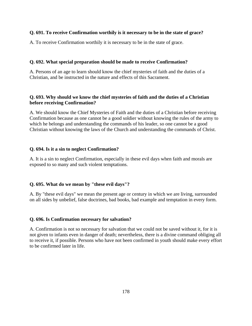## **Q. 691. To receive Confirmation worthily is it necessary to be in the state of grace?**

A. To receive Confirmation worthily it is necessary to be in the state of grace.

#### **Q. 692. What special preparation should be made to receive Confirmation?**

A. Persons of an age to learn should know the chief mysteries of faith and the duties of a Christian, and be instructed in the nature and effects of this Sacrament.

## **Q. 693. Why should we know the chief mysteries of faith and the duties of a Christian before receiving Confirmation?**

A. We should know the Chief Mysteries of Faith and the duties of a Christian before receiving Confirmation because as one cannot be a good soldier without knowing the rules of the army to which he belongs and understanding the commands of his leader, so one cannot be a good Christian without knowing the laws of the Church and understanding the commands of Christ.

#### **Q. 694. Is it a sin to neglect Confirmation?**

A. It is a sin to neglect Confirmation, especially in these evil days when faith and morals are exposed to so many and such violent temptations.

#### **Q. 695. What do we mean by "these evil days"?**

A. By "these evil days" we mean the present age or century in which we are living, surrounded on all sides by unbelief, false doctrines, bad books, bad example and temptation in every form.

#### **Q. 696. Is Confirmation necessary for salvation?**

A. Confirmation is not so necessary for salvation that we could not be saved without it, for it is not given to infants even in danger of death; nevertheless, there is a divine command obliging all to receive it, if possible. Persons who have not been confirmed in youth should make every effort to be confirmed later in life.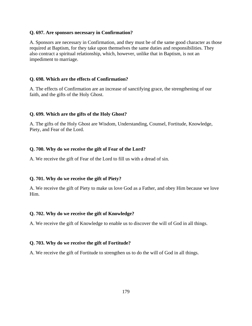#### **Q. 697. Are sponsors necessary in Confirmation?**

A. Sponsors are necessary in Confirmation, and they must be of the same good character as those required at Baptism, for they take upon themselves the same duties and responsibilities. They also contract a spiritual relationship, which, however, unlike that in Baptism, is not an impediment to marriage.

#### **Q. 698. Which are the effects of Confirmation?**

A. The effects of Confirmation are an increase of sanctifying grace, the strengthening of our faith, and the gifts of the Holy Ghost.

## **Q. 699. Which are the gifts of the Holy Ghost?**

A. The gifts of the Holy Ghost are Wisdom, Understanding, Counsel, Fortitude, Knowledge, Piety, and Fear of the Lord.

#### **Q. 700. Why do we receive the gift of Fear of the Lord?**

A. We receive the gift of Fear of the Lord to fill us with a dread of sin.

#### **Q. 701. Why do we receive the gift of Piety?**

A. We receive the gift of Piety to make us love God as a Father, and obey Him because we love Him.

#### **Q. 702. Why do we receive the gift of Knowledge?**

A. We receive the gift of Knowledge to enable us to discover the will of God in all things.

#### **Q. 703. Why do we receive the gift of Fortitude?**

A. We receive the gift of Fortitude to strengthen us to do the will of God in all things.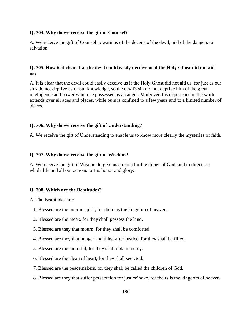#### **Q. 704. Why do we receive the gift of Counsel?**

A. We receive the gift of Counsel to warn us of the deceits of the devil, and of the dangers to salvation.

# **Q. 705. How is it clear that the devil could easily deceive us if the Holy Ghost did not aid us?**

A. It is clear that the devil could easily deceive us if the Holy Ghost did not aid us, for just as our sins do not deprive us of our knowledge, so the devil's sin did not deprive him of the great intelligence and power which he possessed as an angel. Moreover, his experience in the world extends over all ages and places, while ours is confined to a few years and to a limited number of places.

## **Q. 706. Why do we receive the gift of Understanding?**

A. We receive the gift of Understanding to enable us to know more clearly the mysteries of faith.

## **Q. 707. Why do we receive the gift of Wisdom?**

A. We receive the gift of Wisdom to give us a relish for the things of God, and to direct our whole life and all our actions to His honor and glory.

## **Q. 708. Which are the Beatitudes?**

A. The Beatitudes are:

- 1. Blessed are the poor in spirit, for theirs is the kingdom of heaven.
- 2. Blessed are the meek, for they shall possess the land.
- 3. Blessed are they that mourn, for they shall be comforted.
- 4. Blessed are they that hunger and thirst after justice, for they shall be filled.
- 5. Blessed are the merciful, for they shall obtain mercy.
- 6. Blessed are the clean of heart, for they shall see God.
- 7. Blessed are the peacemakers, for they shall be called the children of God.
- 8. Blessed are they that suffer persecution for justice' sake, for theirs is the kingdom of heaven.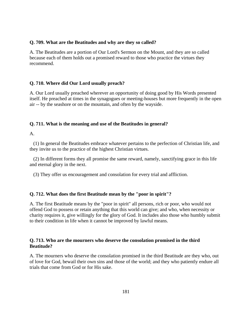## **Q. 709. What are the Beatitudes and why are they so called?**

A. The Beatitudes are a portion of Our Lord's Sermon on the Mount, and they are so called because each of them holds out a promised reward to those who practice the virtues they recommend.

# **Q. 710. Where did Our Lord usually preach?**

A. Our Lord usually preached wherever an opportunity of doing good by His Words presented itself. He preached at times in the synagogues or meeting-houses but more frequently in the open air -- by the seashore or on the mountain, and often by the wayside.

## **Q. 711. What is the meaning and use of the Beatitudes in general?**

A.

 (1) In general the Beatitudes embrace whatever pertains to the perfection of Christian life, and they invite us to the practice of the highest Christian virtues.

 (2) In different forms they all promise the same reward, namely, sanctifying grace in this life and eternal glory in the next.

(3) They offer us encouragement and consolation for every trial and affliction.

# **Q. 712. What does the first Beatitude mean by the "poor in spirit"?**

A. The first Beatitude means by the "poor in spirit" all persons, rich or poor, who would not offend God to possess or retain anything that this world can give; and who, when necessity or charity requires it, give willingly for the glory of God. It includes also those who humbly submit to their condition in life when it cannot be improved by lawful means.

# **Q. 713. Who are the mourners who deserve the consolation promised in the third Beatitude?**

A. The mourners who deserve the consolation promised in the third Beatitude are they who, out of love for God, bewail their own sins and those of the world; and they who patiently endure all trials that come from God or for His sake.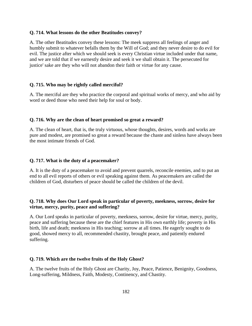#### **Q. 714. What lessons do the other Beatitudes convey?**

A. The other Beatitudes convey these lessons: The meek suppress all feelings of anger and humbly submit to whatever befalls them by the Will of God; and they never desire to do evil for evil. The justice after which we should seek is every Christian virtue included under that name, and we are told that if we earnestly desire and seek it we shall obtain it. The persecuted for justice' sake are they who will not abandon their faith or virtue for any cause.

#### **Q. 715. Who may be rightly called merciful?**

A. The merciful are they who practice the corporal and spiritual works of mercy, and who aid by word or deed those who need their help for soul or body.

#### **Q. 716. Why are the clean of heart promised so great a reward?**

A. The clean of heart, that is, the truly virtuous, whose thoughts, desires, words and works are pure and modest, are promised so great a reward because the chaste and sinless have always been the most intimate friends of God.

#### **Q. 717. What is the duty of a peacemaker?**

A. It is the duty of a peacemaker to avoid and prevent quarrels, reconcile enemies, and to put an end to all evil reports of others or evil speaking against them. As peacemakers are called the children of God, disturbers of peace should be called the children of the devil.

# **Q. 718. Why does Our Lord speak in particular of poverty, meekness, sorrow, desire for virtue, mercy, purity, peace and suffering?**

A. Our Lord speaks in particular of poverty, meekness, sorrow, desire for virtue, mercy, purity, peace and suffering because these are the chief features in His own earthly life; poverty in His birth, life and death; meekness in His teaching; sorrow at all times. He eagerly sought to do good, showed mercy to all, recommended chastity, brought peace, and patiently endured suffering.

#### **Q. 719. Which are the twelve fruits of the Holy Ghost?**

A. The twelve fruits of the Holy Ghost are Charity, Joy, Peace, Patience, Benignity, Goodness, Long-suffering, Mildness, Faith, Modesty, Continency, and Chastity.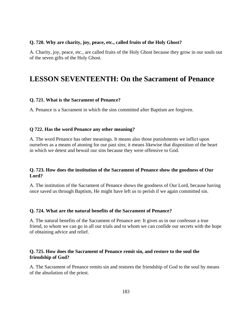#### **Q. 720. Why are charity, joy, peace, etc., called fruits of the Holy Ghost?**

A. Charity, joy, peace, etc., are called fruits of the Holy Ghost because they grow in our souls out of the seven gifts of the Holy Ghost.

# **LESSON SEVENTEENTH: On the Sacrament of Penance**

#### **Q. 721. What is the Sacrament of Penance?**

A. Penance is a Sacrament in which the sins committed after Baptism are forgiven.

#### **Q 722. Has the word Penance any other meaning?**

A. The word Penance has other meanings. It means also those punishments we inflict upon ourselves as a means of atoning for our past sins; it means likewise that disposition of the heart in which we detest and bewail our sins because they were offensive to God.

## **Q. 723. How does the institution of the Sacrament of Penance show the goodness of Our Lord?**

A. The institution of the Sacrament of Penance shows the goodness of Our Lord, because having once saved us through Baptism, He might have left us to perish if we again committed sin.

#### **Q. 724. What are the natural benefits of the Sacrament of Penance?**

A. The natural benefits of the Sacrament of Penance are: It gives us in our confessor a true friend, to whom we can go in all our trials and to whom we can confide our secrets with the hope of obtaining advice and relief.

#### **Q. 725. How does the Sacrament of Penance remit sin, and restore to the soul the friendship of God?**

A. The Sacrament of Penance remits sin and restores the friendship of God to the soul by means of the absolution of the priest.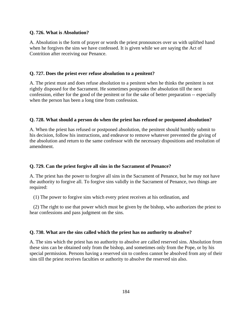## **Q. 726. What is Absolution?**

A. Absolution is the form of prayer or words the priest pronounces over us with uplifted hand when he forgives the sins we have confessed. It is given while we are saying the Act of Contrition after receiving our Penance.

## **Q. 727. Does the priest ever refuse absolution to a penitent?**

A. The priest must and does refuse absolution to a penitent when he thinks the penitent is not rightly disposed for the Sacrament. He sometimes postpones the absolution till the next confession, either for the good of the penitent or for the sake of better preparation -- especially when the person has been a long time from confession.

# **Q. 728. What should a person do when the priest has refused or postponed absolution?**

A. When the priest has refused or postponed absolution, the penitent should humbly submit to his decision, follow his instructions, and endeavor to remove whatever prevented the giving of the absolution and return to the same confessor with the necessary dispositions and resolution of amendment.

# **Q. 729. Can the priest forgive all sins in the Sacrament of Penance?**

A. The priest has the power to forgive all sins in the Sacrament of Penance, but he may not have the authority to forgive all. To forgive sins validly in the Sacrament of Penance, two things are required:

(1) The power to forgive sins which every priest receives at his ordination, and

 (2) The right to use that power which must be given by the bishop, who authorizes the priest to hear confessions and pass judgment on the sins.

# **Q. 730. What are the sins called which the priest has no authority to absolve?**

A. The sins which the priest has no authority to absolve are called reserved sins. Absolution from these sins can be obtained only from the bishop, and sometimes only from the Pope, or by his special permission. Persons having a reserved sin to confess cannot be absolved from any of their sins till the priest receives faculties or authority to absolve the reserved sin also.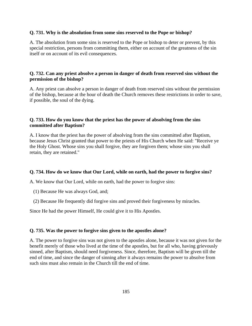#### **Q. 731. Why is the absolution from some sins reserved to the Pope or bishop?**

A. The absolution from some sins is reserved to the Pope or bishop to deter or prevent, by this special restriction, persons from committing them, either on account of the greatness of the sin itself or on account of its evil consequences.

# **Q. 732. Can any priest absolve a person in danger of death from reserved sins without the permission of the bishop?**

A. Any priest can absolve a person in danger of death from reserved sins without the permission of the bishop, because at the hour of death the Church removes these restrictions in order to save, if possible, the soul of the dying.

# **Q. 733. How do you know that the priest has the power of absolving from the sins committed after Baptism?**

A. I know that the priest has the power of absolving from the sins committed after Baptism, because Jesus Christ granted that power to the priests of His Church when He said: "Receive ye the Holy Ghost. Whose sins you shall forgive, they are forgiven them; whose sins you shall retain, they are retained."

#### **Q. 734. How do we know that Our Lord, while on earth, had the power to forgive sins?**

A. We know that Our Lord, while on earth, had the power to forgive sins:

- (1) Because He was always God, and;
- (2) Because He frequently did forgive sins and proved their forgiveness by miracles.

Since He had the power Himself, He could give it to His Apostles.

#### **Q. 735. Was the power to forgive sins given to the apostles alone?**

A. The power to forgive sins was not given to the apostles alone, because it was not given for the benefit merely of those who lived at the time of the apostles, but for all who, having grievously sinned, after Baptism, should need forgiveness. Since, therefore, Baptism will be given till the end of time, and since the danger of sinning after it always remains the power to absolve from such sins must also remain in the Church till the end of time.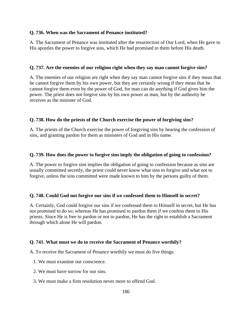## **Q. 736. When was the Sacrament of Penance instituted?**

A. The Sacrament of Penance was instituted after the resurrection of Our Lord, when He gave to His apostles the power to forgive sins, which He had promised to them before His death.

## **Q. 737. Are the enemies of our religion right when they say man cannot forgive sins?**

A. The enemies of our religion are right when they say man cannot forgive sins if they mean that he cannot forgive them by his own power, but they are certainly wrong if they mean that he cannot forgive them even by the power of God, for man can do anything if God gives him the power. The priest does not forgive sins by his own power as man, but by the authority he receives as the minister of God.

# **Q. 738. How do the priests of the Church exercise the power of forgiving sins?**

A. The priests of the Church exercise the power of forgiving sins by hearing the confession of sins, and granting pardon for them as ministers of God and in His name.

## **Q. 739. How does the power to forgive sins imply the obligation of going to confession?**

A. The power to forgive sins implies the obligation of going to confession because as sins are usually committed secretly, the priest could never know what sins to forgive and what not to forgive, unless the sins committed were made known to him by the persons guilty of them.

# **Q. 740. Could God not forgive our sins if we confessed them to Himself in secret?**

A. Certainly, God could forgive our sins if we confessed them to Himself in secret, but He has not promised to do so; whereas He has promised to pardon them if we confess them to His priests. Since He is free to pardon or not to pardon, He has the right to establish a Sacrament through which alone He will pardon.

#### **Q. 741. What must we do to receive the Sacrament of Penance worthily?**

A. To receive the Sacrament of Penance worthily we must do five things:

- 1. We must examine our conscience.
- 2. We must have sorrow for our sins.
- 3. We must make a firm resolution never more to offend God.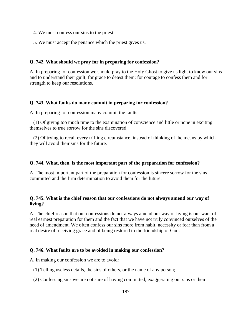- 4. We must confess our sins to the priest.
- 5. We must accept the penance which the priest gives us.

# **Q. 742. What should we pray for in preparing for confession?**

A. In preparing for confession we should pray to the Holy Ghost to give us light to know our sins and to understand their guilt; for grace to detest them; for courage to confess them and for strength to keep our resolutions.

## **Q. 743. What faults do many commit in preparing for confession?**

A. In preparing for confession many commit the faults:

 (1) Of giving too much time to the examination of conscience and little or none in exciting themselves to true sorrow for the sins discovered;

 (2) Of trying to recall every trifling circumstance, instead of thinking of the means by which they will avoid their sins for the future.

#### **Q. 744. What, then, is the most important part of the preparation for confession?**

A. The most important part of the preparation for confession is sincere sorrow for the sins committed and the firm determination to avoid them for the future.

# **Q. 745. What is the chief reason that our confessions do not always amend our way of living?**

A. The chief reason that our confessions do not always amend our way of living is our want of real earnest preparation for them and the fact that we have not truly convinced ourselves of the need of amendment. We often confess our sins more from habit, necessity or fear than from a real desire of receiving grace and of being restored to the friendship of God.

# **Q. 746. What faults are to be avoided in making our confession?**

A. In making our confession we are to avoid:

- (1) Telling useless details, the sins of others, or the name of any person;
- (2) Confessing sins we are not sure of having committed; exaggerating our sins or their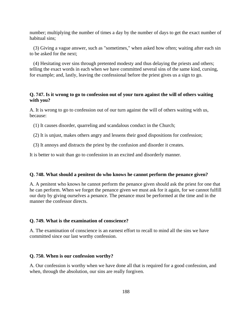number; multiplying the number of times a day by the number of days to get the exact number of habitual sins;

 (3) Giving a vague answer, such as "sometimes," when asked how often; waiting after each sin to be asked for the next;

 (4) Hesitating over sins through pretented modesty and thus delaying the priests and others; telling the exact words in each when we have committed several sins of the same kind, cursing, for example; and, lastly, leaving the confessional before the priest gives us a sign to go.

#### **Q. 747. Is it wrong to go to confession out of your turn against the will of others waiting with you?**

A. It is wrong to go to confession out of our turn against the will of others waiting with us, because:

- (1) It causes disorder, quarreling and scandalous conduct in the Church;
- (2) It is unjust, makes others angry and lessens their good dispositions for confession;
- (3) It annoys and distracts the priest by the confusion and disorder it creates.

It is better to wait than go to confession in an excited and disorderly manner.

#### **Q. 748. What should a penitent do who knows he cannot perform the penance given?**

A. A penitent who knows he cannot perform the penance given should ask the priest for one that he can perform. When we forget the penance given we must ask for it again, for we cannot fulfill our duty by giving ourselves a penance. The penance must be performed at the time and in the manner the confessor directs.

#### **Q. 749. What is the examination of conscience?**

A. The examination of conscience is an earnest effort to recall to mind all the sins we have committed since our last worthy confession.

#### **Q. 750. When is our confession worthy?**

A. Our confession is worthy when we have done all that is required for a good confession, and when, through the absolution, our sins are really forgiven.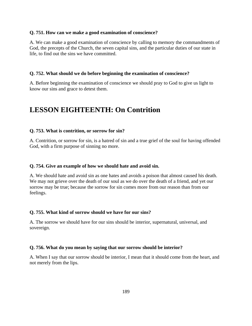#### **Q. 751. How can we make a good examination of conscience?**

A. We can make a good examination of conscience by calling to memory the commandments of God, the precepts of the Church, the seven capital sins, and the particular duties of our state in life, to find out the sins we have committed.

#### **Q. 752. What should we do before beginning the examination of conscience?**

A. Before beginning the examination of conscience we should pray to God to give us light to know our sins and grace to detest them.

# **LESSON EIGHTEENTH: On Contrition**

#### **Q. 753. What is contrition, or sorrow for sin?**

A. Contrition, or sorrow for sin, is a hatred of sin and a true grief of the soul for having offended God, with a firm purpose of sinning no more.

#### **Q. 754. Give an example of how we should hate and avoid sin.**

A. We should hate and avoid sin as one hates and avoids a poison that almost caused his death. We may not grieve over the death of our soul as we do over the death of a friend, and yet our sorrow may be true; because the sorrow for sin comes more from our reason than from our feelings.

#### **Q. 755. What kind of sorrow should we have for our sins?**

A. The sorrow we should have for our sins should be interior, supernatural, universal, and sovereign.

#### **Q. 756. What do you mean by saying that our sorrow should be interior?**

A. When I say that our sorrow should be interior, I mean that it should come from the heart, and not merely from the lips.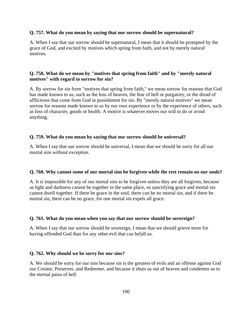## **Q. 757. What do you mean by saying that our sorrow should be supernatural?**

A. When I say that our sorrow should be supernatural, I mean that it should be prompted by the grace of God, and excited by motives which spring from faith, and not by merely natural motives.

# **Q. 758. What do we mean by "motives that spring from faith" and by "merely natural motives" with regard to sorrow for sin?**

A. By sorrow for sin from "motives that spring from faith," we mean sorrow for reasons that God has made known to us, such as the loss of heaven, the fear of hell or purgatory, or the dread of afflictions that come from God in punishment for sin. By "merely natural motives" we mean sorrow for reasons made known to us by our own experience or by the experience of others, such as loss of character, goods or health. A motive is whatever moves our will to do or avoid anything.

# **Q. 759. What do you mean by saying that our sorrow should be universal?**

A. When I say that our sorrow should be universal, I mean that we should be sorry for all our mortal sins without exception.

# **Q. 760. Why cannot some of our mortal sins be forgiven while the rest remain on our souls?**

A. It is impossible for any of our mortal sins to be forgiven unless they are all forgiven, because as light and darkness cannot be together in the same place, so sanctifying grace and mortal sin cannot dwell together. If there be grace in the soul, there can be no mortal sin, and if there be mortal sin, there can be no grace, for one mortal sin expels all grace.

# **Q. 761. What do you mean when you say that our sorrow should be sovereign?**

A. When I say that our sorrow should be sovereign, I mean that we should grieve more for having offended God than for any other evil that can befall us.

# **Q. 762. Why should we be sorry for our sins?**

A. We should be sorry for our sins because sin is the greatest of evils and an offense against God our Creator, Preserver, and Redeemer, and because it shuts us out of heaven and condemns us to the eternal pains of hell.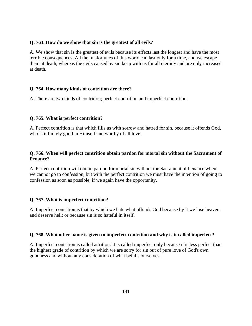# **Q. 763. How do we show that sin is the greatest of all evils?**

A. We show that sin is the greatest of evils because its effects last the longest and have the most terrible consequences. All the misfortunes of this world can last only for a time, and we escape them at death, whereas the evils caused by sin keep with us for all eternity and are only increased at death.

## **Q. 764. How many kinds of contrition are there?**

A. There are two kinds of contrition; perfect contrition and imperfect contrition.

# **Q. 765. What is perfect contrition?**

A. Perfect contrition is that which fills us with sorrow and hatred for sin, because it offends God, who is infinitely good in Himself and worthy of all love.

# **Q. 766. When will perfect contrition obtain pardon for mortal sin without the Sacrament of Penance?**

A. Perfect contrition will obtain pardon for mortal sin without the Sacrament of Penance when we cannot go to confession, but with the perfect contrition we must have the intention of going to confession as soon as possible, if we again have the opportunity.

#### **Q. 767. What is imperfect contrition?**

A. Imperfect contrition is that by which we hate what offends God because by it we lose heaven and deserve hell; or because sin is so hateful in itself.

#### **Q. 768. What other name is given to imperfect contrition and why is it called imperfect?**

A. Imperfect contrition is called attrition. It is called imperfect only because it is less perfect than the highest grade of contrition by which we are sorry for sin out of pure love of God's own goodness and without any consideration of what befalls ourselves.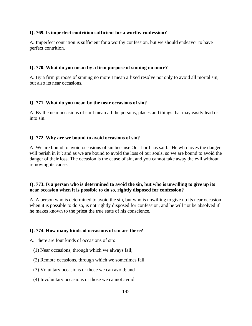## **Q. 769. Is imperfect contrition sufficient for a worthy confession?**

A. Imperfect contrition is sufficient for a worthy confession, but we should endeavor to have perfect contrition.

# **Q. 770. What do you mean by a firm purpose of sinning no more?**

A. By a firm purpose of sinning no more I mean a fixed resolve not only to avoid all mortal sin, but also its near occasions.

## **Q. 771. What do you mean by the near occasions of sin?**

A. By the near occasions of sin I mean all the persons, places and things that may easily lead us into sin.

## **Q. 772. Why are we bound to avoid occasions of sin?**

A. We are bound to avoid occasions of sin because Our Lord has said: "He who loves the danger will perish in it"; and as we are bound to avoid the loss of our souls, so we are bound to avoid the danger of their loss. The occasion is the cause of sin, and you cannot take away the evil without removing its cause.

# **Q. 773. Is a person who is determined to avoid the sin, but who is unwilling to give up its near occasion when it is possible to do so, rightly disposed for confession?**

A. A person who is determined to avoid the sin, but who is unwilling to give up its near occasion when it is possible to do so, is not rightly disposed for confession, and he will not be absolved if he makes known to the priest the true state of his conscience.

#### **Q. 774. How many kinds of occasions of sin are there?**

A. There are four kinds of occasions of sin:

- (1) Near occasions, through which we always fall;
- (2) Remote occasions, through which we sometimes fall;
- (3) Voluntary occasions or those we can avoid; and
- (4) Involuntary occasions or those we cannot avoid.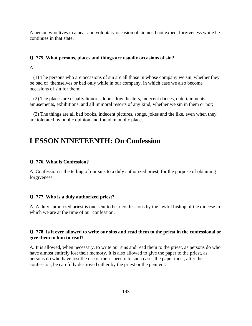A person who lives in a near and voluntary occasion of sin need not expect forgiveness while he continues in that state.

#### **Q. 775. What persons, places and things are usually occasions of sin?**

A.

 (1) The persons who are occasions of sin are all those in whose company we sin, whether they be bad of themselves or bad only while in our company, in which case we also become occasions of sin for them;

 (2) The places are usually liquor saloons, low theaters, indecent dances, entertainments, amusements, exhibitions, and all immoral resorts of any kind, whether we sin in them or not;

 (3) The things are all bad books, indecent pictures, songs, jokes and the like, even when they are tolerated by public opinion and found in public places.

# **LESSON NINETEENTH: On Confession**

#### **Q. 776. What is Confession?**

A. Confession is the telling of our sins to a duly authorized priest, for the purpose of obtaining forgiveness.

#### **Q. 777. Who is a duly authorized priest?**

A. A duly authorized priest is one sent to hear confessions by the lawful bishop of the diocese in which we are at the time of our confession.

# **Q. 778. Is it ever allowed to write our sins and read them to the priest in the confessional or give them to him to read?**

A. It is allowed, when necessary, to write our sins and read them to the priest, as persons do who have almost entirely lost their memory. It is also allowed to give the paper to the priest, as persons do who have lost the use of their speech. In such cases the paper must, after the confession, be carefully destroyed either by the priest or the penitent.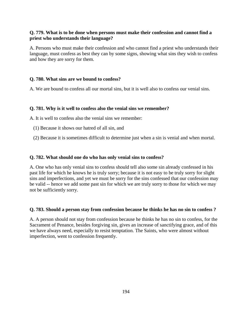# **Q. 779. What is to be done when persons must make their confession and cannot find a priest who understands their language?**

A. Persons who must make their confession and who cannot find a priest who understands their language, must confess as best they can by some signs, showing what sins they wish to confess and how they are sorry for them.

# **Q. 780. What sins are we bound to confess?**

A. We are bound to confess all our mortal sins, but it is well also to confess our venial sins.

# **Q. 781. Why is it well to confess also the venial sins we remember?**

A. It is well to confess also the venial sins we remember:

- (1) Because it shows our hatred of all sin, and
- (2) Because it is sometimes difficult to determine just when a sin is venial and when mortal.

## **Q. 782. What should one do who has only venial sins to confess?**

A. One who has only venial sins to confess should tell also some sin already confessed in his past life for which he knows he is truly sorry; because it is not easy to be truly sorry for slight sins and imperfections, and yet we must be sorry for the sins confessed that our confession may be valid -- hence we add some past sin for which we are truly sorry to those for which we may not be sufficiently sorry.

#### **Q. 783. Should a person stay from confession because he thinks he has no sin to confess ?**

A. A person should not stay from confession because he thinks he has no sin to confess, for the Sacrament of Penance, besides forgiving sin, gives an increase of sanctifying grace, and of this we have always need, especially to resist temptation. The Saints, who were almost without imperfection, went to confession frequently.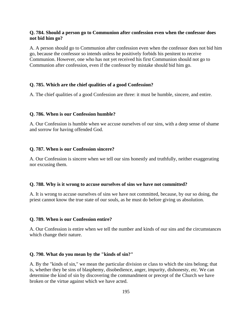## **Q. 784. Should a person go to Communion after confession even when the confessor does not bid him go?**

A. A person should go to Communion after confession even when the confessor does not bid him go, because the confessor so intends unless he positively forbids his penitent to receive Communion. However, one who has not yet received his first Communion should not go to Communion after confession, even if the confessor by mistake should bid him go.

#### **Q. 785. Which are the chief qualities of a good Confession?**

A. The chief qualities of a good Confession are three: it must be humble, sincere, and entire.

#### **Q. 786. When is our Confession humble?**

A. Our Confession is humble when we accuse ourselves of our sins, with a deep sense of shame and sorrow for having offended God.

#### **Q. 787. When is our Confession sincere?**

A. Our Confession is sincere when we tell our sins honestly and truthfully, neither exaggerating nor excusing them.

#### **Q. 788. Why is it wrong to accuse ourselves of sins we have not committed?**

A. It is wrong to accuse ourselves of sins we have not committed, because, by our so doing, the priest cannot know the true state of our souls, as he must do before giving us absolution.

#### **Q. 789. When is our Confession entire?**

A. Our Confession is entire when we tell the number and kinds of our sins and the circumstances which change their nature.

#### **Q. 790. What do you mean by the "kinds of sin?"**

A. By the "kinds of sin," we mean the particular division or class to which the sins belong; that is, whether they be sins of blasphemy, disobedience, anger, impurity, dishonesty, etc. We can determine the kind of sin by discovering the commandment or precept of the Church we have broken or the virtue against which we have acted.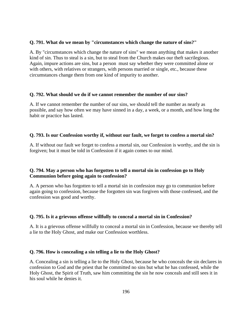## **Q. 791. What do we mean by "circumstances which change the nature of sins?"**

A. By "circumstances which change the nature of sins" we mean anything that makes it another kind of sin. Thus to steal is a sin, but to steal from the Church makes our theft sacrilegious. Again, impure actions are sins, but a person must say whether they were committed alone or with others, with relatives or strangers, with persons married or single, etc., because these circumstances change them from one kind of impurity to another.

# **Q. 792. What should we do if we cannot remember the number of our sins?**

A. If we cannot remember the number of our sins, we should tell the number as nearly as possible, and say how often we may have sinned in a day, a week, or a month, and how long the habit or practice has lasted.

# **Q. 793. Is our Confession worthy if, without our fault, we forget to confess a mortal sin?**

A. If without our fault we forget to confess a mortal sin, our Confession is worthy, and the sin is forgiven; but it must be told in Confession if it again comes to our mind.

# **Q. 794. May a person who has forgotten to tell a mortal sin in confession go to Holy Communion before going again to confession?**

A. A person who has forgotten to tell a mortal sin in confession may go to communion before again going to confession, because the forgotten sin was forgiven with those confessed, and the confession was good and worthy.

# **Q. 795. Is it a grievous offense willfully to conceal a mortal sin in Confession?**

A. It is a grievous offense willfully to conceal a mortal sin in Confession, because we thereby tell a lie to the Holy Ghost, and make our Confession worthless.

#### **Q. 796. How is concealing a sin telling a lie to the Holy Ghost?**

A. Concealing a sin is telling a lie to the Holy Ghost, because he who conceals the sin declares in confession to God and the priest that he committed no sins but what he has confessed, while the Holy Ghost, the Spirit of Truth, saw him committing the sin he now conceals and still sees it in his soul while he denies it.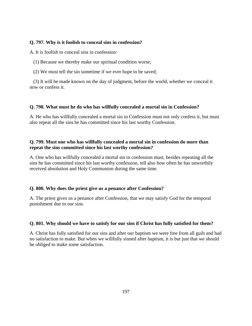# **Q. 797. Why is it foolish to conceal sins in confession?**

A. It is foolish to conceal sins in confession:

(1) Because we thereby make our spiritual condition worse;

(2) We must tell the sin sometime if we ever hope to be saved;

 (3) It will be made known on the day of judgment, before the world, whether we conceal it now or confess it.

# **Q. 798. What must he do who has willfully concealed a mortal sin in Confession?**

A. He who has willfully concealed a mortal sin in Confession must not only confess it, but must also repeat all the sins he has committed since his last worthy Confession.

# **Q. 799. Must one who has willfully concealed a mortal sin in confession do more than repeat the sins committed since his last worthy confession?**

A. One who has willfully concealed a mortal sin in confession must, besides repeating all the sins he has committed since his last worthy confession, tell also how often he has unworthily received absolution and Holy Communion during the same time.

# **Q. 800. Why does the priest give us a penance after Confession?**

A. The priest gives us a penance after Confession, that we may satisfy God for the temporal punishment due to our sins.

# **Q. 801. Why should we have to satisfy for our sins if Christ has fully satisfied for them?**

A. Christ has fully satisfied for our sins and after our baptism we were free from all guilt and had no satisfaction to make. But when we willfully sinned after baptism, it is but just that we should be obliged to make some satisfaction.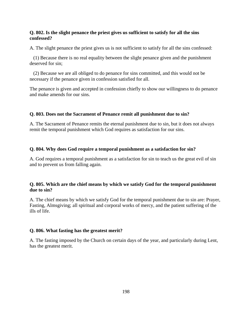# **Q. 802. Is the slight penance the priest gives us sufficient to satisfy for all the sins confessed?**

A. The slight penance the priest gives us is not sufficient to satisfy for all the sins confessed:

 (1) Because there is no real equality between the slight penance given and the punishment deserved for sin;

 (2) Because we are all obliged to do penance for sins committed, and this would not be necessary if the penance given in confession satisfied for all.

The penance is given and accepted in confession chiefly to show our willingness to do penance and make amends for our sins.

# **Q. 803. Does not the Sacrament of Penance remit all punishment due to sin?**

A. The Sacrament of Penance remits the eternal punishment due to sin, but it does not always remit the temporal punishment which God requires as satisfaction for our sins.

# **Q. 804. Why does God require a temporal punishment as a satisfaction for sin?**

A. God requires a temporal punishment as a satisfaction for sin to teach us the great evil of sin and to prevent us from falling again.

# **Q. 805. Which are the chief means by which we satisfy God for the temporal punishment due to sin?**

A. The chief means by which we satisfy God for the temporal punishment due to sin are: Prayer, Fasting, Almsgiving; all spiritual and corporal works of mercy, and the patient suffering of the ills of life.

# **Q. 806. What fasting has the greatest merit?**

A. The fasting imposed by the Church on certain days of the year, and particularly during Lent, has the greatest merit.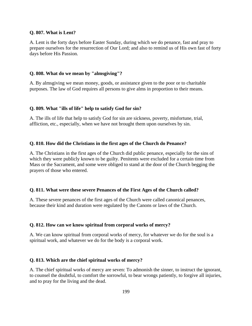#### **Q. 807. What is Lent?**

A. Lent is the forty days before Easter Sunday, during which we do penance, fast and pray to prepare ourselves for the resurrection of Our Lord; and also to remind us of His own fast of forty days before His Passion.

## **Q. 808. What do we mean by "almsgiving"?**

A. By almsgiving we mean money, goods, or assistance given to the poor or to charitable purposes. The law of God requires all persons to give alms in proportion to their means.

#### **Q. 809. What "ills of life" help to satisfy God for sin?**

A. The ills of life that help to satisfy God for sin are sickness, poverty, misfortune, trial, affliction, etc., especially, when we have not brought them upon ourselves by sin.

#### **Q. 810. How did the Christians in the first ages of the Church do Penance?**

A. The Christians in the first ages of the Church did public penance, especially for the sins of which they were publicly known to be guilty. Penitents were excluded for a certain time from Mass or the Sacrament, and some were obliged to stand at the door of the Church begging the prayers of those who entered.

#### **Q. 811. What were these severe Penances of the First Ages of the Church called?**

A. These severe penances of the first ages of the Church were called canonical penances, because their kind and duration were regulated by the Canons or laws of the Church.

#### **Q. 812. How can we know spiritual from corporal works of mercy?**

A. We can know spiritual from corporal works of mercy, for whatever we do for the soul is a spiritual work, and whatever we do for the body is a corporal work.

#### **Q. 813. Which are the chief spiritual works of mercy?**

A. The chief spiritual works of mercy are seven: To admonish the sinner, to instruct the ignorant, to counsel the doubtful, to comfort the sorrowful, to bear wrongs patiently, to forgive all injuries, and to pray for the living and the dead.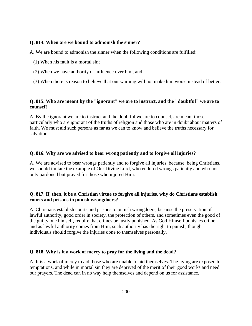## **Q. 814. When are we bound to admonish the sinner?**

A. We are bound to admonish the sinner when the following conditions are fulfilled:

- (1) When his fault is a mortal sin;
- (2) When we have authority or influence over him, and
- (3) When there is reason to believe that our warning will not make him worse instead of better.

# **Q. 815. Who are meant by the "ignorant" we are to instruct, and the "doubtful" we are to counsel?**

A. By the ignorant we are to instruct and the doubtful we are to counsel, are meant those particularly who are ignorant of the truths of religion and those who are in doubt about matters of faith. We must aid such persons as far as we can to know and believe the truths necessary for salvation.

## **Q. 816. Why are we advised to bear wrong patiently and to forgive all injuries?**

A. We are advised to bear wrongs patiently and to forgive all injuries, because, being Christians, we should imitate the example of Our Divine Lord, who endured wrongs patiently and who not only pardoned but prayed for those who injured Him.

# **Q. 817. If, then, it be a Christian virtue to forgive all injuries, why do Christians establish courts and prisons to punish wrongdoers?**

A. Christians establish courts and prisons to punish wrongdoers, because the preservation of lawful authority, good order in society, the protection of others, and sometimes even the good of the guilty one himself, require that crimes be justly punished. As God Himself punishes crime and as lawful authority comes from Him, such authority has the right to punish, though individuals should forgive the injuries done to themselves personally.

# **Q. 818. Why is it a work of mercy to pray for the living and the dead?**

A. It is a work of mercy to aid those who are unable to aid themselves. The living are exposed to temptations, and while in mortal sin they are deprived of the merit of their good works and need our prayers. The dead can in no way help themselves and depend on us for assistance.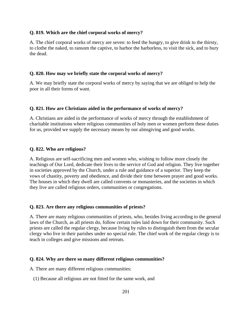## **Q. 819. Which are the chief corporal works of mercy?**

A. The chief corporal works of mercy are seven: to feed the hungry, to give drink to the thirsty, to clothe the naked, to ransom the captive, to harbor the harborless, to visit the sick, and to bury the dead.

## **Q. 820. How may we briefly state the corporal works of mercy?**

A. We may briefly state the corporal works of mercy by saying that we are obliged to help the poor in all their forms of want.

## **Q. 821. How are Christians aided in the performance of works of mercy?**

A. Christians are aided in the performance of works of mercy through the establishment of charitable institutions where religious communities of holy men or women perform these duties for us, provided we supply the necessary means by our almsgiving and good works.

## **Q. 822. Who are religious?**

A. Religious are self-sacrificing men and women who, wishing to follow more closely the teachings of Our Lord, dedicate their lives to the service of God and religion. They live together in societies approved by the Church, under a rule and guidance of a superior. They keep the vows of chastity, poverty and obedience, and divide their time between prayer and good works. The houses in which they dwell are called convents or monasteries, and the societies in which they live are called religious orders, communities or congregations.

# **Q. 823. Are there any religious communities of priests?**

A. There are many religious communities of priests, who, besides living according to the general laws of the Church, as all priests do, follow certain rules laid down for their community. Such priests are called the regular clergy, because living by rules to distinguish them from the secular clergy who live in their parishes under no special rule. The chief work of the regular clergy is to teach in colleges and give missions and retreats.

#### **Q. 824. Why are there so many different religious communities?**

A. There are many different religious communities:

(1) Because all religious are not fitted for the same work, and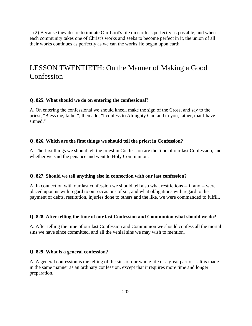(2) Because they desire to imitate Our Lord's life on earth as perfectly as possible; and when each community takes one of Christ's works and seeks to become perfect in it, the union of all their works continues as perfectly as we can the works He began upon earth.

# LESSON TWENTIETH: On the Manner of Making a Good **Confession**

#### **Q. 825. What should we do on entering the confessional?**

A. On entering the confessional we should kneel, make the sign of the Cross, and say to the priest, "Bless me, father"; then add, "I confess to Almighty God and to you, father, that I have sinned."

#### **Q. 826. Which are the first things we should tell the priest in Confession?**

A. The first things we should tell the priest in Confession are the time of our last Confession, and whether we said the penance and went to Holy Communion.

#### **Q. 827. Should we tell anything else in connection with our last confession?**

A. In connection with our last confession we should tell also what restrictions -- if any -- were placed upon us with regard to our occasions of sin, and what obligations with regard to the payment of debts, restitution, injuries done to others and the like, we were commanded to fulfill.

#### **Q. 828. After telling the time of our last Confession and Communion what should we do?**

A. After telling the time of our last Confession and Communion we should confess all the mortal sins we have since committed, and all the venial sins we may wish to mention.

#### **Q. 829. What is a general confession?**

A. A general confession is the telling of the sins of our whole life or a great part of it. It is made in the same manner as an ordinary confession, except that it requires more time and longer preparation.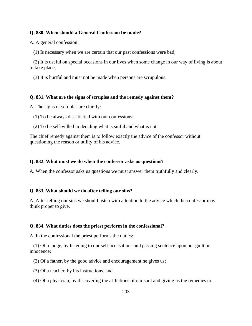#### **Q. 830. When should a General Confession be made?**

A. A general confession:

(1) Is necessary when we are certain that our past confessions were bad;

 (2) It is useful on special occasions in our lives when some change in our way of living is about to take place;

(3) It is hurtful and must not be made when persons are scrupulous.

## **Q. 831. What are the signs of scruples and the remedy against them?**

A. The signs of scruples are chiefly:

(1) To be always dissatisfied with our confessions;

(2) To be self-willed in deciding what is sinful and what is not.

The chief remedy against them is to follow exactly the advice of the confessor without questioning the reason or utility of his advice.

#### **Q. 832. What must we do when the confessor asks us questions?**

A. When the confessor asks us questions we must answer them truthfully and clearly.

#### **Q. 833. What should we do after telling our sins?**

A. After telling our sins we should listen with attention to the advice which the confessor may think proper to give.

#### **Q. 834. What duties does the priest perform in the confessional?**

A. In the confessional the priest performs the duties:

 (1) Of a judge, by listening to our self-accusations and passing sentence upon our guilt or innocence;

- (2) Of a father, by the good advice and encouragement he gives us;
- (3) Of a teacher, by his instructions, and
- (4) Of a physician, by discovering the afflictions of our soul and giving us the remedies to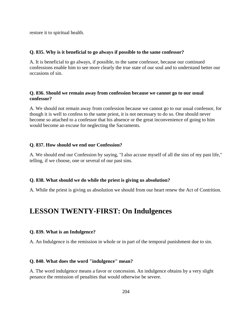restore it to spiritual health.

## **Q. 835. Why is it beneficial to go always if possible to the same confessor?**

A. It is beneficial to go always, if possible, to the same confessor, because our continued confessions enable him to see more clearly the true state of our soul and to understand better our occasions of sin.

# **Q. 836. Should we remain away from confession because we cannot go to our usual confessor?**

A. We should not remain away from confession because we cannot go to our usual confessor, for though it is well to confess to the same priest, it is not necessary to do so. One should never become so attached to a confessor that his absence or the great inconvenience of going to him would become an excuse for neglecting the Sacraments.

## **Q. 837. How should we end our Confession?**

A. We should end our Confession by saying, "I also accuse myself of all the sins of my past life," telling, if we choose, one or several of our past sins.

#### **Q. 838. What should we do while the priest is giving us absolution?**

A. While the priest is giving us absolution we should from our heart renew the Act of Contrition.

# **LESSON TWENTY-FIRST: On Indulgences**

#### **Q. 839. What is an Indulgence?**

A. An Indulgence is the remission in whole or in part of the temporal punishment due to sin.

#### **Q. 840. What does the word "indulgence" mean?**

A. The word indulgence means a favor or concession. An indulgence obtains by a very slight penance the remission of penalties that would otherwise be severe.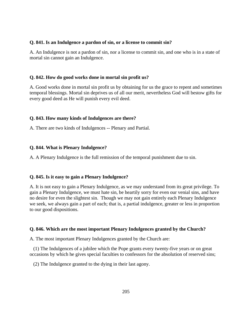## **Q. 841. Is an Indulgence a pardon of sin, or a license to commit sin?**

A. An Indulgence is not a pardon of sin, nor a license to commit sin, and one who is in a state of mortal sin cannot gain an Indulgence.

# **Q. 842. How do good works done in mortal sin profit us?**

A. Good works done in mortal sin profit us by obtaining for us the grace to repent and sometimes temporal blessings. Mortal sin deprives us of all our merit, nevertheless God will bestow gifts for every good deed as He will punish every evil deed.

# **Q. 843. How many kinds of Indulgences are there?**

A. There are two kinds of Indulgences -- Plenary and Partial.

# **Q. 844. What is Plenary Indulgence?**

A. A Plenary Indulgence is the full remission of the temporal punishment due to sin.

#### **Q. 845. Is it easy to gain a Plenary Indulgence?**

A. It is not easy to gain a Plenary Indulgence, as we may understand from its great privilege. To gain a Plenary Indulgence, we must hate sin, be heartily sorry for even our venial sins, and have no desire for even the slightest sin. Though we may not gain entirely each Plenary Indulgence we seek, we always gain a part of each; that is, a partial indulgence, greater or less in proportion to our good dispositions.

# **Q. 846. Which are the most important Plenary Indulgences granted by the Church?**

A. The most important Plenary Indulgences granted by the Church are:

 (1) The Indulgences of a jubilee which the Pope grants every twenty-five years or on great occasions by which he gives special faculties to confessors for the absolution of reserved sins;

(2) The Indulgence granted to the dying in their last agony.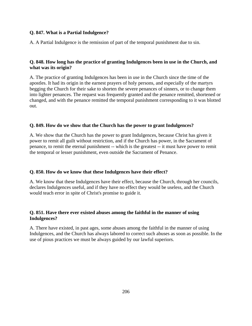# **Q. 847. What is a Partial Indulgence?**

A. A Partial Indulgence is the remission of part of the temporal punishment due to sin.

# **Q. 848. How long has the practice of granting Indulgences been in use in the Church, and what was its origin?**

A. The practice of granting Indulgences has been in use in the Church since the time of the apostles. It had its origin in the earnest prayers of holy persons, and especially of the martyrs begging the Church for their sake to shorten the severe penances of sinners, or to change them into lighter penances. The request was frequently granted and the penance remitted, shortened or changed, and with the penance remitted the temporal punishment corresponding to it was blotted out.

# **Q. 849. How do we show that the Church has the power to grant Indulgences?**

A. We show that the Church has the power to grant Indulgences, because Christ has given it power to remit all guilt without restriction, and if the Church has power, in the Sacrament of penance, to remit the eternal punishment -- which is the greatest -- it must have power to remit the temporal or lesser punishment, even outside the Sacrament of Penance.

# **Q. 850. How do we know that these Indulgences have their effect?**

A. We know that these Indulgences have their effect, because the Church, through her councils, declares Indulgences useful, and if they have no effect they would be useless, and the Church would teach error in spite of Christ's promise to guide it.

# **Q. 851. Have there ever existed abuses among the faithful in the manner of using Indulgences?**

A. There have existed, in past ages, some abuses among the faithful in the manner of using Indulgences, and the Church has always labored to correct such abuses as soon as possible. In the use of pious practices we must be always guided by our lawful superiors.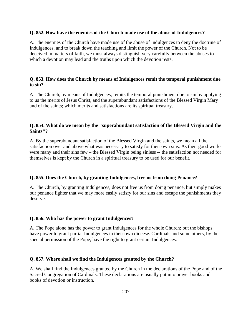#### **Q. 852. How have the enemies of the Church made use of the abuse of Indulgences?**

A. The enemies of the Church have made use of the abuse of Indulgences to deny the doctrine of Indulgences, and to break down the teaching and limit the power of the Church. Not to be deceived in matters of faith, we must always distinguish very carefully between the abuses to which a devotion may lead and the truths upon which the devotion rests.

# **Q. 853. How does the Church by means of Indulgences remit the temporal punishment due to sin?**

A. The Church, by means of Indulgences, remits the temporal punishment due to sin by applying to us the merits of Jesus Christ, and the superabundant satisfactions of the Blessed Virgin Mary and of the saints; which merits and satisfactions are its spiritual treasury.

# **Q. 854. What do we mean by the "superabundant satisfaction of the Blessed Virgin and the Saints"?**

A. By the superabundant satisfaction of the Blessed Virgin and the saints, we mean all the satisfaction over and above what was necessary to satisfy for their own sins. As their good works were many and their sins few – the Blessed Virgin being sinless -- the satisfaction not needed for themselves is kept by the Church in a spiritual treasury to be used for our benefit.

# **Q. 855. Does the Church, by granting Indulgences, free us from doing Penance?**

A. The Church, by granting Indulgences, does not free us from doing penance, but simply makes our penance lighter that we may more easily satisfy for our sins and escape the punishments they deserve.

# **Q. 856. Who has the power to grant Indulgences?**

A. The Pope alone has the power to grant Indulgences for the whole Church; but the bishops have power to grant partial Indulgences in their own diocese. Cardinals and some others, by the special permission of the Pope, have the right to grant certain Indulgences.

#### **Q. 857. Where shall we find the Indulgences granted by the Church?**

A. We shall find the Indulgences granted by the Church in the declarations of the Pope and of the Sacred Congregation of Cardinals. These declarations are usually put into prayer books and books of devotion or instruction.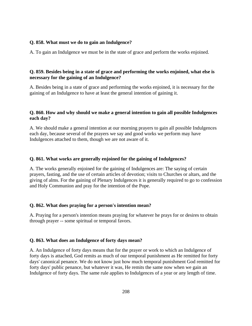## **Q. 858. What must we do to gain an Indulgence?**

A. To gain an Indulgence we must be in the state of grace and perform the works enjoined.

# **Q. 859. Besides being in a state of grace and performing the works enjoined, what else is necessary for the gaining of an Indulgence?**

A. Besides being in a state of grace and performing the works enjoined, it is necessary for the gaining of an Indulgence to have at least the general intention of gaining it.

## **Q. 860. How and why should we make a general intention to gain all possible Indulgences each day?**

A. We should make a general intention at our morning prayers to gain all possible Indulgences each day, because several of the prayers we say and good works we perform may have Indulgences attached to them, though we are not aware of it.

## **Q. 861. What works are generally enjoined for the gaining of Indulgences?**

A. The works generally enjoined for the gaining of Indulgences are: The saying of certain prayers, fasting, and the use of certain articles of devotion; visits to Churches or altars, and the giving of alms. For the gaining of Plenary Indulgences it is generally required to go to confession and Holy Communion and pray for the intention of the Pope.

# **Q. 862. What does praying for a person's intention mean?**

A. Praying for a person's intention means praying for whatever he prays for or desires to obtain through prayer -- some spiritual or temporal favors.

#### **Q. 863. What does an Indulgence of forty days mean?**

A. An Indulgence of forty days means that for the prayer or work to which an Indulgence of forty days is attached, God remits as much of our temporal punishment as He remitted for forty days' canonical penance. We do not know just how much temporal punishment God remitted for forty days' public penance, but whatever it was, He remits the same now when we gain an Indulgence of forty days. The same rule applies to Indulgences of a year or any length of time.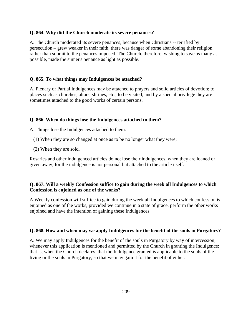#### **Q. 864. Why did the Church moderate its severe penances?**

A. The Church moderated its severe penances, because when Christians -- terrified by persecution – grew weaker in their faith, there was danger of some abandoning their religion rather than submit to the penances imposed. The Church, therefore, wishing to save as many as possible, made the sinner's penance as light as possible.

# **Q. 865. To what things may Indulgences be attached?**

A. Plenary or Partial Indulgences may be attached to prayers and solid articles of devotion; to places such as churches, altars, shrines, etc., to be visited; and by a special privilege they are sometimes attached to the good works of certain persons.

# **Q. 866. When do things lose the Indulgences attached to them?**

A. Things lose the Indulgences attached to them:

- (1) When they are so changed at once as to be no longer what they were;
- (2) When they are sold.

Rosaries and other indulgenced articles do not lose their indulgences, when they are loaned or given away, for the indulgence is not personal but attached to the article itself.

# **Q. 867. Will a weekly Confession suffice to gain during the week all Indulgences to which Confession is enjoined as one of the works?**

A Weekly confession will suffice to gain during the week all Indulgences to which confession is enjoined as one of the works, provided we continue in a state of grace, perform the other works enjoined and have the intention of gaining these Indulgences.

# **Q. 868. How and when may we apply Indulgences for the benefit of the souls in Purgatory?**

A. We may apply Indulgences for the benefit of the souls in Purgatory by way of intercession; whenever this application is mentioned and permitted by the Church in granting the Indulgence; that is, when the Church declares that the Indulgence granted is applicable to the souls of the living or the souls in Purgatory; so that we may gain it for the benefit of either.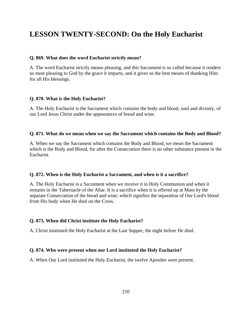# **LESSON TWENTY-SECOND: On the Holy Eucharist**

#### **Q. 869. What does the word Eucharist strictly mean?**

A. The word Eucharist strictly means pleasing, and this Sacrament is so called because it renders us most pleasing to God by the grace it imparts, and it gives us the best means of thanking Him for all His blessings.

## **Q. 870. What is the Holy Eucharist?**

A. The Holy Eucharist is the Sacrament which contains the body and blood, soul and divinity, of our Lord Jesus Christ under the appearances of bread and wine.

## **Q. 871. What do we mean when we say the Sacrament which contains the Body and Blood?**

A. When we say the Sacrament which contains the Body and Blood, we mean the Sacrament which is the Body and Blood, for after the Consecration there is no other substance present in the Eucharist.

#### **Q. 872. When is the Holy Eucharist a Sacrament, and when is it a sacrifice?**

A. The Holy Eucharist is a Sacrament when we receive it in Holy Communion and when it remains in the Tabernacle of the Altar. It is a sacrifice when it is offered up at Mass by the separate Consecration of the bread and wine, which signifies the separation of Our Lord's blood from His body when He died on the Cross.

# **Q. 873. When did Christ institute the Holy Eucharist?**

A. Christ instituted the Holy Eucharist at the Last Supper, the night before He died.

#### **Q. 874. Who were present when our Lord instituted the Holy Eucharist?**

A. When Our Lord instituted the Holy Eucharist, the twelve Apostles were present.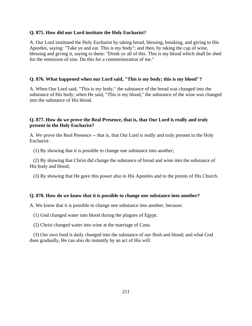## **Q. 875. How did our Lord institute the Holy Eucharist?**

A. Our Lord instituted the Holy Eucharist by taking bread, blessing, breaking, and giving to His Apostles, saying: "Take ye and eat. This is my body"; and then, by taking the cup of wine, blessing and giving it, saying to them: "Drink ye all of this. This is my blood which shall be shed for the remission of sins. Do this for a commemoration of me."

# **Q. 876. What happened when our Lord said, "This is my body; this is my blood"?**

A. When Our Lord said, "This is my body," the substance of the bread was changed into the substance of His body; when He said, "This is my blood," the substance of the wine was changed into the substance of His blood.

# **Q. 877. How do we prove the Real Presence, that is, that Our Lord is really and truly present in the Holy Eucharist?**

A. We prove the Real Presence -- that is, that Our Lord is really and truly present in the Holy Eucharist:

(1) By showing that it is possible to change one substance into another;

 (2) By showing that Christ did change the substance of bread and wine into the substance of His body and blood;

(3) By showing that He gave this power also to His Apostles and to the priests of His Church.

#### **Q. 878. How do we know that it is possible to change one substance into another?**

A. We know that it is possible to change one substance into another, because:

(1) God changed water into blood during the plagues of Egypt.

(2) Christ changed water into wine at the marriage of Cana.

 (3) Our own food is daily changed into the substance of our flesh and blood; and what God does gradually, He can also do instantly by an act of His will.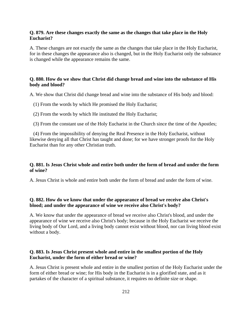## **Q. 879. Are these changes exactly the same as the changes that take place in the Holy Eucharist?**

A. These changes are not exactly the same as the changes that take place in the Holy Eucharist, for in these changes the appearance also is changed, but in the Holy Eucharist only the substance is changed while the appearance remains the same.

# **Q. 880. How do we show that Christ did change bread and wine into the substance of His body and blood?**

A. We show that Christ did change bread and wine into the substance of His body and blood:

- (1) From the words by which He promised the Holy Eucharist;
- (2) From the words by which He instituted the Holy Eucharist;

(3) From the constant use of the Holy Eucharist in the Church since the time of the Apostles;

 (4) From the impossibility of denying the Real Presence in the Holy Eucharist, without likewise denying all that Christ has taught and done; for we have stronger proofs for the Holy Eucharist than for any other Christian truth.

## **Q. 881. Is Jesus Christ whole and entire both under the form of bread and under the form of wine?**

A. Jesus Christ is whole and entire both under the form of bread and under the form of wine.

# **Q. 882. How do we know that under the appearance of bread we receive also Christ's blood; and under the appearance of wine we receive also Christ's body?**

A. We know that under the appearance of bread we receive also Christ's blood, and under the appearance of wine we receive also Christ's body; because in the Holy Eucharist we receive the living body of Our Lord, and a living body cannot exist without blood, nor can living blood exist without a body.

## **Q. 883. Is Jesus Christ present whole and entire in the smallest portion of the Holy Eucharist, under the form of either bread or wine?**

A. Jesus Christ is present whole and entire in the smallest portion of the Holy Eucharist under the form of either bread or wine; for His body in the Eucharist is in a glorified state, and as it partakes of the character of a spiritual substance, it requires no definite size or shape.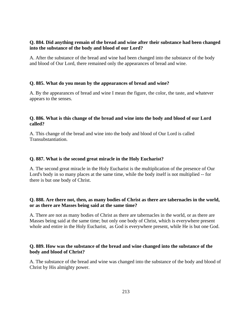# **Q. 884. Did anything remain of the bread and wine after their substance had been changed into the substance of the body and blood of our Lord?**

A. After the substance of the bread and wine had been changed into the substance of the body and blood of Our Lord, there remained only the appearances of bread and wine.

## **Q. 885. What do you mean by the appearances of bread and wine?**

A. By the appearances of bread and wine I mean the figure, the color, the taste, and whatever appears to the senses.

# **Q. 886. What is this change of the bread and wine into the body and blood of our Lord called?**

A. This change of the bread and wine into the body and blood of Our Lord is called Transubstantiation.

#### **Q. 887. What is the second great miracle in the Holy Eucharist?**

A. The second great miracle in the Holy Eucharist is the multiplication of the presence of Our Lord's body in so many places at the same time, while the body itself is not multiplied -- for there is but one body of Christ.

# **Q. 888. Are there not, then, as many bodies of Christ as there are tabernacles in the world, or as there are Masses being said at the same time?**

A. There are not as many bodies of Christ as there are tabernacles in the world, or as there are Masses being said at the same time; but only one body of Christ, which is everywhere present whole and entire in the Holy Eucharist, as God is everywhere present, while He is but one God.

# **Q. 889. How was the substance of the bread and wine changed into the substance of the body and blood of Christ?**

A. The substance of the bread and wine was changed into the substance of the body and blood of Christ by His almighty power.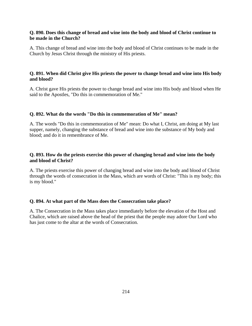# **Q. 890. Does this change of bread and wine into the body and blood of Christ continue to be made in the Church?**

A. This change of bread and wine into the body and blood of Christ continues to be made in the Church by Jesus Christ through the ministry of His priests.

# **Q. 891. When did Christ give His priests the power to change bread and wine into His body and blood?**

A. Christ gave His priests the power to change bread and wine into His body and blood when He said to the Apostles, "Do this in commemoration of Me."

## **Q. 892. What do the words "Do this in commemoration of Me" mean?**

A. The words "Do this in commemoration of Me" mean: Do what I, Christ, am doing at My last supper, namely, changing the substance of bread and wine into the substance of My body and blood; and do it in remembrance of Me.

# **Q. 893. How do the priests exercise this power of changing bread and wine into the body and blood of Christ?**

A. The priests exercise this power of changing bread and wine into the body and blood of Christ through the words of consecration in the Mass, which are words of Christ: "This is my body; this is my blood."

#### **Q. 894. At what part of the Mass does the Consecration take place?**

A. The Consecration in the Mass takes place immediately before the elevation of the Host and Chalice, which are raised above the head of the priest that the people may adore Our Lord who has just come to the altar at the words of Consecration.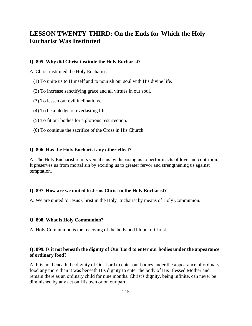# **LESSON TWENTY-THIRD: On the Ends for Which the Holy Eucharist Was Instituted**

#### **Q. 895. Why did Christ institute the Holy Eucharist?**

A. Christ instituted the Holy Eucharist:

- (1) To unite us to Himself and to nourish our soul with His divine life.
- (2) To increase sanctifying grace and all virtues in our soul.
- (3) To lessen our evil inclinations.
- (4) To be a pledge of everlasting life.
- (5) To fit our bodies for a glorious resurrection.
- (6) To continue the sacrifice of the Cross in His Church.

#### **Q. 896. Has the Holy Eucharist any other effect?**

A. The Holy Eucharist remits venial sins by disposing us to perform acts of love and contrition. It preserves us from mortal sin by exciting us to greater fervor and strengthening us against temptation.

#### **Q. 897. How are we united to Jesus Christ in the Holy Eucharist?**

A. We are united to Jesus Christ in the Holy Eucharist by means of Holy Communion.

#### **Q. 898. What is Holy Communion?**

A. Holy Communion is the receiving of the body and blood of Christ.

# **Q. 899. Is it not beneath the dignity of Our Lord to enter our bodies under the appearance of ordinary food?**

A. It is not beneath the dignity of Our Lord to enter our bodies under the appearance of ordinary food any more than it was beneath His dignity to enter the body of His Blessed Mother and remain there as an ordinary child for nine months. Christ's dignity, being infinite, can never be diminished by any act on His own or on our part.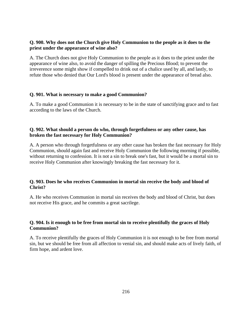# **Q. 900. Why does not the Church give Holy Communion to the people as it does to the priest under the appearance of wine also?**

A. The Church does not give Holy Communion to the people as it does to the priest under the appearance of wine also, to avoid the danger of spilling the Precious Blood; to prevent the irreverence some might show if compelled to drink out of a chalice used by all, and lastly, to refute those who denied that Our Lord's blood is present under the appearance of bread also.

# **Q. 901. What is necessary to make a good Communion?**

A. To make a good Communion it is necessary to be in the state of sanctifying grace and to fast according to the laws of the Church.

## **Q. 902. What should a person do who, through forgetfulness or any other cause, has broken the fast necessary for Holy Communion?**

A. A person who through forgetfulness or any other cause has broken the fast necessary for Holy Communion, should again fast and receive Holy Communion the following morning if possible, without returning to confession. It is not a sin to break one's fast, but it would be a mortal sin to receive Holy Communion after knowingly breaking the fast necessary for it.

# **Q. 903. Does he who receives Communion in mortal sin receive the body and blood of Christ?**

A. He who receives Communion in mortal sin receives the body and blood of Christ, but does not receive His grace, and he commits a great sacrilege.

# **Q. 904. Is it enough to be free from mortal sin to receive plentifully the graces of Holy Communion?**

A. To receive plentifully the graces of Holy Communion it is not enough to be free from mortal sin, but we should be free from all affection to venial sin, and should make acts of lively faith, of firm hope, and ardent love.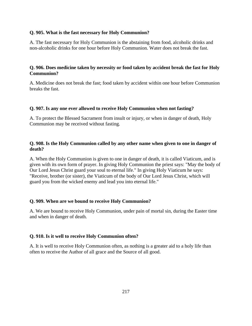### **Q. 905. What is the fast necessary for Holy Communion?**

A. The fast necessary for Holy Communion is the abstaining from food, alcoholic drinks and non-alcoholic drinks for one hour before Holy Communion. Water does not break the fast.

# **Q. 906. Does medicine taken by necessity or food taken by accident break the fast for Holy Communion?**

A. Medicine does not break the fast; food taken by accident within one hour before Communion breaks the fast.

### **Q. 907. Is any one ever allowed to receive Holy Communion when not fasting?**

A. To protect the Blessed Sacrament from insult or injury, or when in danger of death, Holy Communion may be received without fasting.

# **Q. 908. Is the Holy Communion called by any other name when given to one in danger of death?**

A. When the Holy Communion is given to one in danger of death, it is called Viaticum, and is given with its own form of prayer. In giving Holy Communion the priest says: "May the body of Our Lord Jesus Christ guard your soul to eternal life." In giving Holy Viaticum he says: "Receive, brother (or sister), the Viaticum of the body of Our Lord Jesus Christ, which will guard you from the wicked enemy and lead you into eternal life."

# **Q. 909. When are we bound to receive Holy Communion?**

A. We are bound to receive Holy Communion, under pain of mortal sin, during the Easter time and when in danger of death.

# **Q. 910. Is it well to receive Holy Communion often?**

A. It is well to receive Holy Communion often, as nothing is a greater aid to a holy life than often to receive the Author of all grace and the Source of all good.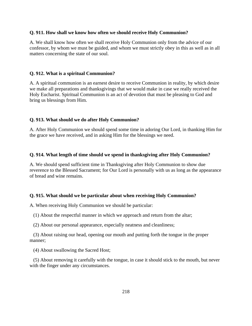### **Q. 911. How shall we know how often we should receive Holy Communion?**

A. We shall know how often we shall receive Holy Communion only from the advice of our confessor, by whom we must be guided, and whom we must strictly obey in this as well as in all matters concerning the state of our soul.

#### **Q. 912. What is a spiritual Communion?**

A. A spiritual communion is an earnest desire to receive Communion in reality, by which desire we make all preparations and thanksgivings that we would make in case we really received the Holy Eucharist. Spiritual Communion is an act of devotion that must be pleasing to God and bring us blessings from Him.

### **Q. 913. What should we do after Holy Communion?**

A. After Holy Communion we should spend some time in adoring Our Lord, in thanking Him for the grace we have received, and in asking Him for the blessings we need.

#### **Q. 914. What length of time should we spend in thanksgiving after Holy Communion?**

A. We should spend sufficient time in Thanksgiving after Holy Communion to show due reverence to the Blessed Sacrament; for Our Lord is personally with us as long as the appearance of bread and wine remains.

### **Q. 915. What should we be particular about when receiving Holy Communion?**

A. When receiving Holy Communion we should be particular:

(1) About the respectful manner in which we approach and return from the altar;

(2) About our personal appearance, especially neatness and cleanliness;

 (3) About raising our head, opening our mouth and putting forth the tongue in the proper manner;

(4) About swallowing the Sacred Host;

 (5) About removing it carefully with the tongue, in case it should stick to the mouth, but never with the finger under any circumstances.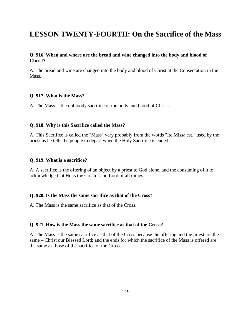# **LESSON TWENTY-FOURTH: On the Sacrifice of the Mass**

### **Q. 916. When and where are the bread and wine changed into the body and blood of Christ?**

A. The bread and wine are changed into the body and blood of Christ at the Consecration in the Mass.

### **Q. 917. What is the Mass?**

A. The Mass is the unbloody sacrifice of the body and blood of Christ.

### **Q. 918. Why is this Sacrifice called the Mass?**

A. This Sacrifice is called the "Mass" very probably from the words "Ite Missa est," used by the priest as he tells the people to depart when the Holy Sacrifice is ended.

#### **Q. 919. What is a sacrifice?**

A. A sacrifice is the offering of an object by a priest to God alone, and the consuming of it to acknowledge that He is the Creator and Lord of all things.

#### **Q. 920. Is the Mass the same sacrifice as that of the Cross?**

A. The Mass is the same sacrifice as that of the Cross.

#### **Q. 921. How is the Mass the same sacrifice as that of the Cross?**

A. The Mass is the same sacrifice as that of the Cross because the offering and the priest are the same – Christ our Blessed Lord; and the ends for which the sacrifice of the Mass is offered are the same as those of the sacrifice of the Cross.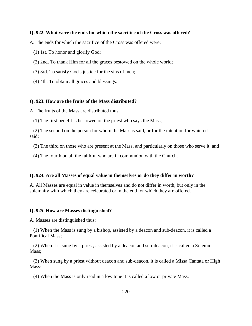### **Q. 922. What were the ends for which the sacrifice of the Cross was offered?**

A. The ends for which the sacrifice of the Cross was offered were:

- (1) 1st. To honor and glorify God;
- (2) 2nd. To thank Him for all the graces bestowed on the whole world;
- (3) 3rd. To satisfy God's justice for the sins of men;
- (4) 4th. To obtain all graces and blessings.

#### **Q. 923. How are the fruits of the Mass distributed?**

A. The fruits of the Mass are distributed thus:

(1) The first benefit is bestowed on the priest who says the Mass;

 (2) The second on the person for whom the Mass is said, or for the intention for which it is said;

(3) The third on those who are present at the Mass, and particularly on those who serve it, and

(4) The fourth on all the faithful who are in communion with the Church.

#### **Q. 924. Are all Masses of equal value in themselves or do they differ in worth?**

A. All Masses are equal in value in themselves and do not differ in worth, but only in the solemnity with which they are celebrated or in the end for which they are offered.

#### **Q. 925. How are Masses distinguished?**

A. Masses are distinguished thus:

 (1) When the Mass is sung by a bishop, assisted by a deacon and sub-deacon, it is called a Pontifical Mass;

 (2) When it is sung by a priest, assisted by a deacon and sub-deacon, it is called a Solemn Mass:

 (3) When sung by a priest without deacon and sub-deacon, it is called a Missa Cantata or High Mass;

(4) When the Mass is only read in a low tone it is called a low or private Mass.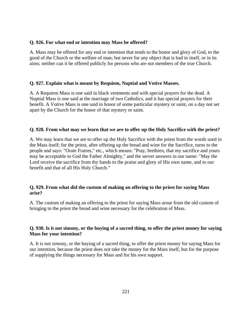### **Q. 926. For what end or intention may Mass be offered?**

A. Mass may be offered for any end or intention that tends to the honor and glory of God, to the good of the Church or the welfare of man; but never for any object that is bad in itself, or in its aims; neither can it be offered publicly for persons who are not members of the true Church.

### **Q. 927. Explain what is meant by Requiem, Nuptial and Votive Masses.**

A. A Requiem Mass is one said in black vestments and with special prayers for the dead. A Nuptial Mass is one said at the marriage of two Catholics, and it has special prayers for their benefit. A Votive Mass is one said in honor of some particular mystery or saint, on a day not set apart by the Church for the honor of that mystery or saint.

### **Q. 928. From what may we learn that we are to offer up the Holy Sacrifice with the priest?**

A. We may learn that we are to offer up the Holy Sacrifice with the priest from the words used in the Mass itself; for the priest, after offering up the bread and wine for the Sacrifice, turns to the people and says: "Orate Fratres," etc., which means: "Pray, brethren, that my sacrifice and yours may be acceptable to God the Father Almighty," and the server answers in our name: "May the Lord receive the sacrifice from thy hands to the praise and glory of His own name, and to our benefit and that of all His Holy Church."

# **Q. 929. From what did the custom of making an offering to the priest for saying Mass arise?**

A. The custom of making an offering to the priest for saying Mass arose from the old custom of bringing to the priest the bread and wine necessary for the celebration of Mass.

# **Q. 930. Is it not simony, or the buying of a sacred thing, to offer the priest money for saying Mass for your intention?**

A. It is not simony, or the buying of a sacred thing, to offer the priest money for saying Mass for our intention, because the priest does not take the money for the Mass itself, but for the purpose of supplying the things necessary for Mass and for his own support.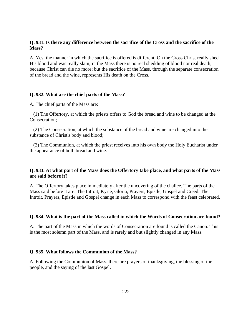### **Q. 931. Is there any difference between the sacrifice of the Cross and the sacrifice of the Mass?**

A. Yes; the manner in which the sacrifice is offered is different. On the Cross Christ really shed His blood and was really slain; in the Mass there is no real shedding of blood nor real death, because Christ can die no more; but the sacrifice of the Mass, through the separate consecration of the bread and the wine, represents His death on the Cross.

### **Q. 932. What are the chief parts of the Mass?**

A. The chief parts of the Mass are:

 (1) The Offertory, at which the priests offers to God the bread and wine to be changed at the Consecration;

 (2) The Consecration, at which the substance of the bread and wine are changed into the substance of Christ's body and blood;

 (3) The Communion, at which the priest receives into his own body the Holy Eucharist under the appearance of both bread and wine.

### **Q. 933. At what part of the Mass does the Offertory take place, and what parts of the Mass are said before it?**

A. The Offertory takes place immediately after the uncovering of the chalice. The parts of the Mass said before it are: The Introit, Kyrie, Gloria, Prayers, Epistle, Gospel and Creed. The Introit, Prayers, Epistle and Gospel change in each Mass to correspond with the feast celebrated.

### **Q. 934. What is the part of the Mass called in which the Words of Consecration are found?**

A. The part of the Mass in which the words of Consecration are found is called the Canon. This is the most solemn part of the Mass, and is rarely and but slightly changed in any Mass.

### **Q. 935. What follows the Communion of the Mass?**

A. Following the Communion of Mass, there are prayers of thanksgiving, the blessing of the people, and the saying of the last Gospel.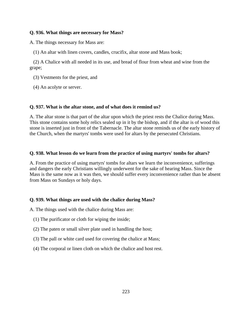# **Q. 936. What things are necessary for Mass?**

A. The things necessary for Mass are:

(1) An altar with linen covers, candles, crucifix, altar stone and Mass book;

 (2) A Chalice with all needed in its use, and bread of flour from wheat and wine from the grape;

- (3) Vestments for the priest, and
- (4) An acolyte or server.

# **Q. 937. What is the altar stone, and of what does it remind us?**

A. The altar stone is that part of the altar upon which the priest rests the Chalice during Mass. This stone contains some holy relics sealed up in it by the bishop, and if the altar is of wood this stone is inserted just in front of the Tabernacle. The altar stone reminds us of the early history of the Church, when the martyrs' tombs were used for altars by the persecuted Christians.

# **Q. 938. What lesson do we learn from the practice of using martyrs' tombs for altars?**

A. From the practice of using martyrs' tombs for altars we learn the inconvenience, sufferings and dangers the early Christians willingly underwent for the sake of hearing Mass. Since the Mass is the same now as it was then, we should suffer every inconvenience rather than be absent from Mass on Sundays or holy days.

# **Q. 939. What things are used with the chalice during Mass?**

A. The things used with the chalice during Mass are:

- (1) The purificator or cloth for wiping the inside;
- (2) The paten or small silver plate used in handling the host;
- (3) The pall or white card used for covering the chalice at Mass;
- (4) The corporal or linen cloth on which the chalice and host rest.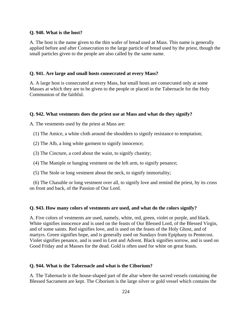#### **Q. 940. What is the host?**

A. The host is the name given to the thin wafer of bread used at Mass. This name is generally applied before and after Consecration to the large particle of bread used by the priest, though the small particles given to the people are also called by the same name.

### **Q. 941. Are large and small hosts consecrated at every Mass?**

A. A large host is consecrated at every Mass, but small hosts are consecrated only at some Masses at which they are to be given to the people or placed in the Tabernacle for the Holy Communion of the faithful.

#### **Q. 942. What vestments does the priest use at Mass and what do they signify?**

A. The vestments used by the priest at Mass are:

(1) The Amice, a white cloth around the shoulders to signify resistance to temptation;

(2) The Alb, a long white garment to signify innocence;

(3) The Cincture, a cord about the waist, to signify chastity;

(4) The Maniple or hanging vestment on the left arm, to signify penance;

(5) The Stole or long vestment about the neck, to signify immortality;

 (6) The Chasuble or long vestment over all, to signify love and remind the priest, by its cross on front and back, of the Passion of Our Lord.

### **Q. 943. How many colors of vestments are used, and what do the colors signify?**

A. Five colors of vestments are used, namely, white, red, green, violet or purple, and black. White signifies innocence and is used on the feasts of Our Blessed Lord, of the Blessed Virgin, and of some saints. Red signifies love, and is used on the feasts of the Holy Ghost, and of martyrs. Green signifies hope, and is generally used on Sundays from Epiphany to Pentecost. Violet signifies penance, and is used in Lent and Advent. Black signifies sorrow, and is used on Good Friday and at Masses for the dead. Gold is often used for white on great feasts.

### **Q. 944. What is the Tabernacle and what is the Ciborium?**

A. The Tabernacle is the house-shaped part of the altar where the sacred vessels containing the Blessed Sacrament are kept. The Ciborium is the large silver or gold vessel which contains the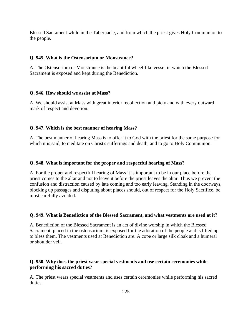Blessed Sacrament while in the Tabernacle, and from which the priest gives Holy Communion to the people.

# **Q. 945. What is the Ostensorium or Monstrance?**

A. The Ostensorium or Monstrance is the beautiful wheel-like vessel in which the Blessed Sacrament is exposed and kept during the Benediction.

# **Q. 946. How should we assist at Mass?**

A. We should assist at Mass with great interior recollection and piety and with every outward mark of respect and devotion.

# **Q. 947. Which is the best manner of hearing Mass?**

A. The best manner of hearing Mass is to offer it to God with the priest for the same purpose for which it is said, to meditate on Christ's sufferings and death, and to go to Holy Communion.

# **Q. 948. What is important for the proper and respectful hearing of Mass?**

A. For the proper and respectful hearing of Mass it is important to be in our place before the priest comes to the altar and not to leave it before the priest leaves the altar. Thus we prevent the confusion and distraction caused by late coming and too early leaving. Standing in the doorways, blocking up passages and disputing about places should, out of respect for the Holy Sacrifice, be most carefully avoided.

# **Q. 949. What is Benediction of the Blessed Sacrament, and what vestments are used at it?**

A. Benediction of the Blessed Sacrament is an act of divine worship in which the Blessed Sacrament, placed in the ostensorium, is exposed for the adoration of the people and is lifted up to bless them. The vestments used at Benediction are: A cope or large silk cloak and a humeral or shoulder veil.

# **Q. 950. Why does the priest wear special vestments and use certain ceremonies while performing his sacred duties?**

A. The priest wears special vestments and uses certain ceremonies while performing his sacred duties: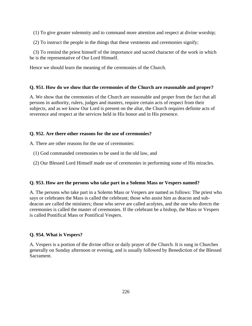(1) To give greater solemnity and to command more attention and respect at divine worship;

(2) To instruct the people in the things that these vestments and ceremonies signify;

 (3) To remind the priest himself of the importance and sacred character of the work in which he is the representative of Our Lord Himself.

Hence we should learn the meaning of the ceremonies of the Church.

# **Q. 951. How do we show that the ceremonies of the Church are reasonable and proper?**

A. We show that the ceremonies of the Church are reasonable and proper from the fact that all persons in authority, rulers, judges and masters, require certain acts of respect from their subjects, and as we know Our Lord is present on the altar, the Church requires definite acts of reverence and respect at the services held in His honor and in His presence.

# **Q. 952. Are there other reasons for the use of ceremonies?**

A. There are other reasons for the use of ceremonies:

- (1) God commanded ceremonies to be used in the old law, and
- (2) Our Blessed Lord Himself made use of ceremonies in performing some of His miracles.

# **Q. 953. How are the persons who take part in a Solemn Mass or Vespers named?**

A. The persons who take part in a Solemn Mass or Vespers are named as follows: The priest who says or celebrates the Mass is called the celebrant; those who assist him as deacon and subdeacon are called the ministers; those who serve are called acolytes, and the one who directs the ceremonies is called the master of ceremonies. If the celebrant be a bishop, the Mass or Vespers is called Pontifical Mass or Pontifical Vespers.

# **Q. 954. What is Vespers?**

A. Vespers is a portion of the divine office or daily prayer of the Church. It is sung in Churches generally on Sunday afternoon or evening, and is usually followed by Benediction of the Blessed Sacrament.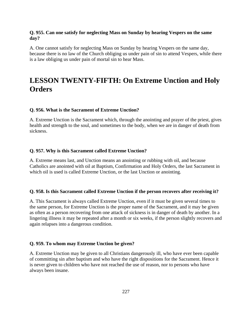### **Q. 955. Can one satisfy for neglecting Mass on Sunday by hearing Vespers on the same day?**

A. One cannot satisfy for neglecting Mass on Sunday by hearing Vespers on the same day, because there is no law of the Church obliging us under pain of sin to attend Vespers, while there is a law obliging us under pain of mortal sin to hear Mass.

# **LESSON TWENTY-FIFTH: On Extreme Unction and Holy Orders**

### **Q. 956. What is the Sacrament of Extreme Unction?**

A. Extreme Unction is the Sacrament which, through the anointing and prayer of the priest, gives health and strength to the soul, and sometimes to the body, when we are in danger of death from sickness.

### **Q. 957. Why is this Sacrament called Extreme Unction?**

A. Extreme means last, and Unction means an anointing or rubbing with oil, and because Catholics are anointed with oil at Baptism, Confirmation and Holy Orders, the last Sacrament in which oil is used is called Extreme Unction, or the last Unction or anointing.

### **Q. 958. Is this Sacrament called Extreme Unction if the person recovers after receiving it?**

A. This Sacrament is always called Extreme Unction, even if it must be given several times to the same person, for Extreme Unction is the proper name of the Sacrament, and it may be given as often as a person recovering from one attack of sickness is in danger of death by another. In a lingering illness it may be repeated after a month or six weeks, if the person slightly recovers and again relapses into a dangerous condition.

### **Q. 959. To whom may Extreme Unction be given?**

A. Extreme Unction may be given to all Christians dangerously ill, who have ever been capable of committing sin after baptism and who have the right dispositions for the Sacrament. Hence it is never given to children who have not reached the use of reason, nor to persons who have always been insane.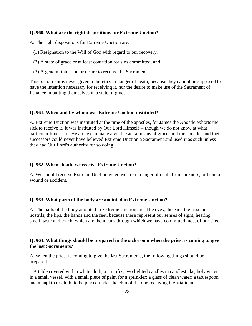### **Q. 960. What are the right dispositions for Extreme Unction?**

A. The right dispositions for Extreme Unction are:

- (1) Resignation to the Will of God with regard to our recovery;
- (2) A state of grace or at least contrition for sins committed, and
- (3) A general intention or desire to receive the Sacrament.

This Sacrament is never given to heretics in danger of death, because they cannot be supposed to have the intention necessary for receiving it, nor the desire to make use of the Sacrament of Penance in putting themselves in a state of grace.

#### **Q. 961. When and by whom was Extreme Unction instituted?**

A. Extreme Unction was instituted at the time of the apostles, for James the Apostle exhorts the sick to receive it. It was instituted by Our Lord Himself -- though we do not know at what particular time -- for He alone can make a visible act a means of grace, and the apostles and their successors could never have believed Extreme Unction a Sacrament and used it as such unless they had Our Lord's authority for so doing.

#### **Q. 962. When should we receive Extreme Unction?**

A. We should receive Extreme Unction when we are in danger of death from sickness, or from a wound or accident.

#### **Q. 963. What parts of the body are anointed in Extreme Unction?**

A. The parts of the body anointed in Extreme Unction are: The eyes, the ears, the nose or nostrils, the lips, the hands and the feet, because these represent our senses of sight, hearing, smell, taste and touch, which are the means through which we have committed most of our sins.

### **Q. 964. What things should be prepared in the sick-room when the priest is coming to give the last Sacraments?**

A. When the priest is coming to give the last Sacraments, the following things should be prepared:

 A table covered with a white cloth; a crucifix; two lighted candles in candlesticks; holy water in a small vessel, with a small piece of palm for a sprinkler; a glass of clean water; a tablespoon and a napkin or cloth, to be placed under the chin of the one receiving the Viaticum.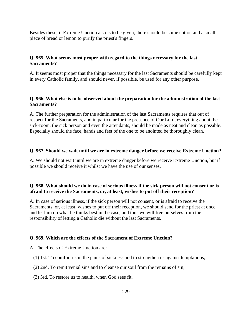Besides these, if Extreme Unction also is to be given, there should be some cotton and a small piece of bread or lemon to purify the priest's fingers.

# **Q. 965. What seems most proper with regard to the things necessary for the last Sacraments?**

A. It seems most proper that the things necessary for the last Sacraments should be carefully kept in every Catholic family, and should never, if possible, be used for any other purpose.

# **Q. 966. What else is to be observed about the preparation for the administration of the last Sacraments?**

A. The further preparation for the administration of the last Sacraments requires that out of respect for the Sacraments, and in particular for the presence of Our Lord, everything about the sick-room, the sick person and even the attendants, should be made as neat and clean as possible. Especially should the face, hands and feet of the one to be anointed be thoroughly clean.

# **Q. 967. Should we wait until we are in extreme danger before we receive Extreme Unction?**

A. We should not wait until we are in extreme danger before we receive Extreme Unction, but if possible we should receive it whilst we have the use of our senses.

# **Q. 968. What should we do in case of serious illness if the sick person will not consent or is afraid to receive the Sacraments, or, at least, wishes to put off their reception?**

A. In case of serious illness, if the sick person will not consent, or is afraid to receive the Sacraments, or, at least, wishes to put off their reception, we should send for the priest at once and let him do what he thinks best in the case, and thus we will free ourselves from the responsibility of letting a Catholic die without the last Sacraments.

# **Q. 969. Which are the effects of the Sacrament of Extreme Unction?**

A. The effects of Extreme Unction are:

- (1) 1st. To comfort us in the pains of sickness and to strengthen us against temptations;
- (2) 2nd. To remit venial sins and to cleanse our soul from the remains of sin;
- (3) 3rd. To restore us to health, when God sees fit.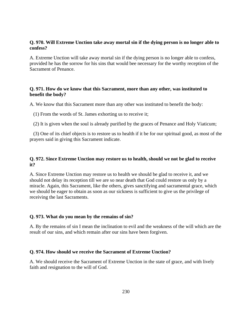# **Q. 970. Will Extreme Unction take away mortal sin if the dying person is no longer able to confess?**

A. Extreme Unction will take away mortal sin if the dying person is no longer able to confess, provided he has the sorrow for his sins that would bee necessary for the worthy reception of the Sacrament of Penance.

# **Q. 971. How do we know that this Sacrament, more than any other, was instituted to benefit the body?**

A. We know that this Sacrament more than any other was instituted to benefit the body:

(1) From the words of St. James exhorting us to receive it;

(2) It is given when the soul is already purified by the graces of Penance and Holy Viaticum;

 (3) One of its chief objects is to restore us to health if it be for our spiritual good, as most of the prayers said in giving this Sacrament indicate.

# **Q. 972. Since Extreme Unction may restore us to health, should we not be glad to receive it?**

A. Since Extreme Unction may restore us to health we should be glad to receive it, and we should not delay its reception till we are so near death that God could restore us only by a miracle. Again, this Sacrament, like the others, gives sanctifying and sacramental grace, which we should be eager to obtain as soon as our sickness is sufficient to give us the privilege of receiving the last Sacraments.

# **Q. 973. What do you mean by the remains of sin?**

A. By the remains of sin I mean the inclination to evil and the weakness of the will which are the result of our sins, and which remain after our sins have been forgiven.

### **Q. 974. How should we receive the Sacrament of Extreme Unction?**

A. We should receive the Sacrament of Extreme Unction in the state of grace, and with lively faith and resignation to the will of God.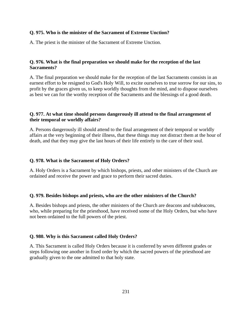### **Q. 975. Who is the minister of the Sacrament of Extreme Unction?**

A. The priest is the minister of the Sacrament of Extreme Unction.

# **Q. 976. What is the final preparation we should make for the reception of the last Sacraments?**

A. The final preparation we should make for the reception of the last Sacraments consists in an earnest effort to be resigned to God's Holy Will, to excite ourselves to true sorrow for our sins, to profit by the graces given us, to keep worldly thoughts from the mind, and to dispose ourselves as best we can for the worthy reception of the Sacraments and the blessings of a good death.

# **Q. 977. At what time should persons dangerously ill attend to the final arrangement of their temporal or worldly affairs?**

A. Persons dangerously ill should attend to the final arrangement of their temporal or worldly affairs at the very beginning of their illness, that these things may not distract them at the hour of death, and that they may give the last hours of their life entirely to the care of their soul.

### **Q. 978. What is the Sacrament of Holy Orders?**

A. Holy Orders is a Sacrament by which bishops, priests, and other ministers of the Church are ordained and receive the power and grace to perform their sacred duties.

### **Q. 979. Besides bishops and priests, who are the other ministers of the Church?**

A. Besides bishops and priests, the other ministers of the Church are deacons and subdeacons, who, while preparing for the priesthood, have received some of the Holy Orders, but who have not been ordained to the full powers of the priest.

# **Q. 980. Why is this Sacrament called Holy Orders?**

A. This Sacrament is called Holy Orders because it is conferred by seven different grades or steps following one another in fixed order by which the sacred powers of the priesthood are gradually given to the one admitted to that holy state.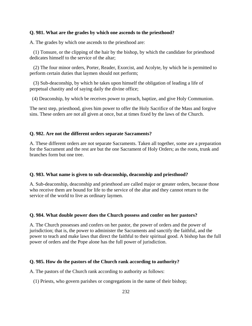### **Q. 981. What are the grades by which one ascends to the priesthood?**

A. The grades by which one ascends to the priesthood are:

 (1) Tonsure, or the clipping of the hair by the bishop, by which the candidate for priesthood dedicates himself to the service of the altar;

 (2) The four minor orders, Porter, Reader, Exorcist, and Acolyte, by which he is permitted to perform certain duties that laymen should not perform;

 (3) Sub-deaconship, by which he takes upon himself the obligation of leading a life of perpetual chastity and of saying daily the divine office;

(4) Deaconship, by which be receives power to preach, baptize, and give Holy Communion.

The next step, priesthood, gives him power to offer the Holy Sacrifice of the Mass and forgive sins. These orders are not all given at once, but at times fixed by the laws of the Church.

### **Q. 982. Are not the different orders separate Sacraments?**

A. These different orders are not separate Sacraments. Taken all together, some are a preparation for the Sacrament and the rest are but the one Sacrament of Holy Orders; as the roots, trunk and branches form but one tree.

### **Q. 983. What name is given to sub-deaconship, deaconship and priesthood?**

A. Sub-deaconship, deaconship and priesthood are called major or greater orders, because those who receive them are bound for life to the service of the altar and they cannot return to the service of the world to live as ordinary laymen.

### **Q. 984. What double power does the Church possess and confer on her pastors?**

A. The Church possesses and confers on her pastor, the power of orders and the power of jurisdiction; that is, the power to administer the Sacraments and sanctify the faithful, and the power to teach and make laws that direct the faithful to their spiritual good. A bishop has the full power of orders and the Pope alone has the full power of jurisdiction.

#### **Q. 985. How do the pastors of the Church rank according to authority?**

A. The pastors of the Church rank according to authority as follows:

(1) Priests, who govern parishes or congregations in the name of their bishop;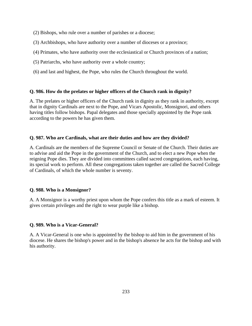- (2) Bishops, who rule over a number of parishes or a diocese;
- (3) Archbishops, who have authority over a number of dioceses or a province;
- (4) Primates, who have authority over the ecclesiastical or Church provinces of a nation;
- (5) Patriarchs, who have authority over a whole country;
- (6) and last and highest, the Pope, who rules the Church throughout the world.

# **Q. 986. How do the prelates or higher officers of the Church rank in dignity?**

A. The prelates or higher officers of the Church rank in dignity as they rank in authority, except that in dignity Cardinals are next to the Pope, and Vicars Apostolic, Monsignori, and others having titles follow bishops. Papal delegates and those specially appointed by the Pope rank according to the powers he has given them.

# **Q. 987. Who are Cardinals, what are their duties and how are they divided?**

A. Cardinals are the members of the Supreme Council or Senate of the Church. Their duties are to advise and aid the Pope in the government of the Church, and to elect a new Pope when the reigning Pope dies. They are divided into committees called sacred congregations, each having, its special work to perform. All these congregations taken together are called the Sacred College of Cardinals, of which the whole number is seventy.

# **Q. 988. Who is a Monsignor?**

A. A Monsignor is a worthy priest upon whom the Pope confers this title as a mark of esteem. It gives certain privileges and the right to wear purple like a bishop.

# **Q. 989. Who is a Vicar-General?**

A. A Vicar-General is one who is appointed by the bishop to aid him in the government of his diocese. He shares the bishop's power and in the bishop's absence he acts for the bishop and with his authority.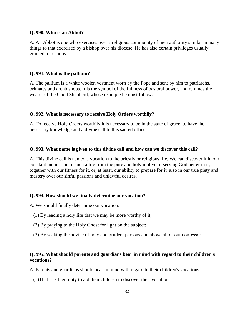### **Q. 990. Who is an Abbot?**

A. An Abbot is one who exercises over a religious community of men authority similar in many things to that exercised by a bishop over his diocese. He has also certain privileges usually granted to bishops.

### **Q. 991. What is the pallium?**

A. The pallium is a white woolen vestment worn by the Pope and sent by him to patriarchs, primates and archbishops. It is the symbol of the fullness of pastoral power, and reminds the wearer of the Good Shepherd, whose example he must follow.

### **Q. 992. What is necessary to receive Holy Orders worthily?**

A. To receive Holy Orders worthily it is necessary to be in the state of grace, to have the necessary knowledge and a divine call to this sacred office.

### **Q. 993. What name is given to this divine call and how can we discover this call?**

A. This divine call is named a vocation to the priestly or religious life. We can discover it in our constant inclination to such a life from the pure and holy motive of serving God better in it, together with our fitness for it, or, at least, our ability to prepare for it, also in our true piety and mastery over our sinful passions and unlawful desires.

#### **Q. 994. How should we finally determine our vocation?**

A. We should finally determine our vocation:

- (1) By leading a holy life that we may be more worthy of it;
- (2) By praying to the Holy Ghost for light on the subject;
- (3) By seeking the advice of holy and prudent persons and above all of our confessor.

# **Q. 995. What should parents and guardians bear in mind with regard to their children's vocations?**

A. Parents and guardians should bear in mind with regard to their children's vocations:

(1)That it is their duty to aid their children to discover their vocation;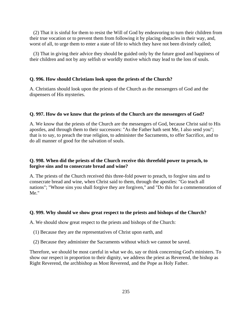(2) That it is sinful for them to resist the Will of God by endeavoring to turn their children from their true vocation or to prevent them from following it by placing obstacles in their way, and, worst of all, to urge them to enter a state of life to which they have not been divinely called;

 (3) That in giving their advice they should be guided only by the future good and happiness of their children and not by any selfish or worldly motive which may lead to the loss of souls.

### **Q. 996. How should Christians look upon the priests of the Church?**

A. Christians should look upon the priests of the Church as the messengers of God and the dispensers of His mysteries.

### **Q. 997. How do we know that the priests of the Church are the messengers of God?**

A. We know that the priests of the Church are the messengers of God, because Christ said to His apostles, and through them to their successors: "As the Father hath sent Me, I also send you"; that is to say, to preach the true religion, to administer the Sacraments, to offer Sacrifice, and to do all manner of good for the salvation of souls.

### **Q. 998. When did the priests of the Church receive this threefold power to preach, to forgive sins and to consecrate bread and wine?**

A. The priests of the Church received this three-fold power to preach, to forgive sins and to consecrate bread and wine, when Christ said to them, through the apostles: "Go teach all nations"; "Whose sins you shall forgive they are forgiven," and "Do this for a commemoration of Me."

#### **Q. 999. Why should we show great respect to the priests and bishops of the Church?**

A. We should show great respect to the priests and bishops of the Church:

- (1) Because they are the representatives of Christ upon earth, and
- (2) Because they administer the Sacraments without which we cannot be saved.

Therefore, we should be most careful in what we do, say or think concerning God's ministers. To show our respect in proportion to their dignity, we address the priest as Reverend, the bishop as Right Reverend, the archbishop as Most Reverend, and the Pope as Holy Father.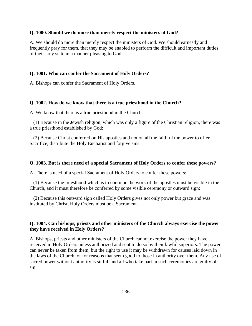#### **Q. 1000. Should we do more than merely respect the ministers of God?**

A. We should do more than merely respect the ministers of God. We should earnestly and frequently pray for them, that they may be enabled to perform the difficult and important duties of their holy state in a manner pleasing to God.

### **Q. 1001. Who can confer the Sacrament of Holy Orders?**

A. Bishops can confer the Sacrament of Holy Orders.

#### **Q. 1002. How do we know that there is a true priesthood in the Church?**

A. We know that there is a true priesthood in the Church:

 (1) Because in the Jewish religion, which was only a figure of the Christian religion, there was a true priesthood established by God;

 (2) Because Christ conferred on His apostles and not on all the faithful the power to offer Sacrifice, distribute the Holy Eucharist and forgive sins.

#### **Q. 1003. But is there need of a special Sacrament of Holy Orders to confer these powers?**

A. There is need of a special Sacrament of Holy Orders to confer these powers:

 (1) Because the priesthood which is to continue the work of the apostles must be visible in the Church, and it must therefore be conferred by some visible ceremony or outward sign;

 (2) Because this outward sign called Holy Orders gives not only power but grace and was instituted by Christ, Holy Orders must be a Sacrament.

### **Q. 1004. Can bishops, priests and other ministers of the Church always exercise the power they have received in Holy Orders?**

A. Bishops, priests and other ministers of the Church cannot exercise the power they have received in Holy Orders unless authorized and sent to do so by their lawful superiors. The power can never be taken from them, but the right to use it may be withdrawn for causes laid down in the laws of the Church, or for reasons that seem good to those in authority over them. Any use of sacred power without authority is sinful, and all who take part in such ceremonies are guilty of sin.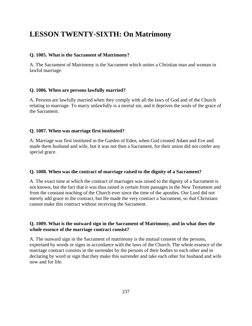# **LESSON TWENTY-SIXTH: On Matrimony**

### **Q. 1005. What is the Sacrament of Matrimony?**

A. The Sacrament of Matrimony is the Sacrament which unites a Christian man and woman in lawful marriage.

# **Q. 1006. When are persons lawfully married?**

A. Persons are lawfully married when they comply with all the laws of God and of the Church relating to marriage. To marry unlawfully is a mortal sin, and it deprives the souls of the grace of the Sacrament.

# **Q. 1007. When was marriage first instituted?**

A. Marriage was first instituted in the Garden of Eden, when God created Adam and Eve and made them husband and wife, but it was not then a Sacrament, for their union did not confer any special grace.

# **Q. 1008. When was the contract of marriage raised to the dignity of a Sacrament?**

A. The exact time at which the contract of marriages was raised to the dignity of a Sacrament is not known, but the fact that it was thus raised is certain from passages in the New Testament and from the constant teaching of the Church ever since the time of the apostles. Our Lord did not merely add grace to the contract, but He made the very contract a Sacrament, so that Christians cannot make this contract without receiving the Sacrament.

### **Q. 1009. What is the outward sign in the Sacrament of Matrimony, and in what does the whole essence of the marriage contract consist?**

A. The outward sign in the Sacrament of matrimony is the mutual consent of the persons, expressed by words or signs in accordance with the laws of the Church. The whole essence of the marriage contract consists in the surrender by the persons of their bodies to each other and in declaring by word or sign that they make this surrender and take each other for husband and wife now and for life.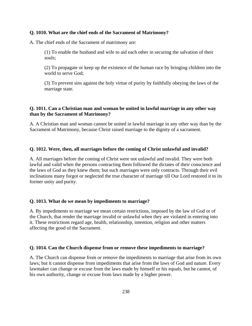### **Q. 1010. What are the chief ends of the Sacrament of Matrimony?**

A. The chief ends of the Sacrament of matrimony are:

(1) To enable the husband and wife to aid each other in securing the salvation of their souls;

(2) To propagate or keep up the existence of the human race by bringing children into the world to serve God;

(3) To prevent sins against the holy virtue of purity by faithfully obeying the laws of the marriage state.

# **Q. 1011. Can a Christian man and woman be united in lawful marriage in any other way than by the Sacrament of Matrimony?**

A. A Christian man and woman cannot be united in lawful marriage in any other way than by the Sacrament of Matrimony, because Christ raised marriage to the dignity of a sacrament.

# **Q. 1012. Were, then, all marriages before the coming of Christ unlawful and invalid?**

A. All marriages before the coming of Christ were not unlawful and invalid. They were both lawful and valid when the persons contracting them followed the dictates of their conscience and the laws of God as they knew them; but such marriages were only contracts. Through their evil inclinations many forgot or neglected the true character of marriage till Our Lord restored it to its former unity and purity.

# **Q. 1013. What do we mean by impediments to marriage?**

A. By impediments to marriage we mean certain restrictions, imposed by the law of God or of the Church, that render the marriage invalid or unlawful when they are violated in entering into it. These restrictions regard age, health, relationship, intention, religion and other matters affecting the good of the Sacrament.

# **Q. 1014. Can the Church dispense from or remove these impediments to marriage?**

A. The Church can dispense from or remove the impediments to marriage that arise from its own laws; but it cannot dispense from impediments that arise from the laws of God and nature. Every lawmaker can change or excuse from the laws made by himself or his equals, but he cannot, of his own authority, change or excuse from laws made by a higher power.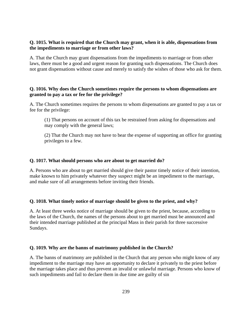### **Q. 1015. What is required that the Church may grant, when it is able, dispensations from the impediments to marriage or from other laws?**

A. That the Church may grant dispensations from the impediments to marriage or from other laws, there must be a good and urgent reason for granting such dispensations. The Church does not grant dispensations without cause and merely to satisfy the wishes of those who ask for them.

# **Q. 1016. Why does the Church sometimes require the persons to whom dispensations are granted to pay a tax or fee for the privilege?**

A. The Church sometimes requires the persons to whom dispensations are granted to pay a tax or fee for the privilege:

(1) That persons on account of this tax be restrained from asking for dispensations and may comply with the general laws;

(2) That the Church may not have to bear the expense of supporting an office for granting privileges to a few.

### **Q. 1017. What should persons who are about to get married do?**

A. Persons who are about to get married should give their pastor timely notice of their intention, make known to him privately whatever they suspect might be an impediment to the marriage, and make sure of all arrangements before inviting their friends.

# **Q. 1018. What timely notice of marriage should be given to the priest, and why?**

A. At least three weeks notice of marriage should be given to the priest, because, according to the laws of the Church, the names of the persons about to get married must be announced and their intended marriage published at the principal Mass in their parish for three successive Sundays.

# **Q. 1019. Why are the banns of matrimony published in the Church?**

A. The banns of matrimony are published in the Church that any person who might know of any impediment to the marriage may have an opportunity to declare it privately to the priest before the marriage takes place and thus prevent an invalid or unlawful marriage. Persons who know of such impediments and fail to declare them in due time are guilty of sin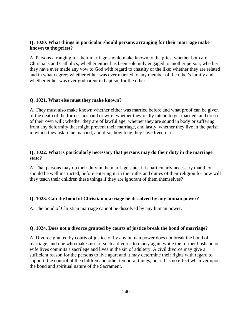# **Q. 1020. What things in particular should persons arranging for their marriage make known to the priest?**

A. Persons arranging for their marriage should make known to the priest whether both are Christians and Catholics; whether either has been solemnly engaged to another person; whether they have ever made any vow to God with regard to chastity or the like; whether they are related and in what degree; whether either was ever married to any member of the other's family and whether either was ever godparent in baptism for the other.

### **Q. 1021. What else must they make known?**

A. They must also make known whether either was married before and what proof can be given of the death of the former husband or wife; whether they really intend to get married, and do so of their own will; whether they are of lawful age; whether they are sound in body or suffering from any deformity that might prevent their marriage, and lastly, whether they live in the parish in which they ask to be married, and if so, how long they have lived in it.

# **Q. 1022. What is particularly necessary that persons may do their duty in the marriage state?**

A. That persons may do their duty in the marriage state, it is particularly necessary that they should be well instructed, before entering it, in the truths and duties of their religion for how will they teach their children these things if they are ignorant of them themselves?

# **Q. 1023. Can the bond of Christian marriage be dissolved by any human power?**

A. The bond of Christian marriage cannot be dissolved by any human power.

### **Q. 1024. Does not a divorce granted by courts of justice break the bond of marriage?**

A. Divorce granted by courts of justice or by any human power does not break the bond of marriage, and one who makes use of such a divorce to marry again while the former husband or wife lives commits a sacrilege and lives in the sin of adultery. A civil divorce may give a sufficient reason for the persons to live apart and it may determine their rights with regard to support, the control of the children and other temporal things, but it has no effect whatever upon the bond and spiritual nature of the Sacrament.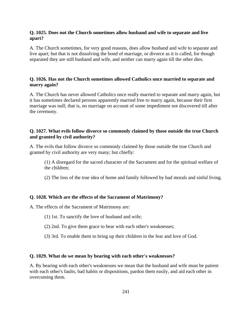# **Q. 1025. Does not the Church sometimes allow husband and wife to separate and live apart?**

A. The Church sometimes, for very good reasons, does allow husband and wife to separate and live apart; but that is not dissolving the bond of marriage, or divorce as it is called, for though separated they are still husband and wife, and neither can marry again till the other dies.

# **Q. 1026. Has not the Church sometimes allowed Catholics once married to separate and marry again?**

A. The Church has never allowed Catholics once really married to separate and marry again, but it has sometimes declared persons apparently married free to marry again, because their first marriage was null; that is, no marriage on account of some impediment not discovered till after the ceremony.

# **Q. 1027. What evils follow divorce so commonly claimed by those outside the true Church and granted by civil authority?**

A. The evils that follow divorce so commonly claimed by those outside the true Church and granted by civil authority are very many; but chiefly:

(1) A disregard for the sacred character of the Sacrament and for the spiritual welfare of the children;

(2) The loss of the true idea of home and family followed by bad morals and sinful living.

# **Q. 1028. Which are the effects of the Sacrament of Matrimony?**

A. The effects of the Sacrament of Matrimony are:

- (1) 1st. To sanctify the love of husband and wife;
- (2) 2nd. To give them grace to bear with each other's weaknesses;
- (3) 3rd. To enable them to bring up their children in the fear and love of God.

# **Q. 1029. What do we mean by bearing with each other's weaknesses?**

A. By bearing with each other's weaknesses we mean that the husband and wife must be patient with each other's faults, bad habits or dispositions, pardon them easily, and aid each other in overcoming them.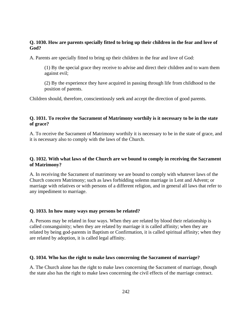# **Q. 1030. How are parents specially fitted to bring up their children in the fear and love of God?**

A. Parents are specially fitted to bring up their children in the fear and love of God:

(1) By the special grace they receive to advise and direct their children and to warn them against evil;

(2) By the experience they have acquired in passing through life from childhood to the position of parents.

Children should, therefore, conscientiously seek and accept the direction of good parents.

# **Q. 1031. To receive the Sacrament of Matrimony worthily is it necessary to be in the state of grace?**

A. To receive the Sacrament of Matrimony worthily it is necessary to be in the state of grace, and it is necessary also to comply with the laws of the Church.

# **Q. 1032. With what laws of the Church are we bound to comply in receiving the Sacrament of Matrimony?**

A. In receiving the Sacrament of matrimony we are bound to comply with whatever laws of the Church concern Matrimony; such as laws forbidding solemn marriage in Lent and Advent; or marriage with relatives or with persons of a different religion, and in general all laws that refer to any impediment to marriage.

# **Q. 1033. In how many ways may persons be related?**

A. Persons may be related in four ways. When they are related by blood their relationship is called consanguinity; when they are related by marriage it is called affinity; when they are related by being god-parents in Baptism or Confirmation, it is called spiritual affinity; when they are related by adoption, it is called legal affinity.

### **Q. 1034. Who has the right to make laws concerning the Sacrament of marriage?**

A. The Church alone has the right to make laws concerning the Sacrament of marriage, though the state also has the right to make laws concerning the civil effects of the marriage contract.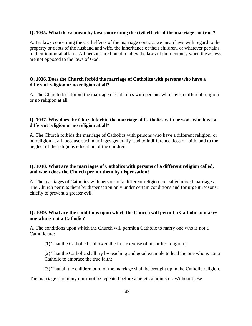### **Q. 1035. What do we mean by laws concerning the civil effects of the marriage contract?**

A. By laws concerning the civil effects of the marriage contract we mean laws with regard to the property or debts of the husband and wife, the inheritance of their children, or whatever pertains to their temporal affairs. All persons are bound to obey the laws of their country when these laws are not opposed to the laws of God.

# **Q. 1036. Does the Church forbid the marriage of Catholics with persons who have a different religion or no religion at all?**

A. The Church does forbid the marriage of Catholics with persons who have a different religion or no religion at all.

# **Q. 1037. Why does the Church forbid the marriage of Catholics with persons who have a different religion or no religion at all?**

A. The Church forbids the marriage of Catholics with persons who have a different religion, or no religion at all, because such marriages generally lead to indifference, loss of faith, and to the neglect of the religious education of the children.

# **Q. 1038. What are the marriages of Catholics with persons of a different religion called, and when does the Church permit them by dispensation?**

A. The marriages of Catholics with persons of a different religion are called mixed marriages. The Church permits them by dispensation only under certain conditions and for urgent reasons; chiefly to prevent a greater evil.

# **Q. 1039. What are the conditions upon which the Church will permit a Catholic to marry one who is not a Catholic?**

A. The conditions upon which the Church will permit a Catholic to marry one who is not a Catholic are:

(1) That the Catholic be allowed the free exercise of his or her religion ;

(2) That the Catholic shall try by teaching and good example to lead the one who is not a Catholic to embrace the true faith;

(3) That all the children born of the marriage shall be brought up in the Catholic religion.

The marriage ceremony must not be repeated before a heretical minister. Without these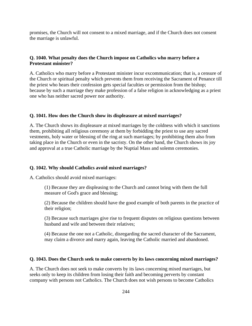promises, the Church will not consent to a mixed marriage, and if the Church does not consent the marriage is unlawful.

### **Q. 1040. What penalty does the Church impose on Catholics who marry before a Protestant minister?**

A. Catholics who marry before a Protestant minister incur excommunication; that is, a censure of the Church or spiritual penalty which prevents them from receiving the Sacrament of Penance till the priest who hears their confession gets special faculties or permission from the bishop; because by such a marriage they make profession of a false religion in acknowledging as a priest one who has neither sacred power nor authority.

#### **Q. 1041. How does the Church show its displeasure at mixed marriages?**

A. The Church shows its displeasure at mixed marriages by the coldness with which it sanctions them, prohibiting all religious ceremony at them by forbidding the priest to use any sacred vestments, holy water or blessing of the ring at such marriages; by prohibiting them also from taking place in the Church or even in the sacristy. On the other hand, the Church shows its joy and approval at a true Catholic marriage by the Nuptial Mass and solemn ceremonies.

#### **Q. 1042. Why should Catholics avoid mixed marriages?**

A. Catholics should avoid mixed marriages:

(1) Because they are displeasing to the Church and cannot bring with them the full measure of God's grace and blessing;

(2) Because the children should have the good example of both parents in the practice of their religion;

(3) Because such marriages give rise to frequent disputes on religious questions between husband and wife and between their relatives;

(4) Because the one not a Catholic, disregarding the sacred character of the Sacrament, may claim a divorce and marry again, leaving the Catholic married and abandoned.

### **Q. 1043. Does the Church seek to make converts by its laws concerning mixed marriages?**

A. The Church does not seek to make converts by its laws concerning mixed marriages, but seeks only to keep its children from losing their faith and becoming perverts by constant company with persons not Catholics. The Church does not wish persons to become Catholics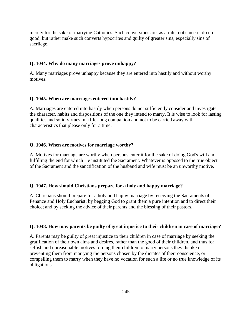merely for the sake of marrying Catholics. Such conversions are, as a rule, not sincere, do no good, but rather make such converts hypocrites and guilty of greater sins, especially sins of sacrilege.

### **Q. 1044. Why do many marriages prove unhappy?**

A. Many marriages prove unhappy because they are entered into hastily and without worthy motives.

### **Q. 1045. When are marriages entered into hastily?**

A. Marriages are entered into hastily when persons do not sufficiently consider and investigate the character, habits and dispositions of the one they intend to marry. It is wise to look for lasting qualities and solid virtues in a life-long companion and not to be carried away with characteristics that please only for a time.

### **Q. 1046. When are motives for marriage worthy?**

A. Motives for marriage are worthy when persons enter it for the sake of doing God's will and fulfilling the end for which He instituted the Sacrament. Whatever is opposed to the true object of the Sacrament and the sanctification of the husband and wife must be an unworthy motive.

# **Q. 1047. How should Christians prepare for a holy and happy marriage?**

A. Christians should prepare for a holy and happy marriage by receiving the Sacraments of Penance and Holy Eucharist; by begging God to grant them a pure intention and to direct their choice; and by seeking the advice of their parents and the blessing of their pastors.

### **Q. 1048. How may parents be guilty of great injustice to their children in case of marriage?**

A. Parents may be guilty of great injustice to their children in case of marriage by seeking the gratification of their own aims and desires, rather than the good of their children, and thus for selfish and unreasonable motives forcing their children to marry persons they dislike or preventing them from marrying the persons chosen by the dictates of their conscience, or compelling them to marry when they have no vocation for such a life or no true knowledge of its obligations.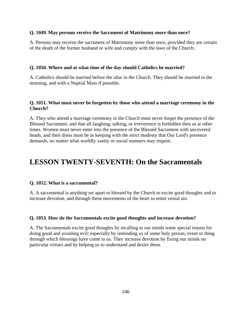# **Q. 1049. May persons receive the Sacrament of Matrimony more than once?**

A. Persons may receive the sacrament of Matrimony more than once, provided they are certain of the death of the former husband or wife and comply with the laws of the Church.

# **Q. 1050. Where and at what time of the day should Catholics be married?**

A. Catholics should be married before the altar in the Church. They should be married in the morning, and with a Nuptial Mass if possible.

# **Q. 1051. What must never be forgotten by those who attend a marriage ceremony in the Church?**

A. They who attend a marriage ceremony in the Church must never forget the presence of the Blessed Sacrament, and that all laughing, talking, or irreverence is forbidden then as at other times. Women must never enter into the presence of the Blessed Sacrament with uncovered heads, and their dress must be in keeping with the strict modesty that Our Lord's presence demands, no matter what worldly vanity or social manners may require.

# **LESSON TWENTY-SEVENTH: On the Sacramentals**

# **Q. 1052. What is a sacramental?**

A. A sacramental is anything set apart or blessed by the Church to excite good thoughts and to increase devotion, and through these movements of the heart to remit venial sin.

# **Q. 1053. How do the Sacramentals excite good thoughts and increase devotion?**

A. The Sacramentals excite good thoughts by recalling to our minds some special reason for doing good and avoiding evil; especially by reminding us of some holy person, event or thing through which blessings have come to us. They increase devotion by fixing our minds on particular virtues and by helping us to understand and desire them.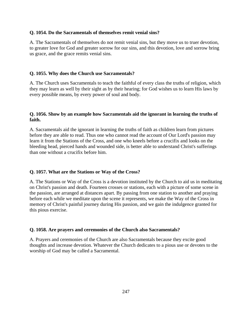### **Q. 1054. Do the Sacramentals of themselves remit venial sins?**

A. The Sacramentals of themselves do not remit venial sins, but they move us to truer devotion, to greater love for God and greater sorrow for our sins, and this devotion, love and sorrow bring us grace, and the grace remits venial sins.

### **Q. 1055. Why does the Church use Sacramentals?**

A. The Church uses Sacramentals to teach the faithful of every class the truths of religion, which they may learn as well by their sight as by their hearing; for God wishes us to learn His laws by every possible means, by every power of soul and body.

# **Q. 1056. Show by an example how Sacramentals aid the ignorant in learning the truths of faith.**

A. Sacramentals aid the ignorant in learning the truths of faith as children learn from pictures before they are able to read. Thus one who cannot read the account of Our Lord's passion may learn it from the Stations of the Cross, and one who kneels before a crucifix and looks on the bleeding head, pierced hands and wounded side, is better able to understand Christ's sufferings than one without a crucifix before him.

# **Q. 1057. What are the Stations or Way of the Cross?**

A. The Stations or Way of the Cross is a devotion instituted by the Church to aid us in meditating on Christ's passion and death. Fourteen crosses or stations, each with a picture of some scene in the passion, are arranged at distances apart. By passing from one station to another and praying before each while we meditate upon the scene it represents, we make the Way of the Cross in memory of Christ's painful journey during His passion, and we gain the indulgence granted for this pious exercise.

# **Q. 1058. Are prayers and ceremonies of the Church also Sacramentals?**

A. Prayers and ceremonies of the Church are also Sacramentals because they excite good thoughts and increase devotion. Whatever the Church dedicates to a pious use or devotes to the worship of God may be called a Sacramental.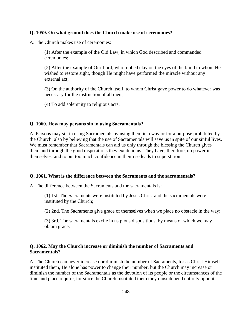### **Q. 1059. On what ground does the Church make use of ceremonies?**

A. The Church makes use of ceremonies:

(1) After the example of the Old Law, in which God described and commanded ceremonies;

(2) After the example of Our Lord, who rubbed clay on the eyes of the blind to whom He wished to restore sight, though He might have performed the miracle without any external act;

(3) On the authority of the Church itself, to whom Christ gave power to do whatever was necessary for the instruction of all men;

(4) To add solemnity to religious acts.

#### **Q. 1060. How may persons sin in using Sacramentals?**

A. Persons may sin in using Sacramentals by using them in a way or for a purpose prohibited by the Church; also by believing that the use of Sacramentals will save us in spite of our sinful lives. We must remember that Sacramentals can aid us only through the blessing the Church gives them and through the good dispositions they excite in us. They have, therefore, no power in themselves, and to put too much confidence in their use leads to superstition.

#### **Q. 1061. What is the difference between the Sacraments and the sacramentals?**

A. The difference between the Sacraments and the sacramentals is:

(1) 1st. The Sacraments were instituted by Jesus Christ and the sacramentals were instituted by the Church;

(2) 2nd. The Sacraments give grace of themselves when we place no obstacle in the way;

(3) 3rd. The sacramentals excite in us pious dispositions, by means of which we may obtain grace.

### **Q. 1062. May the Church increase or diminish the number of Sacraments and Sacramentals?**

A. The Church can never increase nor diminish the number of Sacraments, for as Christ Himself instituted them, He alone has power to change their number; but the Church may increase or diminish the number of the Sacramentals as the devotion of its people or the circumstances of the time and place require, for since the Church instituted them they must depend entirely upon its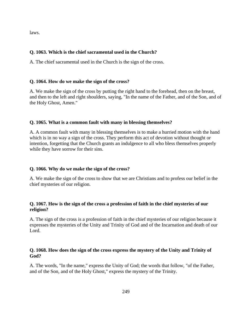laws.

# **Q. 1063. Which is the chief sacramental used in the Church?**

A. The chief sacramental used in the Church is the sign of the cross.

### **Q. 1064. How do we make the sign of the cross?**

A. We make the sign of the cross by putting the right hand to the forehead, then on the breast, and then to the left and right shoulders, saying, "In the name of the Father, and of the Son, and of the Holy Ghost, Amen."

### **Q. 1065. What is a common fault with many in blessing themselves?**

A. A common fault with many in blessing themselves is to make a hurried motion with the hand which is in no way a sign of the cross. They perform this act of devotion without thought or intention, forgetting that the Church grants an indulgence to all who bless themselves properly while they have sorrow for their sins.

### **Q. 1066. Why do we make the sign of the cross?**

A. We make the sign of the cross to show that we are Christians and to profess our belief in the chief mysteries of our religion.

# **Q. 1067. How is the sign of the cross a profession of faith in the chief mysteries of our religion?**

A. The sign of the cross is a profession of faith in the chief mysteries of our religion because it expresses the mysteries of the Unity and Trinity of God and of the Incarnation and death of our Lord.

# **Q. 1068. How does the sign of the cross express the mystery of the Unity and Trinity of God?**

A. The words, "In the name," express the Unity of God; the words that follow, "of the Father, and of the Son, and of the Holy Ghost," express the mystery of the Trinity.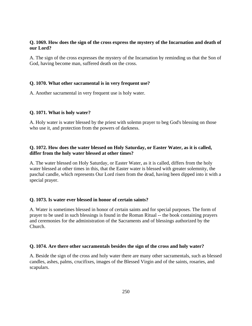# **Q. 1069. How does the sign of the cross express the mystery of the Incarnation and death of our Lord?**

A. The sign of the cross expresses the mystery of the Incarnation by reminding us that the Son of God, having become man, suffered death on the cross.

### **Q. 1070. What other sacramental is in very frequent use?**

A. Another sacramental in very frequent use is holy water.

### **Q. 1071. What is holy water?**

A. Holy water is water blessed by the priest with solemn prayer to beg God's blessing on those who use it, and protection from the powers of darkness.

# **Q. 1072. How does the water blessed on Holy Saturday, or Easter Water, as it is called, differ from the holy water blessed at other times?**

A. The water blessed on Holy Saturday, or Easter Water, as it is called, differs from the holy water blessed at other times in this, that the Easter water is blessed with greater solemnity, the paschal candle, which represents Our Lord risen from the dead, having been dipped into it with a special prayer.

### **Q. 1073. Is water ever blessed in honor of certain saints?**

A. Water is sometimes blessed in honor of certain saints and for special purposes. The form of prayer to be used in such blessings is found in the Roman Ritual -- the book containing prayers and ceremonies for the administration of the Sacraments and of blessings authorized by the Church.

#### **Q. 1074. Are there other sacramentals besides the sign of the cross and holy water?**

A. Beside the sign of the cross and holy water there are many other sacramentals, such as blessed candles, ashes, palms, crucifixes, images of the Blessed Virgin and of the saints, rosaries, and scapulars.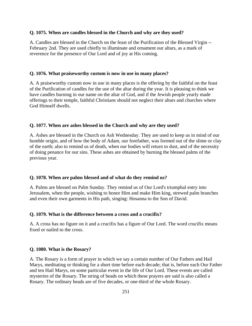### **Q. 1075. When are candles blessed in the Church and why are they used?**

A. Candles are blessed in the Church on the feast of the Purification of the Blessed Virgin -- February 2nd. They are used chiefly to illuminate and ornament our altars, as a mark of reverence for the presence of Our Lord and of joy at His coming.

#### **Q. 1076. What praiseworthy custom is now in use in many places?**

A. A praiseworthy custom now in use in many places is the offering by the faithful on the feast of the Purification of candles for the use of the altar during the year. It is pleasing to think we have candles burning in our name on the altar of God, and if the Jewish people yearly made offerings to their temple, faithful Christians should not neglect their altars and churches where God Himself dwells.

#### **Q. 1077. When are ashes blessed in the Church and why are they used?**

A. Ashes are blessed in the Church on Ash Wednesday. They are used to keep us in mind of our humble origin, and of how the body of Adam, our forefather, was formed out of the slime or clay of the earth; also to remind us of death, when our bodies will return to dust, and of the necessity of doing penance for our sins. These ashes are obtained by burning the blessed palms of the previous year.

#### **Q. 1078. When are palms blessed and of what do they remind us?**

A. Palms are blessed on Palm Sunday. They remind us of Our Lord's triumphal entry into Jerusalem, when the people, wishing to honor Him and make Him king, strewed palm branches and even their own garments in His path, singing: Hosanna to the Son of David.

#### **Q. 1079. What is the difference between a cross and a crucifix?**

A. A cross has no figure on it and a crucifix has a figure of Our Lord. The word crucifix means fixed or nailed to the cross.

### **Q. 1080. What is the Rosary?**

A. The Rosary is a form of prayer in which we say a certain number of Our Fathers and Hail Marys, meditating or thinking for a short time before each decade; that is, before each Our Father and ten Hail Marys, on some particular event in the life of Our Lord. These events are called mysteries of the Rosary. The string of beads on which these prayers are said is also called a Rosary. The ordinary beads are of five decades, or one-third of the whole Rosary.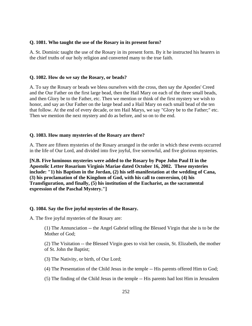### **Q. 1081. Who taught the use of the Rosary in its present form?**

A. St. Dominic taught the use of the Rosary in its present form. By it he instructed his hearers in the chief truths of our holy religion and converted many to the true faith.

### **Q. 1082. How do we say the Rosary, or beads?**

A. To say the Rosary or beads we bless ourselves with the cross, then say the Apostles' Creed and the Our Father on the first large bead, then the Hail Mary on each of the three small beads, and then Glory be to the Father, etc. Then we mention or think of the first mystery we wish to honor, and say an Our Father on the large bead and a Hail Mary on each small bead of the ten that follow. At the end of every decade, or ten Hail Marys, we say "Glory be to the Father;" etc. Then we mention the next mystery and do as before, and so on to the end.

### **Q. 1083. How many mysteries of the Rosary are there?**

A. There are fifteen mysteries of the Rosary arranged in the order in which these events occurred in the life of Our Lord, and divided into five joyful, five sorrowful, and five glorious mysteries.

**[N.B. Five luminous mysteries were added to the Rosary by Pope John Paul II in the Apostolic Letter Rosarium Virginis Mariae dated October 16, 2002. These mysteries include: "1) his Baptism in the Jordan, (2) his self-manifestation at the wedding of Cana, (3) his proclamation of the Kingdom of God, with his call to conversion, (4) his Transfiguration, and finally, (5) his institution of the Eucharist, as the sacramental expression of the Paschal Mystery."]** 

# **Q. 1084. Say the five joyful mysteries of the Rosary.**

A. The five joyful mysteries of the Rosary are:

(1) The Annunciation -- the Angel Gabriel telling the Blessed Virgin that she is to be the Mother of God;

(2) The Visitation -- the Blessed Virgin goes to visit her cousin, St. Elizabeth, the mother of St. John the Baptist;

(3) The Nativity, or birth, of Our Lord;

(4) The Presentation of the Child Jesus in the temple -- His parents offered Him to God;

(5) The finding of the Child Jesus in the temple -- His parents had lost Him in Jerusalem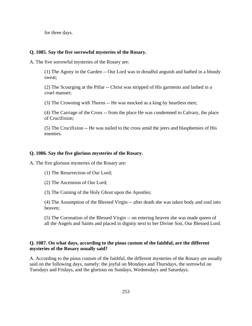for three days.

#### **Q. 1085. Say the five sorrowful mysteries of the Rosary.**

A. The five sorrowful mysteries of the Rosary are:

(1) The Agony in the Garden -- Our Lord was in dreadful anguish and bathed in a bloody sweat;

(2) The Scourging at the Pillar -- Christ was stripped of His garments and lashed in a cruel manner;

(3) The Crowning with Thorns -- He was mocked as a king by heartless men;

(4) The Carriage of the Cross -- from the place He was condemned to Calvary, the place of Crucifixion;

(5) The Crucifixion -- He was nailed to the cross amid the jeers and blasphemies of His enemies.

#### **Q. 1086. Say the five glorious mysteries of the Rosary.**

A. The five glorious mysteries of the Rosary are:

(1) The Resurrection of Our Lord;

(2) The Ascension of Our Lord;

(3) The Coming of the Holy Ghost upon the Apostles;

(4) The Assumption of the Blessed Virgin -- after death she was taken body and soul into heaven;

(5) The Coronation of the Blessed Virgin -- on entering heaven she was made queen of all the Angels and Saints and placed in dignity next to her Divine Son, Our Blessed Lord.

## **Q. 1087. On what days, according to the pious custom of the faithful, are the different mysteries of the Rosary usually said?**

A. According to the pious custom of the faithful, the different mysteries of the Rosary are usually said on the following days, namely: the joyful on Mondays and Thursdays, the sorrowful on Tuesdays and Fridays, and the glorious on Sundays, Wednesdays and Saturdays.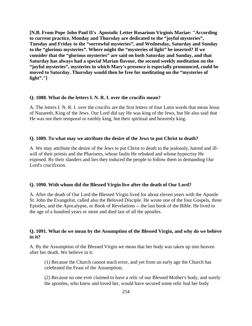**[N.B. From Pope John Paul II's Apostolic Letter Rosarium Virginis Mariae: "According to current practice, Monday and Thursday are dedicated to the "joyful mysteries", Tuesday and Friday to the "sorrowful mysteries", and Wednesday, Saturday and Sunday to the "glorious mysteries". Where might the "mysteries of light" be inserted? If we consider that the "glorious mysteries" are said on both Saturday and Sunday, and that Saturday has always had a special Marian flavour, the second weekly meditation on the "joyful mysteries", mysteries in which Mary's presence is especially pronounced, could be moved to Saturday. Thursday would then be free for meditating on the "mysteries of light"."]** 

### **Q. 1088. What do the letters I. N. R. I. over the crucifix mean?**

A. The letters I. N. R. I. over the crucifix are the first letters of four Latin words that mean Jesus of Nazareth, King of the Jews. Our Lord did say He was king of the Jews, but He also said that He was not their temporal or earthly king, but their spiritual and heavenly king.

#### **Q. 1089. To what may we attribute the desire of the Jews to put Christ to death?**

A. We may attribute the desire of the Jews to put Christ to death to the jealously, hatred and illwill of their priests and the Pharisees, whose faults He rebuked and whose hypocrisy He exposed. By their slanders and lies they induced the people to follow them in demanding Our Lord's crucifixion.

#### **Q. 1090. With whom did the Blessed Virgin live after the death of Our Lord?**

A. After the death of Our Lord the Blessed Virgin lived for about eleven years with the Apostle St. John the Evangelist, called also the Beloved Disciple. He wrote one of the four Gospels, three Epistles, and the Apocalypse, or Book of Revelations -- the last book of the Bible. He lived to the age of a hundred years or more and died last of all the apostles.

# **Q. 1091. What do we mean by the Assumption of the Blessed Virgin, and why do we believe in it?**

A. By the Assumption of the Blessed Virgin we mean that her body was taken up into heaven after her death. We believe in it:

(1) Because the Church cannot teach error, and yet from an early age the Church has celebrated the Feast of the Assumption;

(2) Because no one ever claimed to have a relic of our Blessed Mother's body, and surely the apostles, who knew and loved her, would have secured some relic had her body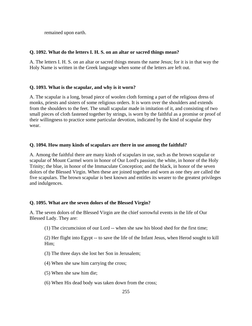remained upon earth.

## **Q. 1092. What do the letters I. H. S. on an altar or sacred things mean?**

A. The letters I. H. S. on an altar or sacred things means the name Jesus; for it is in that way the Holy Name is written in the Greek language when some of the letters are left out.

# **Q. 1093. What is the scapular, and why is it worn?**

A. The scapular is a long, broad piece of woolen cloth forming a part of the religious dress of monks, priests and sisters of some religious orders. It is worn over the shoulders and extends from the shoulders to the feet. The small scapular made in imitation of it, and consisting of two small pieces of cloth fastened together by strings, is worn by the faithful as a promise or proof of their willingness to practice some particular devotion, indicated by the kind of scapular they wear.

## **Q. 1094. How many kinds of scapulars are there in use among the faithful?**

A. Among the faithful there are many kinds of scapulars in use, such as the brown scapular or scapular of Mount Carmel worn in honor of Our Lord's passion; the white, in honor of the Holy Trinity; the blue, in honor of the Immaculate Conception; and the black, in honor of the seven dolors of the Blessed Virgin. When these are joined together and worn as one they are called the five scapulars. The brown scapular is best known and entitles its wearer to the greatest privileges and indulgences.

#### **Q. 1095. What are the seven dolors of the Blessed Virgin?**

A. The seven dolors of the Blessed Virgin are the chief sorrowful events in the life of Our Blessed Lady. They are:

(1) The circumcision of our Lord -- when she saw his blood shed for the first time;

(2) Her flight into Egypt -- to save the life of the Infant Jesus, when Herod sought to kill Him;

- (3) The three days she lost her Son in Jerusalem;
- (4) When she saw him carrying the cross;
- (5) When she saw him die;
- (6) When His dead body was taken down from the cross;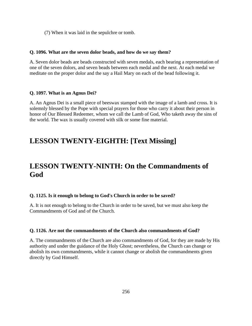(7) When it was laid in the sepulchre or tomb.

## **Q. 1096. What are the seven dolor beads, and how do we say them?**

A. Seven dolor beads are beads constructed with seven medals, each bearing a representation of one of the seven dolors, and seven beads between each medal and the next. At each medal we meditate on the proper dolor and the say a Hail Mary on each of the bead following it.

# **Q. 1097. What is an Agnus Dei?**

A. An Agnus Dei is a small piece of beeswax stamped with the image of a lamb and cross. It is solemnly blessed by the Pope with special prayers for those who carry it about their person in honor of Our Blessed Redeemer, whom we call the Lamb of God, Who taketh away the sins of the world. The wax is usually covered with silk or some fine material.

# **LESSON TWENTY-EIGHTH: [Text Missing]**

# **LESSON TWENTY-NINTH: On the Commandments of God**

# **Q. 1125. Is it enough to belong to God's Church in order to be saved?**

A. It is not enough to belong to the Church in order to be saved, but we must also keep the Commandments of God and of the Church.

#### **Q. 1126. Are not the commandments of the Church also commandments of God?**

A. The commandments of the Church are also commandments of God, for they are made by His authority and under the guidance of the Holy Ghost; nevertheless, the Church can change or abolish its own commandments, while it cannot change or abolish the commandments given directly by God Himself.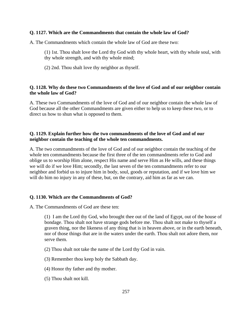## **Q. 1127. Which are the Commandments that contain the whole law of God?**

A. The Commandments which contain the whole law of God are these two:

- (1) 1st. Thou shalt love the Lord thy God with thy whole heart, with thy whole soul, with thy whole strength, and with thy whole mind;
- (2) 2nd. Thou shalt love thy neighbor as thyself.

# **Q. 1128. Why do these two Commandments of the love of God and of our neighbor contain the whole law of God?**

A. These two Commandments of the love of God and of our neighbor contain the whole law of God because all the other Commandments are given either to help us to keep these two, or to direct us how to shun what is opposed to them.

# **Q. 1129. Explain further how the two commandments of the love of God and of our neighbor contain the teaching of the whole ten commandments.**

A. The two commandments of the love of God and of our neighbor contain the teaching of the whole ten commandments because the first three of the ten commandments refer to God and oblige us to worship Him alone, respect His name and serve Him as He wills, and these things we will do if we love Him; secondly, the last seven of the ten commandments refer to our neighbor and forbid us to injure him in body, soul, goods or reputation, and if we love him we will do him no injury in any of these, but, on the contrary, aid him as far as we can.

# **Q. 1130. Which are the Commandments of God?**

A. The Commandments of God are these ten:

(1) I am the Lord thy God, who brought thee out of the land of Egypt, out of the house of bondage. Thou shalt not have strange gods before me. Thou shalt not make to thyself a graven thing, nor the likeness of any thing that is in heaven above, or in the earth beneath, nor of those things that are in the waters under the earth. Thou shalt not adore them, nor serve them.

- (2) Thou shalt not take the name of the Lord thy God in vain.
- (3) Remember thou keep holy the Sabbath day.
- (4) Honor thy father and thy mother.
- (5) Thou shalt not kill.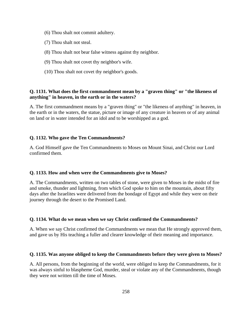- (6) Thou shalt not commit adultery.
- (7) Thou shalt not steal.
- (8) Thou shalt not bear false witness against thy neighbor.
- (9) Thou shalt not covet thy neighbor's wife.
- (10) Thou shalt not covet thy neighbor's goods.

# **Q. 1131. What does the first commandment mean by a "graven thing" or "the likeness of anything" in heaven, in the earth or in the waters?**

A. The first commandment means by a "graven thing" or "the likeness of anything" in heaven, in the earth or in the waters, the statue, picture or image of any creature in heaven or of any animal on land or in water intended for an idol and to be worshipped as a god.

#### **Q. 1132. Who gave the Ten Commandments?**

A. God Himself gave the Ten Commandments to Moses on Mount Sinai, and Christ our Lord confirmed them.

#### **Q. 1133. How and when were the Commandments give to Moses?**

A. The Commandments, written on two tables of stone, were given to Moses in the midst of fire and smoke, thunder and lightning, from which God spoke to him on the mountain, about fifty days after the Israelites were delivered from the bondage of Egypt and while they were on their journey through the desert to the Promised Land.

#### **Q. 1134. What do we mean when we say Christ confirmed the Commandments?**

A. When we say Christ confirmed the Commandments we mean that He strongly approved them, and gave us by His teaching a fuller and clearer knowledge of their meaning and importance.

#### **Q. 1135. Was anyone obliged to keep the Commandments before they were given to Moses?**

A. All persons, from the beginning of the world, were obliged to keep the Commandments, for it was always sinful to blaspheme God, murder, steal or violate any of the Commandments, though they were not written till the time of Moses.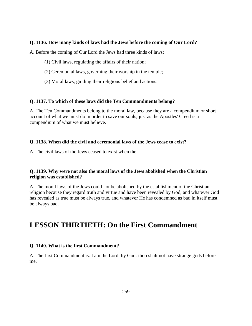## **Q. 1136. How many kinds of laws had the Jews before the coming of Our Lord?**

A. Before the coming of Our Lord the Jews had three kinds of laws:

- (1) Civil laws, regulating the affairs of their nation;
- (2) Ceremonial laws, governing their worship in the temple;
- (3) Moral laws, guiding their religious belief and actions.

## **Q. 1137. To which of these laws did the Ten Commandments belong?**

A. The Ten Commandments belong to the moral law, because they are a compendium or short account of what we must do in order to save our souls; just as the Apostles' Creed is a compendium of what we must believe.

# **Q. 1138. When did the civil and ceremonial laws of the Jews cease to exist?**

A. The civil laws of the Jews ceased to exist when the

# **Q. 1139. Why were not also the moral laws of the Jews abolished when the Christian religion was established?**

A. The moral laws of the Jews could not be abolished by the establishment of the Christian religion because they regard truth and virtue and have been revealed by God, and whatever God has revealed as true must be always true, and whatever He has condemned as bad in itself must be always bad.

# **LESSON THIRTIETH: On the First Commandment**

# **Q. 1140. What is the first Commandment?**

A. The first Commandment is: I am the Lord thy God: thou shalt not have strange gods before me.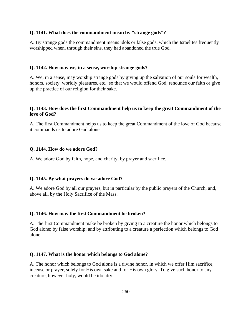#### **Q. 1141. What does the commandment mean by "strange gods"?**

A. By strange gods the commandment means idols or false gods, which the Israelites frequently worshipped when, through their sins, they had abandoned the true God.

#### **Q. 1142. How may we, in a sense, worship strange gods?**

A. We, in a sense, may worship strange gods by giving up the salvation of our souls for wealth, honors, society, worldly pleasures, etc., so that we would offend God, renounce our faith or give up the practice of our religion for their sake.

# **Q. 1143. How does the first Commandment help us to keep the great Commandment of the love of God?**

A. The first Commandment helps us to keep the great Commandment of the love of God because it commands us to adore God alone.

#### **Q. 1144. How do we adore God?**

A. We adore God by faith, hope, and charity, by prayer and sacrifice.

### **Q. 1145. By what prayers do we adore God?**

A. We adore God by all our prayers, but in particular by the public prayers of the Church, and, above all, by the Holy Sacrifice of the Mass.

#### **Q. 1146. How may the first Commandment be broken?**

A. The first Commandment make be broken by giving to a creature the honor which belongs to God alone; by false worship; and by attributing to a creature a perfection which belongs to God alone.

#### **Q. 1147. What is the honor which belongs to God alone?**

A. The honor which belongs to God alone is a divine honor, in which we offer Him sacrifice, incense or prayer, solely for His own sake and for His own glory. To give such honor to any creature, however holy, would be idolatry.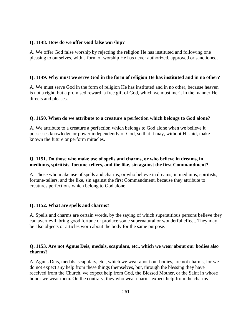### **Q. 1148. How do we offer God false worship?**

A. We offer God false worship by rejecting the religion He has instituted and following one pleasing to ourselves, with a form of worship He has never authorized, approved or sanctioned.

## **Q. 1149. Why must we serve God in the form of religion He has instituted and in no other?**

A. We must serve God in the form of religion He has instituted and in no other, because heaven is not a right, but a promised reward, a free gift of God, which we must merit in the manner He directs and pleases.

## **Q. 1150. When do we attribute to a creature a perfection which belongs to God alone?**

A. We attribute to a creature a perfection which belongs to God alone when we believe it possesses knowledge or power independently of God, so that it may, without His aid, make known the future or perform miracles.

# **Q. 1151. Do those who make use of spells and charms, or who believe in dreams, in mediums, spiritists, fortune-tellers, and the like, sin against the first Commandment?**

A. Those who make use of spells and charms, or who believe in dreams, in mediums, spiritists, fortune-tellers, and the like, sin against the first Commandment, because they attribute to creatures perfections which belong to God alone.

# **Q. 1152. What are spells and charms?**

A. Spells and charms are certain words, by the saying of which superstitious persons believe they can avert evil, bring good fortune or produce some supernatural or wonderful effect. They may be also objects or articles worn about the body for the same purpose.

## **Q. 1153. Are not Agnus Deis, medals, scapulars, etc., which we wear about our bodies also charms?**

A. Agnus Deis, medals, scapulars, etc., which we wear about our bodies, are not charms, for we do not expect any help from these things themselves, but, through the blessing they have received from the Church, we expect help from God, the Blessed Mother, or the Saint in whose honor we wear them. On the contrary, they who wear charms expect help from the charms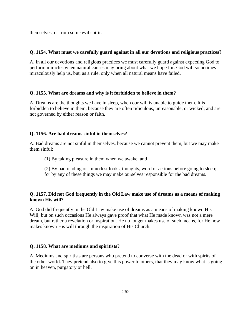themselves, or from some evil spirit.

# **Q. 1154. What must we carefully guard against in all our devotions and religious practices?**

A. In all our devotions and religious practices we must carefully guard against expecting God to perform miracles when natural causes may bring about what we hope for. God will sometimes miraculously help us, but, as a rule, only when all natural means have failed.

# **Q. 1155. What are dreams and why is it forbidden to believe in them?**

A. Dreams are the thoughts we have in sleep, when our will is unable to guide them. It is forbidden to believe in them, because they are often ridiculous, unreasonable, or wicked, and are not governed by either reason or faith.

# **Q. 1156. Are bad dreams sinful in themselves?**

A. Bad dreams are not sinful in themselves, because we cannot prevent them, but we may make them sinful:

- (1) By taking pleasure in them when we awake, and
- (2) By bad reading or immodest looks, thoughts, word or actions before going to sleep; for by any of these things we may make ourselves responsible for the bad dreams.

# **Q. 1157. Did not God frequently in the Old Law make use of dreams as a means of making known His will?**

A. God did frequently in the Old Law make use of dreams as a means of making known His Will; but on such occasions He always gave proof that what He made known was not a mere dream, but rather a revelation or inspiration. He no longer makes use of such means, for He now makes known His will through the inspiration of His Church.

# **Q. 1158. What are mediums and spiritists?**

A. Mediums and spiritists are persons who pretend to converse with the dead or with spirits of the other world. They pretend also to give this power to others, that they may know what is going on in heaven, purgatory or hell.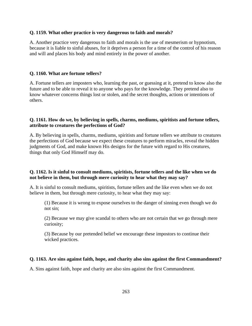#### **Q. 1159. What other practice is very dangerous to faith and morals?**

A. Another practice very dangerous to faith and morals is the use of mesmerism or hypnotism, because it is liable to sinful abuses, for it deprives a person for a time of the control of his reason and will and places his body and mind entirely in the power of another.

#### **Q. 1160. What are fortune tellers?**

A. Fortune tellers are imposters who, learning the past, or guessing at it, pretend to know also the future and to be able to reveal it to anyone who pays for the knowledge. They pretend also to know whatever concerns things lost or stolen, and the secret thoughts, actions or intentions of others.

# **Q. 1161. How do we, by believing in spells, charms, mediums, spiritists and fortune tellers, attribute to creatures the perfections of God?**

A. By believing in spells, charms, mediums, spiritists and fortune tellers we attribute to creatures the perfections of God because we expect these creatures to perform miracles, reveal the hidden judgments of God, and make known His designs for the future with regard to His creatures, things that only God Himself may do.

# **Q. 1162. Is it sinful to consult mediums, spiritists, fortune tellers and the like when we do not believe in them, but through mere curiosity to hear what they may say?**

A. It is sinful to consult mediums, spiritists, fortune tellers and the like even when we do not believe in them, but through mere curiosity, to hear what they may say:

(1) Because it is wrong to expose ourselves to the danger of sinning even though we do not sin;

(2) Because we may give scandal to others who are not certain that we go through mere curiosity;

(3) Because by our pretended belief we encourage these impostors to continue their wicked practices.

#### **Q. 1163. Are sins against faith, hope, and charity also sins against the first Commandment?**

A. Sins against faith, hope and charity are also sins against the first Commandment.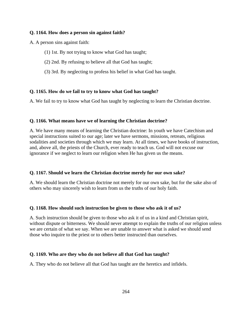### **Q. 1164. How does a person sin against faith?**

A. A person sins against faith:

- (1) 1st. By not trying to know what God has taught;
- (2) 2nd. By refusing to believe all that God has taught;
- (3) 3rd. By neglecting to profess his belief in what God has taught.

## **Q. 1165. How do we fail to try to know what God has taught?**

A. We fail to try to know what God has taught by neglecting to learn the Christian doctrine.

## **Q. 1166. What means have we of learning the Christian doctrine?**

A. We have many means of learning the Christian doctrine: In youth we have Catechism and special instructions suited to our age; later we have sermons, missions, retreats, religious sodalities and societies through which we may learn. At all times, we have books of instruction, and, above all, the priests of the Church, ever ready to teach us. God will not excuse our ignorance if we neglect to learn our religion when He has given us the means.

#### **Q. 1167. Should we learn the Christian doctrine merely for our own sake?**

A. We should learn the Christian doctrine not merely for our own sake, but for the sake also of others who may sincerely wish to learn from us the truths of our holy faith.

#### **Q. 1168. How should such instruction be given to those who ask it of us?**

A. Such instruction should be given to those who ask it of us in a kind and Christian spirit, without dispute or bitterness. We should never attempt to explain the truths of our religion unless we are certain of what we say. When we are unable to answer what is asked we should send those who inquire to the priest or to others better instructed than ourselves.

# **Q. 1169. Who are they who do not believe all that God has taught?**

A. They who do not believe all that God has taught are the heretics and infidels.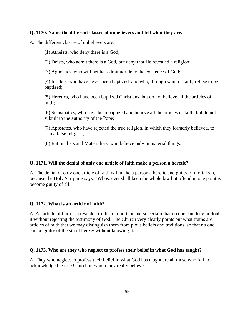# **Q. 1170. Name the different classes of unbelievers and tell what they are.**

A. The different classes of unbelievers are:

(1) Atheists, who deny there is a God;

(2) Deists, who admit there is a God, but deny that He revealed a religion;

(3) Agnostics, who will neither admit nor deny the existence of God;

(4) Infidels, who have never been baptized, and who, through want of faith, refuse to be baptized;

(5) Heretics, who have been baptized Christians, but do not believe all the articles of faith;

(6) Schismatics, who have been baptized and believe all the articles of faith, but do not submit to the authority of the Pope;

(7) Apostates, who have rejected the true religion, in which they formerly believed, to join a false religion;

(8) Rationalists and Materialists, who believe only in material things.

### **Q. 1171. Will the denial of only one article of faith make a person a heretic?**

A. The denial of only one article of faith will make a person a heretic and guilty of mortal sin, because the Holy Scripture says: "Whosoever shall keep the whole law but offend in one point is become guilty of all."

# **Q. 1172. What is an article of faith?**

A. An article of faith is a revealed truth so important and so certain that no one can deny or doubt it without rejecting the testimony of God. The Church very clearly points out what truths are articles of faith that we may distinguish them from pious beliefs and traditions, so that no one can be guilty of the sin of heresy without knowing it.

# **Q. 1173. Who are they who neglect to profess their belief in what God has taught?**

A. They who neglect to profess their belief in what God has taught are all those who fail to acknowledge the true Church in which they really believe.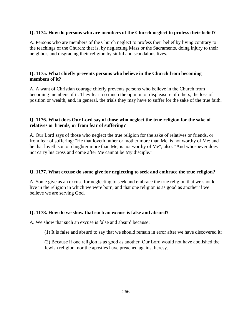# **Q. 1174. How do persons who are members of the Church neglect to profess their belief?**

A. Persons who are members of the Church neglect to profess their belief by living contrary to the teachings of the Church: that is, by neglecting Mass or the Sacraments, doing injury to their neighbor, and disgracing their religion by sinful and scandalous lives.

# **Q. 1175. What chiefly prevents persons who believe in the Church from becoming members of it?**

A. A want of Christian courage chiefly prevents persons who believe in the Church from becoming members of it. They fear too much the opinion or displeasure of others, the loss of position or wealth, and, in general, the trials they may have to suffer for the sake of the true faith.

# **Q. 1176. What does Our Lord say of those who neglect the true religion for the sake of relatives or friends, or from fear of suffering?**

A. Our Lord says of those who neglect the true religion for the sake of relatives or friends, or from fear of suffering: "He that loveth father or mother more than Me, is not worthy of Me; and he that loveth son or daughter more than Me, is not worthy of Me"; also: "And whosoever does not carry his cross and come after Me cannot be My disciple."

# **Q. 1177. What excuse do some give for neglecting to seek and embrace the true religion?**

A. Some give as an excuse for neglecting to seek and embrace the true religion that we should live in the religion in which we were born, and that one religion is as good as another if we believe we are serving God.

# **Q. 1178. How do we show that such an excuse is false and absurd?**

A. We show that such an excuse is false and absurd because:

(1) It is false and absurd to say that we should remain in error after we have discovered it;

(2) Because if one religion is as good as another, Our Lord would not have abolished the Jewish religion, nor the apostles have preached against heresy.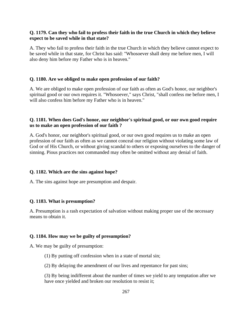# **Q. 1179. Can they who fail to profess their faith in the true Church in which they believe expect to be saved while in that state?**

A. They who fail to profess their faith in the true Church in which they believe cannot expect to be saved while in that state, for Christ has said: "Whosoever shall deny me before men, I will also deny him before my Father who is in heaven."

## **Q. 1180. Are we obliged to make open profession of our faith?**

A. We are obliged to make open profession of our faith as often as God's honor, our neighbor's spiritual good or our own requires it. "Whosoever," says Christ, "shall confess me before men, I will also confess him before my Father who is in heaven."

# **Q. 1181. When does God's honor, our neighbor's spiritual good, or our own good require us to make an open profession of our faith ?**

A. God's honor, our neighbor's spiritual good, or our own good requires us to make an open profession of our faith as often as we cannot conceal our religion without violating some law of God or of His Church, or without giving scandal to others or exposing ourselves to the danger of sinning. Pious practices not commanded may often be omitted without any denial of faith.

#### **Q. 1182. Which are the sins against hope?**

A. The sins against hope are presumption and despair.

#### **Q. 1183. What is presumption?**

A. Presumption is a rash expectation of salvation without making proper use of the necessary means to obtain it.

#### **Q. 1184. How may we be guilty of presumption?**

A. We may be guilty of presumption:

(1) By putting off confession when in a state of mortal sin;

(2) By delaying the amendment of our lives and repentance for past sins;

(3) By being indifferent about the number of times we yield to any temptation after we have once yielded and broken our resolution to resist it;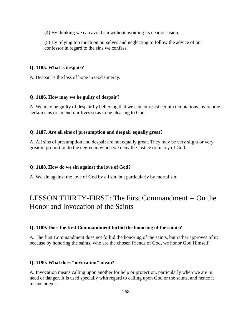(4) By thinking we can avoid sin without avoiding its near occasion;

(5) By relying too much on ourselves and neglecting to follow the advice of our confessor in regard to the sins we confess.

# **Q. 1185. What is despair?**

A. Despair is the loss of hope in God's mercy.

# **Q. 1186. How may we be guilty of despair?**

A. We may be guilty of despair by believing that we cannot resist certain temptations, overcome certain sins or amend our lives so as to be pleasing to God.

# **Q. 1187. Are all sins of presumption and despair equally great?**

A. All sins of presumption and despair are not equally great. They may be very slight or very great in proportion to the degree in which we deny the justice or mercy of God.

# **Q. 1188. How do we sin against the love of God?**

A. We sin against the love of God by all sin, but particularly by mortal sin.

# LESSON THIRTY-FIRST: The First Commandment -- On the Honor and Invocation of the Saints

# **Q. 1189. Does the first Commandment forbid the honoring of the saints?**

A. The first Commandment does not forbid the honoring of the saints, but rather approves of it; because by honoring the saints, who are the chosen friends of God, we honor God Himself.

# **Q. 1190. What does "invocation" mean?**

A. Invocation means calling upon another for help or protection, particularly when we are in need or danger. It is used specially with regard to calling upon God or the saints, and hence it means prayer.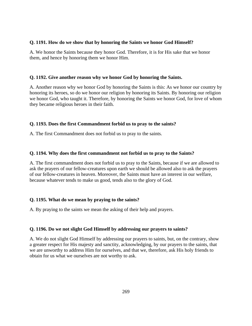# **Q. 1191. How do we show that by honoring the Saints we honor God Himself?**

A. We honor the Saints because they honor God. Therefore, it is for His sake that we honor them, and hence by honoring them we honor Him.

# **Q. 1192. Give another reason why we honor God by honoring the Saints.**

A. Another reason why we honor God by honoring the Saints is this: As we honor our country by honoring its heroes, so do we honor our religion by honoring its Saints. By honoring our religion we honor God, who taught it. Therefore, by honoring the Saints we honor God, for love of whom they became religious heroes in their faith.

# **Q. 1193. Does the first Commandment forbid us to pray to the saints?**

A. The first Commandment does not forbid us to pray to the saints.

# **Q. 1194. Why does the first commandment not forbid us to pray to the Saints?**

A. The first commandment does not forbid us to pray to the Saints, because if we are allowed to ask the prayers of our fellow-creatures upon earth we should be allowed also to ask the prayers of our fellow-creatures in heaven. Moreover, the Saints must have an interest in our welfare, because whatever tends to make us good, tends also to the glory of God.

# **Q. 1195. What do we mean by praying to the saints?**

A. By praying to the saints we mean the asking of their help and prayers.

# **Q. 1196. Do we not slight God Himself by addressing our prayers to saints?**

A. We do not slight God Himself by addressing our prayers to saints, but, on the contrary, show a greater respect for His majesty and sanctity, acknowledging, by our prayers to the saints, that we are unworthy to address Him for ourselves, and that we, therefore, ask His holy friends to obtain for us what we ourselves are not worthy to ask.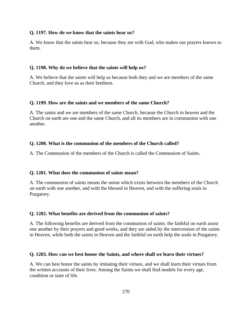## **Q. 1197. How do we know that the saints hear us?**

A. We know that the saints hear us, because they are with God, who makes our prayers known to them.

#### **Q. 1198. Why do we believe that the saints will help us?**

A. We believe that the saints will help us because both they and we are members of the same Church, and they love us as their brethren.

#### **Q. 1199. How are the saints and we members of the same Church?**

A. The saints and we are members of the same Church, because the Church in heaven and the Church on earth are one and the same Church, and all its members are in communion with one another.

#### **Q. 1200. What is the communion of the members of the Church called?**

A. The Communion of the members of the Church is called the Communion of Saints.

#### **Q. 1201. What does the communion of saints mean?**

A. The communion of saints means the union which exists between the members of the Church on earth with one another, and with the blessed in Heaven, and with the suffering souls in Purgatory.

#### **Q. 1202. What benefits are derived from the communion of saints?**

A. The following benefits are derived from the communion of saints: the faithful on earth assist one another by their prayers and good works, and they are aided by the intercession of the saints in Heaven, while both the saints in Heaven and the faithful on earth help the souls in Purgatory.

#### **Q. 1203. How can we best honor the Saints, and where shall we learn their virtues?**

A. We can best honor the saints by imitating their virtues, and we shall learn their virtues from the written accounts of their lives. Among the Saints we shall find models for every age, condition or state of life.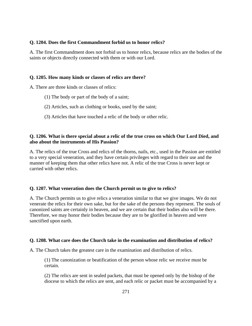## **Q. 1204. Does the first Commandment forbid us to honor relics?**

A. The first Commandment does not forbid us to honor relics, because relics are the bodies of the saints or objects directly connected with them or with our Lord.

## **Q. 1205. How many kinds or classes of relics are there?**

A. There are three kinds or classes of relics:

- (1) The body or part of the body of a saint;
- (2) Articles, such as clothing or books, used by the saint;
- (3) Articles that have touched a relic of the body or other relic.

# **Q. 1206. What is there special about a relic of the true cross on which Our Lord Died, and also about the instruments of His Passion?**

A. The relics of the true Cross and relics of the thorns, nails, etc., used in the Passion are entitled to a very special veneration, and they have certain privileges with regard to their use and the manner of keeping them that other relics have not. A relic of the true Cross is never kept or carried with other relics.

# **Q. 1207. What veneration does the Church permit us to give to relics?**

A. The Church permits us to give relics a veneration similar to that we give images. We do not venerate the relics for their own sake, but for the sake of the persons they represent. The souls of canonized saints are certainly in heaven, and we are certain that their bodies also will be there. Therefore, we may honor their bodies because they are to be glorified in heaven and were sanctified upon earth.

#### **Q. 1208. What care does the Church take in the examination and distribution of relics?**

A. The Church takes the greatest care in the examination and distribution of relics.

(1) The canonization or beatification of the person whose relic we receive must be certain.

(2) The relics are sent in sealed packets, that must be opened only by the bishop of the diocese to which the relics are sent, and each relic or packet must be accompanied by a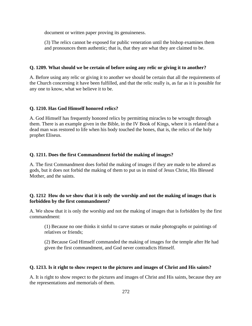document or written paper proving its genuineness.

(3) The relics cannot be exposed for public veneration until the bishop examines them and pronounces them authentic; that is, that they are what they are claimed to be.

# **Q. 1209. What should we be certain of before using any relic or giving it to another?**

A. Before using any relic or giving it to another we should be certain that all the requirements of the Church concerning it have been fulfilled, and that the relic really is, as far as it is possible for any one to know, what we believe it to be.

# **Q. 1210. Has God Himself honored relics?**

A. God Himself has frequently honored relics by permitting miracles to be wrought through them. There is an example given in the Bible, in the IV Book of Kings, where it is related that a dead man was restored to life when his body touched the bones, that is, the relics of the holy prophet Eliseus.

# **Q. 1211. Does the first Commandment forbid the making of images?**

A. The first Commandment does forbid the making of images if they are made to be adored as gods, but it does not forbid the making of them to put us in mind of Jesus Christ, His Blessed Mother, and the saints.

# **Q. 1212 How do we show that it is only the worship and not the making of images that is forbidden by the first commandment?**

A. We show that it is only the worship and not the making of images that is forbidden by the first commandment:

(1) Because no one thinks it sinful to carve statues or make photographs or paintings of relatives or friends;

(2) Because God Himself commanded the making of images for the temple after He had given the first commandment, and God never contradicts Himself.

# **Q. 1213. Is it right to show respect to the pictures and images of Christ and His saints?**

A. It is right to show respect to the pictures and images of Christ and His saints, because they are the representations and memorials of them.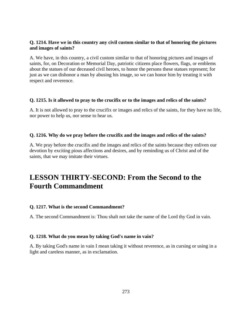# **Q. 1214. Have we in this country any civil custom similar to that of honoring the pictures and images of saints?**

A. We have, in this country, a civil custom similar to that of honoring pictures and images of saints, for, on Decoration or Memorial Day, patriotic citizens place flowers, flags, or emblems about the statues of our deceased civil heroes, to honor the persons these statues represent; for just as we can dishonor a man by abusing his image, so we can honor him by treating it with respect and reverence.

# **Q. 1215. Is it allowed to pray to the crucifix or to the images and relics of the saints?**

A. It is not allowed to pray to the crucifix or images and relics of the saints, for they have no life, nor power to help us, nor sense to hear us.

## **Q. 1216. Why do we pray before the crucifix and the images and relics of the saints?**

A. We pray before the crucifix and the images and relics of the saints because they enliven our devotion by exciting pious affections and desires, and by reminding us of Christ and of the saints, that we may imitate their virtues.

# **LESSON THIRTY-SECOND: From the Second to the Fourth Commandment**

# **Q. 1217. What is the second Commandment?**

A. The second Commandment is: Thou shalt not take the name of the Lord thy God in vain.

#### **Q. 1218. What do you mean by taking God's name in vain?**

A. By taking God's name in vain I mean taking it without reverence, as in cursing or using in a light and careless manner, as in exclamation.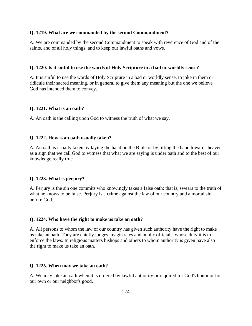#### **Q. 1219. What are we commanded by the second Commandment?**

A. We are commanded by the second Commandment to speak with reverence of God and of the saints, and of all holy things, and to keep our lawful oaths and vows.

#### **Q. 1220. Is it sinful to use the words of Holy Scripture in a bad or worldly sense?**

A. It is sinful to use the words of Holy Scripture in a bad or worldly sense, to joke in them or ridicule their sacred meaning, or in general to give them any meaning but the one we believe God has intended them to convey.

#### **Q. 1221. What is an oath?**

A. An oath is the calling upon God to witness the truth of what we say.

#### **Q. 1222. How is an oath usually taken?**

A. An oath is usually taken by laying the hand on the Bible or by lifting the hand towards heaven as a sign that we call God to witness that what we are saying is under oath and to the best of our knowledge really true.

#### **Q. 1223. What is perjury?**

A. Perjury is the sin one commits who knowingly takes a false oath; that is, swears to the truth of what he knows to be false. Perjury is a crime against the law of our country and a mortal sin before God.

#### **Q. 1224. Who have the right to make us take an oath?**

A. All persons to whom the law of our country has given such authority have the right to make us take an oath. They are chiefly judges, magistrates and public officials, whose duty it is to enforce the laws. In religious matters bishops and others to whom authority is given have also the right to make us take an oath.

#### **Q. 1225. When may we take an oath?**

A. We may take an oath when it is ordered by lawful authority or required for God's honor or for our own or our neighbor's good.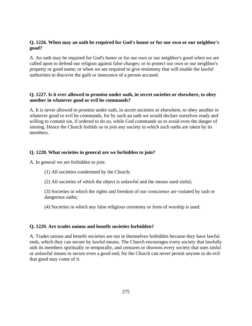# **Q. 1226. When may an oath be required for God's honor or for our own or our neighbor's good?**

A. An oath may be required for God's honor or for our own or our neighbor's good when we are called upon to defend our religion against false charges; or to protect our own or our neighbor's property or good name; or when we are required to give testimony that will enable the lawful authorities to discover the guilt or innocence of a person accused.

# **Q. 1227. Is it ever allowed to promise under oath, in secret societies or elsewhere, to obey another in whatever good or evil he commands?**

A. It is never allowed to promise under oath, in secret societies or elsewhere, to obey another in whatever good or evil he commands, for by such an oath we would declare ourselves ready and willing to commit sin, if ordered to do so, while God commands us to avoid even the danger of sinning. Hence the Church forbids us to join any society in which such oaths are taken by its members.

# **Q. 1228. What societies in general are we forbidden to join?**

A. In general we are forbidden to join:

(1) All societies condemned by the Church;

(2) All societies of which the object is unlawful and the means used sinful;

(3) Societies in which the rights and freedom of our conscience are violated by rash or dangerous oaths;

(4) Societies in which any false religious ceremony or form of worship is used.

# **Q. 1229. Are trades unions and benefit societies forbidden?**

A. Trades unions and benefit societies are not in themselves forbidden because they have lawful ends, which they can secure by lawful means. The Church encourages every society that lawfully aids its members spiritually or temporally, and censures or disowns every society that uses sinful or unlawful means to secure even a good end; for the Church can never permit anyone to do evil that good may come of it.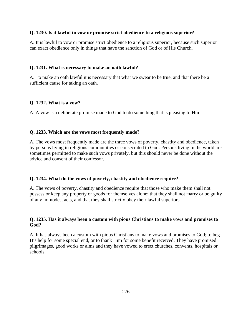## **Q. 1230. Is it lawful to vow or promise strict obedience to a religious superior?**

A. It is lawful to vow or promise strict obedience to a religious superior, because such superior can exact obedience only in things that have the sanction of God or of His Church.

# **Q. 1231. What is necessary to make an oath lawful?**

A. To make an oath lawful it is necessary that what we swear to be true, and that there be a sufficient cause for taking an oath.

# **Q. 1232. What is a vow?**

A. A vow is a deliberate promise made to God to do something that is pleasing to Him.

# **Q. 1233. Which are the vows most frequently made?**

A. The vows most frequently made are the three vows of poverty, chastity and obedience, taken by persons living in religious communities or consecrated to God. Persons living in the world are sometimes permitted to make such vows privately, but this should never be done without the advice and consent of their confessor.

# **Q. 1234. What do the vows of poverty, chastity and obedience require?**

A. The vows of poverty, chastity and obedience require that those who make them shall not possess or keep any property or goods for themselves alone; that they shall not marry or be guilty of any immodest acts, and that they shall strictly obey their lawful superiors.

# **Q. 1235. Has it always been a custom with pious Christians to make vows and promises to God?**

A. It has always been a custom with pious Christians to make vows and promises to God; to beg His help for some special end, or to thank Him for some benefit received. They have promised pilgrimages, good works or alms and they have vowed to erect churches, convents, hospitals or schools.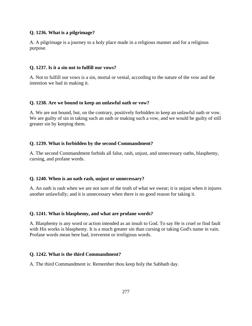## **Q. 1236. What is a pilgrimage?**

A. A pilgrimage is a journey to a holy place made in a religious manner and for a religious purpose.

## **Q. 1237. Is it a sin not to fulfill our vows?**

A. Not to fulfill our vows is a sin, mortal or venial, according to the nature of the vow and the intention we had in making it.

## **Q. 1238. Are we bound to keep an unlawful oath or vow?**

A. We are not bound, but, on the contrary, positively forbidden to keep an unlawful oath or vow. We are guilty of sin in taking such an oath or making such a vow, and we would be guilty of still greater sin by keeping them.

## **Q. 1239. What is forbidden by the second Commandment?**

A. The second Commandment forbids all false, rash, unjust, and unnecessary oaths, blasphemy, cursing, and profane words.

#### **Q. 1240. When is an oath rash, unjust or unnecessary?**

A. An oath is rash when we are not sure of the truth of what we swear; it is unjust when it injures another unlawfully; and it is unnecessary when there is no good reason for taking it.

#### **Q. 1241. What is blasphemy, and what are profane words?**

A. Blasphemy is any word or action intended as an insult to God. To say He is cruel or find fault with His works is blasphemy. It is a much greater sin than cursing or taking God's name in vain. Profane words mean here bad, irreverent or irreligious words.

#### **Q. 1242. What is the third Commandment?**

A. The third Commandment is: Remember thou keep holy the Sabbath day.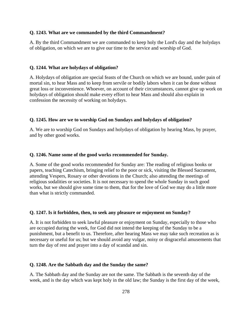## **Q. 1243. What are we commanded by the third Commandment?**

A. By the third Commandment we are commanded to keep holy the Lord's day and the holydays of obligation, on which we are to give our time to the service and worship of God.

#### **Q. 1244. What are holydays of obligation?**

A. Holydays of obligation are special feasts of the Church on which we are bound, under pain of mortal sin, to hear Mass and to keep from servile or bodily labors when it can be done without great loss or inconvenience. Whoever, on account of their circumstances, cannot give up work on holydays of obligation should make every effort to hear Mass and should also explain in confession the necessity of working on holydays.

#### **Q. 1245. How are we to worship God on Sundays and holydays of obligation?**

A. We are to worship God on Sundays and holydays of obligation by hearing Mass, by prayer, and by other good works.

#### **Q. 1246. Name some of the good works recommended for Sunday.**

A. Some of the good works recommended for Sunday are: The reading of religious books or papers, teaching Catechism, bringing relief to the poor or sick, visiting the Blessed Sacrament, attending Vespers, Rosary or other devotions in the Church; also attending the meetings of religious sodalities or societies. It is not necessary to spend the whole Sunday in such good works, but we should give some time to them, that for the love of God we may do a little more than what is strictly commanded.

#### **Q. 1247. Is it forbidden, then, to seek any pleasure or enjoyment on Sunday?**

A. It is not forbidden to seek lawful pleasure or enjoyment on Sunday, especially to those who are occupied during the week, for God did not intend the keeping of the Sunday to be a punishment, but a benefit to us. Therefore, after hearing Mass we may take such recreation as is necessary or useful for us; but we should avoid any vulgar, noisy or disgraceful amusements that turn the day of rest and prayer into a day of scandal and sin.

#### **Q. 1248. Are the Sabbath day and the Sunday the same?**

A. The Sabbath day and the Sunday are not the same. The Sabbath is the seventh day of the week, and is the day which was kept holy in the old law; the Sunday is the first day of the week,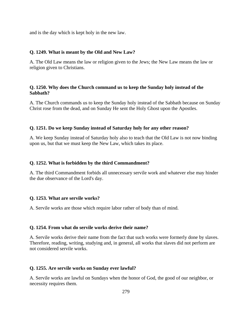and is the day which is kept holy in the new law.

# **Q. 1249. What is meant by the Old and New Law?**

A. The Old Law means the law or religion given to the Jews; the New Law means the law or religion given to Christians.

# **Q. 1250. Why does the Church command us to keep the Sunday holy instead of the Sabbath?**

A. The Church commands us to keep the Sunday holy instead of the Sabbath because on Sunday Christ rose from the dead, and on Sunday He sent the Holy Ghost upon the Apostles.

# **Q. 1251. Do we keep Sunday instead of Saturday holy for any other reason?**

A. We keep Sunday instead of Saturday holy also to teach that the Old Law is not now binding upon us, but that we must keep the New Law, which takes its place.

# **Q. 1252. What is forbidden by the third Commandment?**

A. The third Commandment forbids all unnecessary servile work and whatever else may hinder the due observance of the Lord's day.

# **Q. 1253. What are servile works?**

A. Servile works are those which require labor rather of body than of mind.

# **Q. 1254. From what do servile works derive their name?**

A. Servile works derive their name from the fact that such works were formerly done by slaves. Therefore, reading, writing, studying and, in general, all works that slaves did not perform are not considered servile works.

# **Q. 1255. Are servile works on Sunday ever lawful?**

A. Servile works are lawful on Sundays when the honor of God, the good of our neighbor, or necessity requires them.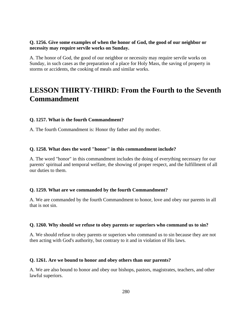## **Q. 1256. Give some examples of when the honor of God, the good of our neighbor or necessity may require servile works on Sunday.**

A. The honor of God, the good of our neighbor or necessity may require servile works on Sunday, in such cases as the preparation of a place for Holy Mass, the saving of property in storms or accidents, the cooking of meals and similar works.

# **LESSON THIRTY-THIRD: From the Fourth to the Seventh Commandment**

## **Q. 1257. What is the fourth Commandment?**

A. The fourth Commandment is: Honor thy father and thy mother.

## **Q. 1258. What does the word "honor" in this commandment include?**

A. The word "honor" in this commandment includes the doing of everything necessary for our parents' spiritual and temporal welfare, the showing of proper respect, and the fulfillment of all our duties to them.

#### **Q. 1259. What are we commanded by the fourth Commandment?**

A. We are commanded by the fourth Commandment to honor, love and obey our parents in all that is not sin.

#### **Q. 1260. Why should we refuse to obey parents or superiors who command us to sin?**

A. We should refuse to obey parents or superiors who command us to sin because they are not then acting with God's authority, but contrary to it and in violation of His laws.

#### **Q. 1261. Are we bound to honor and obey others than our parents?**

A. We are also bound to honor and obey our bishops, pastors, magistrates, teachers, and other lawful superiors.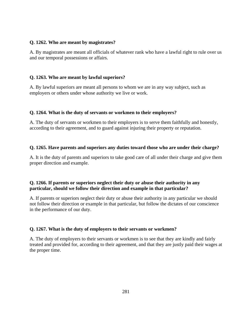## **Q. 1262. Who are meant by magistrates?**

A. By magistrates are meant all officials of whatever rank who have a lawful right to rule over us and our temporal possessions or affairs.

# **Q. 1263. Who are meant by lawful superiors?**

A. By lawful superiors are meant all persons to whom we are in any way subject, such as employers or others under whose authority we live or work.

# **Q. 1264. What is the duty of servants or workmen to their employers?**

A. The duty of servants or workmen to their employers is to serve them faithfully and honestly, according to their agreement, and to guard against injuring their property or reputation.

# **Q. 1265. Have parents and superiors any duties toward those who are under their charge?**

A. It is the duty of parents and superiors to take good care of all under their charge and give them proper direction and example.

# **Q. 1266. If parents or superiors neglect their duty or abuse their authority in any particular, should we follow their direction and example in that particular?**

A. If parents or superiors neglect their duty or abuse their authority in any particular we should not follow their direction or example in that particular, but follow the dictates of our conscience in the performance of our duty.

# **Q. 1267. What is the duty of employers to their servants or workmen?**

A. The duty of employers to their servants or workmen is to see that they are kindly and fairly treated and provided for, according to their agreement, and that they are justly paid their wages at the proper time.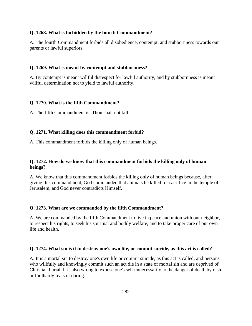## **Q. 1268. What is forbidden by the fourth Commandment?**

A. The fourth Commandment forbids all disobedience, contempt, and stubbornness towards our parents or lawful superiors.

## **Q. 1269. What is meant by contempt and stubbornness?**

A. By contempt is meant willful disrespect for lawful authority, and by stubbornness is meant willful determination not to yield to lawful authority.

## **Q. 1270. What is the fifth Commandment?**

A. The fifth Commandment is: Thou shalt not kill.

# **Q. 1271. What killing does this commandment forbid?**

A. This commandment forbids the killing only of human beings.

# **Q. 1272. How do we know that this commandment forbids the killing only of human beings?**

A. We know that this commandment forbids the killing only of human beings because, after giving this commandment, God commanded that animals be killed for sacrifice in the temple of Jerusalem, and God never contradicts Himself.

# **Q. 1273. What are we commanded by the fifth Commandment?**

A. We are commanded by the fifth Commandment to live in peace and union with our neighbor, to respect his rights, to seek his spiritual and bodily welfare, and to take proper care of our own life and health.

# **Q. 1274. What sin is it to destroy one's own life, or commit suicide, as this act is called?**

A. It is a mortal sin to destroy one's own life or commit suicide, as this act is called, and persons who willfully and knowingly commit such an act die in a state of mortal sin and are deprived of Christian burial. It is also wrong to expose one's self unnecessarily to the danger of death by rash or foolhardy feats of daring.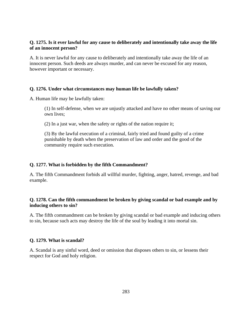# **Q. 1275. Is it ever lawful for any cause to deliberately and intentionally take away the life of an innocent person?**

A. It is never lawful for any cause to deliberately and intentionally take away the life of an innocent person. Such deeds are always murder, and can never be excused for any reason, however important or necessary.

# **Q. 1276. Under what circumstances may human life be lawfully taken?**

A. Human life may be lawfully taken:

(1) In self-defense, when we are unjustly attacked and have no other means of saving our own lives;

(2) In a just war, when the safety or rights of the nation require it;

(3) By the lawful execution of a criminal, fairly tried and found guilty of a crime punishable by death when the preservation of law and order and the good of the community require such execution.

# **Q. 1277. What is forbidden by the fifth Commandment?**

A. The fifth Commandment forbids all willful murder, fighting, anger, hatred, revenge, and bad example.

# **Q. 1278. Can the fifth commandment be broken by giving scandal or bad example and by inducing others to sin?**

A. The fifth commandment can be broken by giving scandal or bad example and inducing others to sin, because such acts may destroy the life of the soul by leading it into mortal sin.

# **Q. 1279. What is scandal?**

A. Scandal is any sinful word, deed or omission that disposes others to sin, or lessens their respect for God and holy religion.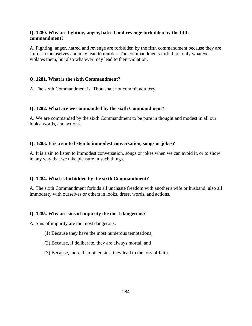# **Q. 1280. Why are fighting, anger, hatred and revenge forbidden by the fifth commandment?**

A. Fighting, anger, hatred and revenge are forbidden by the fifth commandment because they are sinful in themselves and may lead to murder. The commandments forbid not only whatever violates them, but also whatever may lead to their violation.

# **Q. 1281. What is the sixth Commandment?**

A. The sixth Commandment is: Thou shalt not commit adultery.

# **Q. 1282. What are we commanded by the sixth Commandment?**

A. We are commanded by the sixth Commandment to be pure in thought and modest in all our looks, words, and actions.

# **Q. 1283. It is a sin to listen to immodest conversation, songs or jokes?**

A. It is a sin to listen to immodest conversation, songs or jokes when we can avoid it, or to show in any way that we take pleasure in such things.

# **Q. 1284. What is forbidden by the sixth Commandment?**

A. The sixth Commandment forbids all unchaste freedom with another's wife or husband; also all immodesty with ourselves or others in looks, dress, words, and actions.

# **Q. 1285. Why are sins of impurity the most dangerous?**

A. Sins of impurity are the most dangerous:

- (1) Because they have the most numerous temptations;
- (2) Because, if deliberate, they are always mortal, and
- (3) Because, more than other sins, they lead to the loss of faith.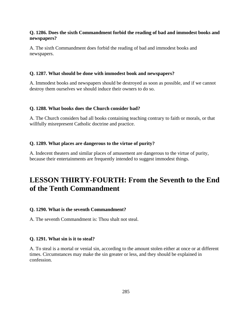## **Q. 1286. Does the sixth Commandment forbid the reading of bad and immodest books and newspapers?**

A. The sixth Commandment does forbid the reading of bad and immodest books and newspapers.

#### **Q. 1287. What should be done with immodest book and newspapers?**

A. Immodest books and newspapers should be destroyed as soon as possible, and if we cannot destroy them ourselves we should induce their owners to do so.

#### **Q. 1288. What books does the Church consider bad?**

A. The Church considers bad all books containing teaching contrary to faith or morals, or that willfully misrepresent Catholic doctrine and practice.

#### **Q. 1289. What places are dangerous to the virtue of purity?**

A. Indecent theaters and similar places of amusement are dangerous to the virtue of purity, because their entertainments are frequently intended to suggest immodest things.

# **LESSON THIRTY-FOURTH: From the Seventh to the End of the Tenth Commandment**

#### **Q. 1290. What is the seventh Commandment?**

A. The seventh Commandment is: Thou shalt not steal.

### **Q. 1291. What sin is it to steal?**

A. To steal is a mortal or venial sin, according to the amount stolen either at once or at different times. Circumstances may make the sin greater or less, and they should be explained in confession.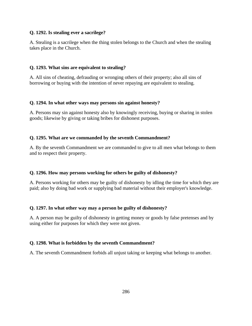# **Q. 1292. Is stealing ever a sacrilege?**

A. Stealing is a sacrilege when the thing stolen belongs to the Church and when the stealing takes place in the Church.

## **Q. 1293. What sins are equivalent to stealing?**

A. All sins of cheating, defrauding or wronging others of their property; also all sins of borrowing or buying with the intention of never repaying are equivalent to stealing.

## **Q. 1294. In what other ways may persons sin against honesty?**

A. Persons may sin against honesty also by knowingly receiving, buying or sharing in stolen goods; likewise by giving or taking bribes for dishonest purposes.

## **Q. 1295. What are we commanded by the seventh Commandment?**

A. By the seventh Commandment we are commanded to give to all men what belongs to them and to respect their property.

# **Q. 1296. How may persons working for others be guilty of dishonesty?**

A. Persons working for others may be guilty of dishonesty by idling the time for which they are paid; also by doing bad work or supplying bad material without their employer's knowledge.

#### **Q. 1297. In what other way may a person be guilty of dishonesty?**

A. A person may be guilty of dishonesty in getting money or goods by false pretenses and by using either for purposes for which they were not given.

# **Q. 1298. What is forbidden by the seventh Commandment?**

A. The seventh Commandment forbids all unjust taking or keeping what belongs to another.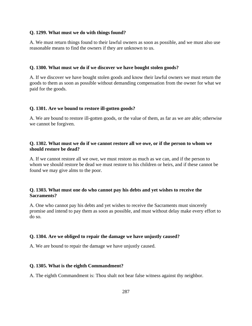#### **Q. 1299. What must we do with things found?**

A. We must return things found to their lawful owners as soon as possible, and we must also use reasonable means to find the owners if they are unknown to us.

# **Q. 1300. What must we do if we discover we have bought stolen goods?**

A. If we discover we have bought stolen goods and know their lawful owners we must return the goods to them as soon as possible without demanding compensation from the owner for what we paid for the goods.

## **Q. 1301. Are we bound to restore ill-gotten goods?**

A. We are bound to restore ill-gotten goods, or the value of them, as far as we are able; otherwise we cannot be forgiven.

# **Q. 1302. What must we do if we cannot restore all we owe, or if the person to whom we should restore be dead?**

A. If we cannot restore all we owe, we must restore as much as we can, and if the person to whom we should restore be dead we must restore to his children or heirs, and if these cannot be found we may give alms to the poor.

# **Q. 1303. What must one do who cannot pay his debts and yet wishes to receive the Sacraments?**

A. One who cannot pay his debts and yet wishes to receive the Sacraments must sincerely promise and intend to pay them as soon as possible, and must without delay make every effort to do so.

# **Q. 1304. Are we obliged to repair the damage we have unjustly caused?**

A. We are bound to repair the damage we have unjustly caused.

#### **Q. 1305. What is the eighth Commandment?**

A. The eighth Commandment is: Thou shalt not bear false witness against thy neighbor.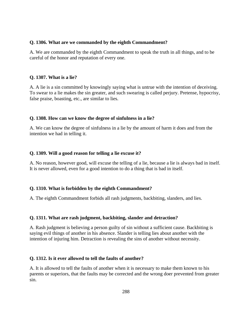## **Q. 1306. What are we commanded by the eighth Commandment?**

A. We are commanded by the eighth Commandment to speak the truth in all things, and to be careful of the honor and reputation of every one.

# **Q. 1307. What is a lie?**

A. A lie is a sin committed by knowingly saying what is untrue with the intention of deceiving. To swear to a lie makes the sin greater, and such swearing is called perjury. Pretense, hypocrisy, false praise, boasting, etc., are similar to lies.

## **Q. 1308. How can we know the degree of sinfulness in a lie?**

A. We can know the degree of sinfulness in a lie by the amount of harm it does and from the intention we had in telling it.

## **Q. 1309. Will a good reason for telling a lie excuse it?**

A. No reason, however good, will excuse the telling of a lie, because a lie is always bad in itself. It is never allowed, even for a good intention to do a thing that is bad in itself.

# **Q. 1310. What is forbidden by the eighth Commandment?**

A. The eighth Commandment forbids all rash judgments, backbiting, slanders, and lies.

#### **Q. 1311. What are rash judgment, backbiting, slander and detraction?**

A. Rash judgment is believing a person guilty of sin without a sufficient cause. Backbiting is saying evil things of another in his absence. Slander is telling lies about another with the intention of injuring him. Detraction is revealing the sins of another without necessity.

# **Q. 1312. Is it ever allowed to tell the faults of another?**

A. It is allowed to tell the faults of another when it is necessary to make them known to his parents or superiors, that the faults may be corrected and the wrong doer prevented from greater sin.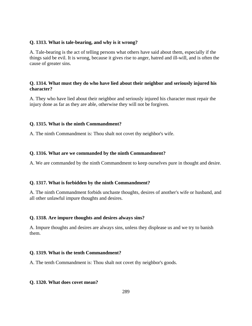#### **Q. 1313. What is tale-bearing, and why is it wrong?**

A. Tale-bearing is the act of telling persons what others have said about them, especially if the things said be evil. It is wrong, because it gives rise to anger, hatred and ill-will, and is often the cause of greater sins.

## **Q. 1314. What must they do who have lied about their neighbor and seriously injured his character?**

A. They who have lied about their neighbor and seriously injured his character must repair the injury done as far as they are able, otherwise they will not be forgiven.

## **Q. 1315. What is the ninth Commandment?**

A. The ninth Commandment is: Thou shalt not covet thy neighbor's wife.

#### **Q. 1316. What are we commanded by the ninth Commandment?**

A. We are commanded by the ninth Commandment to keep ourselves pure in thought and desire.

## **Q. 1317. What is forbidden by the ninth Commandment?**

A. The ninth Commandment forbids unchaste thoughts, desires of another's wife or husband, and all other unlawful impure thoughts and desires.

#### **Q. 1318. Are impure thoughts and desires always sins?**

A. Impure thoughts and desires are always sins, unless they displease us and we try to banish them.

#### **Q. 1319. What is the tenth Commandment?**

A. The tenth Commandment is: Thou shalt not covet thy neighbor's goods.

#### **Q. 1320. What does covet mean?**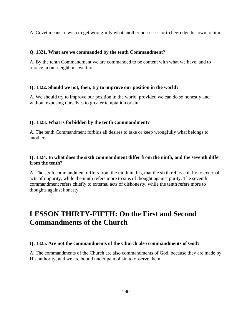A. Covet means to wish to get wrongfully what another possesses or to begrudge his own to him.

## **Q. 1321. What are we commanded by the tenth Commandment?**

A. By the tenth Commandment we are commanded to be content with what we have, and to rejoice in our neighbor's welfare.

## **Q. 1322. Should we not, then, try to improve our position in the world?**

A. We should try to improve our position in the world, provided we can do so honestly and without exposing ourselves to greater temptation or sin.

## **Q. 1323. What is forbidden by the tenth Commandment?**

A. The tenth Commandment forbids all desires to take or keep wrongfully what belongs to another.

# **Q. 1324. In what does the sixth commandment differ from the ninth, and the seventh differ from the tenth?**

A. The sixth commandment differs from the ninth in this, that the sixth refers chiefly to external acts of impurity, while the ninth refers more to sins of thought against purity. The seventh commandment refers chiefly to external acts of dishonesty, while the tenth refers more to thoughts against honesty.

# **LESSON THIRTY-FIFTH: On the First and Second Commandments of the Church**

## **Q. 1325. Are not the commandments of the Church also commandments of God?**

A. The commandments of the Church are also commandments of God, because they are made by His authority, and we are bound under pain of sin to observe them.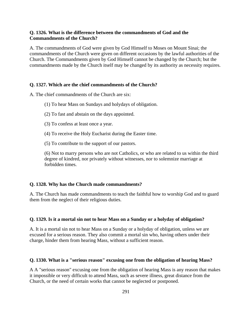#### **Q. 1326. What is the difference between the commandments of God and the Commandments of the Church?**

A. The commandments of God were given by God Himself to Moses on Mount Sinai; the commandments of the Church were given on different occasions by the lawful authorities of the Church. The Commandments given by God Himself cannot be changed by the Church; but the commandments made by the Church itself may be changed by its authority as necessity requires.

#### **Q. 1327. Which are the chief commandments of the Church?**

A. The chief commandments of the Church are six:

- (1) To hear Mass on Sundays and holydays of obligation.
- (2) To fast and abstain on the days appointed.
- (3) To confess at least once a year.
- (4) To receive the Holy Eucharist during the Easter time.
- (5) To contribute to the support of our pastors.

(6) Not to marry persons who are not Catholics, or who are related to us within the third degree of kindred, nor privately without witnesses, nor to solemnize marriage at forbidden times.

#### **Q. 1328. Why has the Church made commandments?**

A. The Church has made commandments to teach the faithful how to worship God and to guard them from the neglect of their religious duties.

#### **Q. 1329. Is it a mortal sin not to hear Mass on a Sunday or a holyday of obligation?**

A. It is a mortal sin not to hear Mass on a Sunday or a holyday of obligation, unless we are excused for a serious reason. They also commit a mortal sin who, having others under their charge, hinder them from hearing Mass, without a sufficient reason.

# **Q. 1330. What is a "serious reason" excusing one from the obligation of hearing Mass?**

A A "serious reason" excusing one from the obligation of hearing Mass is any reason that makes it impossible or very difficult to attend Mass, such as severe illness, great distance from the Church, or the need of certain works that cannot be neglected or postponed.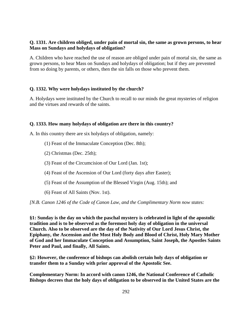## **Q. 1331. Are children obliged, under pain of mortal sin, the same as grown persons, to hear Mass on Sundays and holydays of obligation?**

A. Children who have reached the use of reason are obliged under pain of mortal sin, the same as grown persons, to hear Mass on Sundays and holydays of obligation; but if they are prevented from so doing by parents, or others, then the sin falls on those who prevent them.

## **Q. 1332. Why were holydays instituted by the church?**

A. Holydays were instituted by the Church to recall to our minds the great mysteries of religion and the virtues and rewards of the saints.

#### **Q. 1333. How many holydays of obligation are there in this country?**

A. In this country there are six holydays of obligation, namely:

- (1) Feast of the Immaculate Conception (Dec. 8th);
- (2) Christmas (Dec. 25th);
- (3) Feast of the Circumcision of Our Lord (Jan. 1st);
- (4) Feast of the Ascension of Our Lord (forty days after Easter);
- (5) Feast of the Assumption of the Blessed Virgin (Aug. 15th); and
- (6) Feast of All Saints (Nov. 1st).

*[N.B. Canon 1246 of the Code of Canon Law, and the Complimentary Norm now states:* 

**§1: Sunday is the day on which the paschal mystery is celebrated in light of the apostolic tradition and is to be observed as the foremost holy day of obligation in the universal Church. Also to be observed are the day of the Nativity of Our Lord Jesus Christ, the Epiphany, the Ascension and the Most Holy Body and Blood of Christ, Holy Mary Mother of God and her Immaculate Conception and Assumption, Saint Joseph, the Apostles Saints Peter and Paul, and finally, All Saints.** 

**§2: However, the conference of bishops can abolish certain holy days of obligation or transfer them to a Sunday with prior approval of the Apostolic See.** 

**Complementary Norm: In accord with canon 1246, the National Conference of Catholic Bishops decrees that the holy days of obligation to be observed in the United States are the**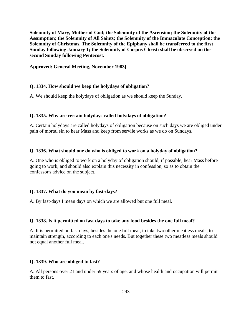**Solemnity of Mary, Mother of God; the Solemnity of the Ascension; the Solemnity of the Assumption; the Solemnity of All Saints; the Solemnity of the Immaculate Conception; the Solemnity of Christmas. The Solemnity of the Epiphany shall be transferred to the first Sunday following January 1; the Solemnity of Corpus Christi shall be observed on the second Sunday following Pentecost.** 

#### **Approved: General Meeting, November 1983]**

#### **Q. 1334. How should we keep the holydays of obligation?**

A. We should keep the holydays of obligation as we should keep the Sunday.

#### **Q. 1335. Why are certain holydays called holydays of obligation?**

A. Certain holydays are called holydays of obligation because on such days we are obliged under pain of mortal sin to hear Mass and keep from servile works as we do on Sundays.

#### **Q. 1336. What should one do who is obliged to work on a holyday of obligation?**

A. One who is obliged to work on a holyday of obligation should, if possible, hear Mass before going to work, and should also explain this necessity in confession, so as to obtain the confessor's advice on the subject.

## **Q. 1337. What do you mean by fast-days?**

A. By fast-days I mean days on which we are allowed but one full meal.

#### **Q. 1338. Is it permitted on fast days to take any food besides the one full meal?**

A. It is permitted on fast days, besides the one full meal, to take two other meatless meals, to maintain strength, according to each one's needs. But together these two meatless meals should not equal another full meal.

#### **Q. 1339. Who are obliged to fast?**

A. All persons over 21 and under 59 years of age, and whose health and occupation will permit them to fast.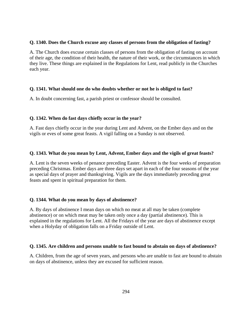#### **Q. 1340. Does the Church excuse any classes of persons from the obligation of fasting?**

A. The Church does excuse certain classes of persons from the obligation of fasting on account of their age, the condition of their health, the nature of their work, or the circumstances in which they live. These things are explained in the Regulations for Lent, read publicly in the Churches each year.

## **Q. 1341. What should one do who doubts whether or not he is obliged to fast?**

A. In doubt concerning fast, a parish priest or confessor should be consulted.

## **Q. 1342. When do fast days chiefly occur in the year?**

A. Fast days chiefly occur in the year during Lent and Advent, on the Ember days and on the vigils or eves of some great feasts. A vigil falling on a Sunday is not observed.

#### **Q. 1343. What do you mean by Lent, Advent, Ember days and the vigils of great feasts?**

A. Lent is the seven weeks of penance preceding Easter. Advent is the four weeks of preparation preceding Christmas. Ember days are three days set apart in each of the four seasons of the year as special days of prayer and thanksgiving. Vigils are the days immediately preceding great feasts and spent in spiritual preparation for them.

## **Q. 1344. What do you mean by days of abstinence?**

A. By days of abstinence I mean days on which no meat at all may be taken (complete abstinence) or on which meat may be taken only once a day (partial abstinence). This is explained in the regulations for Lent. All the Fridays of the year are days of abstinence except when a Holyday of obligation falls on a Friday outside of Lent.

#### **Q. 1345. Are children and persons unable to fast bound to abstain on days of abstinence?**

A. Children, from the age of seven years, and persons who are unable to fast are bound to abstain on days of abstinence, unless they are excused for sufficient reason.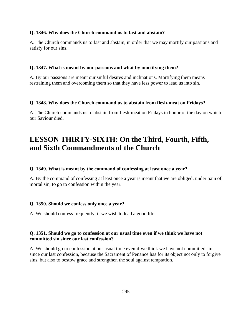#### **Q. 1346. Why does the Church command us to fast and abstain?**

A. The Church commands us to fast and abstain, in order that we may mortify our passions and satisfy for our sins.

## **Q. 1347. What is meant by our passions and what by mortifying them?**

A. By our passions are meant our sinful desires and inclinations. Mortifying them means restraining them and overcoming them so that they have less power to lead us into sin.

## **Q. 1348. Why does the Church command us to abstain from flesh-meat on Fridays?**

A. The Church commands us to abstain from flesh-meat on Fridays in honor of the day on which our Saviour died.

# **LESSON THIRTY-SIXTH: On the Third, Fourth, Fifth, and Sixth Commandments of the Church**

## **Q. 1349. What is meant by the command of confessing at least once a year?**

A. By the command of confessing at least once a year is meant that we are obliged, under pain of mortal sin, to go to confession within the year.

## **Q. 1350. Should we confess only once a year?**

A. We should confess frequently, if we wish to lead a good life.

# **Q. 1351. Should we go to confession at our usual time even if we think we have not committed sin since our last confession?**

A. We should go to confession at our usual time even if we think we have not committed sin since our last confession, because the Sacrament of Penance has for its object not only to forgive sins, but also to bestow grace and strengthen the soul against temptation.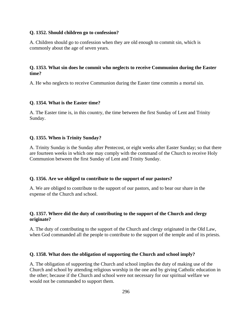#### **Q. 1352. Should children go to confession?**

A. Children should go to confession when they are old enough to commit sin, which is commonly about the age of seven years.

# **Q. 1353. What sin does he commit who neglects to receive Communion during the Easter time?**

A. He who neglects to receive Communion during the Easter time commits a mortal sin.

# **Q. 1354. What is the Easter time?**

A. The Easter time is, in this country, the time between the first Sunday of Lent and Trinity Sunday.

# **Q. 1355. When is Trinity Sunday?**

A. Trinity Sunday is the Sunday after Pentecost, or eight weeks after Easter Sunday; so that there are fourteen weeks in which one may comply with the command of the Church to receive Holy Communion between the first Sunday of Lent and Trinity Sunday.

## **Q. 1356. Are we obliged to contribute to the support of our pastors?**

A. We are obliged to contribute to the support of our pastors, and to bear our share in the expense of the Church and school.

# **Q. 1357. Where did the duty of contributing to the support of the Church and clergy originate?**

A. The duty of contributing to the support of the Church and clergy originated in the Old Law, when God commanded all the people to contribute to the support of the temple and of its priests.

## **Q. 1358. What does the obligation of supporting the Church and school imply?**

A. The obligation of supporting the Church and school implies the duty of making use of the Church and school by attending religious worship in the one and by giving Catholic education in the other; because if the Church and school were not necessary for our spiritual welfare we would not be commanded to support them.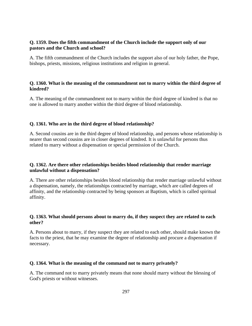## **Q. 1359. Does the fifth commandment of the Church include the support only of our pastors and the Church and school?**

A. The fifth commandment of the Church includes the support also of our holy father, the Pope, bishops, priests, missions, religious institutions and religion in general.

## **Q. 1360. What is the meaning of the commandment not to marry within the third degree of kindred?**

A. The meaning of the commandment not to marry within the third degree of kindred is that no one is allowed to marry another within the third degree of blood relationship.

# **Q. 1361. Who are in the third degree of blood relationship?**

A. Second cousins are in the third degree of blood relationship, and persons whose relationship is nearer than second cousins are in closer degrees of kindred. It is unlawful for persons thus related to marry without a dispensation or special permission of the Church.

# **Q. 1362. Are there other relationships besides blood relationship that render marriage unlawful without a dispensation?**

A. There are other relationships besides blood relationship that render marriage unlawful without a dispensation, namely, the relationships contracted by marriage, which are called degrees of affinity, and the relationship contracted by being sponsors at Baptism, which is called spiritual affinity.

# **Q. 1363. What should persons about to marry do, if they suspect they are related to each other?**

A. Persons about to marry, if they suspect they are related to each other, should make known the facts to the priest, that he may examine the degree of relationship and procure a dispensation if necessary.

# **Q. 1364. What is the meaning of the command not to marry privately?**

A. The command not to marry privately means that none should marry without the blessing of God's priests or without witnesses.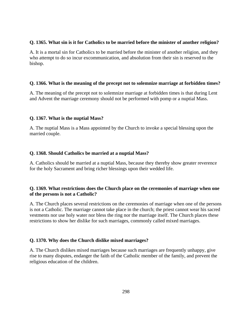## **Q. 1365. What sin is it for Catholics to be married before the minister of another religion?**

A. It is a mortal sin for Catholics to be married before the minister of another religion, and they who attempt to do so incur excommunication, and absolution from their sin is reserved to the bishop.

# **Q. 1366. What is the meaning of the precept not to solemnize marriage at forbidden times?**

A. The meaning of the precept not to solemnize marriage at forbidden times is that during Lent and Advent the marriage ceremony should not be performed with pomp or a nuptial Mass.

# **Q. 1367. What is the nuptial Mass?**

A. The nuptial Mass is a Mass appointed by the Church to invoke a special blessing upon the married couple.

# **Q. 1368. Should Catholics be married at a nuptial Mass?**

A. Catholics should be married at a nuptial Mass, because they thereby show greater reverence for the holy Sacrament and bring richer blessings upon their wedded life.

# **Q. 1369. What restrictions does the Church place on the ceremonies of marriage when one of the persons is not a Catholic?**

A. The Church places several restrictions on the ceremonies of marriage when one of the persons is not a Catholic. The marriage cannot take place in the church; the priest cannot wear his sacred vestments nor use holy water nor bless the ring nor the marriage itself. The Church places these restrictions to show her dislike for such marriages, commonly called mixed marriages.

# **Q. 1370. Why does the Church dislike mixed marriages?**

A. The Church dislikes mixed marriages because such marriages are frequently unhappy, give rise to many disputes, endanger the faith of the Catholic member of the family, and prevent the religious education of the children.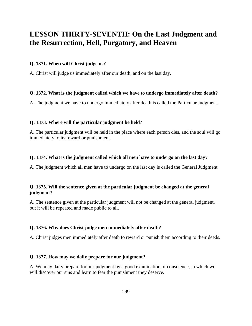# **LESSON THIRTY-SEVENTH: On the Last Judgment and the Resurrection, Hell, Purgatory, and Heaven**

## **Q. 1371. When will Christ judge us?**

A. Christ will judge us immediately after our death, and on the last day.

## **Q. 1372. What is the judgment called which we have to undergo immediately after death?**

A. The judgment we have to undergo immediately after death is called the Particular Judgment.

#### **Q. 1373. Where will the particular judgment be held?**

A. The particular judgment will be held in the place where each person dies, and the soul will go immediately to its reward or punishment.

#### **Q. 1374. What is the judgment called which all men have to undergo on the last day?**

A. The judgment which all men have to undergo on the last day is called the General Judgment.

## **Q. 1375. Will the sentence given at the particular judgment be changed at the general judgment?**

A. The sentence given at the particular judgment will not be changed at the general judgment, but it will be repeated and made public to all.

#### **Q. 1376. Why does Christ judge men immediately after death?**

A. Christ judges men immediately after death to reward or punish them according to their deeds.

#### **Q. 1377. How may we daily prepare for our judgment?**

A. We may daily prepare for our judgment by a good examination of conscience, in which we will discover our sins and learn to fear the punishment they deserve.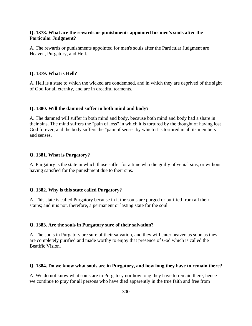#### **Q. 1378. What are the rewards or punishments appointed for men's souls after the Particular Judgment?**

A. The rewards or punishments appointed for men's souls after the Particular Judgment are Heaven, Purgatory, and Hell.

#### **Q. 1379. What is Hell?**

A. Hell is a state to which the wicked are condemned, and in which they are deprived of the sight of God for all eternity, and are in dreadful torments.

#### **Q. 1380. Will the damned suffer in both mind and body?**

A. The damned will suffer in both mind and body, because both mind and body had a share in their sins. The mind suffers the "pain of loss" in which it is tortured by the thought of having lost God forever, and the body suffers the "pain of sense" by which it is tortured in all its members and senses.

#### **Q. 1381. What is Purgatory?**

A. Purgatory is the state in which those suffer for a time who die guilty of venial sins, or without having satisfied for the punishment due to their sins.

#### **Q. 1382. Why is this state called Purgatory?**

A. This state is called Purgatory because in it the souls are purged or purified from all their stains; and it is not, therefore, a permanent or lasting state for the soul.

#### **Q. 1383. Are the souls in Purgatory sure of their salvation?**

A. The souls in Purgatory are sure of their salvation, and they will enter heaven as soon as they are completely purified and made worthy to enjoy that presence of God which is called the Beatific Vision.

#### **Q. 1384. Do we know what souls are in Purgatory, and how long they have to remain there?**

A. We do not know what souls are in Purgatory nor how long they have to remain there; hence we continue to pray for all persons who have died apparently in the true faith and free from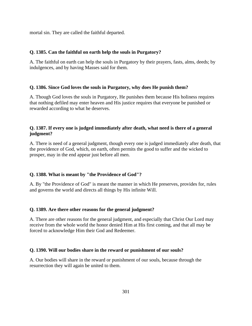mortal sin. They are called the faithful departed.

## **Q. 1385. Can the faithful on earth help the souls in Purgatory?**

A. The faithful on earth can help the souls in Purgatory by their prayers, fasts, alms, deeds; by indulgences, and by having Masses said for them.

#### **Q. 1386. Since God loves the souls in Purgatory, why does He punish them?**

A. Though God loves the souls in Purgatory, He punishes them because His holiness requires that nothing defiled may enter heaven and His justice requires that everyone be punished or rewarded according to what he deserves.

## **Q. 1387. If every one is judged immediately after death, what need is there of a general judgment?**

A. There is need of a general judgment, though every one is judged immediately after death, that the providence of God, which, on earth, often permits the good to suffer and the wicked to prosper, may in the end appear just before all men.

## **Q. 1388. What is meant by "the Providence of God"?**

A. By "the Providence of God" is meant the manner in which He preserves, provides for, rules and governs the world and directs all things by His infinite Will.

#### **Q. 1389. Are there other reasons for the general judgment?**

A. There are other reasons for the general judgment, and especially that Christ Our Lord may receive from the whole world the honor denied Him at His first coming, and that all may be forced to acknowledge Him their God and Redeemer.

#### **Q. 1390. Will our bodies share in the reward or punishment of our souls?**

A. Our bodies will share in the reward or punishment of our souls, because through the resurrection they will again be united to them.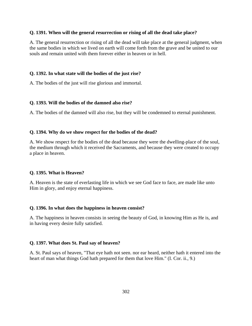#### **Q. 1391. When will the general resurrection or rising of all the dead take place?**

A. The general resurrection or rising of all the dead will take place at the general judgment, when the same bodies in which we lived on earth will come forth from the grave and be united to our souls and remain united with them forever either in heaven or in hell.

#### **Q. 1392. In what state will the bodies of the just rise?**

A. The bodies of the just will rise glorious and immortal.

#### **Q. 1393. Will the bodies of the damned also rise?**

A. The bodies of the damned will also rise, but they will be condemned to eternal punishment.

#### **Q. 1394. Why do we show respect for the bodies of the dead?**

A. We show respect for the bodies of the dead because they were the dwelling-place of the soul, the medium through which it received the Sacraments, and because they were created to occupy a place in heaven.

#### **Q. 1395. What is Heaven?**

A. Heaven is the state of everlasting life in which we see God face to face, are made like unto Him in glory, and enjoy eternal happiness.

#### **Q. 1396. In what does the happiness in heaven consist?**

A. The happiness in heaven consists in seeing the beauty of God, in knowing Him as He is, and in having every desire fully satisfied.

#### **Q. 1397. What does St. Paul say of heaven?**

A. St. Paul says of heaven, "That eye hath not seen. nor ear heard, neither hath it entered into the heart of man what things God hath prepared for them that love Him." (I. Cor. ii., 9.)